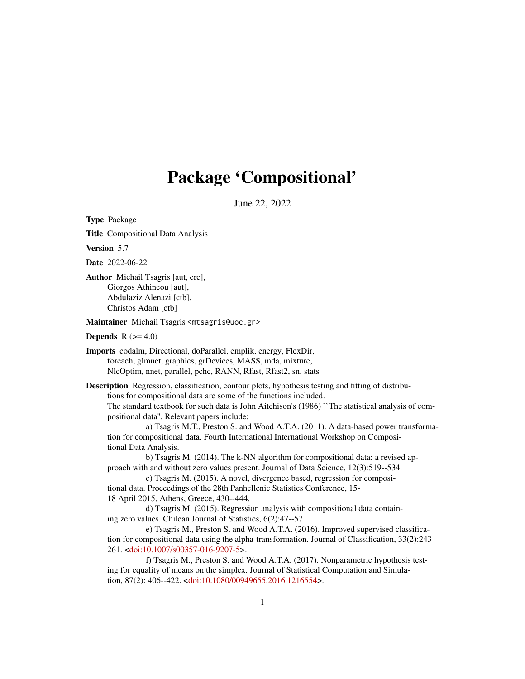# Package 'Compositional'

June 22, 2022

<span id="page-0-0"></span>Type Package

Title Compositional Data Analysis

Version 5.7

Date 2022-06-22

Author Michail Tsagris [aut, cre], Giorgos Athineou [aut], Abdulaziz Alenazi [ctb], Christos Adam [ctb]

Maintainer Michail Tsagris <mtsagris@uoc.gr>

**Depends**  $R$  ( $>= 4.0$ )

Imports codalm, Directional, doParallel, emplik, energy, FlexDir, foreach, glmnet, graphics, grDevices, MASS, mda, mixture, NlcOptim, nnet, parallel, pchc, RANN, Rfast, Rfast2, sn, stats

Description Regression, classification, contour plots, hypothesis testing and fitting of distributions for compositional data are some of the functions included.

The standard textbook for such data is John Aitchison's (1986) ``The statistical analysis of compositional data''. Relevant papers include:

a) Tsagris M.T., Preston S. and Wood A.T.A. (2011). A data-based power transformation for compositional data. Fourth International International Workshop on Compositional Data Analysis.

b) Tsagris M. (2014). The k-NN algorithm for compositional data: a revised approach with and without zero values present. Journal of Data Science, 12(3):519--534.

c) Tsagris M. (2015). A novel, divergence based, regression for compositional data. Proceedings of the 28th Panhellenic Statistics Conference, 15- 18 April 2015, Athens, Greece, 430--444.

d) Tsagris M. (2015). Regression analysis with compositional data containing zero values. Chilean Journal of Statistics, 6(2):47--57.

e) Tsagris M., Preston S. and Wood A.T.A. (2016). Improved supervised classification for compositional data using the alpha-transformation. Journal of Classification, 33(2):243-- 261. [<doi:10.1007/s00357-016-9207-5>](https://doi.org/10.1007/s00357-016-9207-5).

f) Tsagris M., Preston S. and Wood A.T.A. (2017). Nonparametric hypothesis testing for equality of means on the simplex. Journal of Statistical Computation and Simulation, 87(2): 406--422. [<doi:10.1080/00949655.2016.1216554>](https://doi.org/10.1080/00949655.2016.1216554).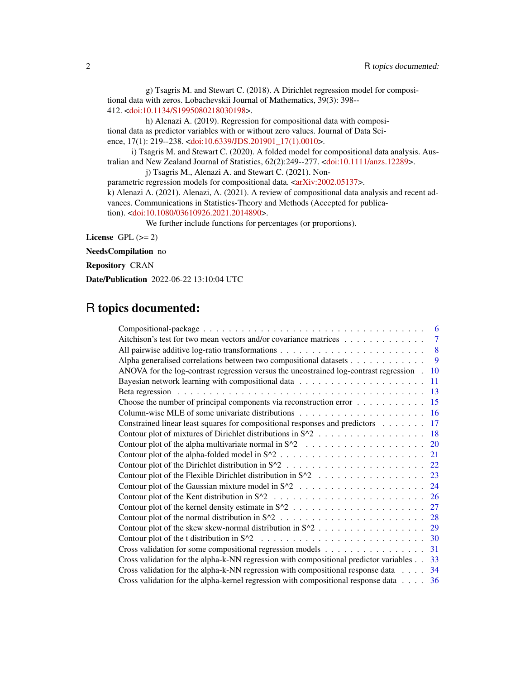g) Tsagris M. and Stewart C. (2018). A Dirichlet regression model for compositional data with zeros. Lobachevskii Journal of Mathematics, 39(3): 398-- 412. [<doi:10.1134/S1995080218030198>](https://doi.org/10.1134/S1995080218030198).

h) Alenazi A. (2019). Regression for compositional data with compositional data as predictor variables with or without zero values. Journal of Data Science, 17(1): 219--238. [<doi:10.6339/JDS.201901\\_17\(1\).0010>](https://doi.org/10.6339/JDS.201901_17(1).0010).

i) Tsagris M. and Stewart C. (2020). A folded model for compositional data analysis. Australian and New Zealand Journal of Statistics, 62(2):249--277. [<doi:10.1111/anzs.12289>](https://doi.org/10.1111/anzs.12289).

j) Tsagris M., Alenazi A. and Stewart C. (2021). Non-

parametric regression models for compositional data. [<arXiv:2002.05137>](https://arxiv.org/abs/2002.05137).

k) Alenazi A. (2021). Alenazi, A. (2021). A review of compositional data analysis and recent advances. Communications in Statistics-Theory and Methods (Accepted for publica-

tion). [<doi:10.1080/03610926.2021.2014890>](https://doi.org/10.1080/03610926.2021.2014890).

We further include functions for percentages (or proportions).

License GPL  $(>= 2)$ 

NeedsCompilation no

Repository CRAN

Date/Publication 2022-06-22 13:10:04 UTC

# R topics documented:

|                                                                                             | 6                         |
|---------------------------------------------------------------------------------------------|---------------------------|
| Aitchison's test for two mean vectors and/or covariance matrices                            | $\overline{7}$            |
|                                                                                             | $\overline{\phantom{0}}8$ |
| Alpha generalised correlations between two compositional datasets                           | 9                         |
| ANOVA for the log-contrast regression versus the uncostrained log-contrast regression.      | 10                        |
|                                                                                             | 11                        |
|                                                                                             | 13                        |
| Choose the number of principal components via reconstruction error                          | 15                        |
|                                                                                             |                           |
| Constrained linear least squares for compositional responses and predictors                 | -17                       |
|                                                                                             |                           |
|                                                                                             | 20                        |
|                                                                                             | 21                        |
|                                                                                             |                           |
|                                                                                             | 23                        |
|                                                                                             | 24                        |
|                                                                                             | <b>26</b>                 |
|                                                                                             | 27                        |
|                                                                                             |                           |
|                                                                                             | 29                        |
|                                                                                             | 30                        |
|                                                                                             | 31                        |
| Cross validation for the alpha-k-NN regression with compositional predictor variables       | 33                        |
| Cross validation for the alpha-k-NN regression with compositional response data $\dots$ .   | 34                        |
| Cross validation for the alpha-kernel regression with compositional response data $\dots$ . | 36                        |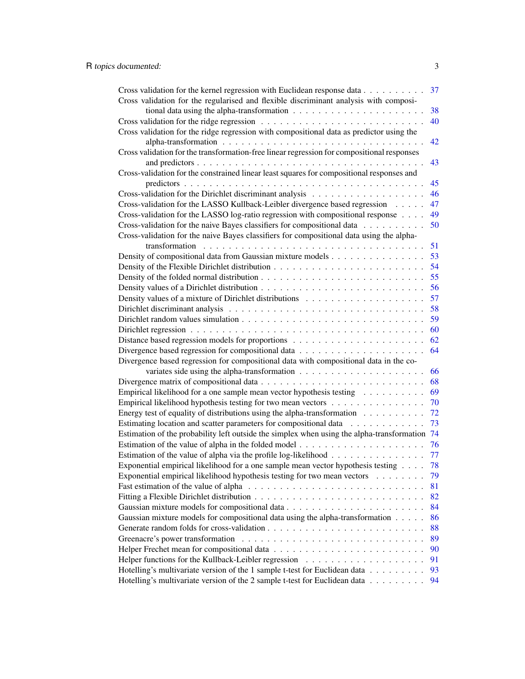| Cross validation for the kernel regression with Euclidean response data<br>37                  |    |  |
|------------------------------------------------------------------------------------------------|----|--|
| Cross validation for the regularised and flexible discriminant analysis with composi-          |    |  |
| tional data using the alpha-transformation $\ldots \ldots \ldots \ldots \ldots \ldots \ldots$  | 38 |  |
| 40                                                                                             |    |  |
| Cross validation for the ridge regression with compositional data as predictor using the       |    |  |
|                                                                                                | 42 |  |
| Cross validation for the transformation-free linear regression for compositional responses     |    |  |
|                                                                                                | 43 |  |
| Cross-validation for the constrained linear least squares for compositional responses and      |    |  |
|                                                                                                | 45 |  |
|                                                                                                | 46 |  |
| Cross-validation for the LASSO Kullback-Leibler divergence based regression                    | 47 |  |
| Cross-validation for the LASSO log-ratio regression with compositional response $\dots$        | 49 |  |
| Cross-validation for the naive Bayes classifiers for compositional data                        | 50 |  |
| Cross-validation for the naive Bayes classifiers for compositional data using the alpha-       |    |  |
|                                                                                                | 51 |  |
| Density of compositional data from Gaussian mixture models                                     |    |  |
|                                                                                                | 53 |  |
|                                                                                                | 54 |  |
|                                                                                                | 55 |  |
|                                                                                                | 56 |  |
|                                                                                                | 57 |  |
|                                                                                                | 58 |  |
|                                                                                                | 59 |  |
|                                                                                                | 60 |  |
|                                                                                                | 62 |  |
| 64                                                                                             |    |  |
| Divergence based regression for compositional data with compositional data in the co-          |    |  |
|                                                                                                | 66 |  |
|                                                                                                | 68 |  |
| Empirical likelihood for a one sample mean vector hypothesis testing $\dots \dots \dots$       | 69 |  |
| Empirical likelihood hypothesis testing for two mean vectors<br>70                             |    |  |
| Energy test of equality of distributions using the alpha-transformation $\ldots \ldots \ldots$ | 72 |  |
| Estimating location and scatter parameters for compositional data                              | 73 |  |
| Estimation of the probability left outside the simplex when using the alpha-transformation     | 74 |  |
| 76                                                                                             |    |  |
| Estimation of the value of alpha via the profile log-likelihood                                | 77 |  |
| Exponential empirical likelihood for a one sample mean vector hypothesis testing<br>78         |    |  |
| Exponential empirical likelihood hypothesis testing for two mean vectors                       | 79 |  |
| 81                                                                                             |    |  |
| 82                                                                                             |    |  |
| 84                                                                                             |    |  |
| Gaussian mixture models for compositional data using the alpha-transformation<br>86            |    |  |
| 88                                                                                             |    |  |
|                                                                                                |    |  |
| 89                                                                                             |    |  |
| 90                                                                                             |    |  |
| 91                                                                                             |    |  |
| Hotelling's multivariate version of the 1 sample t-test for Euclidean data<br>93               |    |  |
| Hotelling's multivariate version of the 2 sample t-test for Euclidean data                     | 94 |  |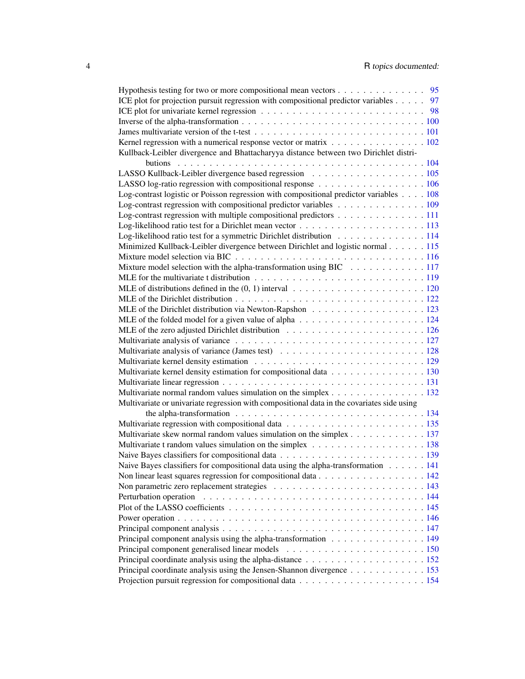| Hypothesis testing for two or more compositional mean vectors 95                                                                                   |  |  |
|----------------------------------------------------------------------------------------------------------------------------------------------------|--|--|
| ICE plot for projection pursuit regression with compositional predictor variables 97                                                               |  |  |
|                                                                                                                                                    |  |  |
|                                                                                                                                                    |  |  |
|                                                                                                                                                    |  |  |
| Kernel regression with a numerical response vector or matrix 102                                                                                   |  |  |
| Kullback-Leibler divergence and Bhattacharyya distance between two Dirichlet distri-                                                               |  |  |
|                                                                                                                                                    |  |  |
|                                                                                                                                                    |  |  |
| LASSO log-ratio regression with compositional response $\dots \dots \dots \dots \dots \dots \dots \dots \dots \dots \dots \dots \dots \dots \dots$ |  |  |
| Log-contrast logistic or Poisson regression with compositional predictor variables 108                                                             |  |  |
| Log-contrast regression with compositional predictor variables $\dots \dots \dots \dots \dots \dots \dots$                                         |  |  |
| Log-contrast regression with multiple compositional predictors 111                                                                                 |  |  |
|                                                                                                                                                    |  |  |
| Log-likelihood ratio test for a symmetric Dirichlet distribution 114                                                                               |  |  |
| Minimized Kullback-Leibler divergence between Dirichlet and logistic normal 115                                                                    |  |  |
|                                                                                                                                                    |  |  |
| Mixture model selection with the alpha-transformation using BIC 117                                                                                |  |  |
|                                                                                                                                                    |  |  |
| MLE of distributions defined in the $(0, 1)$ interval $\ldots \ldots \ldots \ldots \ldots \ldots \ldots \ldots 120$                                |  |  |
|                                                                                                                                                    |  |  |
|                                                                                                                                                    |  |  |
|                                                                                                                                                    |  |  |
|                                                                                                                                                    |  |  |
|                                                                                                                                                    |  |  |
|                                                                                                                                                    |  |  |
|                                                                                                                                                    |  |  |
| Multivariate kernel density estimation for compositional data 130                                                                                  |  |  |
|                                                                                                                                                    |  |  |
| Multivariate normal random values simulation on the simplex 132                                                                                    |  |  |
| Multivariate or univariate regression with compositional data in the covariates side using                                                         |  |  |
| the alpha-transformation $\ldots \ldots \ldots \ldots \ldots \ldots \ldots \ldots \ldots \ldots \ldots \ldots 134$                                 |  |  |
|                                                                                                                                                    |  |  |
| Multivariate skew normal random values simulation on the simplex 137                                                                               |  |  |
|                                                                                                                                                    |  |  |
|                                                                                                                                                    |  |  |
| Naive Bayes classifiers for compositional data using the alpha-transformation $\dots \dots 141$                                                    |  |  |
|                                                                                                                                                    |  |  |
|                                                                                                                                                    |  |  |
|                                                                                                                                                    |  |  |
|                                                                                                                                                    |  |  |
|                                                                                                                                                    |  |  |
|                                                                                                                                                    |  |  |
| Principal component analysis using the alpha-transformation 149                                                                                    |  |  |
|                                                                                                                                                    |  |  |
|                                                                                                                                                    |  |  |
| Principal coordinate analysis using the Jensen-Shannon divergence 153                                                                              |  |  |
|                                                                                                                                                    |  |  |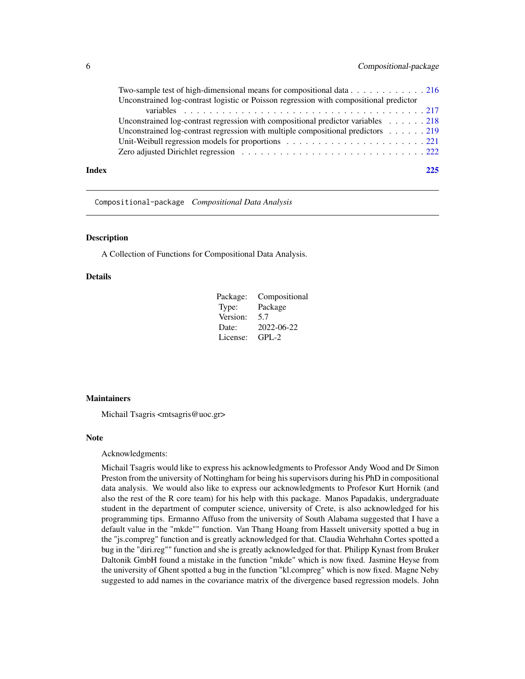<span id="page-5-0"></span>

|       | Two-sample test of high-dimensional means for compositional data 216                                 |
|-------|------------------------------------------------------------------------------------------------------|
|       | Unconstrained log-contrast logistic or Poisson regression with compositional predictor               |
|       |                                                                                                      |
|       | Unconstrained log-contrast regression with compositional predictor variables $\ldots \ldots$ . 218   |
|       | Unconstrained log-contrast regression with multiple compositional predictors $\dots \dots \dots$ 219 |
|       |                                                                                                      |
|       |                                                                                                      |
| Index | 225                                                                                                  |

Compositional-package *Compositional Data Analysis*

#### Description

A Collection of Functions for Compositional Data Analysis.

#### Details

| Package: | Compositional |
|----------|---------------|
| Type:    | Package       |
| Version: | 5.7           |
| Date:    | 2022-06-22    |
| License: | $GPL-2$       |

#### **Maintainers**

Michail Tsagris <mtsagris@uoc.gr>

# Note

#### Acknowledgments:

Michail Tsagris would like to express his acknowledgments to Professor Andy Wood and Dr Simon Preston from the university of Nottingham for being his supervisors during his PhD in compositional data analysis. We would also like to express our acknowledgments to Profesor Kurt Hornik (and also the rest of the R core team) for his help with this package. Manos Papadakis, undergraduate student in the department of computer science, university of Crete, is also acknowledged for his programming tips. Ermanno Affuso from the university of South Alabama suggested that I have a default value in the "mkde"" function. Van Thang Hoang from Hasselt university spotted a bug in the "js.compreg" function and is greatly acknowledged for that. Claudia Wehrhahn Cortes spotted a bug in the "diri.reg"" function and she is greatly acknowledged for that. Philipp Kynast from Bruker Daltonik GmbH found a mistake in the function "mkde" which is now fixed. Jasmine Heyse from the university of Ghent spotted a bug in the function "kl.compreg" which is now fixed. Magne Neby suggested to add names in the covariance matrix of the divergence based regression models. John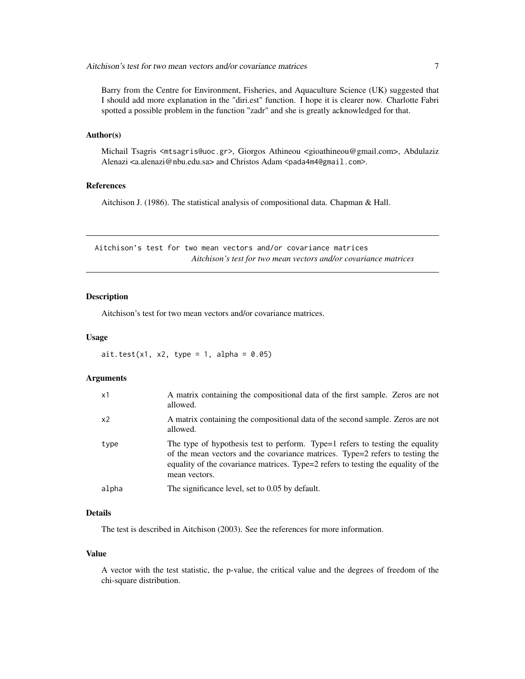<span id="page-6-0"></span>Barry from the Centre for Environment, Fisheries, and Aquaculture Science (UK) suggested that I should add more explanation in the "diri.est" function. I hope it is clearer now. Charlotte Fabri spotted a possible problem in the function "zadr" and she is greatly acknowledged for that.

## Author(s)

Michail Tsagris <mtsagris@uoc.gr>, Giorgos Athineou <gioathineou@gmail.com>, Abdulaziz Alenazi <a.alenazi@nbu.edu.sa> and Christos Adam <pada4m4@gmail.com>.

#### References

Aitchison J. (1986). The statistical analysis of compositional data. Chapman & Hall.

Aitchison's test for two mean vectors and/or covariance matrices *Aitchison's test for two mean vectors and/or covariance matrices*

# Description

Aitchison's test for two mean vectors and/or covariance matrices.

#### Usage

 $ait.test(x1, x2, type = 1, alpha = 0.05)$ 

### **Arguments**

| x1             | A matrix containing the compositional data of the first sample. Zeros are not<br>allowed.                                                                                                                                                                            |
|----------------|----------------------------------------------------------------------------------------------------------------------------------------------------------------------------------------------------------------------------------------------------------------------|
| x <sub>2</sub> | A matrix containing the compositional data of the second sample. Zeros are not<br>allowed.                                                                                                                                                                           |
| type           | The type of hypothesis test to perform. Type=1 refers to testing the equality<br>of the mean vectors and the covariance matrices. Type=2 refers to testing the<br>equality of the covariance matrices. Type=2 refers to testing the equality of the<br>mean vectors. |
| alpha          | The significance level, set to 0.05 by default.                                                                                                                                                                                                                      |

# Details

The test is described in Aitchison (2003). See the references for more information.

# Value

A vector with the test statistic, the p-value, the critical value and the degrees of freedom of the chi-square distribution.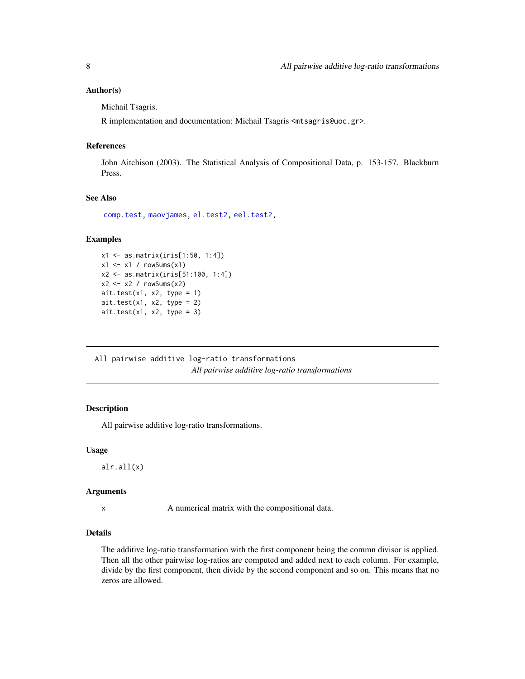### <span id="page-7-0"></span>Author(s)

Michail Tsagris.

R implementation and documentation: Michail Tsagris <mtsagris@uoc.gr>.

# References

John Aitchison (2003). The Statistical Analysis of Compositional Data, p. 153-157. Blackburn Press.

# See Also

[comp.test,](#page-94-1) [maovjames,](#page-127-1) [el.test2,](#page-69-1) [eel.test2,](#page-78-1)

# Examples

```
x1 <- as.matrix(iris[1:50, 1:4])
x1 \leftarrow x1 / \text{rowsums}(x1)x2 <- as.matrix(iris[51:100, 1:4])
x2 \leftarrow x2 / \text{rowsums}(x2)ait.test(x1, x2, type = 1)ait.test(x1, x2, type = 2)ait.test(x1, x2, type = 3)
```
All pairwise additive log-ratio transformations *All pairwise additive log-ratio transformations*

#### Description

All pairwise additive log-ratio transformations.

#### Usage

alr.all(x)

#### Arguments

x A numerical matrix with the compositional data.

# Details

The additive log-ratio transformation with the first component being the commn divisor is applied. Then all the other pairwise log-ratios are computed and added next to each column. For example, divide by the first component, then divide by the second component and so on. This means that no zeros are allowed.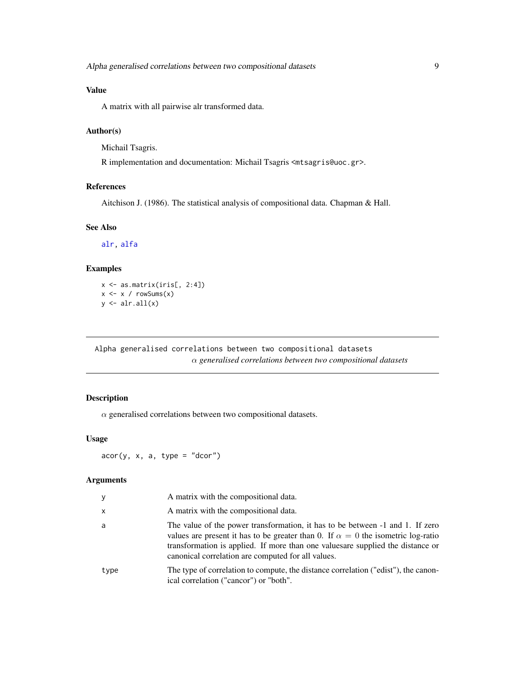# <span id="page-8-0"></span>Value

A matrix with all pairwise alr transformed data.

#### Author(s)

Michail Tsagris.

R implementation and documentation: Michail Tsagris <mtsagris@uoc.gr>.

# References

Aitchison J. (1986). The statistical analysis of compositional data. Chapman & Hall.

#### See Also

[alr,](#page-177-1) [alfa](#page-185-1)

# Examples

 $x \leftarrow$  as.matrix(iris[, 2:4])  $x \le -x / \text{rowsums}(x)$  $y \leftarrow \text{alr.all}(x)$ 

Alpha generalised correlations between two compositional datasets α *generalised correlations between two compositional datasets*

# <span id="page-8-1"></span>Description

 $\alpha$  generalised correlations between two compositional datasets.

# Usage

 $acor(y, x, a, type = "dcor")$ 

# Arguments

| y    | A matrix with the compositional data.                                                                                                                                                                                                                                                                             |
|------|-------------------------------------------------------------------------------------------------------------------------------------------------------------------------------------------------------------------------------------------------------------------------------------------------------------------|
| x    | A matrix with the compositional data.                                                                                                                                                                                                                                                                             |
| a    | The value of the power transformation, it has to be between -1 and 1. If zero<br>values are present it has to be greater than 0. If $\alpha = 0$ the isometric log-ratio<br>transformation is applied. If more than one values are supplied the distance or<br>canonical correlation are computed for all values. |
| type | The type of correlation to compute, the distance correlation ("edist"), the canon-<br>ical correlation ("cancor") or "both".                                                                                                                                                                                      |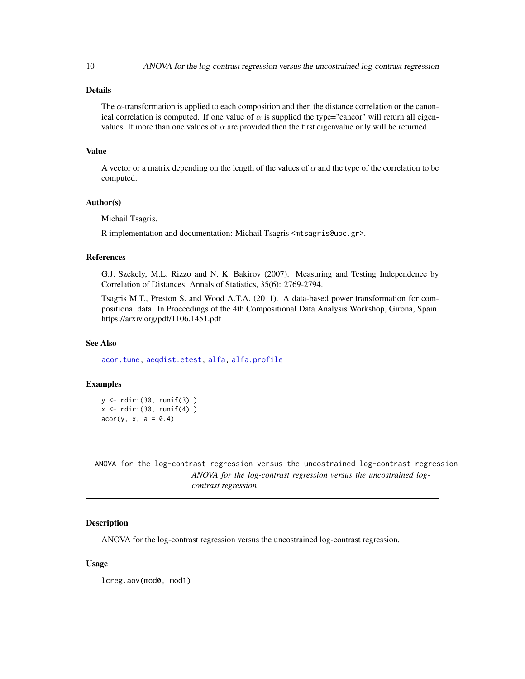# Details

The  $\alpha$ -transformation is applied to each composition and then the distance correlation or the canonical correlation is computed. If one value of  $\alpha$  is supplied the type="cancor" will return all eigenvalues. If more than one values of  $\alpha$  are provided then the first eigenvalue only will be returned.

# Value

A vector or a matrix depending on the length of the values of  $\alpha$  and the type of the correlation to be computed.

#### Author(s)

Michail Tsagris.

R implementation and documentation: Michail Tsagris <mtsagris@uoc.gr>.

#### References

G.J. Szekely, M.L. Rizzo and N. K. Bakirov (2007). Measuring and Testing Independence by Correlation of Distances. Annals of Statistics, 35(6): 2769-2794.

Tsagris M.T., Preston S. and Wood A.T.A. (2011). A data-based power transformation for compositional data. In Proceedings of the 4th Compositional Data Analysis Workshop, Girona, Spain. https://arxiv.org/pdf/1106.1451.pdf

#### See Also

[acor.tune,](#page-199-1) [aeqdist.etest,](#page-71-1) [alfa,](#page-185-1) [alfa.profile](#page-76-1)

#### Examples

y <- rdiri(30, runif(3) )  $x \leftarrow$  rdiri(30, runif(4))  $acor(y, x, a = 0.4)$ 

ANOVA for the log-contrast regression versus the uncostrained log-contrast regression *ANOVA for the log-contrast regression versus the uncostrained logcontrast regression*

# Description

ANOVA for the log-contrast regression versus the uncostrained log-contrast regression.

# Usage

lcreg.aov(mod0, mod1)

<span id="page-9-0"></span>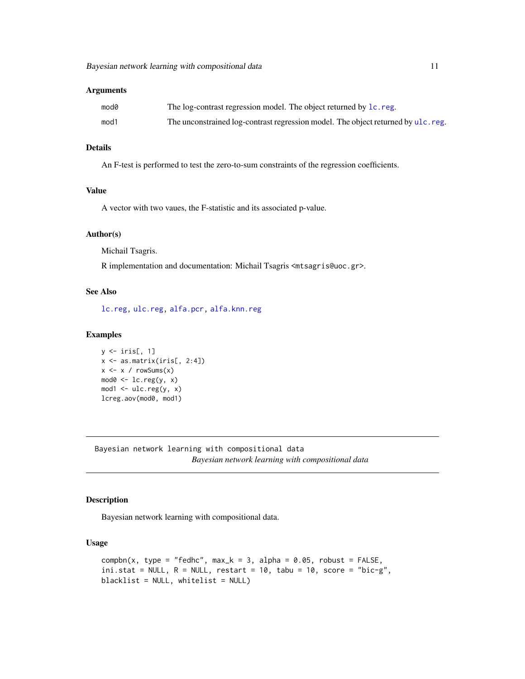# <span id="page-10-0"></span>Arguments

| mod0 | The log-contrast regression model. The object returned by 1c. reg.                |
|------|-----------------------------------------------------------------------------------|
| mod1 | The unconstrained log-contrast regression model. The object returned by ulc. reg. |

# Details

An F-test is performed to test the zero-to-sum constraints of the regression coefficients.

# Value

A vector with two vaues, the F-statistic and its associated p-value.

#### Author(s)

Michail Tsagris.

R implementation and documentation: Michail Tsagris <mtsagris@uoc.gr>.

# See Also

[lc.reg,](#page-108-1) [ulc.reg,](#page-217-1) [alfa.pcr,](#page-133-1) [alfa.knn.reg](#page-183-1)

#### Examples

```
y \leftarrow \text{iris}[, 1]x \leftarrow as.matrix(iris[, 2:4])x \leq x / \text{rowsums}(x)mod0 \leftarrow lc.read(y, x)mod1 <- ulc.reg(y, x)lcreg.aov(mod0, mod1)
```
Bayesian network learning with compositional data *Bayesian network learning with compositional data*

# Description

Bayesian network learning with compositional data.

#### Usage

```
comph(x, type = "fedhc", max_k = 3, alpha = 0.05, robust = FALSE,ini.stat = NULL, R = NULL, restart = 10, tabu = 10, score = "bic-g",blacklist = NULL, whitelist = NULL)
```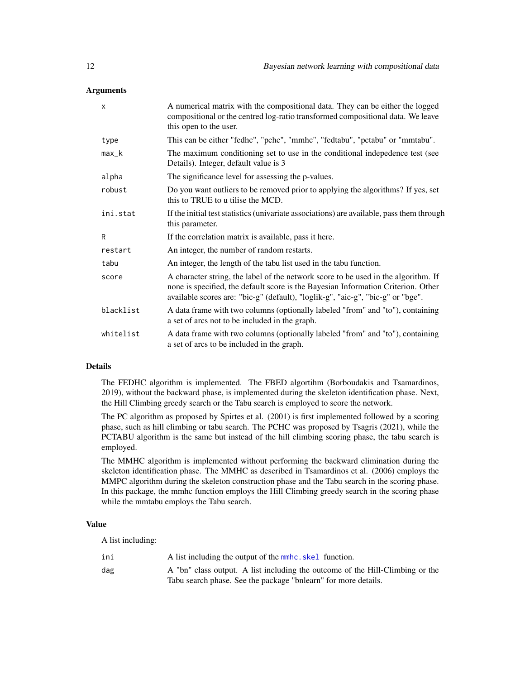#### **Arguments**

| X         | A numerical matrix with the compositional data. They can be either the logged<br>compositional or the centred log-ratio transformed compositional data. We leave<br>this open to the user.                                                                 |  |
|-----------|------------------------------------------------------------------------------------------------------------------------------------------------------------------------------------------------------------------------------------------------------------|--|
| type      | This can be either "fedhc", "pchc", "mmhc", "fedtabu", "pctabu" or "mmtabu".                                                                                                                                                                               |  |
| $max_k$   | The maximum conditioning set to use in the conditional indepedence test (see<br>Details). Integer, default value is 3                                                                                                                                      |  |
| alpha     | The significance level for assessing the p-values.                                                                                                                                                                                                         |  |
| robust    | Do you want outliers to be removed prior to applying the algorithms? If yes, set<br>this to TRUE to u tilise the MCD.                                                                                                                                      |  |
| ini.stat  | If the initial test statistics (univariate associations) are available, pass them through<br>this parameter.                                                                                                                                               |  |
| R         | If the correlation matrix is available, pass it here.                                                                                                                                                                                                      |  |
| restart   | An integer, the number of random restarts.                                                                                                                                                                                                                 |  |
| tabu      | An integer, the length of the tabu list used in the tabu function.                                                                                                                                                                                         |  |
| score     | A character string, the label of the network score to be used in the algorithm. If<br>none is specified, the default score is the Bayesian Information Criterion. Other<br>available scores are: "bic-g" (default), "loglik-g", "aic-g", "bic-g" or "bge". |  |
| blacklist | A data frame with two columns (optionally labeled "from" and "to"), containing<br>a set of arcs not to be included in the graph.                                                                                                                           |  |
| whitelist | A data frame with two columns (optionally labeled "from" and "to"), containing<br>a set of arcs to be included in the graph.                                                                                                                               |  |

#### Details

The FEDHC algorithm is implemented. The FBED algortihm (Borboudakis and Tsamardinos, 2019), without the backward phase, is implemented during the skeleton identification phase. Next, the Hill Climbing greedy search or the Tabu search is employed to score the network.

The PC algorithm as proposed by Spirtes et al. (2001) is first implemented followed by a scoring phase, such as hill climbing or tabu search. The PCHC was proposed by Tsagris (2021), while the PCTABU algorithm is the same but instead of the hill climbing scoring phase, the tabu search is employed.

The MMHC algorithm is implemented without performing the backward elimination during the skeleton identification phase. The MMHC as described in Tsamardinos et al. (2006) employs the MMPC algorithm during the skeleton construction phase and the Tabu search in the scoring phase. In this package, the mmhc function employs the Hill Climbing greedy search in the scoring phase while the mmtabu employs the Tabu search.

#### Value

A list including:

| ini | A list including the output of the mmhc. skel function.                       |
|-----|-------------------------------------------------------------------------------|
| dag | A "bn" class output. A list including the outcome of the Hill-Climbing or the |
|     | Tabu search phase. See the package "bnlearn" for more details.                |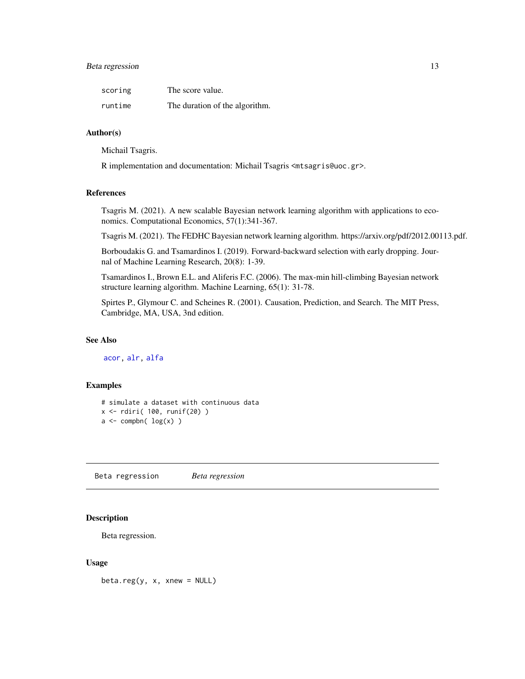# <span id="page-12-0"></span>Beta regression and the set of the set of the set of the set of the set of the set of the set of the set of the set of the set of the set of the set of the set of the set of the set of the set of the set of the set of the

| scoring | The score value.               |
|---------|--------------------------------|
| runtime | The duration of the algorithm. |

#### Author(s)

Michail Tsagris.

R implementation and documentation: Michail Tsagris <mtsagris@uoc.gr>.

# References

Tsagris M. (2021). A new scalable Bayesian network learning algorithm with applications to economics. Computational Economics, 57(1):341-367.

Tsagris M. (2021). The FEDHC Bayesian network learning algorithm. https://arxiv.org/pdf/2012.00113.pdf.

Borboudakis G. and Tsamardinos I. (2019). Forward-backward selection with early dropping. Journal of Machine Learning Research, 20(8): 1-39.

Tsamardinos I., Brown E.L. and Aliferis F.C. (2006). The max-min hill-climbing Bayesian network structure learning algorithm. Machine Learning, 65(1): 31-78.

Spirtes P., Glymour C. and Scheines R. (2001). Causation, Prediction, and Search. The MIT Press, Cambridge, MA, USA, 3nd edition.

# See Also

[acor,](#page-8-1) [alr,](#page-177-1) [alfa](#page-185-1)

# Examples

# simulate a dataset with continuous data  $x \leftarrow$  rdiri( 100, runif(20))  $a \leftarrow \text{comph}( \log(x) )$ 

Beta regression *Beta regression*

# **Description**

Beta regression.

#### Usage

 $beta.reg(y, x, xnew = NULL)$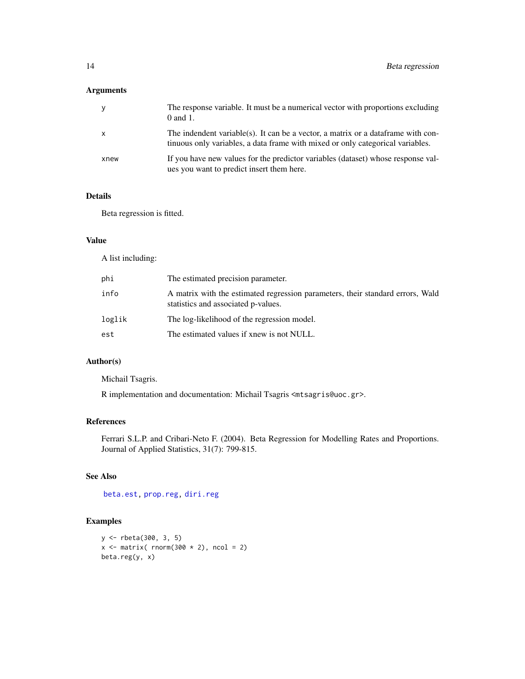# Arguments

| y            | The response variable. It must be a numerical vector with proportions excluding<br>$0$ and $1$ .                                                                    |
|--------------|---------------------------------------------------------------------------------------------------------------------------------------------------------------------|
| $\mathsf{X}$ | The indendent variable(s). It can be a vector, a matrix or a data frame with con-<br>tinuous only variables, a data frame with mixed or only categorical variables. |
| xnew         | If you have new values for the predictor variables (dataset) whose response val-<br>ues you want to predict insert them here.                                       |

# Details

Beta regression is fitted.

# Value

A list including:

| phi    | The estimated precision parameter.                                                                                    |
|--------|-----------------------------------------------------------------------------------------------------------------------|
| info   | A matrix with the estimated regression parameters, their standard errors, Wald<br>statistics and associated p-values. |
| loglik | The log-likelihood of the regression model.                                                                           |
| est    | The estimated values if xnew is not NULL.                                                                             |

#### Author(s)

Michail Tsagris.

R implementation and documentation: Michail Tsagris <mtsagris@uoc.gr>.

# References

Ferrari S.L.P. and Cribari-Neto F. (2004). Beta Regression for Modelling Rates and Proportions. Journal of Applied Statistics, 31(7): 799-815.

# See Also

[beta.est,](#page-119-1) [prop.reg,](#page-0-0) [diri.reg](#page-59-1)

# Examples

```
y <- rbeta(300, 3, 5)
x \le - matrix( rnorm(300 \star 2), ncol = 2)
beta.reg(y, x)
```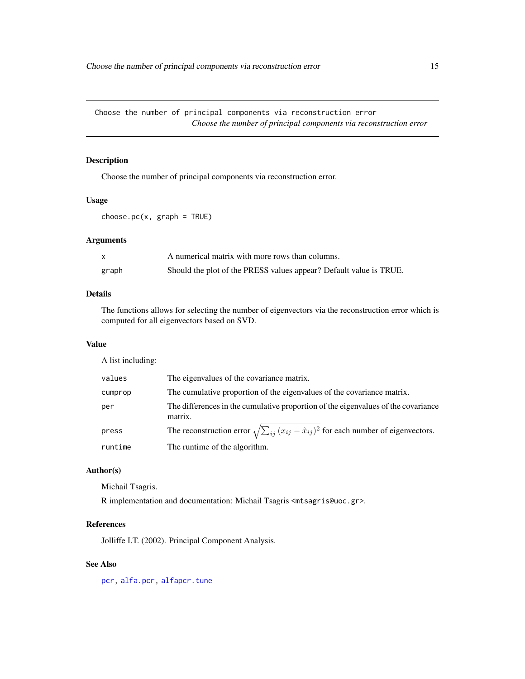<span id="page-14-0"></span>Choose the number of principal components via reconstruction error *Choose the number of principal components via reconstruction error*

# Description

Choose the number of principal components via reconstruction error.

#### Usage

 $choose.pc(x, graph = TRUE)$ 

# Arguments

|       | A numerical matrix with more rows than columns.                    |
|-------|--------------------------------------------------------------------|
| graph | Should the plot of the PRESS values appear? Default value is TRUE. |

# Details

The functions allows for selecting the number of eigenvectors via the reconstruction error which is computed for all eigenvectors based on SVD.

#### Value

A list including:

| values  | The eigenvalues of the covariance matrix.                                                              |
|---------|--------------------------------------------------------------------------------------------------------|
| cumprop | The cumulative proportion of the eigenvalues of the covariance matrix.                                 |
| per     | The differences in the cumulative proportion of the eigenvalues of the covariance<br>matrix.           |
| press   | The reconstruction error $\sqrt{\sum_{ij} (x_{ij} - \hat{x}_{ij})^2}$ for each number of eigenvectors. |
| runtime | The runtime of the algorithm.                                                                          |

#### Author(s)

Michail Tsagris.

R implementation and documentation: Michail Tsagris <mtsagris@uoc.gr>.

# References

Jolliffe I.T. (2002). Principal Component Analysis.

# See Also

[pcr,](#page-149-1) [alfa.pcr,](#page-133-1) [alfapcr.tune](#page-208-1)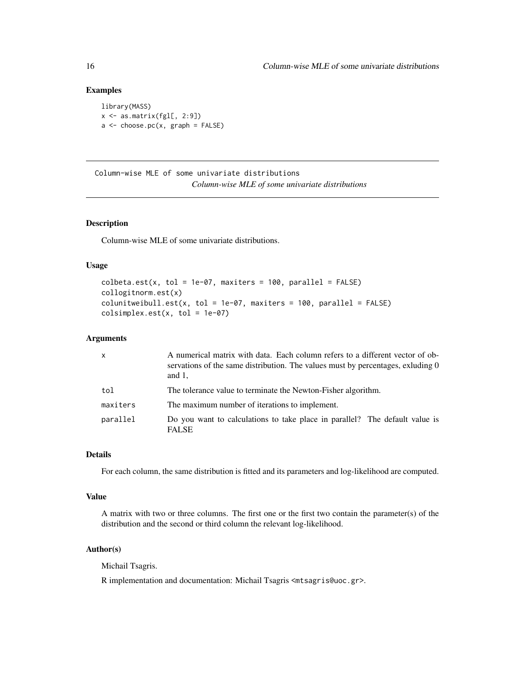## Examples

```
library(MASS)
x \leftarrow as.matrix(fgl[, 2:9])
a \leftarrow choose.pc(x, graph = FALSE)
```
Column-wise MLE of some univariate distributions *Column-wise MLE of some univariate distributions*

# Description

Column-wise MLE of some univariate distributions.

# Usage

```
\text{colbeta.est}(x, \text{tol} = 1e-07, \text{maxiters} = 100, \text{parallel} = \text{FALSE})collogitnorm.est(x)
colunitweibull.est(x, tol = 1e-07, maxiters = 100, parallel = FALSE)
colsimplex.est(x, tol = 1e-07)
```
### Arguments

| X        | A numerical matrix with data. Each column refers to a different vector of ob-<br>servations of the same distribution. The values must by percentages, exluding 0<br>and $1$ , |
|----------|-------------------------------------------------------------------------------------------------------------------------------------------------------------------------------|
| tol      | The tolerance value to terminate the Newton-Fisher algorithm.                                                                                                                 |
| maxiters | The maximum number of iterations to implement.                                                                                                                                |
| parallel | Do you want to calculations to take place in parallel? The default value is<br><b>FALSE</b>                                                                                   |

#### Details

For each column, the same distribution is fitted and its parameters and log-likelihood are computed.

### Value

A matrix with two or three columns. The first one or the first two contain the parameter(s) of the distribution and the second or third column the relevant log-likelihood.

# Author(s)

Michail Tsagris.

R implementation and documentation: Michail Tsagris <mtsagris@uoc.gr>.

<span id="page-15-0"></span>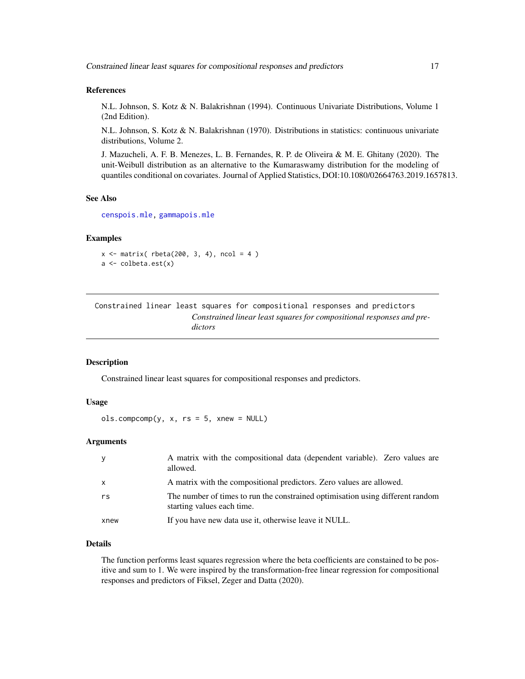#### <span id="page-16-0"></span>References

N.L. Johnson, S. Kotz & N. Balakrishnan (1994). Continuous Univariate Distributions, Volume 1 (2nd Edition).

N.L. Johnson, S. Kotz & N. Balakrishnan (1970). Distributions in statistics: continuous univariate distributions, Volume 2.

J. Mazucheli, A. F. B. Menezes, L. B. Fernandes, R. P. de Oliveira & M. E. Ghitany (2020). The unit-Weibull distribution as an alternative to the Kumaraswamy distribution for the modeling of quantiles conditional on covariates. Journal of Applied Statistics, DOI:10.1080/02664763.2019.1657813.

#### See Also

[censpois.mle,](#page-0-0) [gammapois.mle](#page-0-0)

#### Examples

```
x \le matrix( rbeta(200, 3, 4), ncol = 4)
a <- colbeta.est(x)
```
Constrained linear least squares for compositional responses and predictors *Constrained linear least squares for compositional responses and predictors*

# Description

Constrained linear least squares for compositional responses and predictors.

#### Usage

 $ols.compcomp(y, x, rs = 5, xnew = NULL)$ 

# Arguments

| <b>y</b>     | A matrix with the compositional data (dependent variable). Zero values are<br>allowed.                       |
|--------------|--------------------------------------------------------------------------------------------------------------|
| $\mathsf{x}$ | A matrix with the compositional predictors. Zero values are allowed.                                         |
| rs           | The number of times to run the constrained optimisation using different random<br>starting values each time. |
| xnew         | If you have new data use it, otherwise leave it NULL.                                                        |

# Details

The function performs least squares regression where the beta coefficients are constained to be positive and sum to 1. We were inspired by the transformation-free linear regression for compositional responses and predictors of Fiksel, Zeger and Datta (2020).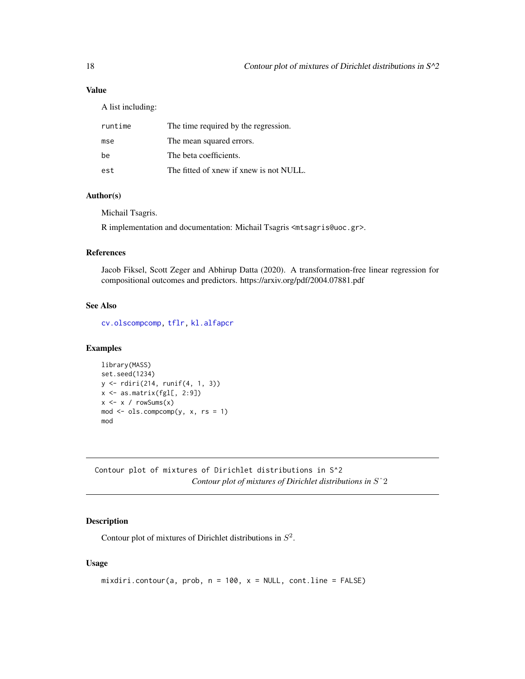# <span id="page-17-0"></span>Value

A list including:

| runtime | The time required by the regression.    |
|---------|-----------------------------------------|
| mse     | The mean squared errors.                |
| be      | The beta coefficients.                  |
| est     | The fitted of xnew if xnew is not NULL. |

# Author(s)

Michail Tsagris.

R implementation and documentation: Michail Tsagris <mtsagris@uoc.gr>.

#### References

Jacob Fiksel, Scott Zeger and Abhirup Datta (2020). A transformation-free linear regression for compositional outcomes and predictors. https://arxiv.org/pdf/2004.07881.pdf

# See Also

[cv.olscompcomp,](#page-44-1) [tflr,](#page-198-1) [kl.alfapcr](#page-65-1)

### Examples

```
library(MASS)
set.seed(1234)
y <- rdiri(214, runif(4, 1, 3))
x \leftarrow as_matrix(fgl[, 2:9])x \le -x / \text{rowsums}(x)mod \le - ols.compcomp(y, x, rs = 1)
mod
```
Contour plot of mixtures of Dirichlet distributions in S^2 *Contour plot of mixtures of Dirichlet distributions in* Sˆ2

# <span id="page-17-1"></span>Description

Contour plot of mixtures of Dirichlet distributions in  $S^2$ .

# Usage

```
mixdiri.contour(a, prob, n = 100, x = NULL, cont.line = FALSE)
```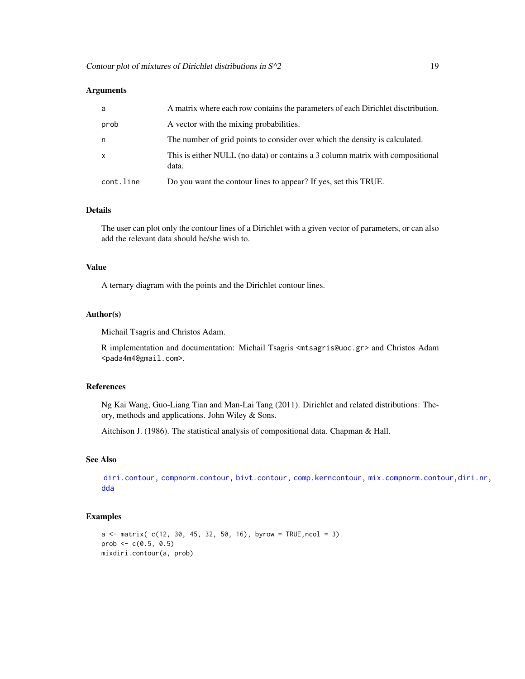#### **Arguments**

| a         | A matrix where each row contains the parameters of each Dirichlet disctribution.        |
|-----------|-----------------------------------------------------------------------------------------|
| prob      | A vector with the mixing probabilities.                                                 |
| n         | The number of grid points to consider over which the density is calculated.             |
| x         | This is either NULL (no data) or contains a 3 column matrix with compositional<br>data. |
| cont.line | Do you want the contour lines to appear? If yes, set this TRUE.                         |

#### Details

The user can plot only the contour lines of a Dirichlet with a given vector of parameters, or can also add the relevant data should he/she wish to.

#### Value

A ternary diagram with the points and the Dirichlet contour lines.

#### Author(s)

Michail Tsagris and Christos Adam.

R implementation and documentation: Michail Tsagris <mtsagris@uoc.gr> and Christos Adam <pada4m4@gmail.com>.

# References

Ng Kai Wang, Guo-Liang Tian and Man-Lai Tang (2011). Dirichlet and related distributions: Theory, methods and applications. John Wiley & Sons.

Aitchison J. (1986). The statistical analysis of compositional data. Chapman & Hall.

# See Also

[diri.contour,](#page-21-1) [compnorm.contour,](#page-27-1) [bivt.contour,](#page-29-1) [comp.kerncontour,](#page-26-1) [mix.compnorm.contour](#page-23-1)[,diri.nr,](#page-122-1) [dda](#page-57-1)

#### Examples

```
a \le matrix( c(12, 30, 45, 32, 50, 16), byrow = TRUE, ncol = 3)
prob \leq -c(0.5, 0.5)mixdiri.contour(a, prob)
```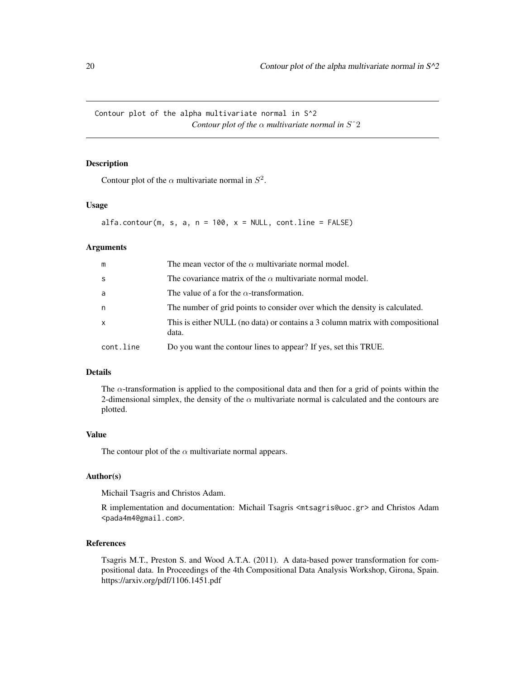<span id="page-19-0"></span>Contour plot of the alpha multivariate normal in S^2 *Contour plot of the*  $\alpha$  *multivariate normal in*  $S^2$ 

#### <span id="page-19-1"></span>Description

Contour plot of the  $\alpha$  multivariate normal in  $S^2$ .

#### Usage

```
alfa.contribur(m, s, a, n = 100, x = NULL, cont(line = FALSE)
```
# Arguments

| m            | The mean vector of the $\alpha$ multivariate normal model.                              |
|--------------|-----------------------------------------------------------------------------------------|
| <sub>S</sub> | The covariance matrix of the $\alpha$ multivariate normal model.                        |
| a            | The value of a for the $\alpha$ -transformation.                                        |
| n            | The number of grid points to consider over which the density is calculated.             |
| $\mathsf{x}$ | This is either NULL (no data) or contains a 3 column matrix with compositional<br>data. |
| cont.line    | Do you want the contour lines to appear? If yes, set this TRUE.                         |

# Details

The  $\alpha$ -transformation is applied to the compositional data and then for a grid of points within the 2-dimensional simplex, the density of the  $\alpha$  multivariate normal is calculated and the contours are plotted.

# Value

The contour plot of the  $\alpha$  multivariate normal appears.

# Author(s)

Michail Tsagris and Christos Adam.

R implementation and documentation: Michail Tsagris <mtsagris@uoc.gr> and Christos Adam <pada4m4@gmail.com>.

#### References

Tsagris M.T., Preston S. and Wood A.T.A. (2011). A data-based power transformation for compositional data. In Proceedings of the 4th Compositional Data Analysis Workshop, Girona, Spain. https://arxiv.org/pdf/1106.1451.pdf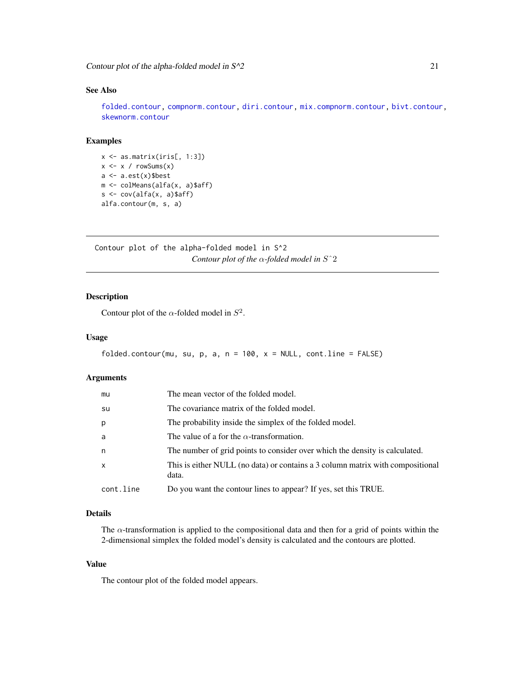# <span id="page-20-0"></span>See Also

[folded.contour,](#page-20-1) [compnorm.contour,](#page-27-1) [diri.contour,](#page-21-1) [mix.compnorm.contour,](#page-23-1) [bivt.contour,](#page-29-1) [skewnorm.contour](#page-28-1)

# Examples

x <- as.matrix(iris[, 1:3])  $x \leftarrow x / \text{rowsums}(x)$  $a \leftarrow a.get(x)$ \$best m <- colMeans(alfa(x, a)\$aff)  $s \leftarrow cov(alfa(x, a)$ \$aff) alfa.contour(m, s, a)

Contour plot of the alpha-folded model in S^2 *Contour plot of the* α*-folded model in* Sˆ2

# <span id="page-20-1"></span>Description

Contour plot of the  $\alpha$ -folded model in  $S^2$ .

#### Usage

```
folded.contour(mu, su, p, a, n = 100, x = NULL, cont.line = FALSE)
```
# Arguments

| mu        | The mean vector of the folded model.                                                    |
|-----------|-----------------------------------------------------------------------------------------|
| su        | The covariance matrix of the folded model.                                              |
| p         | The probability inside the simplex of the folded model.                                 |
| a         | The value of a for the $\alpha$ -transformation.                                        |
| n         | The number of grid points to consider over which the density is calculated.             |
| x         | This is either NULL (no data) or contains a 3 column matrix with compositional<br>data. |
| cont.line | Do you want the contour lines to appear? If yes, set this TRUE.                         |

# Details

The  $\alpha$ -transformation is applied to the compositional data and then for a grid of points within the 2-dimensional simplex the folded model's density is calculated and the contours are plotted.

#### Value

The contour plot of the folded model appears.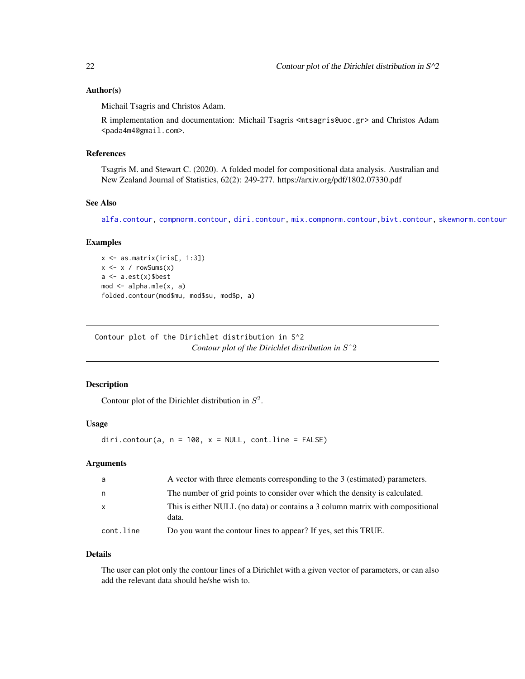## <span id="page-21-0"></span>Author(s)

Michail Tsagris and Christos Adam.

R implementation and documentation: Michail Tsagris <mtsagris@uoc.gr> and Christos Adam <pada4m4@gmail.com>.

#### References

Tsagris M. and Stewart C. (2020). A folded model for compositional data analysis. Australian and New Zealand Journal of Statistics, 62(2): 249-277. https://arxiv.org/pdf/1802.07330.pdf

# See Also

[alfa.contour,](#page-19-1) [compnorm.contour,](#page-27-1) [diri.contour,](#page-21-1) [mix.compnorm.contour,](#page-23-1)[bivt.contour,](#page-29-1) [skewnorm.contour](#page-28-1)

#### Examples

```
x \leftarrow as.matrix(iris[, 1:3])x \leftarrow x / rowsums(x)a <- a.est(x)$best
mod \leftarrow alpha.mle(x, a)folded.contour(mod$mu, mod$su, mod$p, a)
```
Contour plot of the Dirichlet distribution in S^2 *Contour plot of the Dirichlet distribution in* Sˆ2

#### <span id="page-21-1"></span>Description

Contour plot of the Dirichlet distribution in  $S^2$ .

# Usage

diri.contour(a,  $n = 100$ ,  $x = NULL$ , cont.line = FALSE)

# Arguments

| a            | A vector with three elements corresponding to the 3 (estimated) parameters.             |
|--------------|-----------------------------------------------------------------------------------------|
| n.           | The number of grid points to consider over which the density is calculated.             |
| $\mathsf{x}$ | This is either NULL (no data) or contains a 3 column matrix with compositional<br>data. |
| cont.line    | Do you want the contour lines to appear? If yes, set this TRUE.                         |

#### Details

The user can plot only the contour lines of a Dirichlet with a given vector of parameters, or can also add the relevant data should he/she wish to.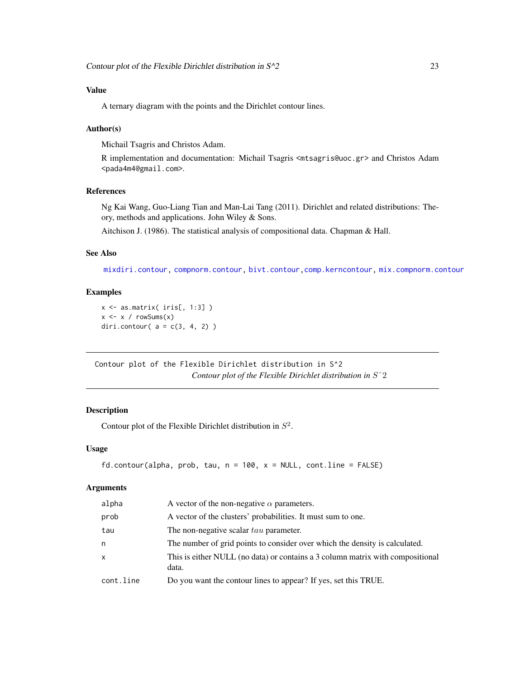# <span id="page-22-0"></span>Value

A ternary diagram with the points and the Dirichlet contour lines.

### Author(s)

Michail Tsagris and Christos Adam.

R implementation and documentation: Michail Tsagris <mtsagris@uoc.gr> and Christos Adam <pada4m4@gmail.com>.

# References

Ng Kai Wang, Guo-Liang Tian and Man-Lai Tang (2011). Dirichlet and related distributions: Theory, methods and applications. John Wiley & Sons.

Aitchison J. (1986). The statistical analysis of compositional data. Chapman & Hall.

### See Also

[mixdiri.contour,](#page-17-1) [compnorm.contour,](#page-27-1) [bivt.contour,](#page-29-1)[comp.kerncontour,](#page-26-1) [mix.compnorm.contour](#page-23-1)

# Examples

 $x \leftarrow as.matrix(ints[, 1:3])$  $x \le -x / \text{rowsums}(x)$ diri.contour(  $a = c(3, 4, 2)$  )

Contour plot of the Flexible Dirichlet distribution in S^2 *Contour plot of the Flexible Dirichlet distribution in* Sˆ2

# Description

Contour plot of the Flexible Dirichlet distribution in  $S^2$ .

#### Usage

```
fd.contour(alpha, prob, tau, n = 100, x = NULL, cont(line = FALSE)
```
#### Arguments

| alpha        | A vector of the non-negative $\alpha$ parameters.                                       |
|--------------|-----------------------------------------------------------------------------------------|
| prob         | A vector of the clusters' probabilities. It must sum to one.                            |
| tau          | The non-negative scalar tau parameter.                                                  |
| n            | The number of grid points to consider over which the density is calculated.             |
| $\mathsf{x}$ | This is either NULL (no data) or contains a 3 column matrix with compositional<br>data. |
| cont.line    | Do you want the contour lines to appear? If yes, set this TRUE.                         |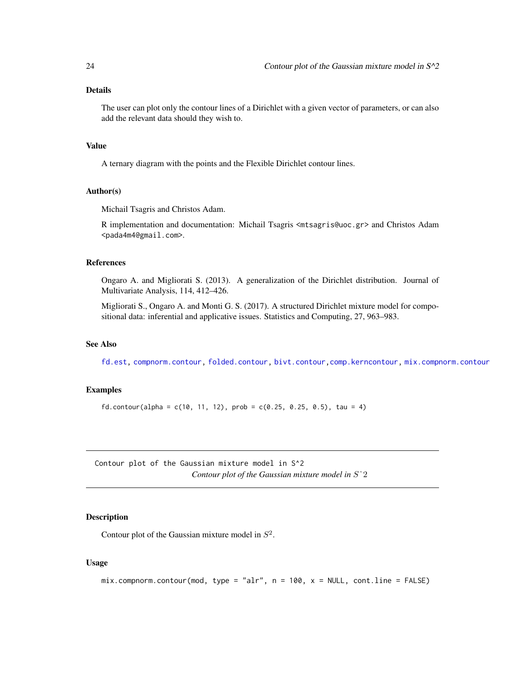# <span id="page-23-0"></span>Details

The user can plot only the contour lines of a Dirichlet with a given vector of parameters, or can also add the relevant data should they wish to.

# Value

A ternary diagram with the points and the Flexible Dirichlet contour lines.

#### Author(s)

Michail Tsagris and Christos Adam.

R implementation and documentation: Michail Tsagris <mtsagris@uoc.gr> and Christos Adam <pada4m4@gmail.com>.

#### References

Ongaro A. and Migliorati S. (2013). A generalization of the Dirichlet distribution. Journal of Multivariate Analysis, 114, 412–426.

Migliorati S., Ongaro A. and Monti G. S. (2017). A structured Dirichlet mixture model for compositional data: inferential and applicative issues. Statistics and Computing, 27, 963–983.

# See Also

[fd.est,](#page-81-1) [compnorm.contour,](#page-27-1) [folded.contour,](#page-20-1) [bivt.contour,](#page-29-1)[comp.kerncontour,](#page-26-1) [mix.compnorm.contour](#page-23-1)

### Examples

```
fd.contour(alpha = c(10, 11, 12), prob = c(0.25, 0.25, 0.5), tau = 4)
```
Contour plot of the Gaussian mixture model in S^2 *Contour plot of the Gaussian mixture model in* Sˆ2

#### <span id="page-23-1"></span>Description

Contour plot of the Gaussian mixture model in  $S^2$ .

#### Usage

 $mix.compnorm.com(mod, type = "alr", n = 100, x = NULL, cont(line = FALSE)$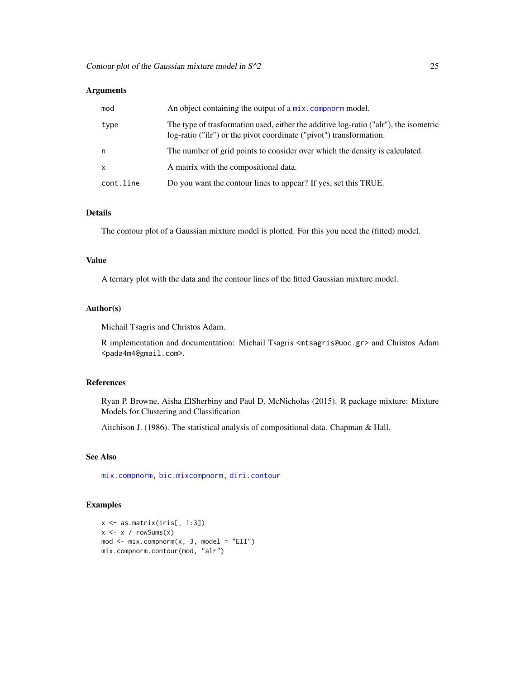# Arguments

| mod          | An object containing the output of a mix. compnorm model.                                                                                                   |
|--------------|-------------------------------------------------------------------------------------------------------------------------------------------------------------|
| type         | The type of trasformation used, either the additive log-ratio ("alr"), the isometric<br>log-ratio ("ilr") or the pivot coordinate ("pivot") transformation. |
| n            | The number of grid points to consider over which the density is calculated.                                                                                 |
| $\mathsf{x}$ | A matrix with the compositional data.                                                                                                                       |
| cont.line    | Do you want the contour lines to appear? If yes, set this TRUE.                                                                                             |

#### Details

The contour plot of a Gaussian mixture model is plotted. For this you need the (fitted) model.

# Value

A ternary plot with the data and the contour lines of the fitted Gaussian mixture model.

# Author(s)

Michail Tsagris and Christos Adam.

R implementation and documentation: Michail Tsagris <mtsagris@uoc.gr> and Christos Adam <pada4m4@gmail.com>.

# References

Ryan P. Browne, Aisha ElSherbiny and Paul D. McNicholas (2015). R package mixture: Mixture Models for Clustering and Classification

Aitchison J. (1986). The statistical analysis of compositional data. Chapman & Hall.

# See Also

[mix.compnorm,](#page-83-1) [bic.mixcompnorm,](#page-115-1) [diri.contour](#page-21-1)

# Examples

```
x \leftarrow as.matrix(iris[, 1:3])x \leq x / \text{rowsums}(x)mod <- mix.compnorm(x, 3, model = "EII")
mix.compnorm.contour(mod, "alr")
```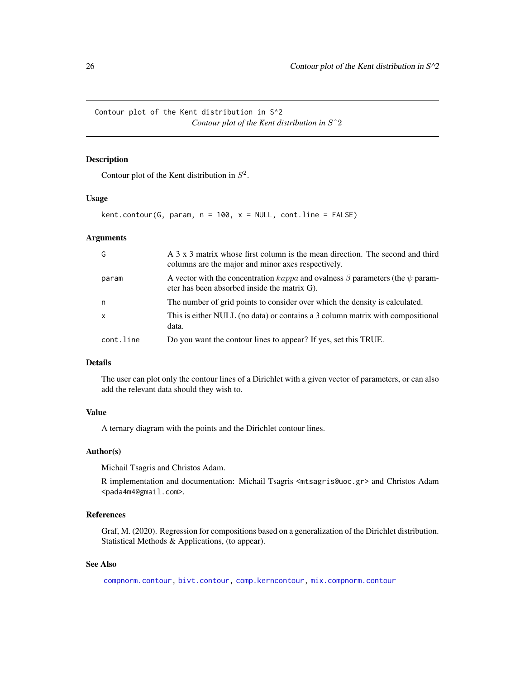<span id="page-25-0"></span>Contour plot of the Kent distribution in S^2 *Contour plot of the Kent distribution in* Sˆ2

### Description

Contour plot of the Kent distribution in  $S^2$ .

#### Usage

 $kent.contour(G, param, n = 100, x = NULL, cont(line = FALSE)$ 

#### Arguments

| G            | A 3 x 3 matrix whose first column is the mean direction. The second and third<br>columns are the major and minor axes respectively.             |
|--------------|-------------------------------------------------------------------------------------------------------------------------------------------------|
| param        | A vector with the concentration $\kappaappa$ and ovalness $\beta$ parameters (the $\psi$ param-<br>eter has been absorbed inside the matrix G). |
| n            | The number of grid points to consider over which the density is calculated.                                                                     |
| $\mathsf{x}$ | This is either NULL (no data) or contains a 3 column matrix with compositional<br>data.                                                         |
| cont.line    | Do you want the contour lines to appear? If yes, set this TRUE.                                                                                 |

# Details

The user can plot only the contour lines of a Dirichlet with a given vector of parameters, or can also add the relevant data should they wish to.

# Value

A ternary diagram with the points and the Dirichlet contour lines.

#### Author(s)

Michail Tsagris and Christos Adam.

R implementation and documentation: Michail Tsagris <mtsagris@uoc.gr> and Christos Adam <pada4m4@gmail.com>.

# References

Graf, M. (2020). Regression for compositions based on a generalization of the Dirichlet distribution. Statistical Methods & Applications, (to appear).

# See Also

[compnorm.contour,](#page-27-1) [bivt.contour,](#page-29-1) [comp.kerncontour,](#page-26-1) [mix.compnorm.contour](#page-23-1)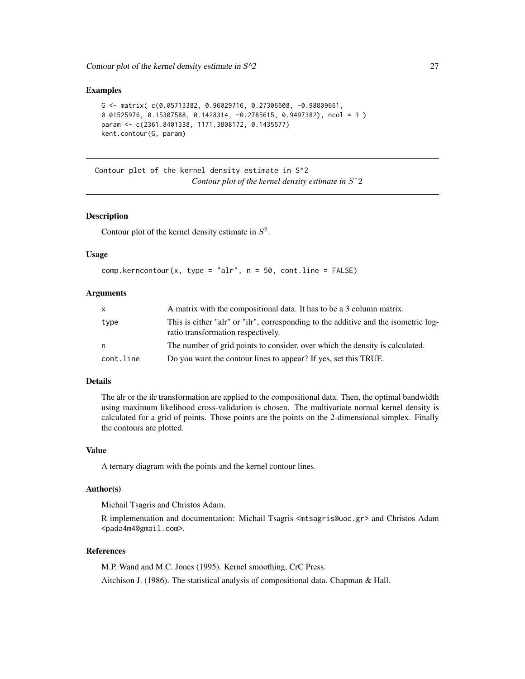#### <span id="page-26-0"></span>Examples

```
G <- matrix( c(0.05713382, 0.96029716, 0.27306608, -0.98809661,
0.01525976, 0.15307588, 0.1428314, -0.2785615, 0.9497382), ncol = 3)
param <- c(2361.8401338, 1171.3808172, 0.1435577)
kent.contour(G, param)
```
Contour plot of the kernel density estimate in S^2 *Contour plot of the kernel density estimate in* Sˆ2

#### <span id="page-26-1"></span>Description

Contour plot of the kernel density estimate in  $S^2$ .

#### Usage

```
comp.kerncontour(x, type = "alr", n = 50, cont(line = FALSE)
```
#### Arguments

| X         | A matrix with the compositional data. It has to be a 3 column matrix.                                                     |
|-----------|---------------------------------------------------------------------------------------------------------------------------|
| type      | This is either "alr" or "ilr", corresponding to the additive and the isometric log-<br>ratio transformation respectively. |
| n         | The number of grid points to consider, over which the density is calculated.                                              |
| cont.line | Do you want the contour lines to appear? If yes, set this TRUE.                                                           |

# Details

The alr or the ilr transformation are applied to the compositional data. Then, the optimal bandwidth using maximum likelihood cross-validation is chosen. The multivariate normal kernel density is calculated for a grid of points. Those points are the points on the 2-dimensional simplex. Finally the contours are plotted.

#### Value

A ternary diagram with the points and the kernel contour lines.

#### Author(s)

Michail Tsagris and Christos Adam.

R implementation and documentation: Michail Tsagris <mtsagris@uoc.gr> and Christos Adam <pada4m4@gmail.com>.

# References

M.P. Wand and M.C. Jones (1995). Kernel smoothing, CrC Press.

Aitchison J. (1986). The statistical analysis of compositional data. Chapman & Hall.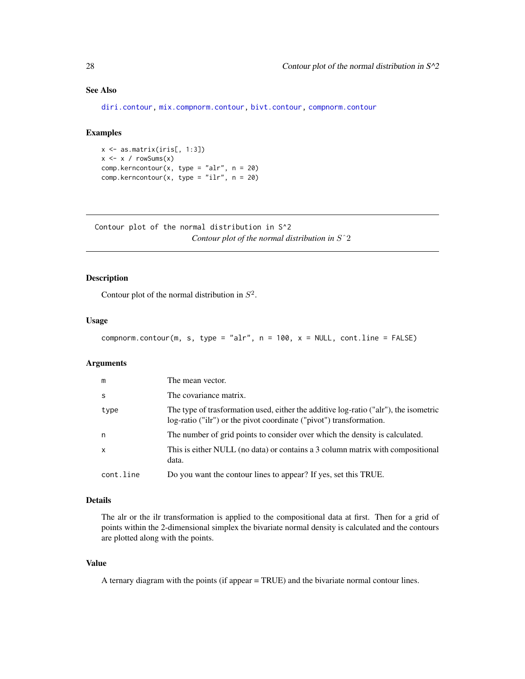# See Also

[diri.contour,](#page-21-1) [mix.compnorm.contour,](#page-23-1) [bivt.contour,](#page-29-1) [compnorm.contour](#page-27-1)

#### Examples

 $x \leftarrow as.matrix(iris[, 1:3])$  $x \le -x / \text{rowsums}(x)$ comp.kerncontour(x, type = "alr",  $n = 20$ ) comp.kerncontour(x, type = "ilr",  $n = 20$ )

Contour plot of the normal distribution in S^2 *Contour plot of the normal distribution in* Sˆ2

# <span id="page-27-1"></span>Description

Contour plot of the normal distribution in  $S^2$ .

#### Usage

```
compnorm.contour(m, s, type = "alr", n = 100, x = NULL, cont.line = FALSE)
```
# Arguments

| m            | The mean vector.                                                                                                                                            |
|--------------|-------------------------------------------------------------------------------------------------------------------------------------------------------------|
| -S           | The covariance matrix.                                                                                                                                      |
| type         | The type of trasformation used, either the additive log-ratio ("alr"), the isometric<br>log-ratio ("ilr") or the pivot coordinate ("pivot") transformation. |
| n            | The number of grid points to consider over which the density is calculated.                                                                                 |
| $\mathsf{x}$ | This is either NULL (no data) or contains a 3 column matrix with compositional<br>data.                                                                     |
| cont.line    | Do you want the contour lines to appear? If yes, set this TRUE.                                                                                             |

#### Details

The alr or the ilr transformation is applied to the compositional data at first. Then for a grid of points within the 2-dimensional simplex the bivariate normal density is calculated and the contours are plotted along with the points.

#### Value

A ternary diagram with the points (if appear = TRUE) and the bivariate normal contour lines.

<span id="page-27-0"></span>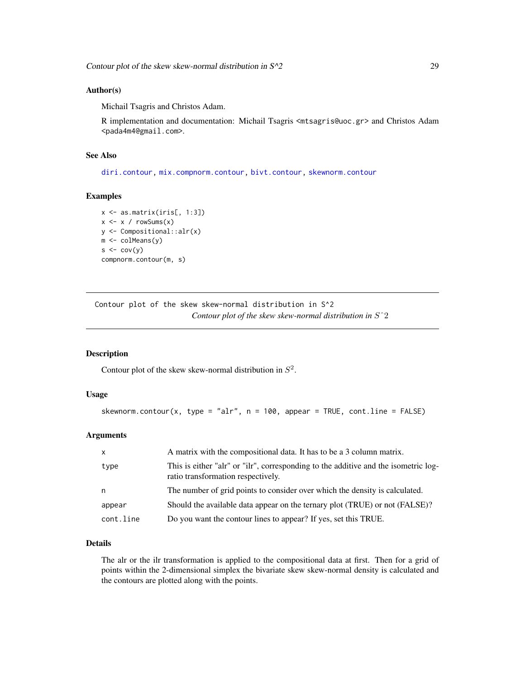### <span id="page-28-0"></span>Author(s)

Michail Tsagris and Christos Adam.

R implementation and documentation: Michail Tsagris <mtsagris@uoc.gr> and Christos Adam <pada4m4@gmail.com>.

# See Also

[diri.contour,](#page-21-1) [mix.compnorm.contour,](#page-23-1) [bivt.contour,](#page-29-1) [skewnorm.contour](#page-28-1)

#### Examples

```
x <- as.matrix(iris[, 1:3])
x \le -x / \text{rowsums}(x)y <- Compositional::alr(x)
m <- colMeans(y)
s \leftarrow cov(y)compnorm.contour(m, s)
```
Contour plot of the skew skew-normal distribution in S^2 *Contour plot of the skew skew-normal distribution in* Sˆ2

# <span id="page-28-1"></span>Description

Contour plot of the skew skew-normal distribution in  $S^2$ .

#### Usage

```
skewnorm.contour(x, type = "alr", n = 100, appear = TRUE, cont.line = FALSE)
```
## Arguments

| $\mathsf{x}$ | A matrix with the compositional data. It has to be a 3 column matrix.                                                     |
|--------------|---------------------------------------------------------------------------------------------------------------------------|
| type         | This is either "alr" or "ilr", corresponding to the additive and the isometric log-<br>ratio transformation respectively. |
| n            | The number of grid points to consider over which the density is calculated.                                               |
| appear       | Should the available data appear on the ternary plot (TRUE) or not (FALSE)?                                               |
| cont.line    | Do you want the contour lines to appear? If yes, set this TRUE.                                                           |

# Details

The alr or the ilr transformation is applied to the compositional data at first. Then for a grid of points within the 2-dimensional simplex the bivariate skew skew-normal density is calculated and the contours are plotted along with the points.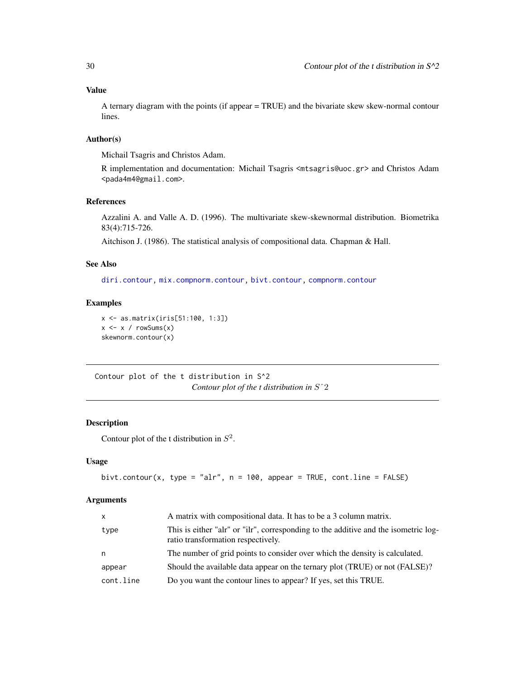# <span id="page-29-0"></span>Value

A ternary diagram with the points (if appear = TRUE) and the bivariate skew skew-normal contour lines.

# Author(s)

Michail Tsagris and Christos Adam.

R implementation and documentation: Michail Tsagris <mtsagris@uoc.gr> and Christos Adam <pada4m4@gmail.com>.

# References

Azzalini A. and Valle A. D. (1996). The multivariate skew-skewnormal distribution. Biometrika 83(4):715-726.

Aitchison J. (1986). The statistical analysis of compositional data. Chapman & Hall.

# See Also

[diri.contour,](#page-21-1) [mix.compnorm.contour,](#page-23-1) [bivt.contour,](#page-29-1) [compnorm.contour](#page-27-1)

# Examples

```
x <- as.matrix(iris[51:100, 1:3])
x \le -x / \text{rowsums}(x)skewnorm.contour(x)
```
Contour plot of the t distribution in S^2 *Contour plot of the t distribution in* Sˆ2

### <span id="page-29-1"></span>Description

Contour plot of the t distribution in  $S^2$ .

# Usage

```
bivt.contour(x, type = "alr", n = 100, appear = TRUE, cont.line = FALSE)
```
# Arguments

| $\mathsf{x}$ | A matrix with compositional data. It has to be a 3 column matrix.                                                         |
|--------------|---------------------------------------------------------------------------------------------------------------------------|
| type         | This is either "alr" or "ilr", corresponding to the additive and the isometric log-<br>ratio transformation respectively. |
| n            | The number of grid points to consider over which the density is calculated.                                               |
| appear       | Should the available data appear on the ternary plot (TRUE) or not (FALSE)?                                               |
| cont.line    | Do you want the contour lines to appear? If yes, set this TRUE.                                                           |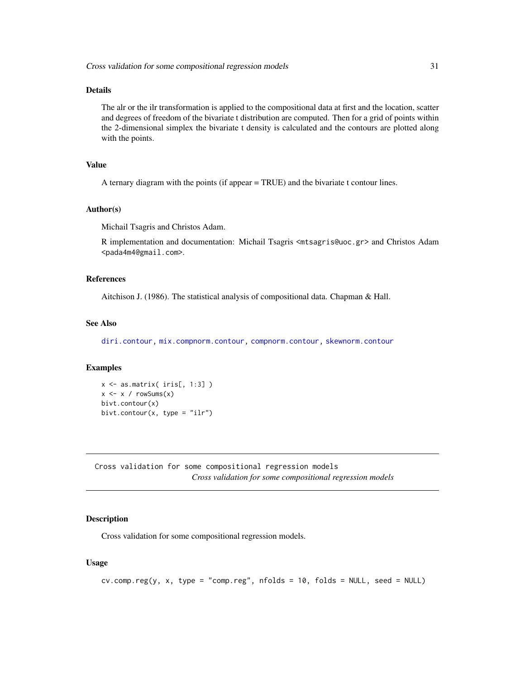# <span id="page-30-0"></span>Details

The alr or the ilr transformation is applied to the compositional data at first and the location, scatter and degrees of freedom of the bivariate t distribution are computed. Then for a grid of points within the 2-dimensional simplex the bivariate t density is calculated and the contours are plotted along with the points.

# Value

A ternary diagram with the points (if appear = TRUE) and the bivariate t contour lines.

#### Author(s)

Michail Tsagris and Christos Adam.

R implementation and documentation: Michail Tsagris <mtsagris@uoc.gr> and Christos Adam <pada4m4@gmail.com>.

# References

Aitchison J. (1986). The statistical analysis of compositional data. Chapman & Hall.

#### See Also

[diri.contour,](#page-21-1) [mix.compnorm.contour,](#page-23-1) [compnorm.contour,](#page-27-1) [skewnorm.contour](#page-28-1)

# Examples

```
x \leftarrow as.matrix(ints[, 1:3])x \le -x / \text{rowsums}(x)bivt.contour(x)
bivt.contour(x, type = "ilr")
```
Cross validation for some compositional regression models *Cross validation for some compositional regression models*

# Description

Cross validation for some compositional regression models.

#### Usage

 $cv \text{ .comp.} \text{ reg}(y, x, type = "comp.} \text{ reg", nfolds = 10, folds = NULL}, seed = NULL)$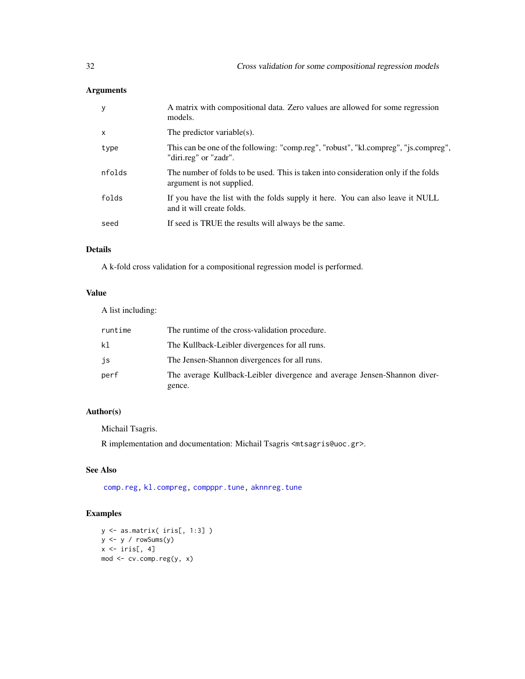# Arguments

| у      | A matrix with compositional data. Zero values are allowed for some regression<br>models.                        |
|--------|-----------------------------------------------------------------------------------------------------------------|
| x      | The predictor variable $(s)$ .                                                                                  |
| type   | This can be one of the following: "comp.reg", "robust", "kl.compreg", "js.compreg",<br>"diri.reg" or "zadr".    |
| nfolds | The number of folds to be used. This is taken into consideration only if the folds<br>argument is not supplied. |
| folds  | If you have the list with the folds supply it here. You can also leave it NULL<br>and it will create folds.     |
| seed   | If seed is TRUE the results will always be the same.                                                            |
|        |                                                                                                                 |

# Details

A k-fold cross validation for a compositional regression model is performed.

# Value

A list including:

| runtime | The runtime of the cross-validation procedure.                                      |
|---------|-------------------------------------------------------------------------------------|
| k1      | The Kullback-Leibler divergences for all runs.                                      |
| js      | The Jensen-Shannon divergences for all runs.                                        |
| perf    | The average Kullback-Leibler divergence and average Jensen-Shannon diver-<br>gence. |

# Author(s)

Michail Tsagris.

R implementation and documentation: Michail Tsagris <mtsagris@uoc.gr>.

# See Also

[comp.reg,](#page-134-1) [kl.compreg,](#page-63-1) [compppr.tune,](#page-205-1) [aknnreg.tune](#page-33-1)

# Examples

y <- as.matrix( iris[, 1:3] ) y <- y / rowSums(y)  $x \leftarrow \text{iris}[, 4]$ mod <- cv.comp.reg(y, x)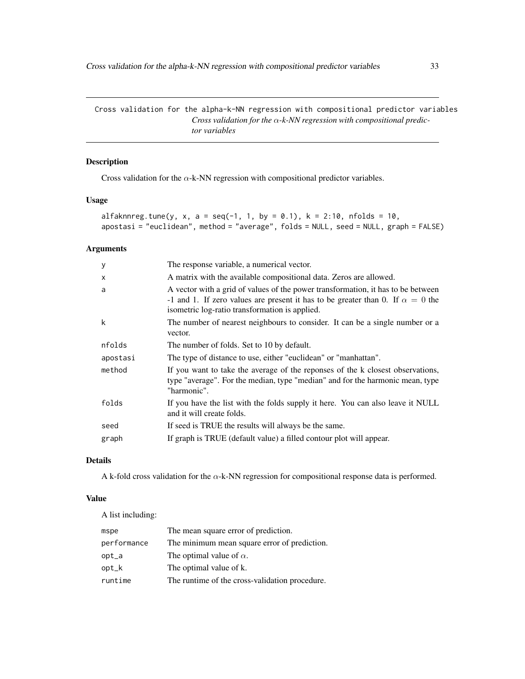<span id="page-32-0"></span>Cross validation for the alpha-k-NN regression with compositional predictor variables *Cross validation for the* α*-k-NN regression with compositional predictor variables*

# Description

Cross validation for the  $\alpha$ -k-NN regression with compositional predictor variables.

# Usage

```
alfaknnreg.tune(y, x, a = seq(-1, 1, by = 0.1), k = 2:10, nfollowed to 10,apostasi = "euclidean", method = "average", folds = NULL, seed = NULL, graph = FALSE)
```
#### Arguments

| y                         | The response variable, a numerical vector.                                                                                                                                                                                  |
|---------------------------|-----------------------------------------------------------------------------------------------------------------------------------------------------------------------------------------------------------------------------|
| $\boldsymbol{\mathsf{x}}$ | A matrix with the available compositional data. Zeros are allowed.                                                                                                                                                          |
| a                         | A vector with a grid of values of the power transformation, it has to be between<br>-1 and 1. If zero values are present it has to be greater than 0. If $\alpha = 0$ the<br>isometric log-ratio transformation is applied. |
| k                         | The number of nearest neighbours to consider. It can be a single number or a<br>vector.                                                                                                                                     |
| nfolds                    | The number of folds. Set to 10 by default.                                                                                                                                                                                  |
| apostasi                  | The type of distance to use, either "euclidean" or "manhattan".                                                                                                                                                             |
| method                    | If you want to take the average of the reponses of the k closest observations,<br>type "average". For the median, type "median" and for the harmonic mean, type<br>"harmonic".                                              |
| folds                     | If you have the list with the folds supply it here. You can also leave it NULL<br>and it will create folds.                                                                                                                 |
| seed                      | If seed is TRUE the results will always be the same.                                                                                                                                                                        |
| graph                     |                                                                                                                                                                                                                             |
|                           | If graph is TRUE (default value) a filled contour plot will appear.                                                                                                                                                         |

# Details

A k-fold cross validation for the  $\alpha$ -k-NN regression for compositional response data is performed.

# Value

A list including:

| mspe        | The mean square error of prediction.           |
|-------------|------------------------------------------------|
| performance | The minimum mean square error of prediction.   |
| opt_a       | The optimal value of $\alpha$ .                |
| opt_k       | The optimal value of k.                        |
| runtime     | The runtime of the cross-validation procedure. |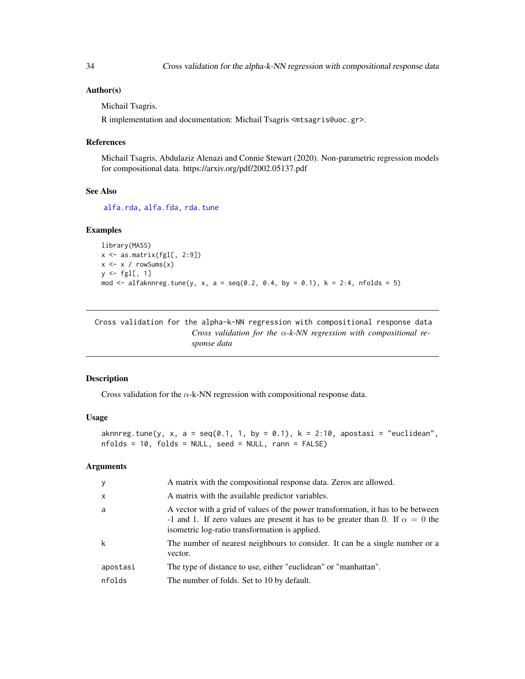### <span id="page-33-0"></span>Author(s)

Michail Tsagris.

R implementation and documentation: Michail Tsagris <mtsagris@uoc.gr>.

#### References

Michail Tsagris, Abdulaziz Alenazi and Connie Stewart (2020). Non-parametric regression models for compositional data. https://arxiv.org/pdf/2002.05137.pdf

#### See Also

[alfa.rda,](#page-161-1) [alfa.fda,](#page-161-1) [rda.tune](#page-209-1)

#### Examples

```
library(MASS)
x \leftarrow as.matrix(fgl[, 2:9])x \le -x / \text{rowsums}(x)y \leftarrow \text{fgl[, 1}mod <- alfaknnreg.tune(y, x, a = seq(0.2, 0.4, by = 0.1), k = 2:4, nfolds = 5)
```
Cross validation for the alpha-k-NN regression with compositional response data *Cross validation for the* α*-k-NN regression with compositional response data*

#### <span id="page-33-1"></span>Description

Cross validation for the  $\alpha$ -k-NN regression with compositional response data.

#### Usage

aknnreg.tune(y, x, a = seq(0.1, 1, by = 0.1), k = 2:10, apostasi = "euclidean", nfolds = 10, folds = NULL, seed = NULL, rann = FALSE)

# Arguments

| y        | A matrix with the compositional response data. Zeros are allowed.                                                                                                                                                           |
|----------|-----------------------------------------------------------------------------------------------------------------------------------------------------------------------------------------------------------------------------|
| $\times$ | A matrix with the available predictor variables.                                                                                                                                                                            |
| a        | A vector with a grid of values of the power transformation, it has to be between<br>-1 and 1. If zero values are present it has to be greater than 0. If $\alpha = 0$ the<br>isometric log-ratio transformation is applied. |
| k        | The number of nearest neighbours to consider. It can be a single number or a<br>vector.                                                                                                                                     |
| apostasi | The type of distance to use, either "euclidean" or "manhattan".                                                                                                                                                             |
| nfolds   | The number of folds. Set to 10 by default.                                                                                                                                                                                  |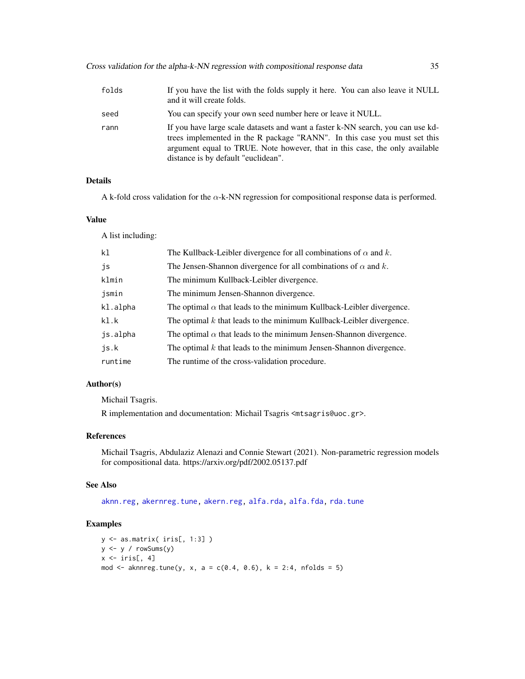| folds | If you have the list with the folds supply it here. You can also leave it NULL<br>and it will create folds.                                                                                                                                                                        |
|-------|------------------------------------------------------------------------------------------------------------------------------------------------------------------------------------------------------------------------------------------------------------------------------------|
| seed  | You can specify your own seed number here or leave it NULL.                                                                                                                                                                                                                        |
| rann  | If you have large scale datasets and want a faster k-NN search, you can use kd-<br>trees implemented in the R package "RANN". In this case you must set this<br>argument equal to TRUE. Note however, that in this case, the only available<br>distance is by default "euclidean". |

#### Details

A k-fold cross validation for the  $\alpha$ -k-NN regression for compositional response data is performed.

#### Value

A list including:

| k <sub>1</sub> | The Kullback-Leibler divergence for all combinations of $\alpha$ and k.     |
|----------------|-----------------------------------------------------------------------------|
| js             | The Jensen-Shannon divergence for all combinations of $\alpha$ and k.       |
| klmin          | The minimum Kullback-Leibler divergence.                                    |
| jsmin          | The minimum Jensen-Shannon divergence.                                      |
| kl.alpha       | The optimal $\alpha$ that leads to the minimum Kullback-Leibler divergence. |
| kl.k           | The optimal $k$ that leads to the minimum Kullback-Leibler divergence.      |
| js.alpha       | The optimal $\alpha$ that leads to the minimum Jensen-Shannon divergence.   |
| is.k           | The optimal $k$ that leads to the minimum Jensen-Shannon divergence.        |
| runtime        | The runtime of the cross-validation procedure.                              |
|                |                                                                             |

# Author(s)

Michail Tsagris.

R implementation and documentation: Michail Tsagris <mtsagris@uoc.gr>.

#### References

Michail Tsagris, Abdulaziz Alenazi and Connie Stewart (2021). Non-parametric regression models for compositional data. https://arxiv.org/pdf/2002.05137.pdf

# See Also

[aknn.reg,](#page-181-1) [akernreg.tune,](#page-35-1) [akern.reg,](#page-184-1) [alfa.rda,](#page-161-1) [alfa.fda,](#page-161-1) [rda.tune](#page-209-1)

# Examples

```
y <- as.matrix( iris[, 1:3] )
y <- y / rowSums(y)
x \leftarrow \text{iris}[, 4]mod \le - aknnreg.tune(y, x, a = c(0.4, 0.6), k = 2:4, nfolds = 5)
```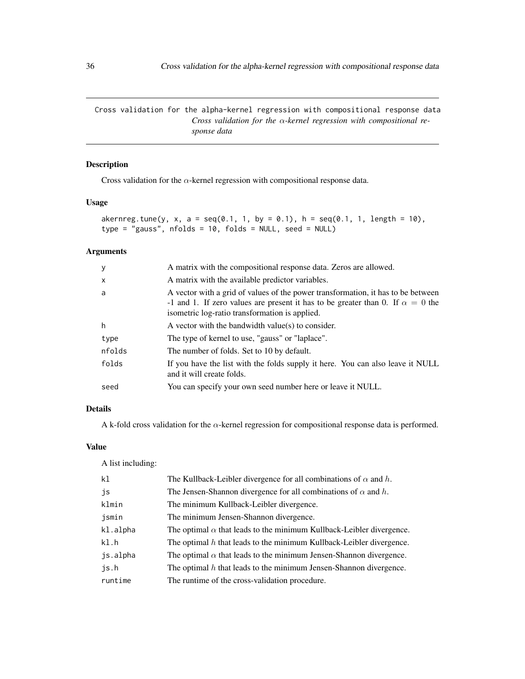<span id="page-35-0"></span>Cross validation for the alpha-kernel regression with compositional response data *Cross validation for the* α*-kernel regression with compositional response data*

# <span id="page-35-1"></span>Description

Cross validation for the  $\alpha$ -kernel regression with compositional response data.

# Usage

```
akernreg.tune(y, x, a = seq(0.1, 1, by = 0.1), h = seq(0.1, 1, length = 10),
type = "gauss", nfolds = 10, folds = NULL, seed = NULL)
```
# Arguments

| <sub>y</sub> | A matrix with the compositional response data. Zeros are allowed.                                                                                                                                                           |
|--------------|-----------------------------------------------------------------------------------------------------------------------------------------------------------------------------------------------------------------------------|
| $\mathsf{x}$ | A matrix with the available predictor variables.                                                                                                                                                                            |
| a            | A vector with a grid of values of the power transformation, it has to be between<br>-1 and 1. If zero values are present it has to be greater than 0. If $\alpha = 0$ the<br>isometric log-ratio transformation is applied. |
| h            | A vector with the bandwidth value(s) to consider.                                                                                                                                                                           |
| type         | The type of kernel to use, "gauss" or "laplace".                                                                                                                                                                            |
| nfolds       | The number of folds. Set to 10 by default.                                                                                                                                                                                  |
| folds        | If you have the list with the folds supply it here. You can also leave it NULL<br>and it will create folds.                                                                                                                 |
| seed         | You can specify your own seed number here or leave it NULL.                                                                                                                                                                 |

# Details

A k-fold cross validation for the α-kernel regression for compositional response data is performed.

# Value

A list including:

| k <sub>1</sub> | The Kullback-Leibler divergence for all combinations of $\alpha$ and h.     |
|----------------|-----------------------------------------------------------------------------|
| js             | The Jensen-Shannon divergence for all combinations of $\alpha$ and h.       |
| klmin          | The minimum Kullback-Leibler divergence.                                    |
| jsmin          | The minimum Jensen-Shannon divergence.                                      |
| kl.alpha       | The optimal $\alpha$ that leads to the minimum Kullback-Leibler divergence. |
| k1.h           | The optimal $h$ that leads to the minimum Kullback-Leibler divergence.      |
| js.alpha       | The optimal $\alpha$ that leads to the minimum Jensen-Shannon divergence.   |
| js.h           | The optimal $h$ that leads to the minimum Jensen-Shannon divergence.        |
| runtime        | The runtime of the cross-validation procedure.                              |
|                |                                                                             |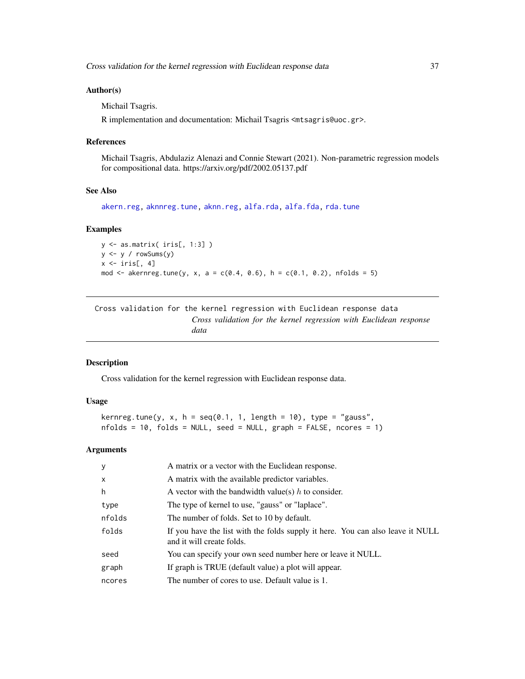#### Author(s)

Michail Tsagris.

R implementation and documentation: Michail Tsagris <mtsagris@uoc.gr>.

#### References

Michail Tsagris, Abdulaziz Alenazi and Connie Stewart (2021). Non-parametric regression models for compositional data. https://arxiv.org/pdf/2002.05137.pdf

## See Also

[akern.reg,](#page-184-0) [aknnreg.tune,](#page-33-0) [aknn.reg,](#page-181-0) [alfa.rda,](#page-161-0) [alfa.fda,](#page-161-0) [rda.tune](#page-209-0)

#### Examples

```
y <- as.matrix( iris[, 1:3] )
y <- y / rowSums(y)
x \leftarrow \text{iris}[, 4]mod <- akernreg.tune(y, x, a = c(0.4, 0.6), h = c(0.1, 0.2), nfolds = 5)
```
Cross validation for the kernel regression with Euclidean response data *Cross validation for the kernel regression with Euclidean response data*

## Description

Cross validation for the kernel regression with Euclidean response data.

## Usage

kernreg.tune(y, x, h = seq(0.1, 1, length = 10), type = "gauss",  $nfolds = 10$ ,  $folds = NULL$ , seed =  $NULL$ ,  $graph = FALSE$ ,  $ncores = 1$ )

| $\mathbf{y}$ | A matrix or a vector with the Euclidean response.                                                           |
|--------------|-------------------------------------------------------------------------------------------------------------|
| $\mathsf{x}$ | A matrix with the available predictor variables.                                                            |
| h            | A vector with the bandwidth value(s) $h$ to consider.                                                       |
| type         | The type of kernel to use, "gauss" or "laplace".                                                            |
| nfolds       | The number of folds. Set to 10 by default.                                                                  |
| folds        | If you have the list with the folds supply it here. You can also leave it NULL<br>and it will create folds. |
| seed         | You can specify your own seed number here or leave it NULL.                                                 |
| graph        | If graph is TRUE (default value) a plot will appear.                                                        |
| ncores       | The number of cores to use. Default value is 1.                                                             |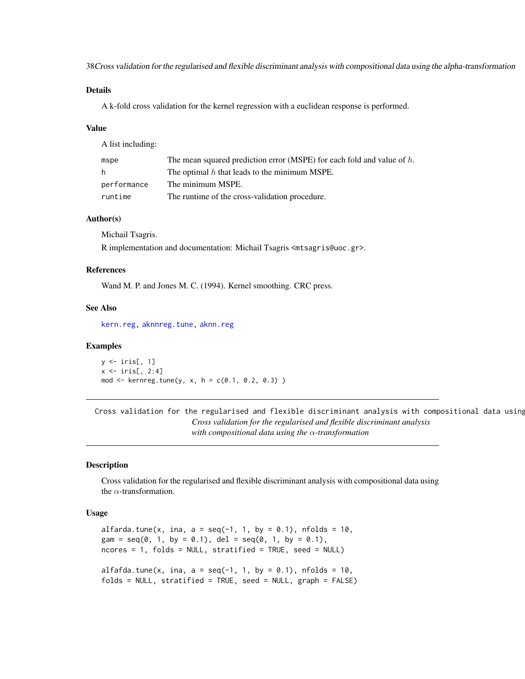38Cross validation for the regularised and flexible discriminant analysis with compositional data using the alpha-transformation

#### Details

A k-fold cross validation for the kernel regression with a euclidean response is performed.

#### Value

A list including:

| mspe        | The mean squared prediction error (MSPE) for each fold and value of $h$ . |
|-------------|---------------------------------------------------------------------------|
| h.          | The optimal $h$ that leads to the minimum MSPE.                           |
| performance | The minimum MSPE.                                                         |
| runtime     | The runtime of the cross-validation procedure.                            |

#### Author(s)

Michail Tsagris.

R implementation and documentation: Michail Tsagris <mtsagris@uoc.gr>.

#### References

Wand M. P. and Jones M. C. (1994). Kernel smoothing. CRC press.

#### See Also

[kern.reg,](#page-101-0) [aknnreg.tune,](#page-33-0) [aknn.reg](#page-181-0)

#### Examples

 $y \leftarrow \text{iris}[, 1]$  $x \leftarrow \text{iris}[, 2:4]$  $mod < -$  kernreg.tune(y, x, h = c(0.1, 0.2, 0.3))

Cross validation for the regularised and flexible discriminant analysis with compositional data using *Cross validation for the regularised and flexible discriminant analysis with compositional data using the* α*-transformation*

### <span id="page-37-0"></span>Description

Cross validation for the regularised and flexible discriminant analysis with compositional data using the  $\alpha$ -transformation.

## Usage

```
alfarda.tune(x, ina, a = \text{seq}(-1, 1, \text{ by } = 0.1), nfolds = 10,
gam = seq(0, 1, by = 0.1), del = seq(0, 1, by = 0.1),
ncores = 1, folds = NULL, stratified = TRUE, seed = NULLalfafda.tune(x, ina, a = \text{seq}(-1, 1, \text{ by } = 0.1), nfolds = 10,
folds = NULL, stratified = TRUE, seed = NULL, graph = FALSE)
```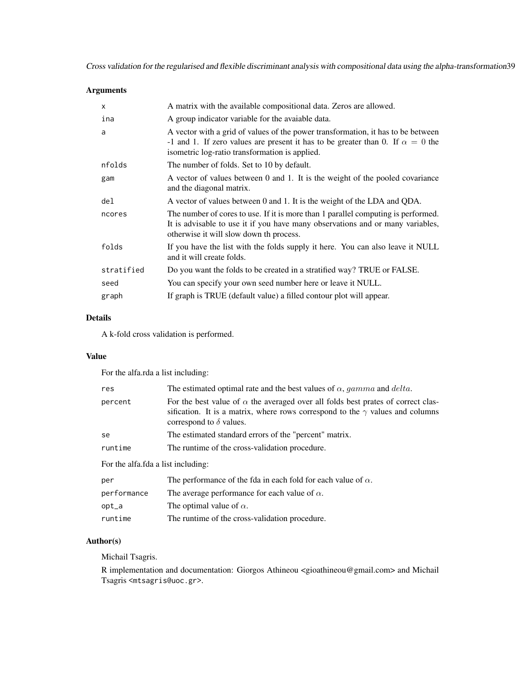Cross validation for the regularised and flexible discriminant analysis with compositional data using the alpha-transformation39

# Arguments

| $\times$   | A matrix with the available compositional data. Zeros are allowed.                                                                                                                                                          |
|------------|-----------------------------------------------------------------------------------------------------------------------------------------------------------------------------------------------------------------------------|
| ina        | A group indicator variable for the avaiable data.                                                                                                                                                                           |
| a          | A vector with a grid of values of the power transformation, it has to be between<br>-1 and 1. If zero values are present it has to be greater than 0. If $\alpha = 0$ the<br>isometric log-ratio transformation is applied. |
| nfolds     | The number of folds. Set to 10 by default.                                                                                                                                                                                  |
| gam        | A vector of values between 0 and 1. It is the weight of the pooled covariance<br>and the diagonal matrix.                                                                                                                   |
| del        | A vector of values between 0 and 1. It is the weight of the LDA and QDA.                                                                                                                                                    |
| ncores     | The number of cores to use. If it is more than 1 parallel computing is performed.<br>It is advisable to use it if you have many observations and or many variables,<br>otherwise it will slow down th process.              |
| folds      | If you have the list with the folds supply it here. You can also leave it NULL<br>and it will create folds.                                                                                                                 |
| stratified | Do you want the folds to be created in a stratified way? TRUE or FALSE.                                                                                                                                                     |
| seed       | You can specify your own seed number here or leave it NULL.                                                                                                                                                                 |
| graph      | If graph is TRUE (default value) a filled contour plot will appear.                                                                                                                                                         |

# Details

A k-fold cross validation is performed.

# Value

For the alfa.rda a list including:

| res                                 | The estimated optimal rate and the best values of $\alpha$ , gamma and delta.                                                                                                                                     |
|-------------------------------------|-------------------------------------------------------------------------------------------------------------------------------------------------------------------------------------------------------------------|
| percent                             | For the best value of $\alpha$ the averaged over all folds best prates of correct clas-<br>sification. It is a matrix, where rows correspond to the $\gamma$ values and columns<br>correspond to $\delta$ values. |
| se                                  | The estimated standard errors of the "percent" matrix.                                                                                                                                                            |
| runtime                             | The runtime of the cross-validation procedure.                                                                                                                                                                    |
| For the alfa. fda a list including: |                                                                                                                                                                                                                   |
| per                                 | The performance of the fda in each fold for each value of $\alpha$ .                                                                                                                                              |
| performance                         | The average performance for each value of $\alpha$ .                                                                                                                                                              |
| $opt_a$                             | The optimal value of $\alpha$ .                                                                                                                                                                                   |
| runtime                             | The runtime of the cross-validation procedure.                                                                                                                                                                    |

# Author(s)

Michail Tsagris.

R implementation and documentation: Giorgos Athineou <gioathineou@gmail.com> and Michail Tsagris <mtsagris@uoc.gr>.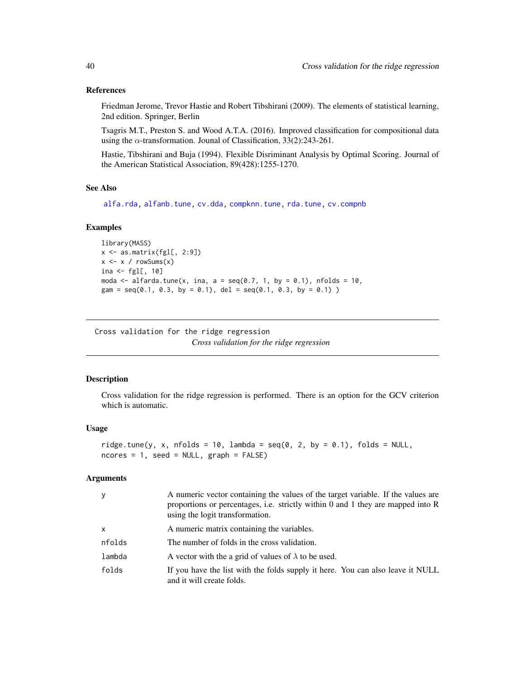#### References

Friedman Jerome, Trevor Hastie and Robert Tibshirani (2009). The elements of statistical learning, 2nd edition. Springer, Berlin

Tsagris M.T., Preston S. and Wood A.T.A. (2016). Improved classification for compositional data using the  $\alpha$ -transformation. Jounal of Classification, 33(2):243-261.

Hastie, Tibshirani and Buja (1994). Flexible Disriminant Analysis by Optimal Scoring. Journal of the American Statistical Association, 89(428):1255-1270.

## See Also

[alfa.rda,](#page-161-0) [alfanb.tune,](#page-50-0) [cv.dda,](#page-45-0) [compknn.tune,](#page-203-0) [rda.tune,](#page-209-0) [cv.compnb](#page-49-0)

#### Examples

```
library(MASS)
x \leftarrow as_matrix(fgl[, 2:9])x \leftarrow x / \text{rowsums}(x)ina \leftarrow fgl[, 10]
moda \le alfarda.tune(x, ina, a = seq(0.7, 1, by = 0.1), nfolds = 10,
gam = seq(0.1, 0.3, by = 0.1), del = seq(0.1, 0.3, by = 0.1))
```
Cross validation for the ridge regression *Cross validation for the ridge regression*

#### <span id="page-39-0"></span>Description

Cross validation for the ridge regression is performed. There is an option for the GCV criterion which is automatic.

## Usage

```
ridge.tune(y, x, nfolds = 10, lambda = seq(0, 2, by = 0.1), folds = NULL,
ncores = 1, seed = NULL, graph = FALSE)
```

| y            | A numeric vector containing the values of the target variable. If the values are<br>proportions or percentages, i.e. strictly within $0$ and $1$ they are mapped into $R$<br>using the logit transformation. |
|--------------|--------------------------------------------------------------------------------------------------------------------------------------------------------------------------------------------------------------|
| $\mathsf{x}$ | A numeric matrix containing the variables.                                                                                                                                                                   |
| nfolds       | The number of folds in the cross validation.                                                                                                                                                                 |
| lambda       | A vector with the a grid of values of $\lambda$ to be used.                                                                                                                                                  |
| folds        | If you have the list with the folds supply it here. You can also leave it NULL<br>and it will create folds.                                                                                                  |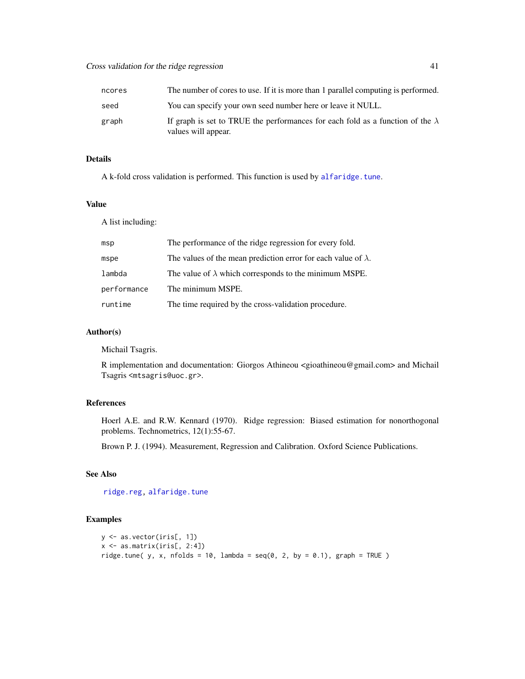| ncores | The number of cores to use. If it is more than 1 parallel computing is performed.                            |
|--------|--------------------------------------------------------------------------------------------------------------|
| seed   | You can specify your own seed number here or leave it NULL.                                                  |
| graph  | If graph is set to TRUE the performances for each fold as a function of the $\lambda$<br>values will appear. |

A k-fold cross validation is performed. This function is used by [alfaridge.tune](#page-41-0).

## Value

A list including:

| The performance of the ridge regression for every fold.               |
|-----------------------------------------------------------------------|
| The values of the mean prediction error for each value of $\lambda$ . |
| The value of $\lambda$ which corresponds to the minimum MSPE.         |
| The minimum MSPE.                                                     |
| The time required by the cross-validation procedure.                  |
|                                                                       |

#### Author(s)

Michail Tsagris.

R implementation and documentation: Giorgos Athineou <gioathineou@gmail.com> and Michail Tsagris <mtsagris@uoc.gr>.

# References

Hoerl A.E. and R.W. Kennard (1970). Ridge regression: Biased estimation for nonorthogonal problems. Technometrics, 12(1):55-67.

Brown P. J. (1994). Measurement, Regression and Calibration. Oxford Science Publications.

# See Also

[ridge.reg,](#page-164-0) [alfaridge.tune](#page-41-0)

```
y <- as.vector(iris[, 1])
x <- as.matrix(iris[, 2:4])
ridge.tune( y, x, nfolds = 10, lambda = seq(0, 2, by = 0.1), graph = TRUE )
```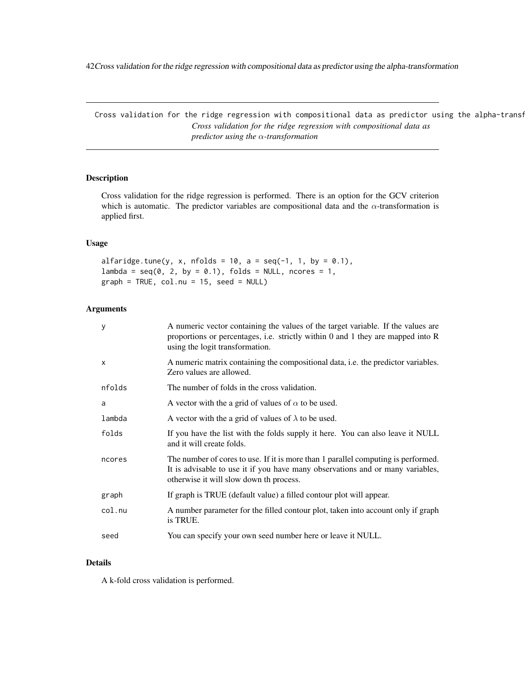42Cross validation for the ridge regression with compositional data as predictor using the alpha-transformation

Cross validation for the ridge regression with compositional data as predictor using the alpha-transf *Cross validation for the ridge regression with compositional data as predictor using the* α*-transformation*

# <span id="page-41-0"></span>Description

Cross validation for the ridge regression is performed. There is an option for the GCV criterion which is automatic. The predictor variables are compositional data and the  $\alpha$ -transformation is applied first.

## Usage

```
alfaridge.tune(y, x, nfolds = 10, a = seq(-1, 1, by = 0.1),
lambda = seq(0, 2, by = 0.1), folds = NULL, nocres = 1,graph = TRUE, col.nu = 15, seed = NULL)
```
# Arguments

| y            | A numeric vector containing the values of the target variable. If the values are<br>proportions or percentages, i.e. strictly within $0$ and $1$ they are mapped into $R$<br>using the logit transformation.   |
|--------------|----------------------------------------------------------------------------------------------------------------------------------------------------------------------------------------------------------------|
| $\mathsf{x}$ | A numeric matrix containing the compositional data, i.e. the predictor variables.<br>Zero values are allowed.                                                                                                  |
| nfolds       | The number of folds in the cross validation.                                                                                                                                                                   |
| a            | A vector with the a grid of values of $\alpha$ to be used.                                                                                                                                                     |
| lambda       | A vector with the a grid of values of $\lambda$ to be used.                                                                                                                                                    |
| folds        | If you have the list with the folds supply it here. You can also leave it NULL<br>and it will create folds.                                                                                                    |
| ncores       | The number of cores to use. If it is more than 1 parallel computing is performed.<br>It is advisable to use it if you have many observations and or many variables,<br>otherwise it will slow down th process. |
| graph        | If graph is TRUE (default value) a filled contour plot will appear.                                                                                                                                            |
| col.nu       | A number parameter for the filled contour plot, taken into account only if graph<br>is TRUE.                                                                                                                   |
| seed         | You can specify your own seed number here or leave it NULL.                                                                                                                                                    |

#### Details

A k-fold cross validation is performed.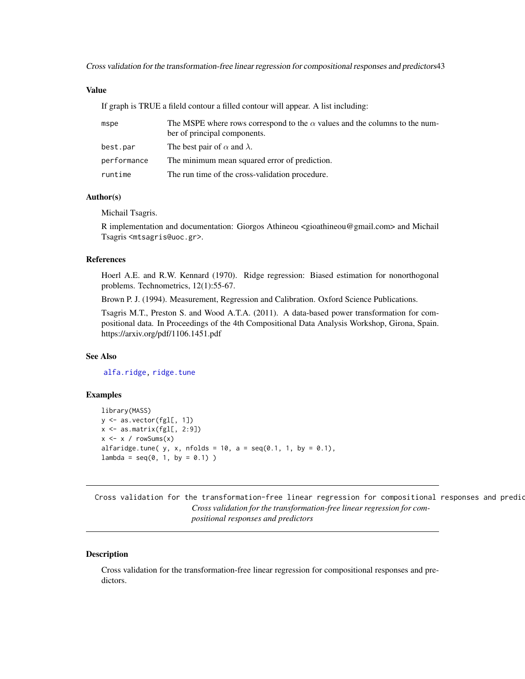Cross validation for the transformation-free linear regression for compositional responses and predictors43

## Value

If graph is TRUE a fileld contour a filled contour will appear. A list including:

| mspe        | The MSPE where rows correspond to the $\alpha$ values and the columns to the num-<br>ber of principal components. |
|-------------|-------------------------------------------------------------------------------------------------------------------|
| best.par    | The best pair of $\alpha$ and $\lambda$ .                                                                         |
| performance | The minimum mean squared error of prediction.                                                                     |
| runtime     | The run time of the cross-validation procedure.                                                                   |

## Author(s)

Michail Tsagris.

R implementation and documentation: Giorgos Athineou <gioathineou@gmail.com> and Michail Tsagris <mtsagris@uoc.gr>.

## References

Hoerl A.E. and R.W. Kennard (1970). Ridge regression: Biased estimation for nonorthogonal problems. Technometrics, 12(1):55-67.

Brown P. J. (1994). Measurement, Regression and Calibration. Oxford Science Publications.

Tsagris M.T., Preston S. and Wood A.T.A. (2011). A data-based power transformation for compositional data. In Proceedings of the 4th Compositional Data Analysis Workshop, Girona, Spain. https://arxiv.org/pdf/1106.1451.pdf

#### See Also

[alfa.ridge,](#page-166-0) [ridge.tune](#page-39-0)

## Examples

```
library(MASS)
y <- as.vector(fgl[, 1])
x \leftarrow as_matrix(fgl[, 2:9])x \le -x / \text{rowsums}(x)alfaridge.tune( y, x, nfolds = 10, a = seq(0.1, 1, by = 0.1),
lambda = seq(0, 1, by = 0.1)
```
Cross validation for the transformation-free linear regression for compositional responses and predio *Cross validation for the transformation-free linear regression for compositional responses and predictors*

#### <span id="page-42-0"></span>Description

Cross validation for the transformation-free linear regression for compositional responses and predictors.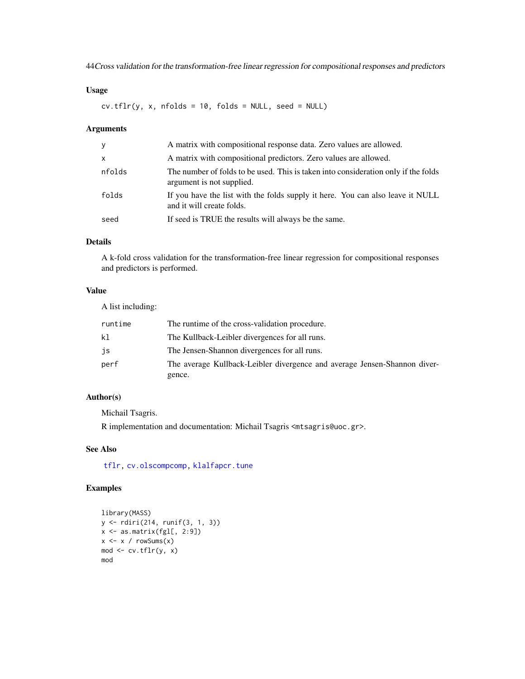44Cross validation for the transformation-free linear regression for compositional responses and predictors

# Usage

 $cv.tflr(y, x, nfollowed = 10, folds = NULL, seed = NULL)$ 

## Arguments

| y            | A matrix with compositional response data. Zero values are allowed.                                             |
|--------------|-----------------------------------------------------------------------------------------------------------------|
| $\mathsf{x}$ | A matrix with compositional predictors. Zero values are allowed.                                                |
| nfolds       | The number of folds to be used. This is taken into consideration only if the folds<br>argument is not supplied. |
| folds        | If you have the list with the folds supply it here. You can also leave it NULL<br>and it will create folds.     |
| seed         | If seed is TRUE the results will always be the same.                                                            |

# Details

A k-fold cross validation for the transformation-free linear regression for compositional responses and predictors is performed.

# Value

A list including:

| runtime | The runtime of the cross-validation procedure.                            |
|---------|---------------------------------------------------------------------------|
| kl      | The Kullback-Leibler divergences for all runs.                            |
| js      | The Jensen-Shannon divergences for all runs.                              |
| perf    | The average Kullback-Leibler divergence and average Jensen-Shannon diver- |
|         | gence.                                                                    |

# Author(s)

Michail Tsagris.

R implementation and documentation: Michail Tsagris <mtsagris@uoc.gr>.

# See Also

[tflr,](#page-198-0) [cv.olscompcomp,](#page-44-0) [klalfapcr.tune](#page-201-0)

```
library(MASS)
y <- rdiri(214, runif(3, 1, 3))
x \leftarrow as_matrix(fgl[, 2:9])x \le -x / \text{rowsums}(x)mod <- cv.tflr(y, x)
mod
```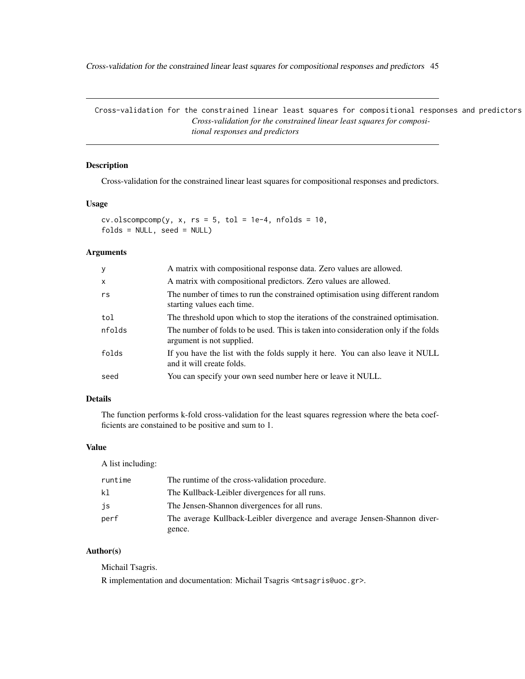Cross-validation for the constrained linear least squares for compositional responses and predictors 45

Cross-validation for the constrained linear least squares for compositional responses and predictors *Cross-validation for the constrained linear least squares for compositional responses and predictors*

# <span id="page-44-0"></span>Description

Cross-validation for the constrained linear least squares for compositional responses and predictors.

#### Usage

 $cv.$ olscompcomp(y, x, rs = 5, tol = 1e-4, nfolds = 10, folds = NULL, seed = NULL)

#### Arguments

| У      | A matrix with compositional response data. Zero values are allowed.                                             |
|--------|-----------------------------------------------------------------------------------------------------------------|
| X      | A matrix with compositional predictors. Zero values are allowed.                                                |
| rs     | The number of times to run the constrained optimisation using different random<br>starting values each time.    |
| tol    | The threshold upon which to stop the iterations of the constrained optimisation.                                |
| nfolds | The number of folds to be used. This is taken into consideration only if the folds<br>argument is not supplied. |
| folds  | If you have the list with the folds supply it here. You can also leave it NULL<br>and it will create folds.     |
| seed   | You can specify your own seed number here or leave it NULL.                                                     |

# Details

The function performs k-fold cross-validation for the least squares regression where the beta coefficients are constained to be positive and sum to 1.

## Value

A list including:

| runtime | The runtime of the cross-validation procedure.                            |
|---------|---------------------------------------------------------------------------|
| k1      | The Kullback-Leibler divergences for all runs.                            |
| js      | The Jensen-Shannon divergences for all runs.                              |
| perf    | The average Kullback-Leibler divergence and average Jensen-Shannon diver- |
|         | gence.                                                                    |

# Author(s)

Michail Tsagris.

R implementation and documentation: Michail Tsagris <mtsagris@uoc.gr>.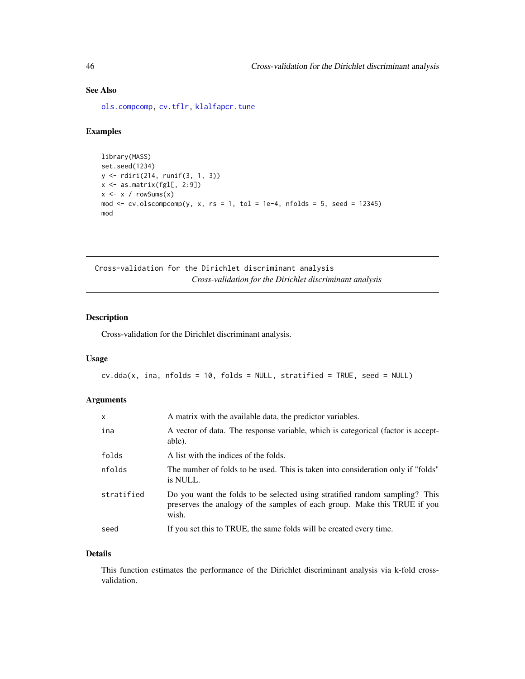# See Also

[ols.compcomp,](#page-16-0) [cv.tflr,](#page-42-0) [klalfapcr.tune](#page-201-0)

## Examples

```
library(MASS)
set.seed(1234)
y <- rdiri(214, runif(3, 1, 3))
x \leftarrow as.matrix(fgl[, 2:9])x \le -x / \text{rowsums}(x)mod \le cv.olscompcomp(y, x, rs = 1, tol = 1e-4, nfolds = 5, seed = 12345)
mod
```
Cross-validation for the Dirichlet discriminant analysis *Cross-validation for the Dirichlet discriminant analysis*

## <span id="page-45-0"></span>Description

Cross-validation for the Dirichlet discriminant analysis.

## Usage

 $cv.dda(x, ina, nfolds = 10, folds = NULL, stratified = TRUE, seed = NULL)$ 

#### Arguments

| $\mathsf{x}$ | A matrix with the available data, the predictor variables.                                                                                                        |
|--------------|-------------------------------------------------------------------------------------------------------------------------------------------------------------------|
| ina          | A vector of data. The response variable, which is categorical (factor is accept-<br>able).                                                                        |
| folds        | A list with the indices of the folds.                                                                                                                             |
| nfolds       | The number of folds to be used. This is taken into consideration only if "folds"<br>is NULL.                                                                      |
| stratified   | Do you want the folds to be selected using stratified random sampling? This<br>preserves the analogy of the samples of each group. Make this TRUE if you<br>wish. |
| seed         | If you set this to TRUE, the same folds will be created every time.                                                                                               |

## Details

This function estimates the performance of the Dirichlet discriminant analysis via k-fold crossvalidation.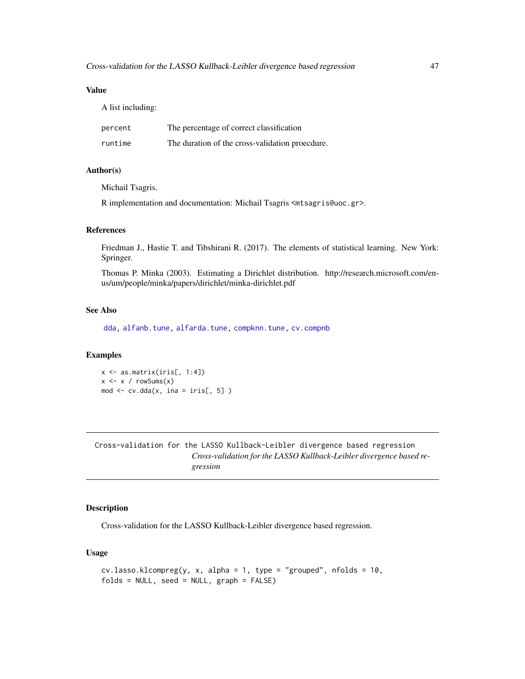## Value

A list including:

| percent | The percentage of correct classification        |
|---------|-------------------------------------------------|
| runtime | The duration of the cross-validation proecdure. |

## Author(s)

Michail Tsagris.

R implementation and documentation: Michail Tsagris <mtsagris@uoc.gr>.

#### References

Friedman J., Hastie T. and Tibshirani R. (2017). The elements of statistical learning. New York: Springer.

Thomas P. Minka (2003). Estimating a Dirichlet distribution. http://research.microsoft.com/enus/um/people/minka/papers/dirichlet/minka-dirichlet.pdf

## See Also

[dda,](#page-57-0) [alfanb.tune,](#page-50-0) [alfarda.tune,](#page-37-0) [compknn.tune,](#page-203-0) [cv.compnb](#page-49-0)

#### Examples

x <- as.matrix(iris[, 1:4])  $x \leftarrow x / \text{rowsums}(x)$ mod  $\leq$  cv.dda(x, ina = iris[, 5])

Cross-validation for the LASSO Kullback-Leibler divergence based regression *Cross-validation for the LASSO Kullback-Leibler divergence based regression*

## <span id="page-46-0"></span>Description

Cross-validation for the LASSO Kullback-Leibler divergence based regression.

## Usage

```
cv.\ lasso.klcompreg(y, x, alpha = 1, type = "grouped", nfolds = 10,
folds = NULL, seed = NULL, graph = FALSE)
```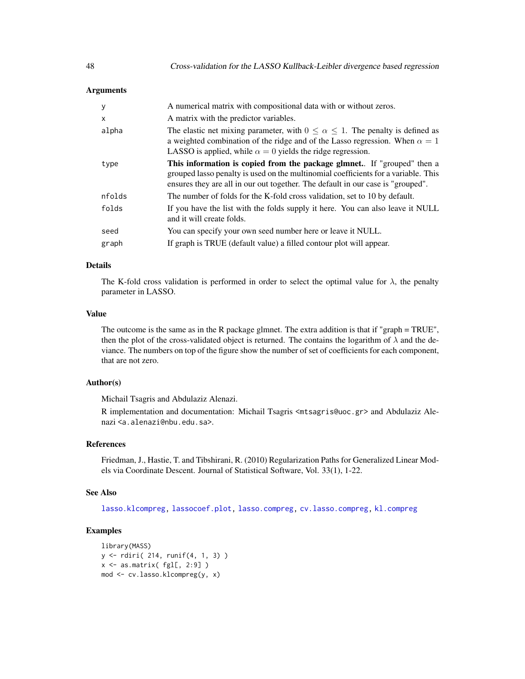## Arguments

| y      | A numerical matrix with compositional data with or without zeros.                                                                                                                                                                                       |
|--------|---------------------------------------------------------------------------------------------------------------------------------------------------------------------------------------------------------------------------------------------------------|
| X      | A matrix with the predictor variables.                                                                                                                                                                                                                  |
| alpha  | The elastic net mixing parameter, with $0 \le \alpha \le 1$ . The penalty is defined as<br>a weighted combination of the ridge and of the Lasso regression. When $\alpha = 1$<br>LASSO is applied, while $\alpha = 0$ yields the ridge regression.      |
| type   | <b>This information is copied from the package glmnet.</b> If "grouped" then a<br>grouped lasso penalty is used on the multinomial coefficients for a variable. This<br>ensures they are all in our out together. The default in our case is "grouped". |
| nfolds | The number of folds for the K-fold cross validation, set to 10 by default.                                                                                                                                                                              |
| folds  | If you have the list with the folds supply it here. You can also leave it NULL<br>and it will create folds.                                                                                                                                             |
| seed   | You can specify your own seed number here or leave it NULL.                                                                                                                                                                                             |
| graph  | If graph is TRUE (default value) a filled contour plot will appear.                                                                                                                                                                                     |

## Details

The K-fold cross validation is performed in order to select the optimal value for  $\lambda$ , the penalty parameter in LASSO.

#### Value

The outcome is the same as in the R package glmnet. The extra addition is that if "graph = TRUE", then the plot of the cross-validated object is returned. The contains the logarithm of  $\lambda$  and the deviance. The numbers on top of the figure show the number of set of coefficients for each component, that are not zero.

## Author(s)

Michail Tsagris and Abdulaziz Alenazi.

R implementation and documentation: Michail Tsagris <mtsagris@uoc.gr> and Abdulaziz Alenazi <a.alenazi@nbu.edu.sa>.

# References

Friedman, J., Hastie, T. and Tibshirani, R. (2010) Regularization Paths for Generalized Linear Models via Coordinate Descent. Journal of Statistical Software, Vol. 33(1), 1-22.

## See Also

[lasso.klcompreg,](#page-104-0) [lassocoef.plot,](#page-144-0) [lasso.compreg,](#page-105-0) [cv.lasso.compreg,](#page-48-0) [kl.compreg](#page-63-0)

```
library(MASS)
y <- rdiri( 214, runif(4, 1, 3) )
x \leftarrow as.matrix(fgl[, 2:9])mod <- cv.lasso.klcompreg(y, x)
```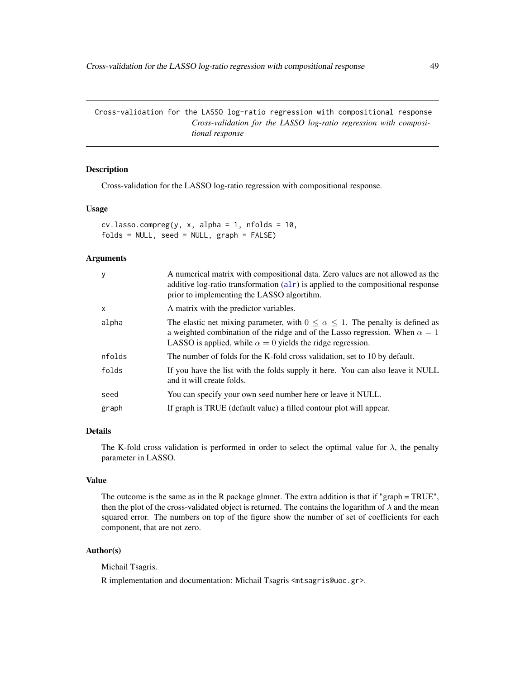Cross-validation for the LASSO log-ratio regression with compositional response *Cross-validation for the LASSO log-ratio regression with compositional response*

# <span id="page-48-0"></span>Description

Cross-validation for the LASSO log-ratio regression with compositional response.

#### Usage

 $cv.\text{lasso.com}$ preg(y, x, alpha = 1, nfolds = 10, folds = NULL, seed = NULL, graph = FALSE)

#### Arguments

| y        | A numerical matrix with compositional data. Zero values are not allowed as the<br>additive log-ratio transformation $(alr)$ is applied to the compositional response<br>prior to implementing the LASSO algortihm.                                 |
|----------|----------------------------------------------------------------------------------------------------------------------------------------------------------------------------------------------------------------------------------------------------|
| $\times$ | A matrix with the predictor variables.                                                                                                                                                                                                             |
| alpha    | The elastic net mixing parameter, with $0 \le \alpha \le 1$ . The penalty is defined as<br>a weighted combination of the ridge and of the Lasso regression. When $\alpha = 1$<br>LASSO is applied, while $\alpha = 0$ yields the ridge regression. |
| nfolds   | The number of folds for the K-fold cross validation, set to 10 by default.                                                                                                                                                                         |
| folds    | If you have the list with the folds supply it here. You can also leave it NULL<br>and it will create folds.                                                                                                                                        |
| seed     | You can specify your own seed number here or leave it NULL.                                                                                                                                                                                        |
| graph    | If graph is TRUE (default value) a filled contour plot will appear.                                                                                                                                                                                |

## Details

The K-fold cross validation is performed in order to select the optimal value for  $\lambda$ , the penalty parameter in LASSO.

# Value

The outcome is the same as in the R package glmnet. The extra addition is that if "graph = TRUE", then the plot of the cross-validated object is returned. The contains the logarithm of  $\lambda$  and the mean squared error. The numbers on top of the figure show the number of set of coefficients for each component, that are not zero.

# Author(s)

Michail Tsagris.

R implementation and documentation: Michail Tsagris <mtsagris@uoc.gr>.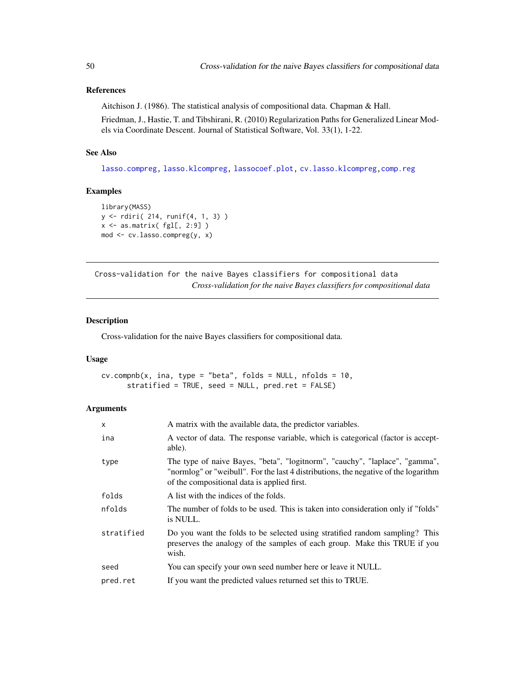# References

Aitchison J. (1986). The statistical analysis of compositional data. Chapman & Hall.

Friedman, J., Hastie, T. and Tibshirani, R. (2010) Regularization Paths for Generalized Linear Models via Coordinate Descent. Journal of Statistical Software, Vol. 33(1), 1-22.

## See Also

[lasso.compreg,](#page-105-0) [lasso.klcompreg,](#page-104-0) [lassocoef.plot,](#page-144-0) [cv.lasso.klcompreg,](#page-46-0)[comp.reg](#page-134-0)

#### Examples

```
library(MASS)
y <- rdiri( 214, runif(4, 1, 3) )
x \leftarrow as.matrix(fgl[, 2:9])mod <- cv.lasso.compreg(y, x)
```
Cross-validation for the naive Bayes classifiers for compositional data *Cross-validation for the naive Bayes classifiers for compositional data*

#### <span id="page-49-0"></span>Description

Cross-validation for the naive Bayes classifiers for compositional data.

#### Usage

```
cv.compile(x, ina, type = "beta", folds = NULL, n folds = 10,stratified = TRUE, seed = NULL, pred.ret = FALSE)
```

| X          | A matrix with the available data, the predictor variables.                                                                                                                                                        |
|------------|-------------------------------------------------------------------------------------------------------------------------------------------------------------------------------------------------------------------|
| ina        | A vector of data. The response variable, which is categorical (factor is accept-<br>able).                                                                                                                        |
| type       | The type of naive Bayes, "beta", "logitnorm", "cauchy", "laplace", "gamma",<br>"normlog" or "weibull". For the last 4 distributions, the negative of the logarithm<br>of the compositional data is applied first. |
| folds      | A list with the indices of the folds.                                                                                                                                                                             |
| nfolds     | The number of folds to be used. This is taken into consideration only if "folds"<br>is NULL.                                                                                                                      |
| stratified | Do you want the folds to be selected using stratified random sampling? This<br>preserves the analogy of the samples of each group. Make this TRUE if you<br>wish.                                                 |
| seed       | You can specify your own seed number here or leave it NULL.                                                                                                                                                       |
| pred.ret   | If you want the predicted values returned set this to TRUE.                                                                                                                                                       |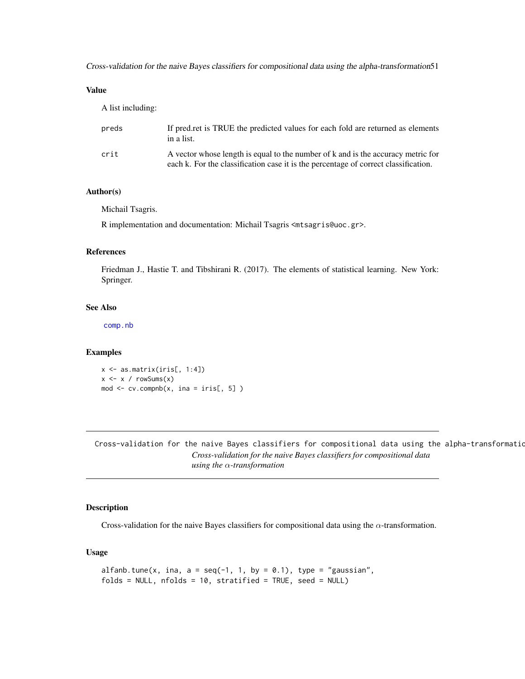Cross-validation for the naive Bayes classifiers for compositional data using the alpha-transformation51

# Value

A list including:

| preds | If predicted values for each fold are returned as elements<br>in a list.                                                                                                |
|-------|-------------------------------------------------------------------------------------------------------------------------------------------------------------------------|
| crit  | A vector whose length is equal to the number of k and is the accuracy metric for<br>each k. For the classification case it is the percentage of correct classification. |

## Author(s)

Michail Tsagris.

R implementation and documentation: Michail Tsagris <mtsagris@uoc.gr>.

## References

Friedman J., Hastie T. and Tibshirani R. (2017). The elements of statistical learning. New York: Springer.

# See Also

[comp.nb](#page-138-0)

## Examples

x <- as.matrix(iris[, 1:4])  $x \le -x / \text{rowsums}(x)$ mod  $\leq$  cv.compnb(x, ina = iris[, 5])

Cross-validation for the naive Bayes classifiers for compositional data using the alpha-transformatio *Cross-validation for the naive Bayes classifiers for compositional data using the* α*-transformation*

## <span id="page-50-0"></span>Description

Cross-validation for the naive Bayes classifiers for compositional data using the  $\alpha$ -transformation.

## Usage

```
alfanb.tune(x, ina, a = seq(-1, 1, by = 0.1), type = "gaussian",
folds = NULL, nfolds = 10, stratified = TRUE, seed = NULL)
```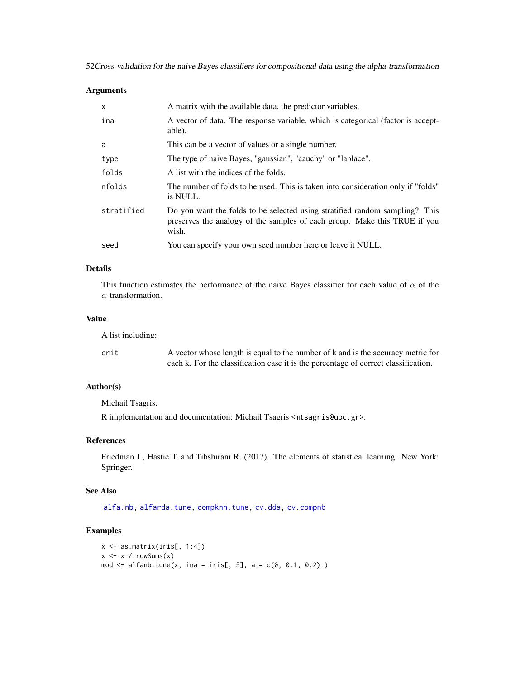52Cross-validation for the naive Bayes classifiers for compositional data using the alpha-transformation

## Arguments

| X          | A matrix with the available data, the predictor variables.                                                                                                        |
|------------|-------------------------------------------------------------------------------------------------------------------------------------------------------------------|
| ina        | A vector of data. The response variable, which is categorical (factor is accept-<br>able).                                                                        |
| a          | This can be a vector of values or a single number.                                                                                                                |
| type       | The type of naive Bayes, "gaussian", "cauchy" or "laplace".                                                                                                       |
| folds      | A list with the indices of the folds.                                                                                                                             |
| nfolds     | The number of folds to be used. This is taken into consideration only if "folds"<br>is NULL.                                                                      |
| stratified | Do you want the folds to be selected using stratified random sampling? This<br>preserves the analogy of the samples of each group. Make this TRUE if you<br>wish. |
| seed       | You can specify your own seed number here or leave it NULL.                                                                                                       |

# Details

This function estimates the performance of the naive Bayes classifier for each value of  $\alpha$  of the  $\alpha$ -transformation.

#### Value

A list including:

| crit | A vector whose length is equal to the number of k and is the accuracy metric for    |
|------|-------------------------------------------------------------------------------------|
|      | each k. For the classification case it is the percentage of correct classification. |

# Author(s)

Michail Tsagris.

R implementation and documentation: Michail Tsagris <mtsagris@uoc.gr>.

# References

Friedman J., Hastie T. and Tibshirani R. (2017). The elements of statistical learning. New York: Springer.

## See Also

[alfa.nb,](#page-140-0) [alfarda.tune,](#page-37-0) [compknn.tune,](#page-203-0) [cv.dda,](#page-45-0) [cv.compnb](#page-49-0)

```
x <- as.matrix(iris[, 1:4])
x \le -x / \text{rowsums}(x)mod \le alfanb.tune(x, ina = iris[, 5], a = c(0, 0.1, 0.2))
```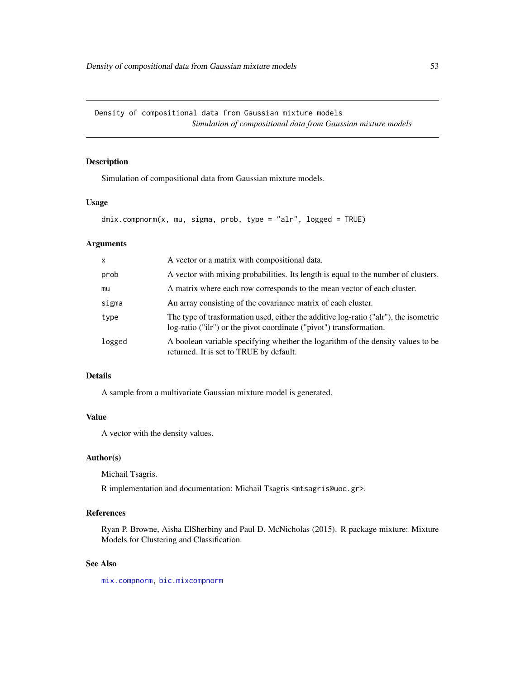# Description

Simulation of compositional data from Gaussian mixture models.

## Usage

```
dmix.compnorm(x, mu, sigma, prob, type = "alr", logged = TRUE)
```
#### Arguments

| X      | A vector or a matrix with compositional data.                                                                                                               |
|--------|-------------------------------------------------------------------------------------------------------------------------------------------------------------|
| prob   | A vector with mixing probabilities. Its length is equal to the number of clusters.                                                                          |
| mu     | A matrix where each row corresponds to the mean vector of each cluster.                                                                                     |
| sigma  | An array consisting of the covariance matrix of each cluster.                                                                                               |
| type   | The type of trasformation used, either the additive log-ratio ("alr"), the isometric<br>log-ratio ("ilr") or the pivot coordinate ("pivot") transformation. |
| logged | A boolean variable specifying whether the logarithm of the density values to be<br>returned. It is set to TRUE by default.                                  |

#### Details

A sample from a multivariate Gaussian mixture model is generated.

# Value

A vector with the density values.

## Author(s)

Michail Tsagris.

R implementation and documentation: Michail Tsagris <mtsagris@uoc.gr>.

# References

Ryan P. Browne, Aisha ElSherbiny and Paul D. McNicholas (2015). R package mixture: Mixture Models for Clustering and Classification.

## See Also

[mix.compnorm,](#page-83-0) [bic.mixcompnorm](#page-115-0)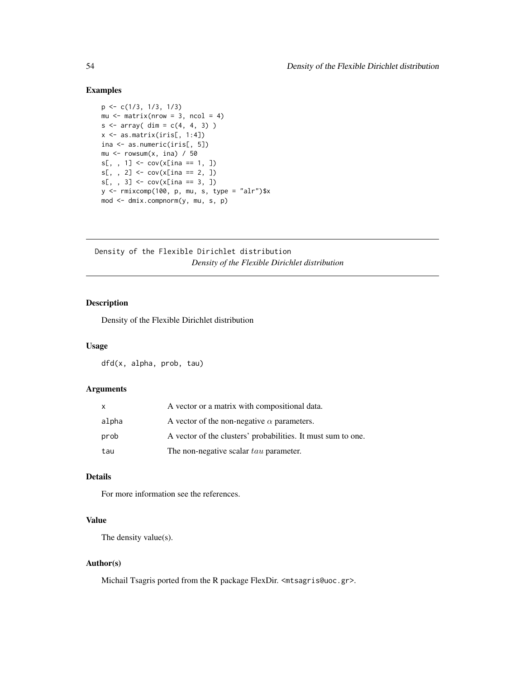#### Examples

```
p <- c(1/3, 1/3, 1/3)
mu \leq matrix(nrow = 3, ncol = 4)
s < -array( dim = c(4, 4, 3))x \leftarrow as.matrix(iris[, 1:4])ina <- as.numeric(iris[, 5])
mu \leq rowsum(x, \text{ ina}) / 50
s[,, 1] <- cov(x[ina == 1, ])s[, , 2] < -cov(x[ina == 2, ])s[,, 3] <- cov(x[ina == 3, ])y <- rmixcomp(100, p, mu, s, type = "alr")$x
mod <- dmix.compnorm(y, mu, s, p)
```
Density of the Flexible Dirichlet distribution *Density of the Flexible Dirichlet distribution*

# Description

Density of the Flexible Dirichlet distribution

#### Usage

dfd(x, alpha, prob, tau)

#### Arguments

| X     | A vector or a matrix with compositional data.                |
|-------|--------------------------------------------------------------|
| alpha | A vector of the non-negative $\alpha$ parameters.            |
| prob  | A vector of the clusters' probabilities. It must sum to one. |
| tau   | The non-negative scalar tau parameter.                       |

# Details

For more information see the references.

## Value

The density value(s).

#### Author(s)

Michail Tsagris ported from the R package FlexDir. <mtsagris@uoc.gr>.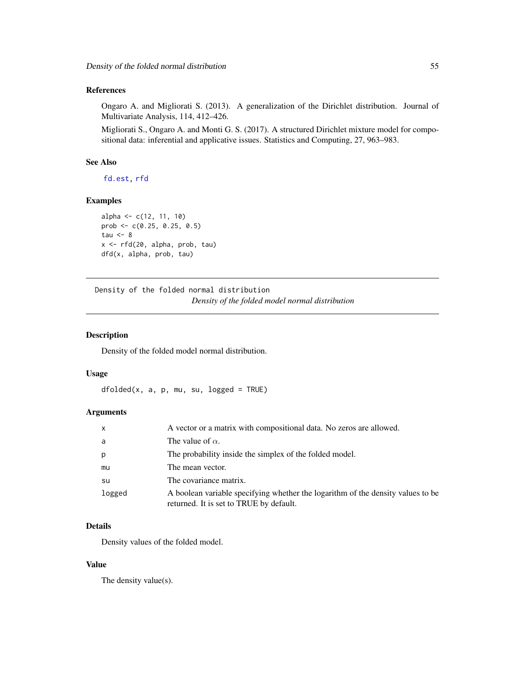# References

Ongaro A. and Migliorati S. (2013). A generalization of the Dirichlet distribution. Journal of Multivariate Analysis, 114, 412–426.

Migliorati S., Ongaro A. and Monti G. S. (2017). A structured Dirichlet mixture model for compositional data: inferential and applicative issues. Statistics and Computing, 27, 963–983.

### See Also

[fd.est,](#page-81-0) [rfd](#page-171-0)

## Examples

```
alpha <- c(12, 11, 10)
prob <- c(0.25, 0.25, 0.5)
tau <-8x <- rfd(20, alpha, prob, tau)
dfd(x, alpha, prob, tau)
```
Density of the folded normal distribution *Density of the folded model normal distribution*

## Description

Density of the folded model normal distribution.

#### Usage

 $dfolded(x, a, p, mu, su, logged = TRUE)$ 

## Arguments

| x      | A vector or a matrix with compositional data. No zeros are allowed.                                                        |
|--------|----------------------------------------------------------------------------------------------------------------------------|
| a      | The value of $\alpha$ .                                                                                                    |
| p      | The probability inside the simplex of the folded model.                                                                    |
| mu     | The mean vector.                                                                                                           |
| su     | The covariance matrix.                                                                                                     |
| logged | A boolean variable specifying whether the logarithm of the density values to be<br>returned. It is set to TRUE by default. |

# Details

Density values of the folded model.

## Value

The density value(s).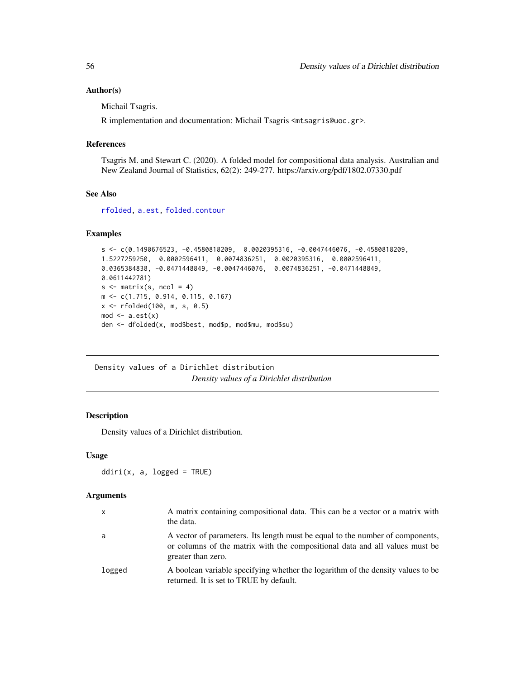## Author(s)

Michail Tsagris.

R implementation and documentation: Michail Tsagris <mtsagris@uoc.gr>.

#### References

Tsagris M. and Stewart C. (2020). A folded model for compositional data analysis. Australian and New Zealand Journal of Statistics, 62(2): 249-277. https://arxiv.org/pdf/1802.07330.pdf

## See Also

[rfolded,](#page-172-0) [a.est,](#page-75-0) [folded.contour](#page-20-0)

#### Examples

```
s <- c(0.1490676523, -0.4580818209, 0.0020395316, -0.0047446076, -0.4580818209,
1.5227259250, 0.0002596411, 0.0074836251, 0.0020395316, 0.0002596411,
0.0365384838, -0.0471448849, -0.0047446076, 0.0074836251, -0.0471448849,
0.0611442781)
s \leftarrow matrix(s, \text{ ncol} = 4)m <- c(1.715, 0.914, 0.115, 0.167)
x <- rfolded(100, m, s, 0.5)
mod \leftarrow a.get(x)den <- dfolded(x, mod$best, mod$p, mod$mu, mod$su)
```
Density values of a Dirichlet distribution *Density values of a Dirichlet distribution*

#### Description

Density values of a Dirichlet distribution.

#### Usage

 $ddiri(x, a, logged = TRUE)$ 

| $\mathsf{x}$ | A matrix containing compositional data. This can be a vector or a matrix with<br>the data.                                                                                         |
|--------------|------------------------------------------------------------------------------------------------------------------------------------------------------------------------------------|
| a            | A vector of parameters. Its length must be equal to the number of components,<br>or columns of the matrix with the compositional data and all values must be<br>greater than zero. |
| logged       | A boolean variable specifying whether the logarithm of the density values to be<br>returned. It is set to TRUE by default.                                                         |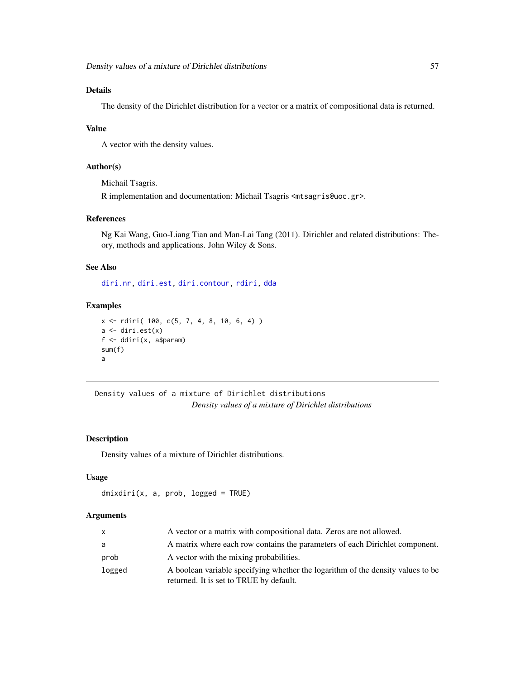The density of the Dirichlet distribution for a vector or a matrix of compositional data is returned.

#### Value

A vector with the density values.

# Author(s)

Michail Tsagris.

R implementation and documentation: Michail Tsagris <mtsagris@uoc.gr>.

# References

Ng Kai Wang, Guo-Liang Tian and Man-Lai Tang (2011). Dirichlet and related distributions: Theory, methods and applications. John Wiley & Sons.

#### See Also

[diri.nr,](#page-122-0) [diri.est,](#page-121-0) [diri.contour,](#page-21-0) [rdiri,](#page-58-0) [dda](#page-57-0)

## Examples

```
x \le rdiri( 100, c(5, 7, 4, 8, 10, 6, 4))
a \leftarrow \text{diri.est}(x)f <- ddiri(x, a$param)
sum(f)
a
```
Density values of a mixture of Dirichlet distributions *Density values of a mixture of Dirichlet distributions*

# Description

Density values of a mixture of Dirichlet distributions.

# Usage

```
dmixdiri(x, a, prob, logged = TRUE)
```

| $\mathsf{x}$ | A vector or a matrix with compositional data. Zeros are not allowed.                                                       |
|--------------|----------------------------------------------------------------------------------------------------------------------------|
| a            | A matrix where each row contains the parameters of each Dirichlet component.                                               |
| prob         | A vector with the mixing probabilities.                                                                                    |
| logged       | A boolean variable specifying whether the logarithm of the density values to be<br>returned. It is set to TRUE by default. |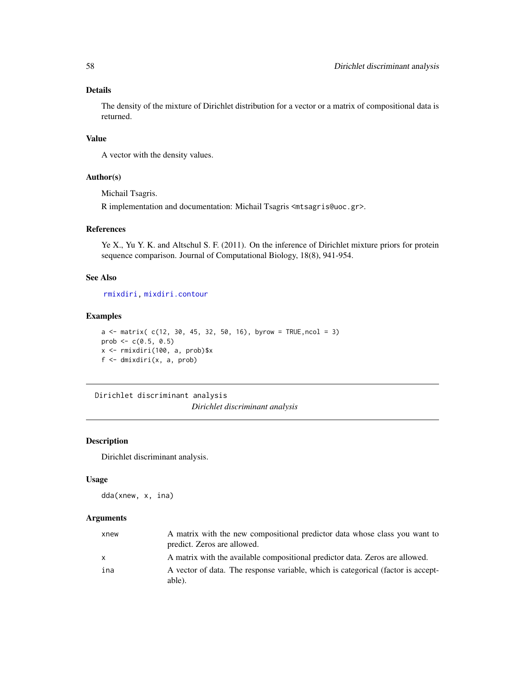The density of the mixture of Dirichlet distribution for a vector or a matrix of compositional data is returned.

## Value

A vector with the density values.

#### Author(s)

Michail Tsagris.

R implementation and documentation: Michail Tsagris <mtsagris@uoc.gr>.

## References

Ye X., Yu Y. K. and Altschul S. F. (2011). On the inference of Dirichlet mixture priors for protein sequence comparison. Journal of Computational Biology, 18(8), 941-954.

# See Also

[rmixdiri,](#page-170-0) [mixdiri.contour](#page-17-0)

# Examples

```
a \le matrix( c(12, 30, 45, 32, 50, 16), byrow = TRUE, ncol = 3)
prob \leq -c(0.5, 0.5)x <- rmixdiri(100, a, prob)$x
f <- dmixdiri(x, a, prob)
```
Dirichlet discriminant analysis *Dirichlet discriminant analysis*

## <span id="page-57-0"></span>Description

Dirichlet discriminant analysis.

#### Usage

dda(xnew, x, ina)

| xnew         | A matrix with the new compositional predictor data whose class you want to<br>predict. Zeros are allowed. |
|--------------|-----------------------------------------------------------------------------------------------------------|
| $\mathsf{x}$ | A matrix with the available compositional predictor data. Zeros are allowed.                              |
| ina          | A vector of data. The response variable, which is categorical (factor is accept-<br>able).                |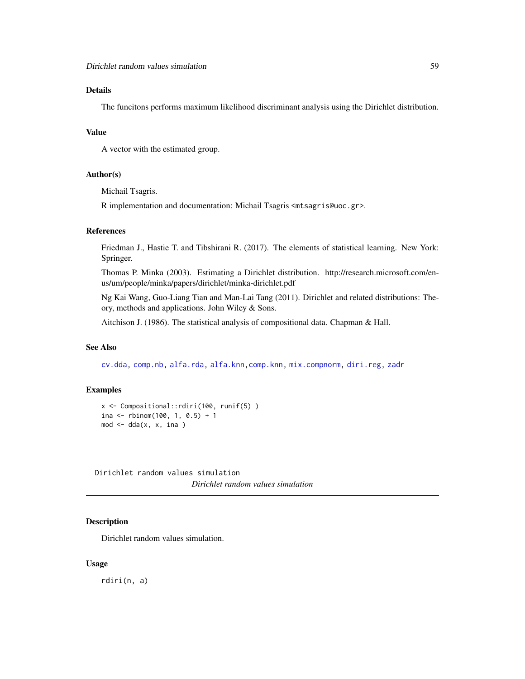The funcitons performs maximum likelihood discriminant analysis using the Dirichlet distribution.

## Value

A vector with the estimated group.

#### Author(s)

Michail Tsagris.

R implementation and documentation: Michail Tsagris <mtsagris@uoc.gr>.

# References

Friedman J., Hastie T. and Tibshirani R. (2017). The elements of statistical learning. New York: Springer.

Thomas P. Minka (2003). Estimating a Dirichlet distribution. http://research.microsoft.com/enus/um/people/minka/papers/dirichlet/minka-dirichlet.pdf

Ng Kai Wang, Guo-Liang Tian and Man-Lai Tang (2011). Dirichlet and related distributions: Theory, methods and applications. John Wiley & Sons.

Aitchison J. (1986). The statistical analysis of compositional data. Chapman & Hall.

### See Also

[cv.dda,](#page-45-0) [comp.nb,](#page-138-0) [alfa.rda,](#page-161-0) [alfa.knn,comp.knn,](#page-194-0) [mix.compnorm,](#page-83-0) [diri.reg,](#page-59-0) [zadr](#page-221-0)

#### Examples

```
x <- Compositional::rdiri(100, runif(5) )
ina <- rbinom(100, 1, 0.5) + 1mod < - dda(x, x, ina )
```
Dirichlet random values simulation *Dirichlet random values simulation*

## <span id="page-58-0"></span>Description

Dirichlet random values simulation.

#### Usage

rdiri(n, a)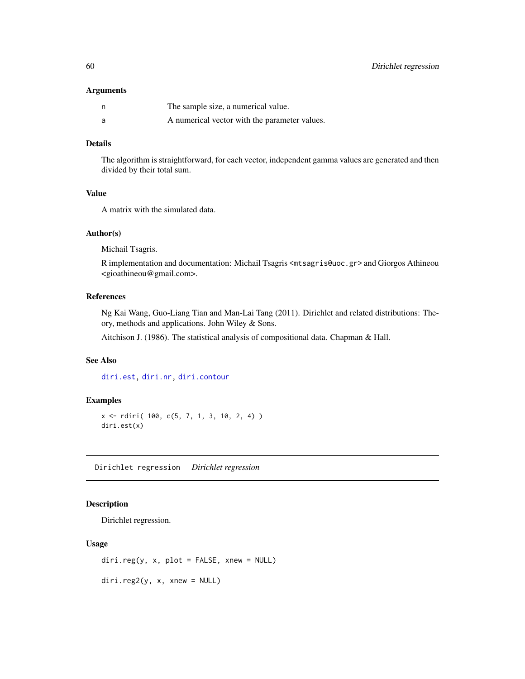#### Arguments

| n | The sample size, a numerical value.           |
|---|-----------------------------------------------|
| a | A numerical vector with the parameter values. |

# Details

The algorithm is straightforward, for each vector, independent gamma values are generated and then divided by their total sum.

## Value

A matrix with the simulated data.

#### Author(s)

Michail Tsagris.

R implementation and documentation: Michail Tsagris <mtsagris@uoc.gr> and Giorgos Athineou <gioathineou@gmail.com>.

# References

Ng Kai Wang, Guo-Liang Tian and Man-Lai Tang (2011). Dirichlet and related distributions: Theory, methods and applications. John Wiley & Sons.

Aitchison J. (1986). The statistical analysis of compositional data. Chapman & Hall.

# See Also

[diri.est,](#page-121-0) [diri.nr,](#page-122-0) [diri.contour](#page-21-0)

## Examples

```
x <- rdiri( 100, c(5, 7, 1, 3, 10, 2, 4) )
diri.est(x)
```
Dirichlet regression *Dirichlet regression*

# <span id="page-59-0"></span>Description

Dirichlet regression.

#### Usage

diri.reg(y, x, plot = FALSE, xnew = NULL)

diri.reg2(y, x, xnew = NULL)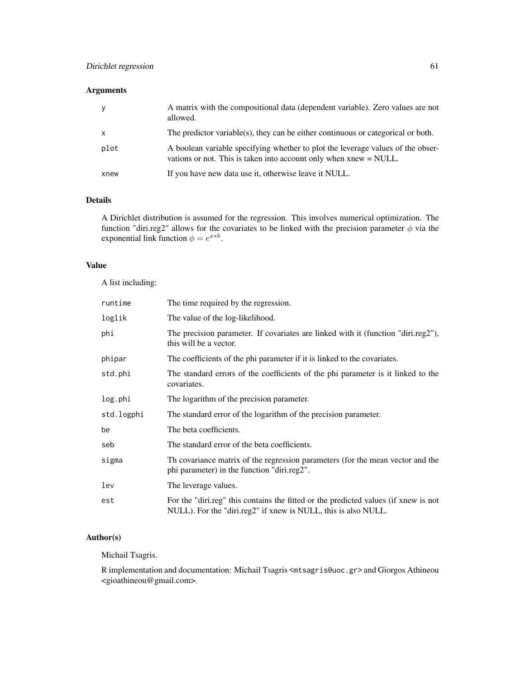# Arguments

|      | A matrix with the compositional data (dependent variable). Zero values are not<br>allowed.                                                              |
|------|---------------------------------------------------------------------------------------------------------------------------------------------------------|
| X    | The predictor variable(s), they can be either continuous or categorical or both.                                                                        |
| plot | A boolean variable specifying whether to plot the leverage values of the obser-<br>vations or not. This is taken into account only when $xnew = NULL$ . |
| xnew | If you have new data use it, otherwise leave it NULL.                                                                                                   |

# Details

A Dirichlet distribution is assumed for the regression. This involves numerical optimization. The function "diri.reg2" allows for the covariates to be linked with the precision parameter  $\phi$  via the exponential link function  $\phi = e^{x * b}$ .

## Value

A list including:

| runtime    | The time required by the regression.                                                                                                                  |
|------------|-------------------------------------------------------------------------------------------------------------------------------------------------------|
| loglik     | The value of the log-likelihood.                                                                                                                      |
| phi        | The precision parameter. If covariates are linked with it (function "diri.reg2"),<br>this will be a vector.                                           |
| phipar     | The coefficients of the phi parameter if it is linked to the covariates.                                                                              |
| std.phi    | The standard errors of the coefficients of the phi parameter is it linked to the<br>covariates.                                                       |
| log.phi    | The logarithm of the precision parameter.                                                                                                             |
| std.logphi | The standard error of the logarithm of the precision parameter.                                                                                       |
| be         | The beta coefficients.                                                                                                                                |
| seb        | The standard error of the beta coefficients.                                                                                                          |
| sigma      | Th covariance matrix of the regression parameters (for the mean vector and the<br>phi parameter) in the function "diri.reg2".                         |
| lev        | The leverage values.                                                                                                                                  |
| est        | For the "diri.reg" this contains the fitted or the predicted values (if xnew is not<br>NULL). For the "diri.reg2" if xnew is NULL, this is also NULL. |

# Author(s)

Michail Tsagris.

R implementation and documentation: Michail Tsagris <mtsagris@uoc.gr> and Giorgos Athineou <gioathineou@gmail.com>.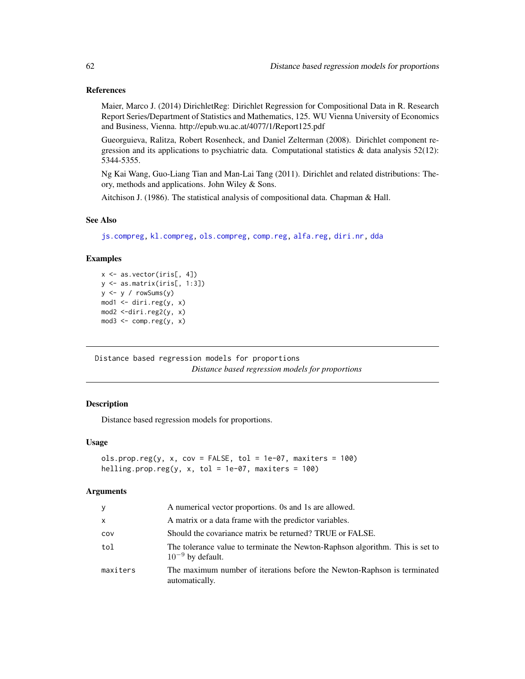## References

Maier, Marco J. (2014) DirichletReg: Dirichlet Regression for Compositional Data in R. Research Report Series/Department of Statistics and Mathematics, 125. WU Vienna University of Economics and Business, Vienna. http://epub.wu.ac.at/4077/1/Report125.pdf

Gueorguieva, Ralitza, Robert Rosenheck, and Daniel Zelterman (2008). Dirichlet component regression and its applications to psychiatric data. Computational statistics & data analysis 52(12): 5344-5355.

Ng Kai Wang, Guo-Liang Tian and Man-Lai Tang (2011). Dirichlet and related distributions: Theory, methods and applications. John Wiley & Sons.

Aitchison J. (1986). The statistical analysis of compositional data. Chapman & Hall.

### See Also

[js.compreg,](#page-63-0) [kl.compreg,](#page-63-0) [ols.compreg,](#page-141-0) [comp.reg,](#page-134-0) [alfa.reg,](#page-159-0) [diri.nr,](#page-122-0) [dda](#page-57-0)

# Examples

```
x <- as.vector(iris[, 4])
y <- as.matrix(iris[, 1:3])
y <- y / rowSums(y)
mod1 <- diri.reg(y, x)
mod2 <-diri.reg2(y, x)
mod3 \leq -comp-reg(y, x)
```
Distance based regression models for proportions *Distance based regression models for proportions*

# Description

Distance based regression models for proportions.

#### Usage

```
ols.propreg(y, x, cov = FALSE, tol = 1e-07, maxiters = 100)helling.prop.reg(y, x, tol = 1e-07, maxiters = 100)
```

| У        | A numerical vector proportions. 0s and 1s are allowed.                                                 |
|----------|--------------------------------------------------------------------------------------------------------|
| x        | A matrix or a data frame with the predictor variables.                                                 |
| COV      | Should the covariance matrix be returned? TRUE or FALSE.                                               |
| tol      | The tolerance value to terminate the Newton-Raphson algorithm. This is set to<br>$10^{-9}$ by default. |
| maxiters | The maximum number of iterations before the Newton-Raphson is terminated<br>automatically.             |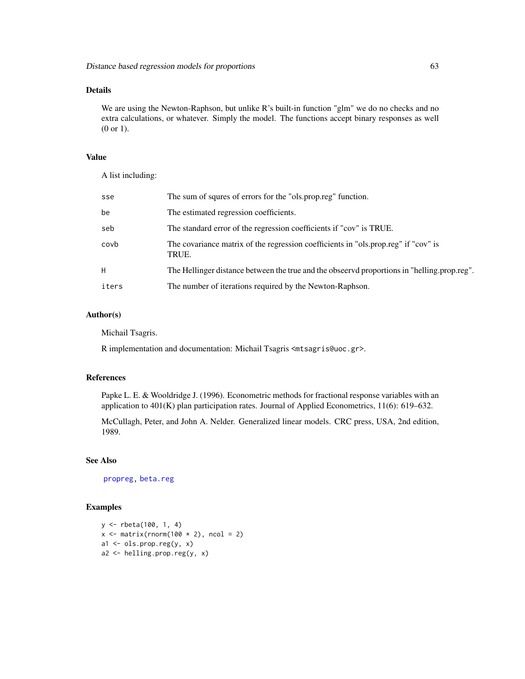We are using the Newton-Raphson, but unlike R's built-in function "glm" we do no checks and no extra calculations, or whatever. Simply the model. The functions accept binary responses as well (0 or 1).

## Value

A list including:

| sse   | The sum of squres of errors for the "ols.prop.reg" function.                                |
|-------|---------------------------------------------------------------------------------------------|
| be    | The estimated regression coefficients.                                                      |
| seb   | The standard error of the regression coefficients if "cov" is TRUE.                         |
| covb  | The covariance matrix of the regression coefficients in "ols.prop.reg" if "cov" is<br>TRUE. |
| H     | The Hellinger distance between the true and the observed proportions in "helling.prop.reg". |
| iters | The number of iterations required by the Newton-Raphson.                                    |

# Author(s)

Michail Tsagris.

R implementation and documentation: Michail Tsagris <mtsagris@uoc.gr>.

## References

Papke L. E. & Wooldridge J. (1996). Econometric methods for fractional response variables with an application to 401(K) plan participation rates. Journal of Applied Econometrics, 11(6): 619–632.

McCullagh, Peter, and John A. Nelder. Generalized linear models. CRC press, USA, 2nd edition, 1989.

#### See Also

[propreg,](#page-156-0) [beta.reg](#page-12-0)

```
y <- rbeta(100, 1, 4)
x \le matrix(rnorm(100 \star 2), ncol = 2)
a1 \leq ols.prop.reg(y, x)
a2 <- helling.prop.reg(y, x)
```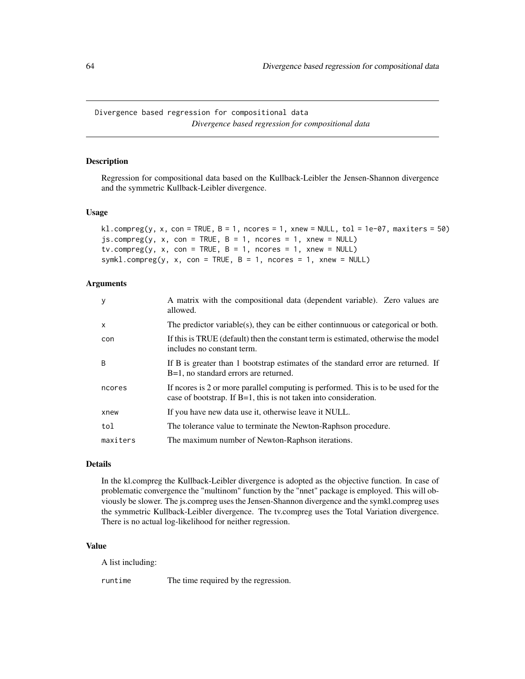Divergence based regression for compositional data *Divergence based regression for compositional data*

## <span id="page-63-0"></span>Description

Regression for compositional data based on the Kullback-Leibler the Jensen-Shannon divergence and the symmetric Kullback-Leibler divergence.

#### Usage

```
kl.compreg(y, x, con = TRUE, B = 1, ncores = 1, xnew = NULL, tol = 1e-07, maxiters = 50)
js.compreg(y, x, con = TRUE, B = 1, nocres = 1, xnew = NULL)tv.compreg(y, x, con = TRUE, B = 1, ncores = 1, xnew = NULL)
symkl.compreg(y, x, con = TRUE, B = 1, ncores = 1, xnew = NULL)
```
#### Arguments

| y            | A matrix with the compositional data (dependent variable). Zero values are<br>allowed.                                                                    |
|--------------|-----------------------------------------------------------------------------------------------------------------------------------------------------------|
| $\mathsf{x}$ | The predictor variable(s), they can be either continuous or categorical or both.                                                                          |
| con          | If this is TRUE (default) then the constant term is estimated, otherwise the model<br>includes no constant term.                                          |
| <sub>B</sub> | If B is greater than 1 bootstrap estimates of the standard error are returned. If<br>B=1, no standard errors are returned.                                |
| ncores       | If neores is 2 or more parallel computing is performed. This is to be used for the<br>case of bootstrap. If $B=1$ , this is not taken into consideration. |
| xnew         | If you have new data use it, otherwise leave it NULL.                                                                                                     |
| tol          | The tolerance value to terminate the Newton-Raphson procedure.                                                                                            |
| maxiters     | The maximum number of Newton-Raphson iterations.                                                                                                          |

#### Details

In the kl.compreg the Kullback-Leibler divergence is adopted as the objective function. In case of problematic convergence the "multinom" function by the "nnet" package is employed. This will obviously be slower. The js.compreg uses the Jensen-Shannon divergence and the symkl.compreg uses the symmetric Kullback-Leibler divergence. The tv.compreg uses the Total Variation divergence. There is no actual log-likelihood for neither regression.

#### Value

A list including:

runtime The time required by the regression.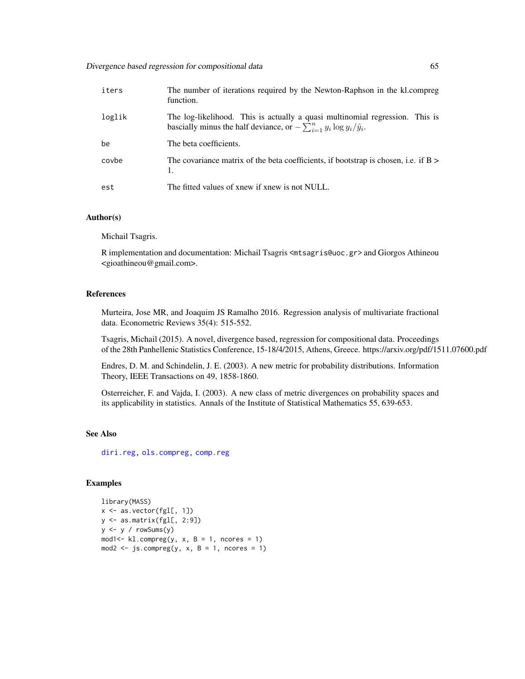| iters  | The number of iterations required by the Newton-Raphson in the kl.compreg<br>function.                                                                           |
|--------|------------------------------------------------------------------------------------------------------------------------------------------------------------------|
| loglik | The log-likelihood. This is actually a quasi multinomial regression. This is<br>bascially minus the half deviance, or $-\sum_{i=1}^{n} y_i \log y_i/\hat{y}_i$ . |
| be     | The beta coefficients.                                                                                                                                           |
| covbe  | The covariance matrix of the beta coefficients, if bootstrap is chosen, i.e. if $B >$<br>1.                                                                      |
| est    | The fitted values of xnew if xnew is not NULL.                                                                                                                   |

## Author(s)

Michail Tsagris.

R implementation and documentation: Michail Tsagris <mtsagris@uoc.gr> and Giorgos Athineou <gioathineou@gmail.com>.

## References

Murteira, Jose MR, and Joaquim JS Ramalho 2016. Regression analysis of multivariate fractional data. Econometric Reviews 35(4): 515-552.

Tsagris, Michail (2015). A novel, divergence based, regression for compositional data. Proceedings of the 28th Panhellenic Statistics Conference, 15-18/4/2015, Athens, Greece. https://arxiv.org/pdf/1511.07600.pdf

Endres, D. M. and Schindelin, J. E. (2003). A new metric for probability distributions. Information Theory, IEEE Transactions on 49, 1858-1860.

Osterreicher, F. and Vajda, I. (2003). A new class of metric divergences on probability spaces and its applicability in statistics. Annals of the Institute of Statistical Mathematics 55, 639-653.

# See Also

[diri.reg,](#page-59-0) [ols.compreg,](#page-141-0) [comp.reg](#page-134-0)

```
library(MASS)
x <- as.vector(fgl[, 1])
y \leftarrow as.matrix(fgl[, 2:9])
y \le -y / \text{rowsums}(y)mod1 <- kl.compreg(y, x, B = 1, ncores = 1)
mod2 <- js.compreg(y, x, B = 1, ncores = 1)
```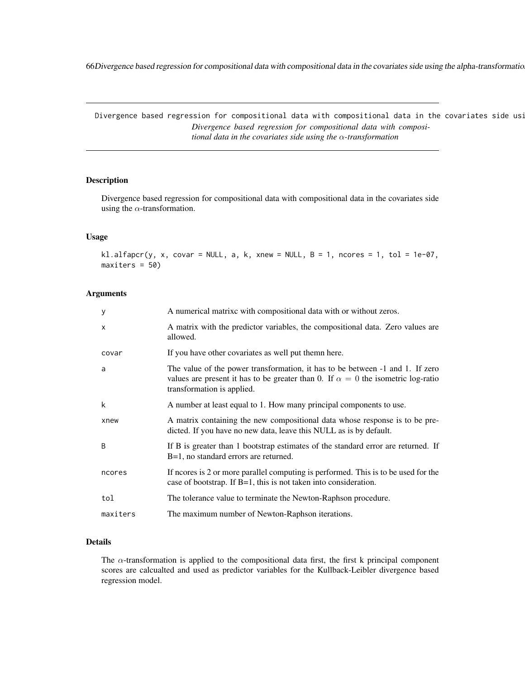66Divergence based regression for compositional data with compositional data in the covariates side using the alpha-transformation

Divergence based regression for compositional data with compositional data in the covariates side usi *Divergence based regression for compositional data with compositional data in the covariates side using the* α*-transformation*

#### Description

Divergence based regression for compositional data with compositional data in the covariates side using the  $\alpha$ -transformation.

#### Usage

kl.alfapcr(y, x, covar = NULL, a, k, xnew = NULL,  $B = 1$ , ncores = 1, tol = 1e-07,  $maxiters = 50$ 

#### Arguments

| У        | A numerical matrixc with compositional data with or without zeros.                                                                                                                                     |
|----------|--------------------------------------------------------------------------------------------------------------------------------------------------------------------------------------------------------|
| X        | A matrix with the predictor variables, the compositional data. Zero values are<br>allowed.                                                                                                             |
| covar    | If you have other covariates as well put themn here.                                                                                                                                                   |
| a        | The value of the power transformation, it has to be between -1 and 1. If zero<br>values are present it has to be greater than 0. If $\alpha = 0$ the isometric log-ratio<br>transformation is applied. |
| k        | A number at least equal to 1. How many principal components to use.                                                                                                                                    |
| xnew     | A matrix containing the new compositional data whose response is to be pre-<br>dicted. If you have no new data, leave this NULL as is by default.                                                      |
| B        | If B is greater than 1 bootstrap estimates of the standard error are returned. If<br>B=1, no standard errors are returned.                                                                             |
| ncores   | If neores is 2 or more parallel computing is performed. This is to be used for the<br>case of bootstrap. If $B=1$ , this is not taken into consideration.                                              |
| tol      | The tolerance value to terminate the Newton-Raphson procedure.                                                                                                                                         |
| maxiters | The maximum number of Newton-Raphson iterations.                                                                                                                                                       |

## Details

The  $\alpha$ -transformation is applied to the compositional data first, the first k principal component scores are calcualted and used as predictor variables for the Kullback-Leibler divergence based regression model.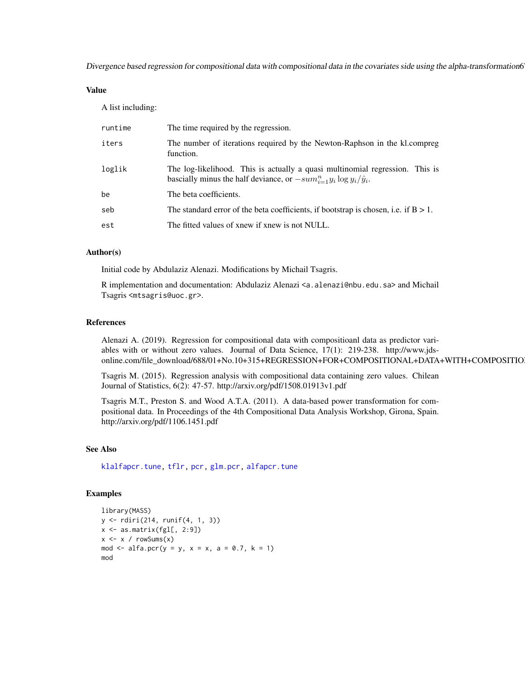Divergence based regression for compositional data with compositional data in the covariates side using the alpha-transformation67

## Value

A list including:

| runtime | The time required by the regression.                                                                                                                          |
|---------|---------------------------------------------------------------------------------------------------------------------------------------------------------------|
| iters   | The number of iterations required by the Newton-Raphson in the kl. compreg<br>function.                                                                       |
| loglik  | The log-likelihood. This is actually a quasi multinomial regression. This is<br>bascially minus the half deviance, or $-sum_{i=1}^n y_i \log y_i/\hat{y}_i$ . |
| be      | The beta coefficients.                                                                                                                                        |
| seb     | The standard error of the beta coefficients, if bootstrap is chosen, i.e. if $B > 1$ .                                                                        |
| est     | The fitted values of xnew if xnew is not NULL.                                                                                                                |

### Author(s)

Initial code by Abdulaziz Alenazi. Modifications by Michail Tsagris.

R implementation and documentation: Abdulaziz Alenazi <a.alenazi@nbu.edu.sa> and Michail Tsagris <mtsagris@uoc.gr>.

#### References

Alenazi A. (2019). Regression for compositional data with compositioanl data as predictor variables with or without zero values. Journal of Data Science, 17(1): 219-238. http://www.jdsonline.com/file\_download/688/01+No.10+315+REGRESSION+FOR+COMPOSITIONAL+DATA+WITH+COMPOSITIO

Tsagris M. (2015). Regression analysis with compositional data containing zero values. Chilean Journal of Statistics, 6(2): 47-57. http://arxiv.org/pdf/1508.01913v1.pdf

Tsagris M.T., Preston S. and Wood A.T.A. (2011). A data-based power transformation for compositional data. In Proceedings of the 4th Compositional Data Analysis Workshop, Girona, Spain. http://arxiv.org/pdf/1106.1451.pdf

# See Also

[klalfapcr.tune,](#page-201-0) [tflr,](#page-198-0) [pcr,](#page-149-0) [glm.pcr,](#page-149-0) [alfapcr.tune](#page-208-0)

```
library(MASS)
y <- rdiri(214, runif(4, 1, 3))
x \le - as.matrix(fgl[, 2:9])
x \le -x / \text{rowsums}(x)mod \le alfa.pcr(y = y, x = x, a = 0.7, k = 1)
mod
```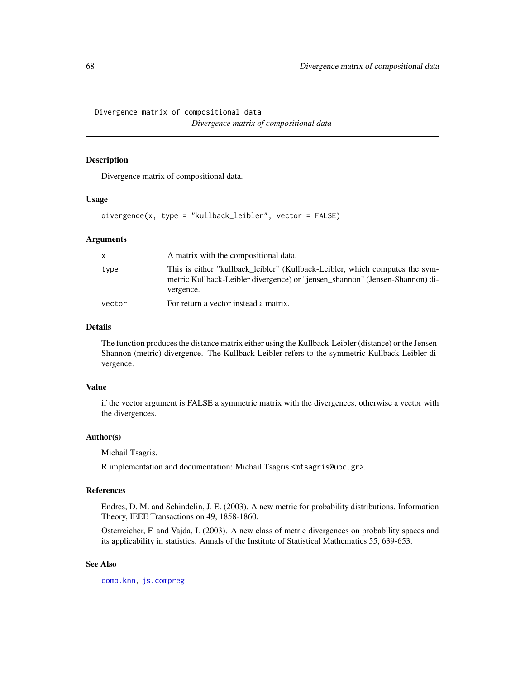Divergence matrix of compositional data *Divergence matrix of compositional data*

# Description

Divergence matrix of compositional data.

#### Usage

divergence(x, type = "kullback\_leibler", vector = FALSE)

#### Arguments

| X.     | A matrix with the compositional data.                                                                                                                                     |
|--------|---------------------------------------------------------------------------------------------------------------------------------------------------------------------------|
| type   | This is either "kullback leibler" (Kullback-Leibler, which computes the sym-<br>metric Kullback-Leibler divergence) or "jensen_shannon" (Jensen-Shannon) di-<br>vergence. |
| vector | For return a vector instead a matrix.                                                                                                                                     |

## Details

The function produces the distance matrix either using the Kullback-Leibler (distance) or the Jensen-Shannon (metric) divergence. The Kullback-Leibler refers to the symmetric Kullback-Leibler divergence.

## Value

if the vector argument is FALSE a symmetric matrix with the divergences, otherwise a vector with the divergences.

## Author(s)

Michail Tsagris.

R implementation and documentation: Michail Tsagris <mtsagris@uoc.gr>.

## References

Endres, D. M. and Schindelin, J. E. (2003). A new metric for probability distributions. Information Theory, IEEE Transactions on 49, 1858-1860.

Osterreicher, F. and Vajda, I. (2003). A new class of metric divergences on probability spaces and its applicability in statistics. Annals of the Institute of Statistical Mathematics 55, 639-653.

## See Also

[comp.knn,](#page-194-0) [js.compreg](#page-63-0)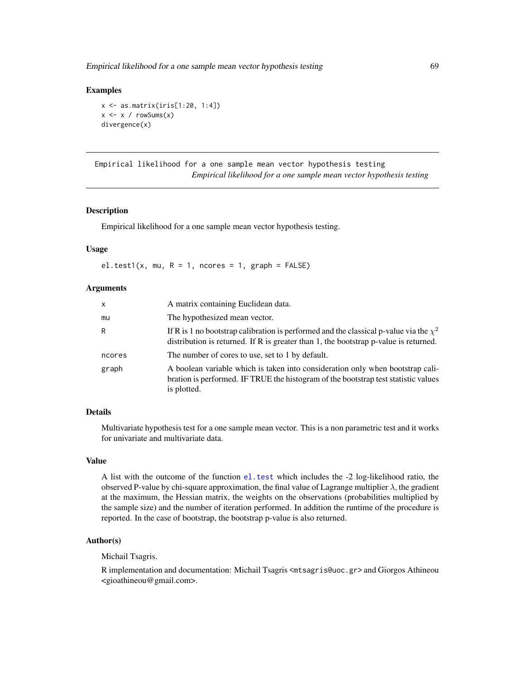Empirical likelihood for a one sample mean vector hypothesis testing 69

#### Examples

```
x <- as.matrix(iris[1:20, 1:4])
x \leq x / \text{rowsums}(x)divergence(x)
```
Empirical likelihood for a one sample mean vector hypothesis testing *Empirical likelihood for a one sample mean vector hypothesis testing*

#### Description

Empirical likelihood for a one sample mean vector hypothesis testing.

#### Usage

el.test1(x, mu,  $R = 1$ , ncores = 1, graph = FALSE)

## Arguments

| $\mathsf{x}$ | A matrix containing Euclidean data.                                                                                                                                                     |
|--------------|-----------------------------------------------------------------------------------------------------------------------------------------------------------------------------------------|
| mu           | The hypothesized mean vector.                                                                                                                                                           |
| R            | If R is 1 no bootstrap calibration is performed and the classical p-value via the $\chi^2$<br>distribution is returned. If $R$ is greater than 1, the bootstrap $p$ -value is returned. |
| ncores       | The number of cores to use, set to 1 by default.                                                                                                                                        |
| graph        | A boolean variable which is taken into consideration only when bootstrap cali-<br>bration is performed. IF TRUE the histogram of the bootstrap test statistic values<br>is plotted.     |

#### Details

Multivariate hypothesis test for a one sample mean vector. This is a non parametric test and it works for univariate and multivariate data.

#### Value

A list with the outcome of the function [el.test](#page-0-0) which includes the -2 log-likelihood ratio, the observed P-value by chi-square approximation, the final value of Lagrange multiplier  $\lambda$ , the gradient at the maximum, the Hessian matrix, the weights on the observations (probabilities multiplied by the sample size) and the number of iteration performed. In addition the runtime of the procedure is reported. In the case of bootstrap, the bootstrap p-value is also returned.

#### Author(s)

Michail Tsagris.

R implementation and documentation: Michail Tsagris <mtsagris@uoc.gr> and Giorgos Athineou <gioathineou@gmail.com>.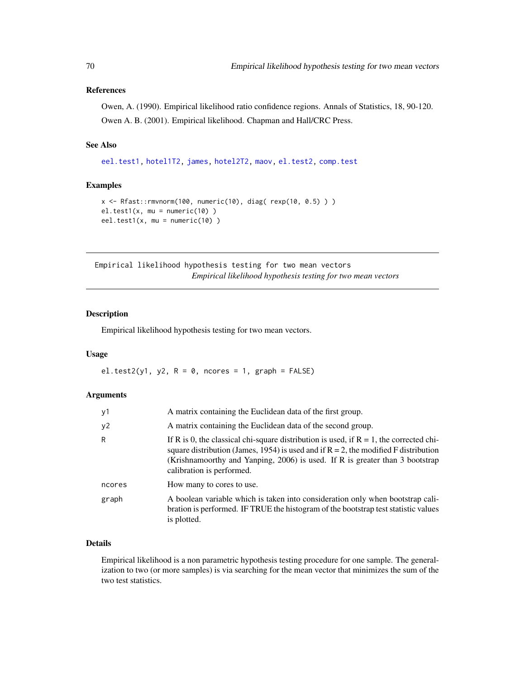## References

Owen, A. (1990). Empirical likelihood ratio confidence regions. Annals of Statistics, 18, 90-120. Owen A. B. (2001). Empirical likelihood. Chapman and Hall/CRC Press.

#### See Also

[eel.test1,](#page-77-0) [hotel1T2,](#page-92-0) [james,](#page-100-0) [hotel2T2,](#page-93-0) [maov,](#page-126-0) [el.test2,](#page-69-0) [comp.test](#page-94-0)

#### Examples

```
x \leq R fast:: rmvnorm(100, numeric(10), diag( rexp(10, 0.5)))
el.test1(x, mu = numeric(10) )
eel.test1(x, mu = numeric(10) )
```
Empirical likelihood hypothesis testing for two mean vectors *Empirical likelihood hypothesis testing for two mean vectors*

## <span id="page-69-0"></span>Description

Empirical likelihood hypothesis testing for two mean vectors.

## Usage

el.test2(y1, y2,  $R = 0$ , ncores = 1, graph = FALSE)

#### Arguments

| ν1     | A matrix containing the Euclidean data of the first group.                                                                                                                                                                                                                                       |
|--------|--------------------------------------------------------------------------------------------------------------------------------------------------------------------------------------------------------------------------------------------------------------------------------------------------|
| у2     | A matrix containing the Euclidean data of the second group.                                                                                                                                                                                                                                      |
| R      | If R is 0, the classical chi-square distribution is used, if $R = 1$ , the corrected chi-<br>square distribution (James, 1954) is used and if $R = 2$ , the modified F distribution<br>(Krishnamoorthy and Yanping, 2006) is used. If R is greater than 3 bootstrap<br>calibration is performed. |
| ncores | How many to cores to use.                                                                                                                                                                                                                                                                        |
| graph  | A boolean variable which is taken into consideration only when bootstrap cali-<br>bration is performed. IF TRUE the histogram of the bootstrap test statistic values<br>is plotted.                                                                                                              |

## Details

Empirical likelihood is a non parametric hypothesis testing procedure for one sample. The generalization to two (or more samples) is via searching for the mean vector that minimizes the sum of the two test statistics.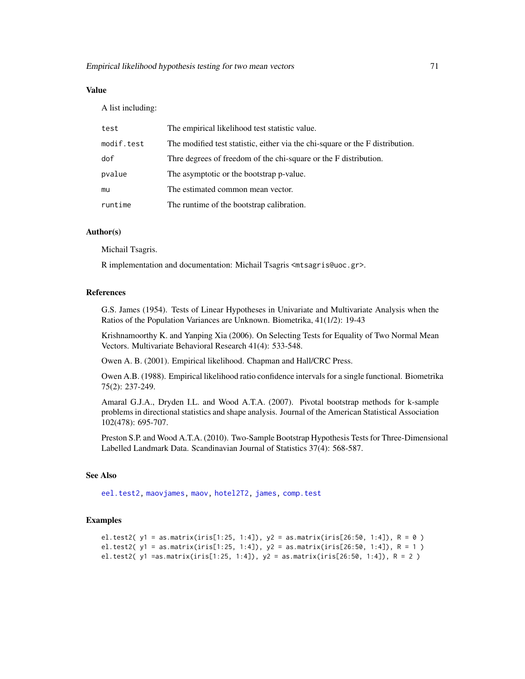## Value

A list including:

| test       | The empirical likelihood test statistic value.                                |
|------------|-------------------------------------------------------------------------------|
| modif.test | The modified test statistic, either via the chi-square or the F distribution. |
| dof        | Thre degrees of freedom of the chi-square or the F distribution.              |
| pvalue     | The asymptotic or the bootstrap p-value.                                      |
| mu         | The estimated common mean vector.                                             |
| runtime    | The runtime of the bootstrap calibration.                                     |

# Author(s)

Michail Tsagris.

R implementation and documentation: Michail Tsagris <mtsagris@uoc.gr>.

## References

G.S. James (1954). Tests of Linear Hypotheses in Univariate and Multivariate Analysis when the Ratios of the Population Variances are Unknown. Biometrika, 41(1/2): 19-43

Krishnamoorthy K. and Yanping Xia (2006). On Selecting Tests for Equality of Two Normal Mean Vectors. Multivariate Behavioral Research 41(4): 533-548.

Owen A. B. (2001). Empirical likelihood. Chapman and Hall/CRC Press.

Owen A.B. (1988). Empirical likelihood ratio confidence intervals for a single functional. Biometrika 75(2): 237-249.

Amaral G.J.A., Dryden I.L. and Wood A.T.A. (2007). Pivotal bootstrap methods for k-sample problems in directional statistics and shape analysis. Journal of the American Statistical Association 102(478): 695-707.

Preston S.P. and Wood A.T.A. (2010). Two-Sample Bootstrap Hypothesis Tests for Three-Dimensional Labelled Landmark Data. Scandinavian Journal of Statistics 37(4): 568-587.

## See Also

[eel.test2,](#page-78-0) [maovjames,](#page-127-0) [maov,](#page-126-0) [hotel2T2,](#page-93-0) [james,](#page-100-0) [comp.test](#page-94-0)

```
el.test2( y1 = as.matrix(iris[1:25, 1:4]), y2 = as.matrix(iris[26:50, 1:4]), R = 0 )
el.test2( y1 = as.matrix(iris[1:25, 1:4]), y2 = as.matrix(iris[26:50, 1:4]), R = 1 )
el.test2( y1 =as.matrix(iris[1:25, 1:4]), y2 = as.matrix(iris[26:50, 1:4]), R = 2 )
```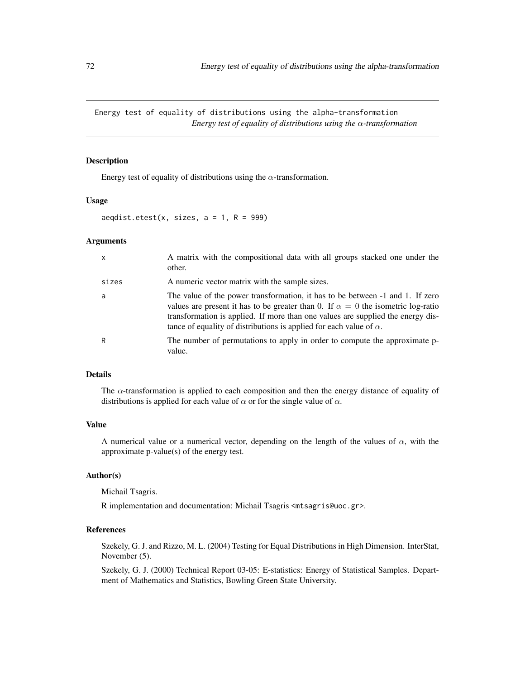Energy test of equality of distributions using the alpha-transformation *Energy test of equality of distributions using the* α*-transformation*

#### Description

Energy test of equality of distributions using the  $\alpha$ -transformation.

#### Usage

```
aeqdist.etest(x, sizes, a = 1, R = 999)
```
## Arguments

| x     | A matrix with the compositional data with all groups stacked one under the<br>other.                                                                                                                                                                                                                                                      |
|-------|-------------------------------------------------------------------------------------------------------------------------------------------------------------------------------------------------------------------------------------------------------------------------------------------------------------------------------------------|
| sizes | A numeric vector matrix with the sample sizes.                                                                                                                                                                                                                                                                                            |
| a     | The value of the power transformation, it has to be between -1 and 1. If zero<br>values are present it has to be greater than 0. If $\alpha = 0$ the isometric log-ratio<br>transformation is applied. If more than one values are supplied the energy dis-<br>tance of equality of distributions is applied for each value of $\alpha$ . |
| R     | The number of permutations to apply in order to compute the approximate p-<br>value.                                                                                                                                                                                                                                                      |

#### Details

The  $\alpha$ -transformation is applied to each composition and then the energy distance of equality of distributions is applied for each value of  $\alpha$  or for the single value of  $\alpha$ .

## Value

A numerical value or a numerical vector, depending on the length of the values of  $\alpha$ , with the approximate p-value(s) of the energy test.

## Author(s)

Michail Tsagris.

R implementation and documentation: Michail Tsagris <mtsagris@uoc.gr>.

## References

Szekely, G. J. and Rizzo, M. L. (2004) Testing for Equal Distributions in High Dimension. InterStat, November (5).

Szekely, G. J. (2000) Technical Report 03-05: E-statistics: Energy of Statistical Samples. Department of Mathematics and Statistics, Bowling Green State University.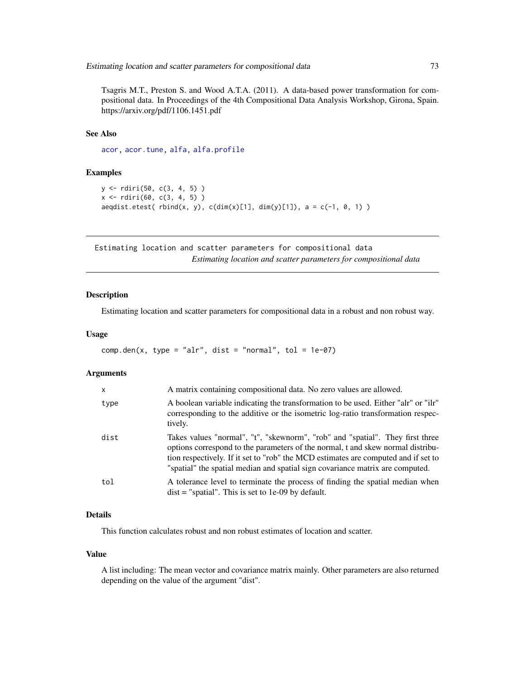Tsagris M.T., Preston S. and Wood A.T.A. (2011). A data-based power transformation for compositional data. In Proceedings of the 4th Compositional Data Analysis Workshop, Girona, Spain. https://arxiv.org/pdf/1106.1451.pdf

### See Also

[acor,](#page-8-0) [acor.tune,](#page-199-0) [alfa,](#page-185-0) [alfa.profile](#page-76-0)

### Examples

```
y <- rdiri(50, c(3, 4, 5) )
x <- rdiri(60, c(3, 4, 5) )
aeqdist.etest( rbind(x, y), c(dim(x)[1], dim(y)[1]), a = c(-1, 0, 1))
```
Estimating location and scatter parameters for compositional data *Estimating location and scatter parameters for compositional data*

# Description

Estimating location and scatter parameters for compositional data in a robust and non robust way.

### Usage

 $comp.den(x, type = "alr", dist = "normal", tol = 1e-07)$ 

#### Arguments

| X    | A matrix containing compositional data. No zero values are allowed.                                                                                                                                                                                                                                                                     |
|------|-----------------------------------------------------------------------------------------------------------------------------------------------------------------------------------------------------------------------------------------------------------------------------------------------------------------------------------------|
| type | A boolean variable indicating the transformation to be used. Either "alr" or "ilr"<br>corresponding to the additive or the isometric log-ratio transformation respec-<br>tively.                                                                                                                                                        |
| dist | Takes values "normal", "t", "skewnorm", "rob" and "spatial". They first three<br>options correspond to the parameters of the normal, t and skew normal distribu-<br>tion respectively. If it set to "rob" the MCD estimates are computed and if set to<br>"spatial" the spatial median and spatial sign covariance matrix are computed. |
| tol  | A tolerance level to terminate the process of finding the spatial median when<br>$dist =$ "spatial". This is set to 1e-09 by default.                                                                                                                                                                                                   |

# Details

This function calculates robust and non robust estimates of location and scatter.

#### Value

A list including: The mean vector and covariance matrix mainly. Other parameters are also returned depending on the value of the argument "dist".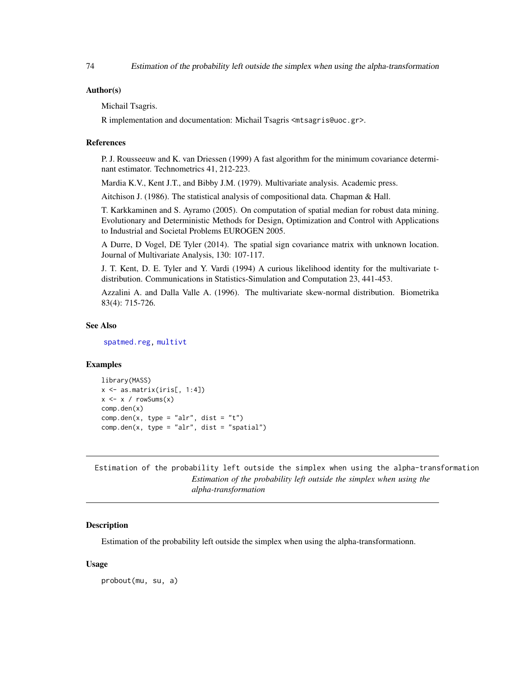#### Author(s)

Michail Tsagris.

R implementation and documentation: Michail Tsagris <mtsagris@uoc.gr>.

#### References

P. J. Rousseeuw and K. van Driessen (1999) A fast algorithm for the minimum covariance determinant estimator. Technometrics 41, 212-223.

Mardia K.V., Kent J.T., and Bibby J.M. (1979). Multivariate analysis. Academic press.

Aitchison J. (1986). The statistical analysis of compositional data. Chapman & Hall.

T. Karkkaminen and S. Ayramo (2005). On computation of spatial median for robust data mining. Evolutionary and Deterministic Methods for Design, Optimization and Control with Applications to Industrial and Societal Problems EUROGEN 2005.

A Durre, D Vogel, DE Tyler (2014). The spatial sign covariance matrix with unknown location. Journal of Multivariate Analysis, 130: 107-117.

J. T. Kent, D. E. Tyler and Y. Vardi (1994) A curious likelihood identity for the multivariate tdistribution. Communications in Statistics-Simulation and Computation 23, 441-453.

Azzalini A. and Dalla Valle A. (1996). The multivariate skew-normal distribution. Biometrika 83(4): 715-726.

### See Also

[spatmed.reg,](#page-173-0) [multivt](#page-118-0)

### Examples

```
library(MASS)
x \leftarrow as_matrix(iris[, 1:4])x \le -x / \text{rowsums}(x)comp.den(x)
comp.den(x, type = "alr", dist = "t")
comp.den(x, type = "alr", dist = "spatial")
```
Estimation of the probability left outside the simplex when using the alpha-transformation *Estimation of the probability left outside the simplex when using the alpha-transformation*

### **Description**

Estimation of the probability left outside the simplex when using the alpha-transformationn.

### Usage

probout(mu, su, a)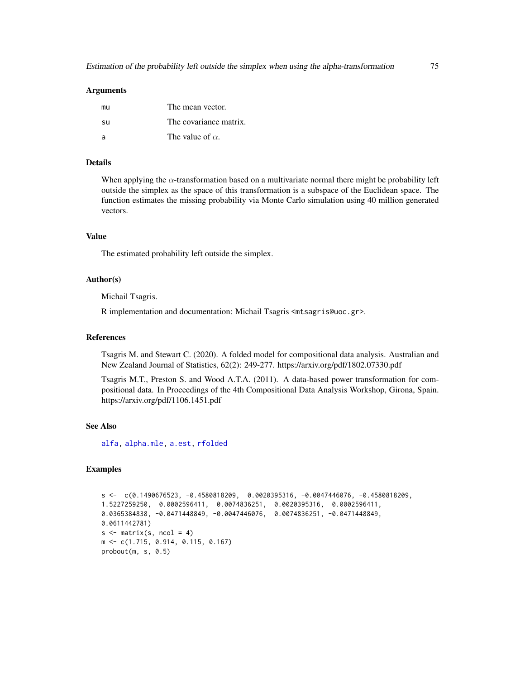### Arguments

| mu             | The mean vector.        |
|----------------|-------------------------|
| -SU            | The covariance matrix.  |
| $\overline{a}$ | The value of $\alpha$ . |

### Details

When applying the  $\alpha$ -transformation based on a multivariate normal there might be probability left outside the simplex as the space of this transformation is a subspace of the Euclidean space. The function estimates the missing probability via Monte Carlo simulation using 40 million generated vectors.

# Value

The estimated probability left outside the simplex.

### Author(s)

Michail Tsagris.

R implementation and documentation: Michail Tsagris <mtsagris@uoc.gr>.

### References

Tsagris M. and Stewart C. (2020). A folded model for compositional data analysis. Australian and New Zealand Journal of Statistics, 62(2): 249-277. https://arxiv.org/pdf/1802.07330.pdf

Tsagris M.T., Preston S. and Wood A.T.A. (2011). A data-based power transformation for compositional data. In Proceedings of the 4th Compositional Data Analysis Workshop, Girona, Spain. https://arxiv.org/pdf/1106.1451.pdf

#### See Also

[alfa,](#page-185-0) [alpha.mle,](#page-123-0) [a.est,](#page-75-0) [rfolded](#page-172-0)

```
s \leftarrow c(0.1490676523, -0.4580818209, 0.0020395316, -0.0047446076, -0.4580818209,1.5227259250, 0.0002596411, 0.0074836251, 0.0020395316, 0.0002596411,
0.0365384838, -0.0471448849, -0.0047446076, 0.0074836251, -0.0471448849,
0.0611442781)
s \le matrix(s, ncol = 4)
m <- c(1.715, 0.914, 0.115, 0.167)
probout(m, s, 0.5)
```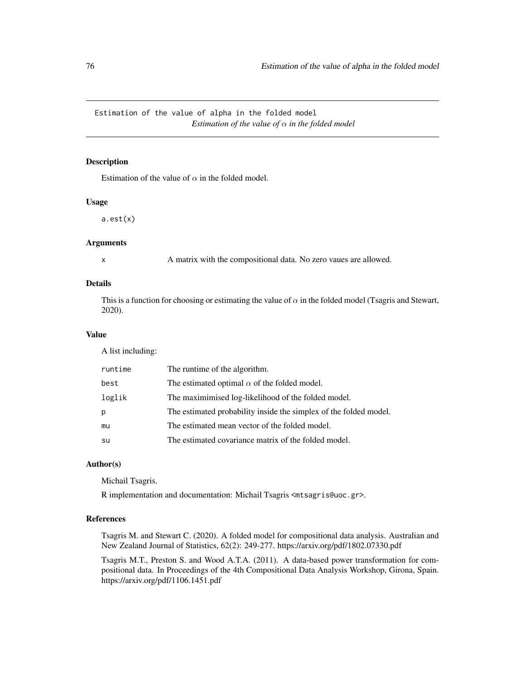Estimation of the value of alpha in the folded model *Estimation of the value of*  $\alpha$  *in the folded model* 

### <span id="page-75-0"></span>Description

Estimation of the value of  $\alpha$  in the folded model.

# Usage

a.est(x)

#### Arguments

x A matrix with the compositional data. No zero vaues are allowed.

# Details

This is a function for choosing or estimating the value of  $\alpha$  in the folded model (Tsagris and Stewart, 2020).

# Value

A list including:

| runtime | The runtime of the algorithm.                                     |
|---------|-------------------------------------------------------------------|
| best    | The estimated optimal $\alpha$ of the folded model.               |
| loglik  | The maximimised log-likelihood of the folded model.               |
| р       | The estimated probability inside the simplex of the folded model. |
| mu      | The estimated mean vector of the folded model.                    |
| su      | The estimated covariance matrix of the folded model.              |

### Author(s)

Michail Tsagris.

R implementation and documentation: Michail Tsagris <mtsagris@uoc.gr>.

### References

Tsagris M. and Stewart C. (2020). A folded model for compositional data analysis. Australian and New Zealand Journal of Statistics, 62(2): 249-277. https://arxiv.org/pdf/1802.07330.pdf

Tsagris M.T., Preston S. and Wood A.T.A. (2011). A data-based power transformation for compositional data. In Proceedings of the 4th Compositional Data Analysis Workshop, Girona, Spain. https://arxiv.org/pdf/1106.1451.pdf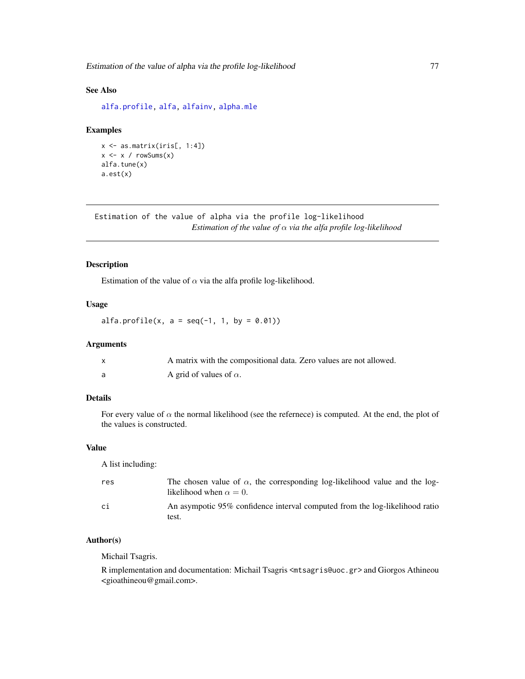Estimation of the value of alpha via the profile log-likelihood 77

# See Also

[alfa.profile,](#page-76-0) [alfa,](#page-185-0) [alfainv,](#page-99-0) [alpha.mle](#page-123-0)

# Examples

```
x <- as.matrix(iris[, 1:4])
x \leftarrow x / rowsums(x)alfa.tune(x)
a.est(x)
```
Estimation of the value of alpha via the profile log-likelihood *Estimation of the value of* α *via the alfa profile log-likelihood*

# <span id="page-76-0"></span>Description

Estimation of the value of  $\alpha$  via the alfa profile log-likelihood.

### Usage

 $alfa.profile(x, a = seq(-1, 1, by = 0.01))$ 

# Arguments

| A matrix with the compositional data. Zero values are not allowed. |
|--------------------------------------------------------------------|
| A grid of values of $\alpha$ .                                     |

# Details

For every value of  $\alpha$  the normal likelihood (see the refernece) is computed. At the end, the plot of the values is constructed.

# Value

A list including:

| res | The chosen value of $\alpha$ , the corresponding log-likelihood value and the log-<br>likelihood when $\alpha = 0$ . |
|-----|----------------------------------------------------------------------------------------------------------------------|
| сi  | An asympotic 95% confidence interval computed from the log-likelihood ratio<br>test.                                 |

# Author(s)

Michail Tsagris.

R implementation and documentation: Michail Tsagris <mtsagris@uoc.gr> and Giorgos Athineou <gioathineou@gmail.com>.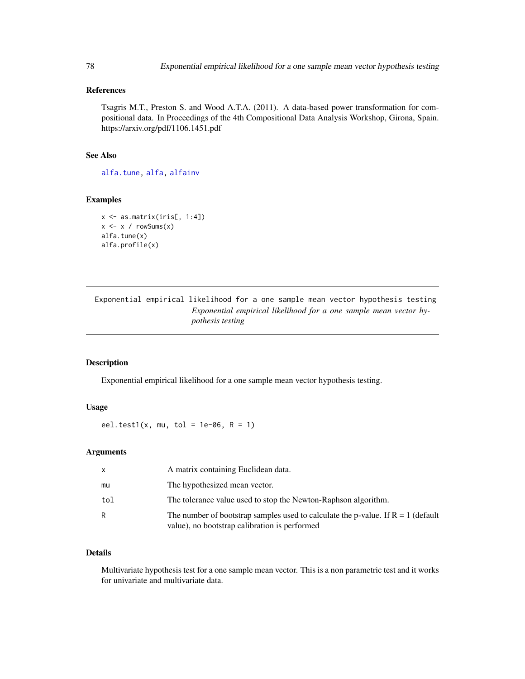# References

Tsagris M.T., Preston S. and Wood A.T.A. (2011). A data-based power transformation for compositional data. In Proceedings of the 4th Compositional Data Analysis Workshop, Girona, Spain. https://arxiv.org/pdf/1106.1451.pdf

# See Also

[alfa.tune,](#page-80-0) [alfa,](#page-185-0) [alfainv](#page-99-0)

# Examples

```
x \leftarrow as.matrix(iris[, 1:4])x \leftarrow x / \text{rowsums}(x)alfa.tune(x)
alfa.profile(x)
```
Exponential empirical likelihood for a one sample mean vector hypothesis testing *Exponential empirical likelihood for a one sample mean vector hypothesis testing*

# <span id="page-77-0"></span>Description

Exponential empirical likelihood for a one sample mean vector hypothesis testing.

# Usage

eel.test1(x, mu, tol = 1e-06,  $R = 1$ )

# Arguments

| X   | A matrix containing Euclidean data.                                                                                                 |
|-----|-------------------------------------------------------------------------------------------------------------------------------------|
| mu  | The hypothesized mean vector.                                                                                                       |
| tol | The tolerance value used to stop the Newton-Raphson algorithm.                                                                      |
| R   | The number of bootstrap samples used to calculate the p-value. If $R = 1$ (default<br>value), no bootstrap calibration is performed |

# Details

Multivariate hypothesis test for a one sample mean vector. This is a non parametric test and it works for univariate and multivariate data.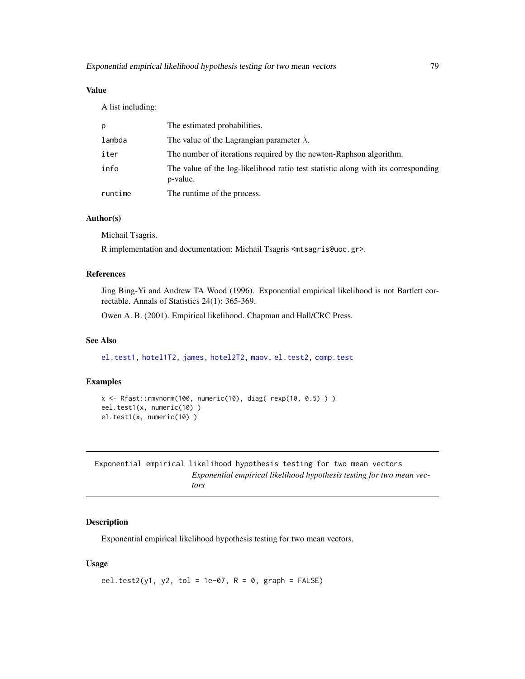# Value

A list including:

| р       | The estimated probabilities.                                                                  |
|---------|-----------------------------------------------------------------------------------------------|
| lambda  | The value of the Lagrangian parameter $\lambda$ .                                             |
| iter    | The number of iterations required by the newton-Raphson algorithm.                            |
| info    | The value of the log-likelihood ratio test statistic along with its corresponding<br>p-value. |
| runtime | The runtime of the process.                                                                   |

### Author(s)

Michail Tsagris.

R implementation and documentation: Michail Tsagris <mtsagris@uoc.gr>.

# References

Jing Bing-Yi and Andrew TA Wood (1996). Exponential empirical likelihood is not Bartlett correctable. Annals of Statistics 24(1): 365-369.

Owen A. B. (2001). Empirical likelihood. Chapman and Hall/CRC Press.

# See Also

[el.test1,](#page-68-0) [hotel1T2,](#page-92-0) [james,](#page-100-0) [hotel2T2,](#page-93-0) [maov,](#page-126-0) [el.test2,](#page-69-0) [comp.test](#page-94-0)

### Examples

```
x <- Rfast::rmvnorm(100, numeric(10), diag( rexp(10, 0.5) ) )
eel.test1(x, numeric(10) )
el.test1(x, numeric(10) )
```
Exponential empirical likelihood hypothesis testing for two mean vectors *Exponential empirical likelihood hypothesis testing for two mean vectors*

### <span id="page-78-0"></span>Description

Exponential empirical likelihood hypothesis testing for two mean vectors.

# Usage

```
eel.test2(y1, y2, tol = 1e-07, R = 0, graph = FALSE)
```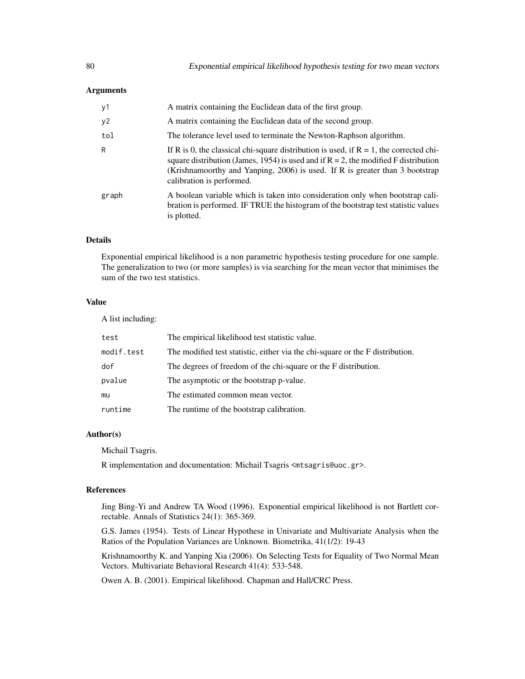### **Arguments**

| y1    | A matrix containing the Euclidean data of the first group.                                                                                                                                                                                                                                       |
|-------|--------------------------------------------------------------------------------------------------------------------------------------------------------------------------------------------------------------------------------------------------------------------------------------------------|
| y2    | A matrix containing the Euclidean data of the second group.                                                                                                                                                                                                                                      |
| tol   | The tolerance level used to terminate the Newton-Raphson algorithm.                                                                                                                                                                                                                              |
| R     | If R is 0, the classical chi-square distribution is used, if $R = 1$ , the corrected chi-<br>square distribution (James, 1954) is used and if $R = 2$ , the modified F distribution<br>(Krishnamoorthy and Yanping, 2006) is used. If R is greater than 3 bootstrap<br>calibration is performed. |
| graph | A boolean variable which is taken into consideration only when bootstrap cali-<br>bration is performed. IF TRUE the histogram of the bootstrap test statistic values<br>is plotted.                                                                                                              |

# Details

Exponential empirical likelihood is a non parametric hypothesis testing procedure for one sample. The generalization to two (or more samples) is via searching for the mean vector that minimises the sum of the two test statistics.

# Value

A list including:

| test       | The empirical likelihood test statistic value.                                |
|------------|-------------------------------------------------------------------------------|
| modif.test | The modified test statistic, either via the chi-square or the F distribution. |
| dof        | The degrees of freedom of the chi-square or the F distribution.               |
| pvalue     | The asymptotic or the bootstrap p-value.                                      |
| mu         | The estimated common mean vector.                                             |
| runtime    | The runtime of the bootstrap calibration.                                     |

### Author(s)

Michail Tsagris.

R implementation and documentation: Michail Tsagris <mtsagris@uoc.gr>.

# References

Jing Bing-Yi and Andrew TA Wood (1996). Exponential empirical likelihood is not Bartlett correctable. Annals of Statistics 24(1): 365-369.

G.S. James (1954). Tests of Linear Hypothese in Univariate and Multivariate Analysis when the Ratios of the Population Variances are Unknown. Biometrika, 41(1/2): 19-43

Krishnamoorthy K. and Yanping Xia (2006). On Selecting Tests for Equality of Two Normal Mean Vectors. Multivariate Behavioral Research 41(4): 533-548.

Owen A. B. (2001). Empirical likelihood. Chapman and Hall/CRC Press.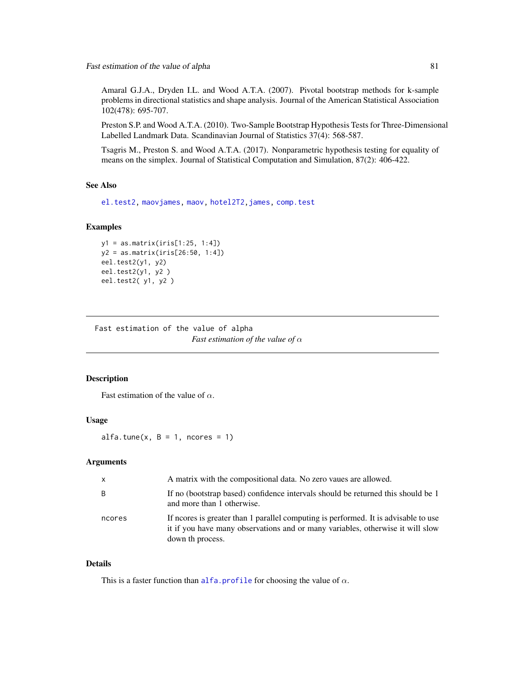Amaral G.J.A., Dryden I.L. and Wood A.T.A. (2007). Pivotal bootstrap methods for k-sample problems in directional statistics and shape analysis. Journal of the American Statistical Association 102(478): 695-707.

Preston S.P. and Wood A.T.A. (2010). Two-Sample Bootstrap Hypothesis Tests for Three-Dimensional Labelled Landmark Data. Scandinavian Journal of Statistics 37(4): 568-587.

Tsagris M., Preston S. and Wood A.T.A. (2017). Nonparametric hypothesis testing for equality of means on the simplex. Journal of Statistical Computation and Simulation, 87(2): 406-422.

### See Also

[el.test2,](#page-69-0) [maovjames,](#page-127-0) [maov,](#page-126-0) [hotel2T2](#page-93-0)[,james,](#page-100-0) [comp.test](#page-94-0)

# Examples

```
y1 = as.matrix(iris[1:25, 1:4])
y2 = as.matrix(iris[26:50, 1:4])
eel.test2(y1, y2)
eel.test2(y1, y2 )
eel.test2( y1, y2 )
```
Fast estimation of the value of alpha *Fast estimation of the value of* α

#### <span id="page-80-0"></span>Description

Fast estimation of the value of  $\alpha$ .

### Usage

alfa.tune $(x, B = 1,$  ncores = 1)

# Arguments

| $\mathsf{x}$ | A matrix with the compositional data. No zero vaues are allowed.                                                                                                                          |
|--------------|-------------------------------------------------------------------------------------------------------------------------------------------------------------------------------------------|
| B            | If no (bootstrap based) confidence intervals should be returned this should be 1<br>and more than 1 otherwise.                                                                            |
| ncores       | If neores is greater than 1 parallel computing is performed. It is advisable to use<br>it if you have many observations and or many variables, otherwise it will slow<br>down th process. |

#### Details

This is a faster function than [alfa.profile](#page-76-0) for choosing the value of  $\alpha$ .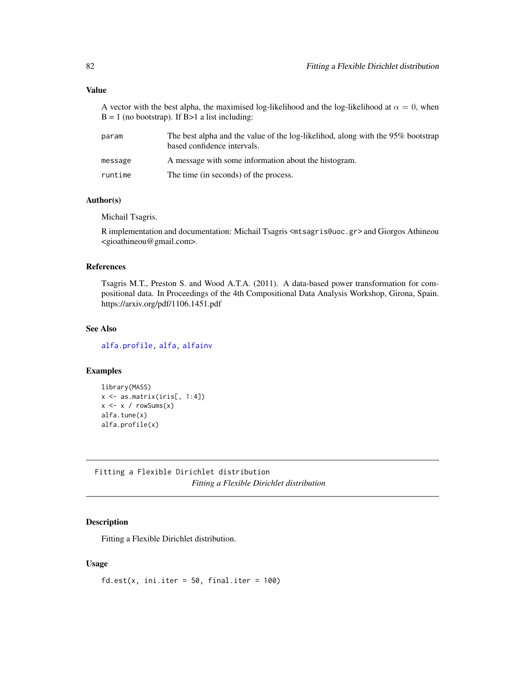A vector with the best alpha, the maximised log-likelihood and the log-likelihood at  $\alpha = 0$ , when  $B = 1$  (no bootstrap). If  $B > 1$  a list including:

| param   | The best alpha and the value of the log-likelihod, along with the 95% bootstrap<br>based confidence intervals. |
|---------|----------------------------------------------------------------------------------------------------------------|
| message | A message with some information about the histogram.                                                           |
| runtime | The time (in seconds) of the process.                                                                          |

### Author(s)

Michail Tsagris.

R implementation and documentation: Michail Tsagris <mtsagris@uoc.gr> and Giorgos Athineou <gioathineou@gmail.com>.

### References

Tsagris M.T., Preston S. and Wood A.T.A. (2011). A data-based power transformation for compositional data. In Proceedings of the 4th Compositional Data Analysis Workshop, Girona, Spain. https://arxiv.org/pdf/1106.1451.pdf

# See Also

[alfa.profile,](#page-76-0) [alfa,](#page-185-0) [alfainv](#page-99-0)

### Examples

```
library(MASS)
x \leftarrow as_matrix(iris[, 1:4])x \leftarrow x / rowsums(x)alfa.tune(x)
alfa.profile(x)
```
Fitting a Flexible Dirichlet distribution *Fitting a Flexible Dirichlet distribution*

### Description

Fitting a Flexible Dirichlet distribution.

### Usage

 $fd.est(x, init.iter = 50, final.iter = 100)$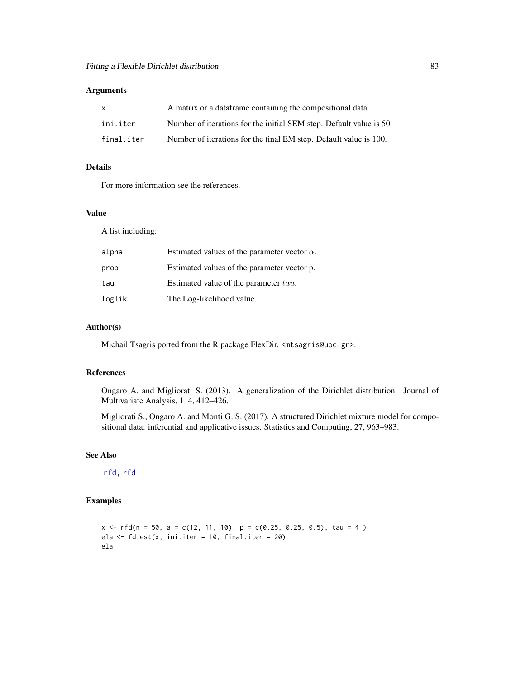# Arguments

| $\mathsf{X}$ | A matrix or a data frame containing the compositional data.         |
|--------------|---------------------------------------------------------------------|
| ini.iter     | Number of iterations for the initial SEM step. Default value is 50. |
| final.iter   | Number of iterations for the final EM step. Default value is 100.   |

# Details

For more information see the references.

### Value

A list including:

| alpha  | Estimated values of the parameter vector $\alpha$ . |
|--------|-----------------------------------------------------|
| prob   | Estimated values of the parameter vector p.         |
| tau    | Estimated value of the parameter tau.               |
| loglik | The Log-likelihood value.                           |

# Author(s)

Michail Tsagris ported from the R package FlexDir. <mtsagris@uoc.gr>.

# References

Ongaro A. and Migliorati S. (2013). A generalization of the Dirichlet distribution. Journal of Multivariate Analysis, 114, 412–426.

Migliorati S., Ongaro A. and Monti G. S. (2017). A structured Dirichlet mixture model for compositional data: inferential and applicative issues. Statistics and Computing, 27, 963–983.

# See Also

[rfd,](#page-171-0) [rfd](#page-171-0)

# Examples

 $x \leq -rfd(n = 50, a = c(12, 11, 10), p = c(0.25, 0.25, 0.5), tau = 4)$ ela <- fd.est(x, ini.iter = 10, final.iter = 20) ela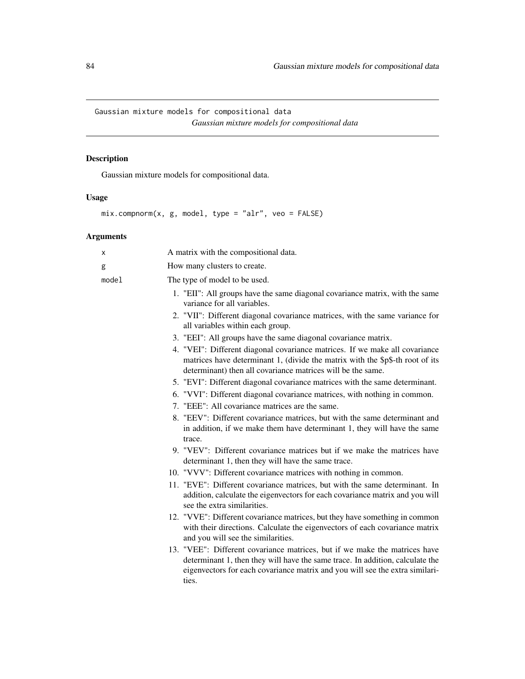Gaussian mixture models for compositional data *Gaussian mixture models for compositional data*

# <span id="page-83-0"></span>Description

Gaussian mixture models for compositional data.

# Usage

mix.compnorm(x, g, model, type = "alr", veo = FALSE)

# Arguments

| Χ     | A matrix with the compositional data.                                                                                                                                                                                                                |
|-------|------------------------------------------------------------------------------------------------------------------------------------------------------------------------------------------------------------------------------------------------------|
| g     | How many clusters to create.                                                                                                                                                                                                                         |
| model | The type of model to be used.                                                                                                                                                                                                                        |
|       | 1. "EII": All groups have the same diagonal covariance matrix, with the same<br>variance for all variables.                                                                                                                                          |
|       | 2. "VII": Different diagonal covariance matrices, with the same variance for<br>all variables within each group.                                                                                                                                     |
|       | 3. "EEI": All groups have the same diagonal covariance matrix.                                                                                                                                                                                       |
|       | 4. "VEI": Different diagonal covariance matrices. If we make all covariance<br>matrices have determinant 1, (divide the matrix with the \$p\$-th root of its<br>determinant) then all covariance matrices will be the same.                          |
|       | 5. "EVI": Different diagonal covariance matrices with the same determinant.                                                                                                                                                                          |
|       | 6. "VVI": Different diagonal covariance matrices, with nothing in common.                                                                                                                                                                            |
|       | 7. "EEE": All covariance matrices are the same.                                                                                                                                                                                                      |
|       | 8. "EEV": Different covariance matrices, but with the same determinant and<br>in addition, if we make them have determinant 1, they will have the same<br>trace.                                                                                     |
|       | 9. "VEV": Different covariance matrices but if we make the matrices have<br>determinant 1, then they will have the same trace.                                                                                                                       |
|       | 10. "VVV": Different covariance matrices with nothing in common.                                                                                                                                                                                     |
|       | 11. "EVE": Different covariance matrices, but with the same determinant. In<br>addition, calculate the eigenvectors for each covariance matrix and you will<br>see the extra similarities.                                                           |
|       | 12. "VVE": Different covariance matrices, but they have something in common<br>with their directions. Calculate the eigenvectors of each covariance matrix<br>and you will see the similarities.                                                     |
|       | 13. "VEE": Different covariance matrices, but if we make the matrices have<br>determinant 1, then they will have the same trace. In addition, calculate the<br>eigenvectors for each covariance matrix and you will see the extra similari-<br>ties. |
|       |                                                                                                                                                                                                                                                      |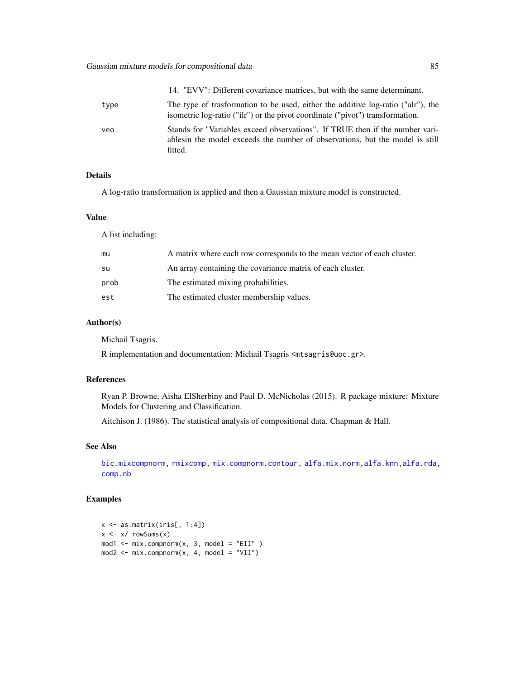# Gaussian mixture models for compositional data 85

|      | 14. "EVV": Different covariance matrices, but with the same determinant.                                                                                                 |
|------|--------------------------------------------------------------------------------------------------------------------------------------------------------------------------|
| type | The type of trasformation to be used, either the additive log-ratio ("alr"), the<br>isometric log-ratio ("ilr") or the pivot coordinate ("pivot") transformation.        |
| veo  | Stands for "Variables exceed observations". If TRUE then if the number vari-<br>ables in the model exceeds the number of observations, but the model is still<br>fitted. |

# Details

A log-ratio transformation is applied and then a Gaussian mixture model is constructed.

# Value

A list including:

| mu   | A matrix where each row corresponds to the mean vector of each cluster. |
|------|-------------------------------------------------------------------------|
| su   | An array containing the covariance matrix of each cluster.              |
| prob | The estimated mixing probabilities.                                     |
| est  | The estimated cluster membership values.                                |

# Author(s)

Michail Tsagris.

R implementation and documentation: Michail Tsagris <mtsagris@uoc.gr>.

# References

Ryan P. Browne, Aisha ElSherbiny and Paul D. McNicholas (2015). R package mixture: Mixture Models for Clustering and Classification.

Aitchison J. (1986). The statistical analysis of compositional data. Chapman & Hall.

#### See Also

[bic.mixcompnorm,](#page-115-0) [rmixcomp,](#page-169-0) [mix.compnorm.contour,](#page-23-0) [alfa.mix.norm,](#page-85-0)[alfa.knn,](#page-194-0)[alfa.rda,](#page-161-0) [comp.nb](#page-138-0)

```
x \leq - as.matrix(iris[, 1:4])
x \le -x / \text{rowsums}(x)mod1 <- mix.compnorm(x, 3, model = "EII" )mod2 <- mix.compnorm(x, 4, model = "VII")
```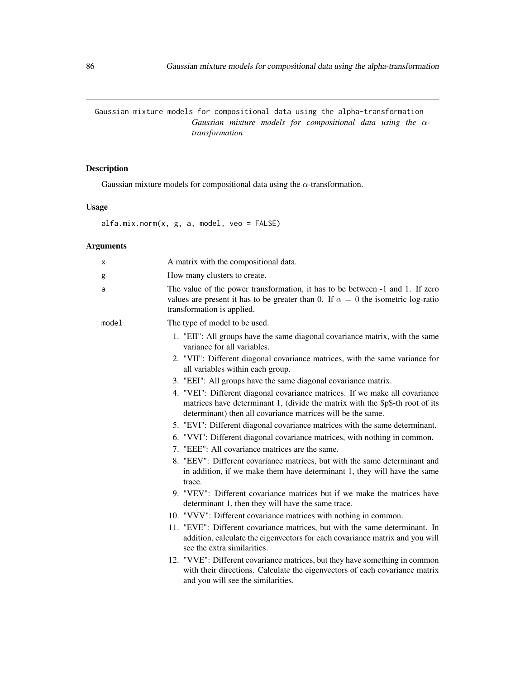Gaussian mixture models for compositional data using the alpha-transformation *Gaussian mixture models for compositional data using the* α*transformation*

# <span id="page-85-0"></span>Description

Gaussian mixture models for compositional data using the  $\alpha$ -transformation.

# Usage

alfa.mix.norm(x, g, a, model, veo = FALSE)

# Arguments

| x     | A matrix with the compositional data.                                                                                                                                                                                       |
|-------|-----------------------------------------------------------------------------------------------------------------------------------------------------------------------------------------------------------------------------|
| g     | How many clusters to create.                                                                                                                                                                                                |
| a     | The value of the power transformation, it has to be between -1 and 1. If zero<br>values are present it has to be greater than 0. If $\alpha = 0$ the isometric log-ratio<br>transformation is applied.                      |
| model | The type of model to be used.                                                                                                                                                                                               |
|       | 1. "EII": All groups have the same diagonal covariance matrix, with the same<br>variance for all variables.                                                                                                                 |
|       | 2. "VII": Different diagonal covariance matrices, with the same variance for<br>all variables within each group.                                                                                                            |
|       | 3. "EEI": All groups have the same diagonal covariance matrix.                                                                                                                                                              |
|       | 4. "VEI": Different diagonal covariance matrices. If we make all covariance<br>matrices have determinant 1, (divide the matrix with the \$p\$-th root of its<br>determinant) then all covariance matrices will be the same. |
|       | 5. "EVI": Different diagonal covariance matrices with the same determinant.                                                                                                                                                 |
|       | 6. "VVI": Different diagonal covariance matrices, with nothing in common.                                                                                                                                                   |
|       | 7. "EEE": All covariance matrices are the same.                                                                                                                                                                             |
|       | 8. "EEV": Different covariance matrices, but with the same determinant and<br>in addition, if we make them have determinant 1, they will have the same<br>trace.                                                            |
|       | 9. "VEV": Different covariance matrices but if we make the matrices have<br>determinant 1, then they will have the same trace.                                                                                              |
|       | 10. "VVV": Different covariance matrices with nothing in common.                                                                                                                                                            |
|       | 11. "EVE": Different covariance matrices, but with the same determinant. In<br>addition, calculate the eigenvectors for each covariance matrix and you will<br>see the extra similarities.                                  |
|       | 12. "VVE": Different covariance matrices, but they have something in common<br>with their directions. Calculate the eigenvectors of each covariance matrix<br>and you will see the similarities.                            |
|       |                                                                                                                                                                                                                             |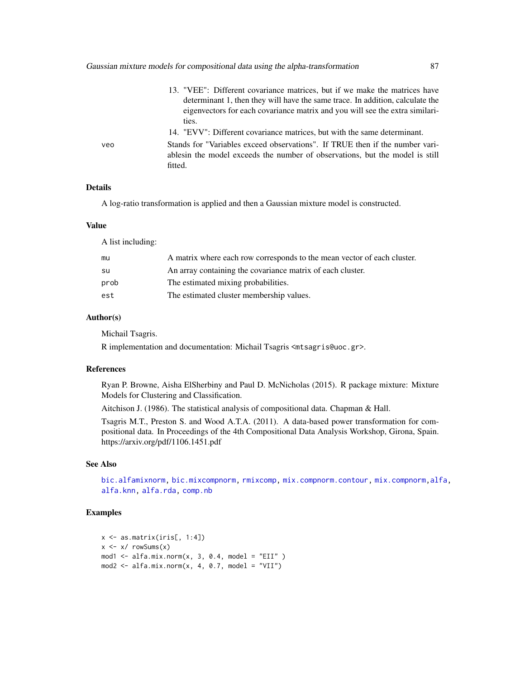Gaussian mixture models for compositional data using the alpha-transformation 87

|     | 13. "VEE": Different covariance matrices, but if we make the matrices have<br>determinant 1, then they will have the same trace. In addition, calculate the<br>eigenvectors for each covariance matrix and you will see the extra similari-<br>ties. |
|-----|------------------------------------------------------------------------------------------------------------------------------------------------------------------------------------------------------------------------------------------------------|
|     | 14. "EVV": Different covariance matrices, but with the same determinant.                                                                                                                                                                             |
| veo | Stands for "Variables exceed observations". If TRUE then if the number vari-<br>ables in the model exceeds the number of observations, but the model is still<br>fitted.                                                                             |

### Details

A log-ratio transformation is applied and then a Gaussian mixture model is constructed.

# Value

A list including:

| mu   | A matrix where each row corresponds to the mean vector of each cluster. |
|------|-------------------------------------------------------------------------|
| su   | An array containing the covariance matrix of each cluster.              |
| prob | The estimated mixing probabilities.                                     |
| est  | The estimated cluster membership values.                                |

# Author(s)

Michail Tsagris.

R implementation and documentation: Michail Tsagris <mtsagris@uoc.gr>.

### References

Ryan P. Browne, Aisha ElSherbiny and Paul D. McNicholas (2015). R package mixture: Mixture Models for Clustering and Classification.

Aitchison J. (1986). The statistical analysis of compositional data. Chapman & Hall.

Tsagris M.T., Preston S. and Wood A.T.A. (2011). A data-based power transformation for compositional data. In Proceedings of the 4th Compositional Data Analysis Workshop, Girona, Spain. https://arxiv.org/pdf/1106.1451.pdf

### See Also

[bic.alfamixnorm,](#page-116-0) [bic.mixcompnorm,](#page-115-0) [rmixcomp,](#page-169-0) [mix.compnorm.contour,](#page-23-0) [mix.compnorm,](#page-83-0)[alfa,](#page-185-0) [alfa.knn,](#page-194-0) [alfa.rda,](#page-161-0) [comp.nb](#page-138-0)

```
x <- as.matrix(iris[, 1:4])
x \le -x / \text{rowsums}(x)mod1 <- alfa.mix.norm(x, 3, 0.4, model = "EII")
mod2 \leq -alfa.mix.norm(x, 4, 0.7, model = "VII")
```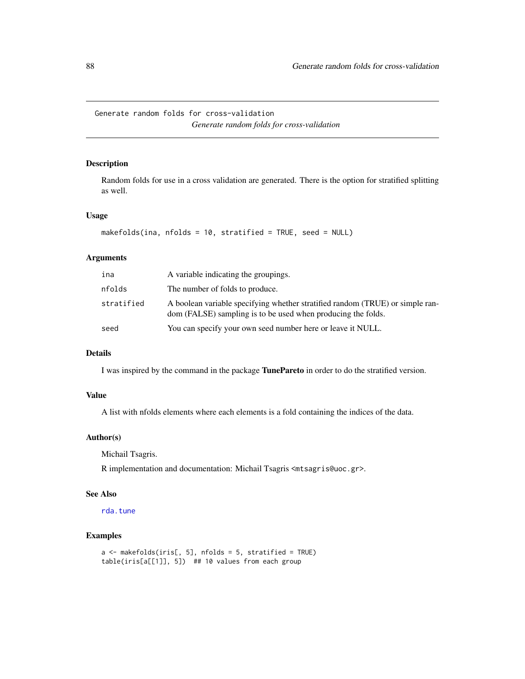Generate random folds for cross-validation *Generate random folds for cross-validation*

# Description

Random folds for use in a cross validation are generated. There is the option for stratified splitting as well.

### Usage

```
makefolds(ina, nfolds = 10, stratified = TRUE, seed = NULL)
```
### Arguments

| ina        | A variable indicating the groupings.                                                                                                          |
|------------|-----------------------------------------------------------------------------------------------------------------------------------------------|
| nfolds     | The number of folds to produce.                                                                                                               |
| stratified | A boolean variable specifying whether stratified random (TRUE) or simple ran-<br>dom (FALSE) sampling is to be used when producing the folds. |
| seed       | You can specify your own seed number here or leave it NULL.                                                                                   |

# Details

I was inspired by the command in the package TunePareto in order to do the stratified version.

# Value

A list with nfolds elements where each elements is a fold containing the indices of the data.

# Author(s)

Michail Tsagris.

R implementation and documentation: Michail Tsagris <mtsagris@uoc.gr>.

#### See Also

[rda.tune](#page-209-0)

```
a \leq makefolds(iris[, 5], nfolds = 5, stratified = TRUE)
table(iris[a[[1]], 5]) ## 10 values from each group
```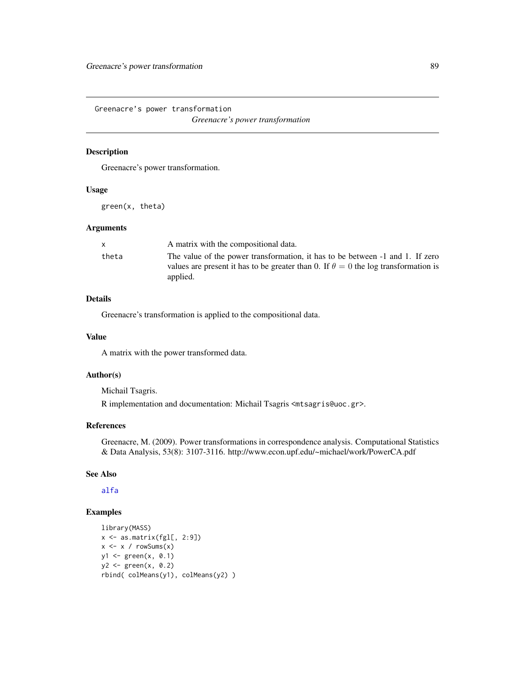Greenacre's power transformation

*Greenacre's power transformation*

# Description

Greenacre's power transformation.

### Usage

green(x, theta)

#### Arguments

| X.    | A matrix with the compositional data.                                                                                                                                                  |
|-------|----------------------------------------------------------------------------------------------------------------------------------------------------------------------------------------|
| theta | The value of the power transformation, it has to be between -1 and 1. If zero<br>values are present it has to be greater than 0. If $\theta = 0$ the log transformation is<br>applied. |
|       |                                                                                                                                                                                        |

# Details

Greenacre's transformation is applied to the compositional data.

#### Value

A matrix with the power transformed data.

#### Author(s)

Michail Tsagris.

R implementation and documentation: Michail Tsagris <mtsagris@uoc.gr>.

# References

Greenacre, M. (2009). Power transformations in correspondence analysis. Computational Statistics & Data Analysis, 53(8): 3107-3116. http://www.econ.upf.edu/~michael/work/PowerCA.pdf

# See Also

[alfa](#page-185-0)

```
library(MASS)
x \leftarrow as.matrix(fgl[, 2:9])x \leftarrow x / rowsums(x)y1 <- green(x, 0.1)
y2 \le - green(x, 0.2)rbind( colMeans(y1), colMeans(y2) )
```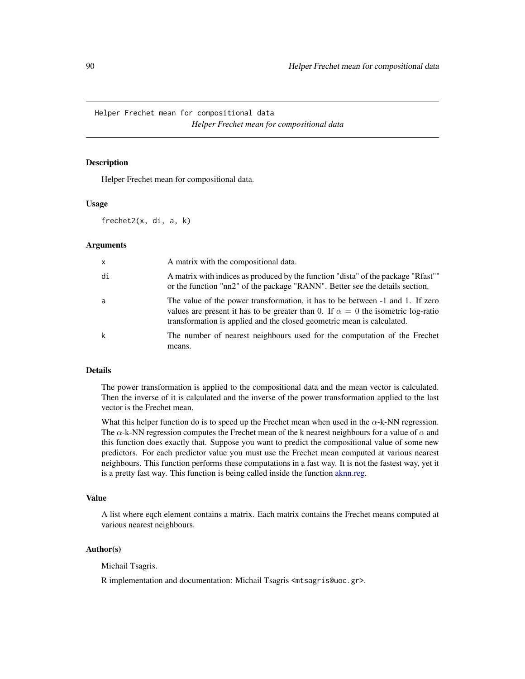Helper Frechet mean for compositional data *Helper Frechet mean for compositional data*

### **Description**

Helper Frechet mean for compositional data.

### Usage

frechet2(x, di, a, k)

### Arguments

| $\times$ | A matrix with the compositional data.                                                                                                                                                                                                              |
|----------|----------------------------------------------------------------------------------------------------------------------------------------------------------------------------------------------------------------------------------------------------|
| di       | A matrix with indices as produced by the function "dista" of the package "Rfast""<br>or the function "nn2" of the package "RANN". Better see the details section.                                                                                  |
| a        | The value of the power transformation, it has to be between -1 and 1. If zero<br>values are present it has to be greater than 0. If $\alpha = 0$ the isometric log-ratio<br>transformation is applied and the closed geometric mean is calculated. |
| k        | The number of nearest neighbours used for the computation of the Frechet<br>means.                                                                                                                                                                 |

### Details

The power transformation is applied to the compositional data and the mean vector is calculated. Then the inverse of it is calculated and the inverse of the power transformation applied to the last vector is the Frechet mean.

What this helper function do is to speed up the Frechet mean when used in the  $\alpha$ -k-NN regression. The  $\alpha$ -k-NN regression computes the Frechet mean of the k nearest neighbours for a value of  $\alpha$  and this function does exactly that. Suppose you want to predict the compositional value of some new predictors. For each predictor value you must use the Frechet mean computed at various nearest neighbours. This function performs these computations in a fast way. It is not the fastest way, yet it is a pretty fast way. This function is being called inside the function [aknn.reg.](#page-181-0)

### Value

A list where eqch element contains a matrix. Each matrix contains the Frechet means computed at various nearest neighbours.

#### Author(s)

Michail Tsagris.

R implementation and documentation: Michail Tsagris <mtsagris@uoc.gr>.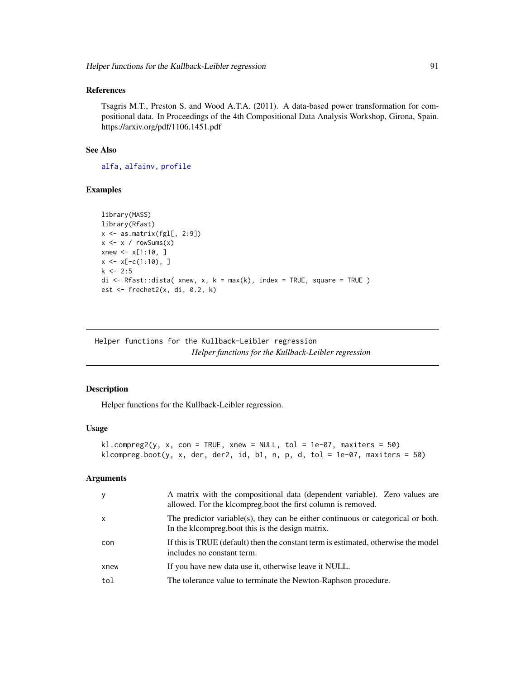# References

Tsagris M.T., Preston S. and Wood A.T.A. (2011). A data-based power transformation for compositional data. In Proceedings of the 4th Compositional Data Analysis Workshop, Girona, Spain. https://arxiv.org/pdf/1106.1451.pdf

# See Also

[alfa,](#page-185-0) [alfainv,](#page-99-0) [profile](#page-0-0)

# Examples

```
library(MASS)
library(Rfast)
x \leftarrow as_matrix(fgl[, 2:9])x \leq x / \text{rowsums}(x)xnew \leq x[1:10, ]
x \leq x[-c(1:10), ]k \le -2:5di \leq Rfast::dista( xnew, x, k = max(k), index = TRUE, square = TRUE )
est <- frechet2(x, di, 0.2, k)
```
Helper functions for the Kullback-Leibler regression *Helper functions for the Kullback-Leibler regression*

### Description

Helper functions for the Kullback-Leibler regression.

#### Usage

```
kl.compreg2(y, x, con = TRUE, xnew = NULL, tol = 1e-07, maxiters = 50)
klcompreg.boot(y, x, der, der2, id, b1, n, p, d, tol = 1e-07, maxiters = 50)
```
### Arguments

| y            | A matrix with the compositional data (dependent variable). Zero values are<br>allowed. For the klcompreg.boot the first column is removed. |
|--------------|--------------------------------------------------------------------------------------------------------------------------------------------|
| $\mathsf{x}$ | The predictor variable(s), they can be either continuous or categorical or both.<br>In the kloompreg boot this is the design matrix.       |
| con          | If this is TRUE (default) then the constant term is estimated, otherwise the model<br>includes no constant term.                           |
| xnew         | If you have new data use it, otherwise leave it NULL.                                                                                      |
| tol          | The tolerance value to terminate the Newton-Raphson procedure.                                                                             |
|              |                                                                                                                                            |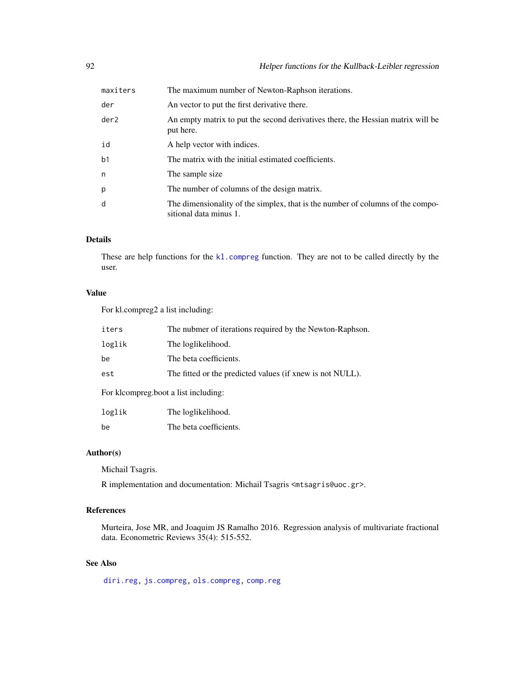| maxiters       | The maximum number of Newton-Raphson iterations.                                                         |
|----------------|----------------------------------------------------------------------------------------------------------|
| der            | An vector to put the first derivative there.                                                             |
| der2           | An empty matrix to put the second derivatives there, the Hessian matrix will be<br>put here.             |
| id             | A help vector with indices.                                                                              |
| b <sub>1</sub> | The matrix with the initial estimated coefficients.                                                      |
| n              | The sample size                                                                                          |
| p              | The number of columns of the design matrix.                                                              |
| d              | The dimensionality of the simplex, that is the number of columns of the compo-<br>sitional data minus 1. |

### Details

These are help functions for the [kl.compreg](#page-63-0) function. They are not to be called directly by the user.

# Value

For kl.compreg2 a list including:

| iters                              | The nubmer of iterations required by the Newton-Raphson.  |
|------------------------------------|-----------------------------------------------------------|
| loglik                             | The loglikelihood.                                        |
| be                                 | The beta coefficients.                                    |
| est                                | The fitted or the predicted values (if xnew is not NULL). |
| Eau klaamppea haat a katinahudingu |                                                           |

For klcompreg.boot a list including:

| loglik | The loglikelihood.     |
|--------|------------------------|
| be     | The beta coefficients. |

# Author(s)

Michail Tsagris.

R implementation and documentation: Michail Tsagris <mtsagris@uoc.gr>.

# References

Murteira, Jose MR, and Joaquim JS Ramalho 2016. Regression analysis of multivariate fractional data. Econometric Reviews 35(4): 515-552.

# See Also

[diri.reg,](#page-59-0) [js.compreg,](#page-63-0) [ols.compreg,](#page-141-0) [comp.reg](#page-134-0)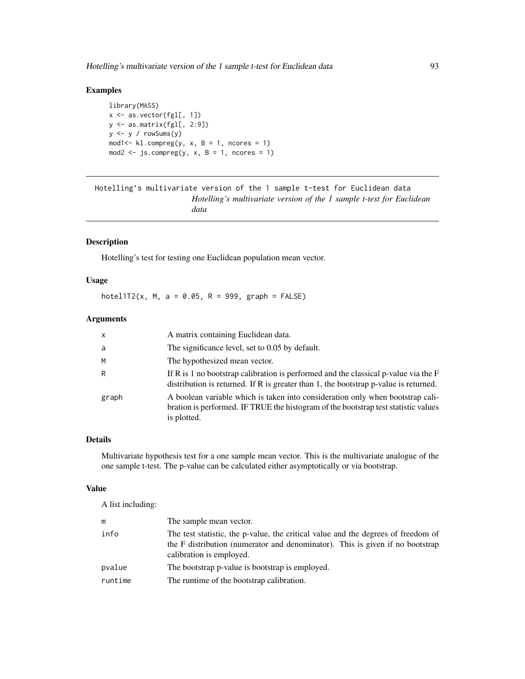# Examples

```
library(MASS)
x \leftarrow as-vector(fgl[, 1])y <- as.matrix(fgl[, 2:9])
y <- y / rowSums(y)
mod1 <- kl.compreg(y, x, B = 1, ncores = 1)
mod2 <- js.compile(y, x, B = 1, ncores = 1)
```
Hotelling's multivariate version of the 1 sample t-test for Euclidean data *Hotelling's multivariate version of the 1 sample t-test for Euclidean data*

# <span id="page-92-0"></span>Description

Hotelling's test for testing one Euclidean population mean vector.

### Usage

hotel1T2(x, M, a = 0.05, R = 999, graph =  $FALSE$ )

### Arguments

| $\mathsf{x}$ | A matrix containing Euclidean data.                                                                                                                                                 |
|--------------|-------------------------------------------------------------------------------------------------------------------------------------------------------------------------------------|
| a            | The significance level, set to 0.05 by default.                                                                                                                                     |
| M            | The hypothesized mean vector.                                                                                                                                                       |
| R            | If R is 1 no bootstrap calibration is performed and the classical p-value via the $F$<br>distribution is returned. If R is greater than 1, the bootstrap $p$ -value is returned.    |
| graph        | A boolean variable which is taken into consideration only when bootstrap cali-<br>bration is performed. IF TRUE the histogram of the bootstrap test statistic values<br>is plotted. |

# Details

Multivariate hypothesis test for a one sample mean vector. This is the multivariate analogue of the one sample t-test. The p-value can be calculated either asymptotically or via bootstrap.

#### Value

A list including:

| m       | The sample mean vector.                                                                                                                                                                        |
|---------|------------------------------------------------------------------------------------------------------------------------------------------------------------------------------------------------|
| info    | The test statistic, the p-value, the critical value and the degrees of freedom of<br>the F distribution (numerator and denominator). This is given if no bootstrap<br>calibration is employed. |
| pvalue  | The bootstrap p-value is bootstrap is employed.                                                                                                                                                |
| runtime | The runtime of the bootstrap calibration.                                                                                                                                                      |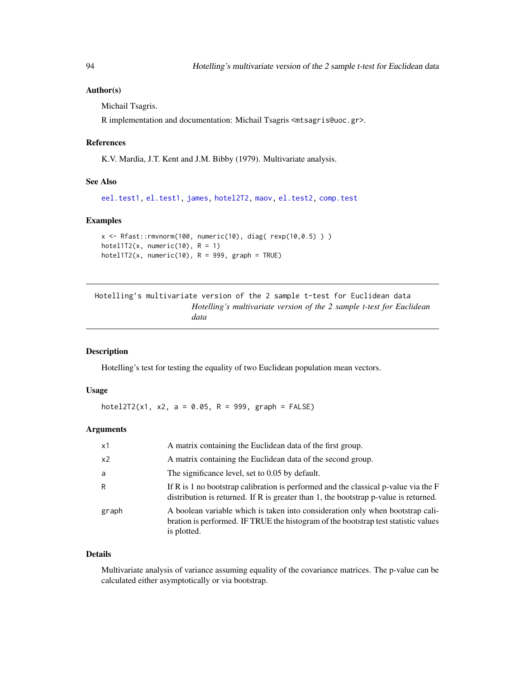### Author(s)

Michail Tsagris.

R implementation and documentation: Michail Tsagris <mtsagris@uoc.gr>.

### References

K.V. Mardia, J.T. Kent and J.M. Bibby (1979). Multivariate analysis.

### See Also

[eel.test1,](#page-77-0) [el.test1,](#page-68-0) [james,](#page-100-0) [hotel2T2,](#page-93-0) [maov,](#page-126-0) [el.test2,](#page-69-0) [comp.test](#page-94-0)

### Examples

```
x \leq -Rfast::rmvnorm(100, numeric(10), diag(rexp(10,0.5)))hotel1T2(x, numeric(10), R = 1)
hotel1T2(x, numeric(10), R = 999, graph = TRUE)
```
Hotelling's multivariate version of the 2 sample t-test for Euclidean data *Hotelling's multivariate version of the 2 sample t-test for Euclidean data*

### <span id="page-93-0"></span>Description

Hotelling's test for testing the equality of two Euclidean population mean vectors.

# Usage

hotel2T2(x1, x2, a = 0.05, R = 999, graph = FALSE)

### **Arguments**

| x1             | A matrix containing the Euclidean data of the first group.                                                                                                                          |
|----------------|-------------------------------------------------------------------------------------------------------------------------------------------------------------------------------------|
| x <sub>2</sub> | A matrix containing the Euclidean data of the second group.                                                                                                                         |
| a              | The significance level, set to 0.05 by default.                                                                                                                                     |
| R              | If R is 1 no bootstrap calibration is performed and the classical p-value via the F<br>distribution is returned. If R is greater than 1, the bootstrap $p$ -value is returned.      |
| graph          | A boolean variable which is taken into consideration only when bootstrap cali-<br>bration is performed. IF TRUE the histogram of the bootstrap test statistic values<br>is plotted. |

#### Details

Multivariate analysis of variance assuming equality of the covariance matrices. The p-value can be calculated either asymptotically or via bootstrap.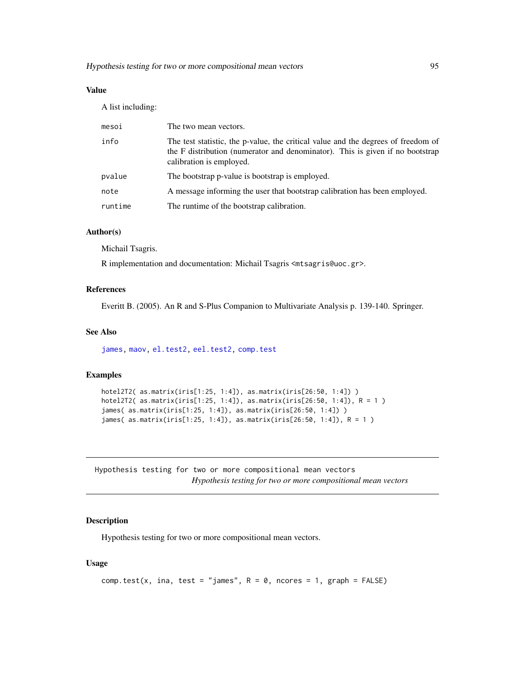# Value

A list including:

| mesoi   | The two mean vectors.                                                                                                                                                                          |
|---------|------------------------------------------------------------------------------------------------------------------------------------------------------------------------------------------------|
| info    | The test statistic, the p-value, the critical value and the degrees of freedom of<br>the F distribution (numerator and denominator). This is given if no bootstrap<br>calibration is employed. |
| pvalue  | The bootstrap p-value is bootstrap is employed.                                                                                                                                                |
| note    | A message informing the user that bootstrap calibration has been employed.                                                                                                                     |
| runtime | The runtime of the bootstrap calibration.                                                                                                                                                      |
|         |                                                                                                                                                                                                |

# Author(s)

Michail Tsagris.

R implementation and documentation: Michail Tsagris <mtsagris@uoc.gr>.

### References

Everitt B. (2005). An R and S-Plus Companion to Multivariate Analysis p. 139-140. Springer.

# See Also

[james,](#page-100-0) [maov,](#page-126-0) [el.test2,](#page-69-0) [eel.test2,](#page-78-0) [comp.test](#page-94-0)

#### Examples

```
hotel2T2( as.matrix(iris[1:25, 1:4]), as.matrix(iris[26:50, 1:4]) )
hotel2T2( as.matrix(iris[1:25, 1:4]), as.matrix(iris[26:50, 1:4]), R = 1 )
james( as.matrix(iris[1:25, 1:4]), as.matrix(iris[26:50, 1:4]) )
james( as.matrix(iris[1:25, 1:4]), as.matrix(iris[26:50, 1:4]), R = 1 )
```
Hypothesis testing for two or more compositional mean vectors *Hypothesis testing for two or more compositional mean vectors*

### <span id="page-94-0"></span>Description

Hypothesis testing for two or more compositional mean vectors.

### Usage

```
comp.test(x, ina, test = "james", R = 0, ncores = 1, graph = FALSE)
```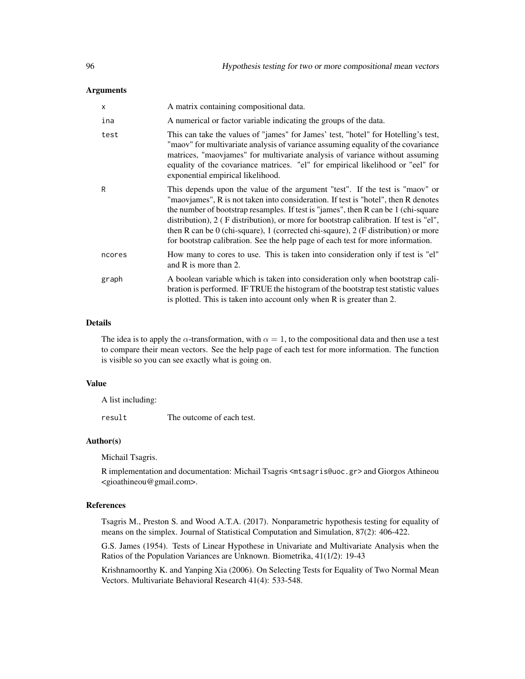### Arguments

| $\mathsf{x}$ | A matrix containing compositional data.                                                                                                                                                                                                                                                                                                                                                                                                                                                                                     |
|--------------|-----------------------------------------------------------------------------------------------------------------------------------------------------------------------------------------------------------------------------------------------------------------------------------------------------------------------------------------------------------------------------------------------------------------------------------------------------------------------------------------------------------------------------|
| ina          | A numerical or factor variable indicating the groups of the data.                                                                                                                                                                                                                                                                                                                                                                                                                                                           |
| test         | This can take the values of "james" for James' test, "hotel" for Hotelling's test,<br>"maov" for multivariate analysis of variance assuming equality of the covariance<br>matrices, "maovjames" for multivariate analysis of variance without assuming<br>equality of the covariance matrices. "el" for empirical likelihood or "eel" for<br>exponential empirical likelihood.                                                                                                                                              |
| R            | This depends upon the value of the argument "test". If the test is "maov" or<br>"maoviames", R is not taken into consideration. If test is "hotel", then R denotes<br>the number of bootstrap resamples. If test is "james", then R can be 1 (chi-square<br>distribution), 2 (F distribution), or more for bootstrap calibration. If test is "el",<br>then R can be 0 (chi-square), 1 (corrected chi-sqaure), 2 (F distribution) or more<br>for bootstrap calibration. See the help page of each test for more information. |
| ncores       | How many to cores to use. This is taken into consideration only if test is "el"<br>and R is more than 2.                                                                                                                                                                                                                                                                                                                                                                                                                    |
| graph        | A boolean variable which is taken into consideration only when bootstrap cali-<br>bration is performed. IF TRUE the histogram of the bootstrap test statistic values<br>is plotted. This is taken into account only when R is greater than 2.                                                                                                                                                                                                                                                                               |

### Details

The idea is to apply the  $\alpha$ -transformation, with  $\alpha = 1$ , to the compositional data and then use a test to compare their mean vectors. See the help page of each test for more information. The function is visible so you can see exactly what is going on.

# Value

A list including:

result The outcome of each test.

### Author(s)

Michail Tsagris.

R implementation and documentation: Michail Tsagris <mtsagris@uoc.gr> and Giorgos Athineou <gioathineou@gmail.com>.

# References

Tsagris M., Preston S. and Wood A.T.A. (2017). Nonparametric hypothesis testing for equality of means on the simplex. Journal of Statistical Computation and Simulation, 87(2): 406-422.

G.S. James (1954). Tests of Linear Hypothese in Univariate and Multivariate Analysis when the Ratios of the Population Variances are Unknown. Biometrika, 41(1/2): 19-43

Krishnamoorthy K. and Yanping Xia (2006). On Selecting Tests for Equality of Two Normal Mean Vectors. Multivariate Behavioral Research 41(4): 533-548.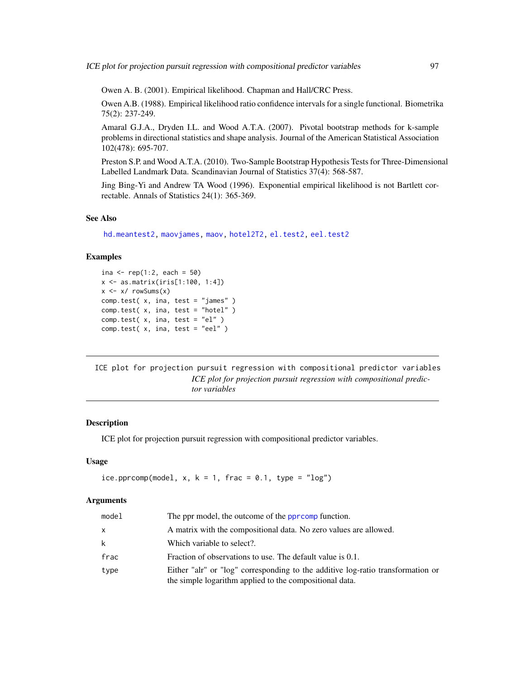Owen A. B. (2001). Empirical likelihood. Chapman and Hall/CRC Press.

Owen A.B. (1988). Empirical likelihood ratio confidence intervals for a single functional. Biometrika 75(2): 237-249.

Amaral G.J.A., Dryden I.L. and Wood A.T.A. (2007). Pivotal bootstrap methods for k-sample problems in directional statistics and shape analysis. Journal of the American Statistical Association 102(478): 695-707.

Preston S.P. and Wood A.T.A. (2010). Two-Sample Bootstrap Hypothesis Tests for Three-Dimensional Labelled Landmark Data. Scandinavian Journal of Statistics 37(4): 568-587.

Jing Bing-Yi and Andrew TA Wood (1996). Exponential empirical likelihood is not Bartlett correctable. Annals of Statistics 24(1): 365-369.

### See Also

[hd.meantest2,](#page-215-0) [maovjames,](#page-127-0) [maov,](#page-126-0) [hotel2T2,](#page-93-0) [el.test2,](#page-69-0) [eel.test2](#page-78-0)

### Examples

```
ina <- rep(1:2, each = 50)x <- as.matrix(iris[1:100, 1:4])
x \le -x/ rowSums(x)comp.test( x, ina, test = "james" )
comp.test( x, ina, test = "hotel" )
comp.test( x, ina, test = "el" )
comp.test( x, ina, test = "eel" )
```
ICE plot for projection pursuit regression with compositional predictor variables *ICE plot for projection pursuit regression with compositional predictor variables*

# <span id="page-96-0"></span>**Description**

ICE plot for projection pursuit regression with compositional predictor variables.

#### Usage

ice.pprcomp(model, x,  $k = 1$ , frac = 0.1, type = " $log$ ")

#### Arguments

| model | The ppr model, the outcome of the ppromp function.                                                                                         |
|-------|--------------------------------------------------------------------------------------------------------------------------------------------|
| X     | A matrix with the compositional data. No zero values are allowed.                                                                          |
| k     | Which variable to select?.                                                                                                                 |
| frac  | Fraction of observations to use. The default value is 0.1.                                                                                 |
| type  | Either "alr" or "log" corresponding to the additive log-ratio transformation or<br>the simple logarithm applied to the compositional data. |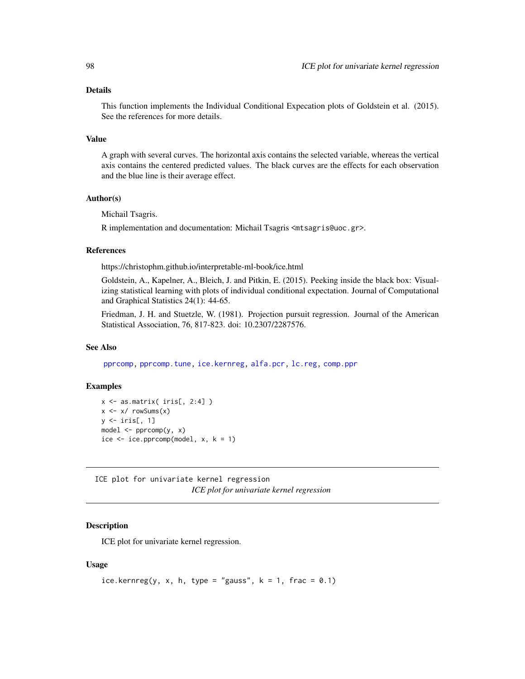# Details

This function implements the Individual Conditional Expecation plots of Goldstein et al. (2015). See the references for more details.

### Value

A graph with several curves. The horizontal axis contains the selected variable, whereas the vertical axis contains the centered predicted values. The black curves are the effects for each observation and the blue line is their average effect.

### Author(s)

Michail Tsagris.

R implementation and documentation: Michail Tsagris <mtsagris@uoc.gr>.

# References

https://christophm.github.io/interpretable-ml-book/ice.html

Goldstein, A., Kapelner, A., Bleich, J. and Pitkin, E. (2015). Peeking inside the black box: Visualizing statistical learning with plots of individual conditional expectation. Journal of Computational and Graphical Statistics 24(1): 44-65.

Friedman, J. H. and Stuetzle, W. (1981). Projection pursuit regression. Journal of the American Statistical Association, 76, 817-823. doi: 10.2307/2287576.

### See Also

[pprcomp,](#page-154-0) [pprcomp.tune,](#page-206-0) [ice.kernreg,](#page-97-0) [alfa.pcr,](#page-133-0) [lc.reg,](#page-108-0) [comp.ppr](#page-153-0)

# Examples

```
x \leftarrow as.matrix (iris[, 2:4])x \leftarrow x / \text{rowsums}(x)y \leftarrow \text{iris}[, 1]model \leq pprcomp(y, x)
ice \le ice.pprcomp(model, x, k = 1)
```
ICE plot for univariate kernel regression *ICE plot for univariate kernel regression*

# <span id="page-97-0"></span>Description

ICE plot for univariate kernel regression.

# Usage

```
ice.kernreg(y, x, h, type = "gauss", k = 1, frac = 0.1)
```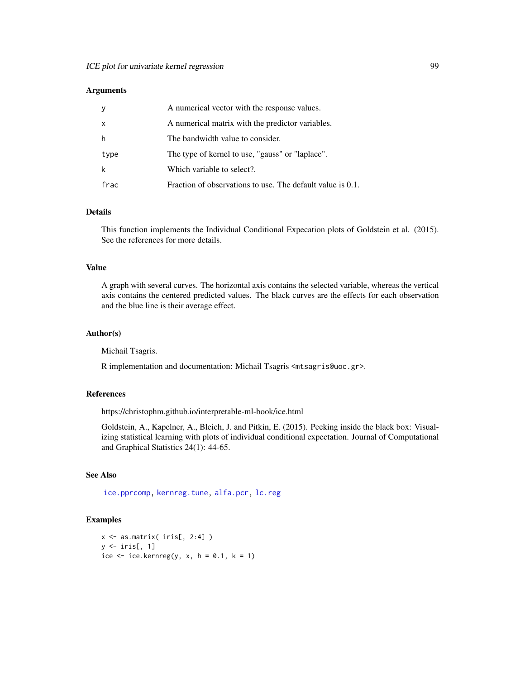### **Arguments**

| <b>y</b>     | A numerical vector with the response values.               |
|--------------|------------------------------------------------------------|
| $\mathsf{x}$ | A numerical matrix with the predictor variables.           |
| h            | The bandwidth value to consider.                           |
| type         | The type of kernel to use, "gauss" or "laplace".           |
| k            | Which variable to select?.                                 |
| frac         | Fraction of observations to use. The default value is 0.1. |

### Details

This function implements the Individual Conditional Expecation plots of Goldstein et al. (2015). See the references for more details.

#### Value

A graph with several curves. The horizontal axis contains the selected variable, whereas the vertical axis contains the centered predicted values. The black curves are the effects for each observation and the blue line is their average effect.

### Author(s)

Michail Tsagris.

R implementation and documentation: Michail Tsagris <mtsagris@uoc.gr>.

# References

https://christophm.github.io/interpretable-ml-book/ice.html

Goldstein, A., Kapelner, A., Bleich, J. and Pitkin, E. (2015). Peeking inside the black box: Visualizing statistical learning with plots of individual conditional expectation. Journal of Computational and Graphical Statistics 24(1): 44-65.

### See Also

[ice.pprcomp,](#page-96-0) [kernreg.tune,](#page-36-0) [alfa.pcr,](#page-133-0) [lc.reg](#page-108-0)

```
x <- as.matrix( iris[, 2:4] )
y \leftarrow \text{iris}[, 1]ice \le ice.kernreg(y, x, h = 0.1, k = 1)
```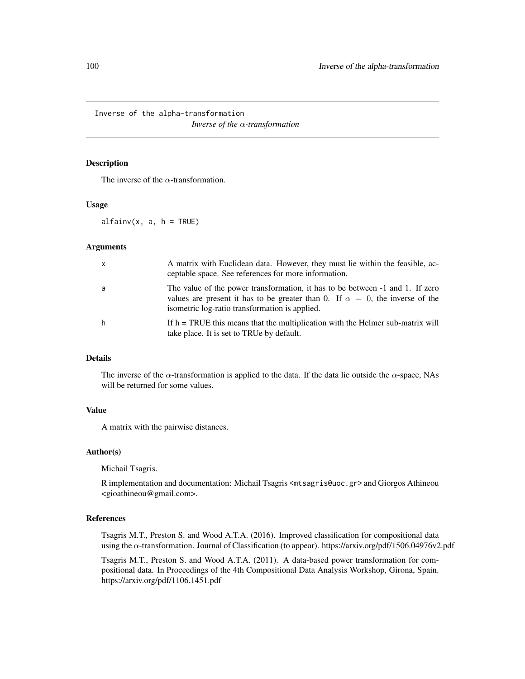Inverse of the alpha-transformation

*Inverse of the* α*-transformation*

### <span id="page-99-0"></span>Description

The inverse of the  $\alpha$ -transformation.

### Usage

 $alfainv(x, a, h = TRUE)$ 

#### Arguments

| $\mathsf{x}$ | A matrix with Euclidean data. However, they must lie within the feasible, ac-<br>ceptable space. See references for more information.                                                                                   |
|--------------|-------------------------------------------------------------------------------------------------------------------------------------------------------------------------------------------------------------------------|
| a            | The value of the power transformation, it has to be between -1 and 1. If zero<br>values are present it has to be greater than 0. If $\alpha = 0$ , the inverse of the<br>isometric log-ratio transformation is applied. |
| h            | If $h = TRUE$ this means that the multiplication with the Helmer sub-matrix will<br>take place. It is set to TRUe by default.                                                                                           |

# Details

The inverse of the  $\alpha$ -transformation is applied to the data. If the data lie outside the  $\alpha$ -space, NAs will be returned for some values.

# Value

A matrix with the pairwise distances.

### Author(s)

Michail Tsagris.

R implementation and documentation: Michail Tsagris <mtsagris@uoc.gr> and Giorgos Athineou <gioathineou@gmail.com>.

# References

Tsagris M.T., Preston S. and Wood A.T.A. (2016). Improved classification for compositional data using the α-transformation. Journal of Classification (to appear). https://arxiv.org/pdf/1506.04976v2.pdf

Tsagris M.T., Preston S. and Wood A.T.A. (2011). A data-based power transformation for compositional data. In Proceedings of the 4th Compositional Data Analysis Workshop, Girona, Spain. https://arxiv.org/pdf/1106.1451.pdf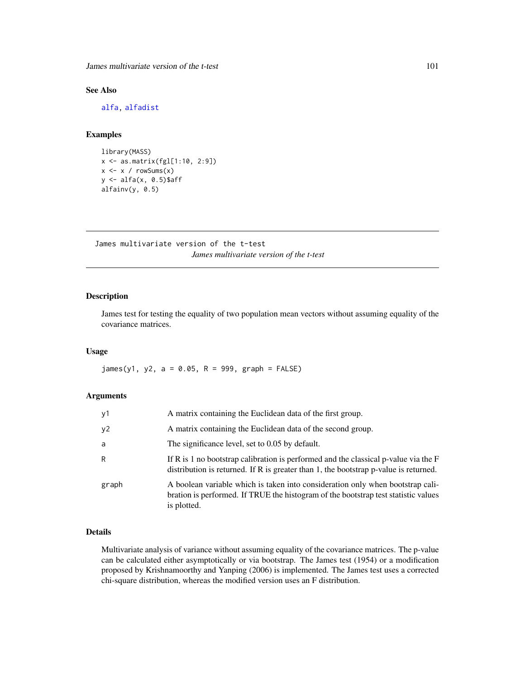James multivariate version of the t-test 101

# See Also

[alfa,](#page-185-0) [alfadist](#page-178-0)

# Examples

```
library(MASS)
x <- as.matrix(fgl[1:10, 2:9])
x \leftarrow x / \text{rowsums}(x)y <- alfa(x, 0.5)$aff
alfainv(y, 0.5)
```
James multivariate version of the t-test *James multivariate version of the t-test*

# <span id="page-100-0"></span>Description

James test for testing the equality of two population mean vectors without assuming equality of the covariance matrices.

# Usage

 $james(y1, y2, a = 0.05, R = 999, graph = FALSE)$ 

# Arguments

| y1    | A matrix containing the Euclidean data of the first group.                                                                                                                          |
|-------|-------------------------------------------------------------------------------------------------------------------------------------------------------------------------------------|
| y2    | A matrix containing the Euclidean data of the second group.                                                                                                                         |
| a     | The significance level, set to 0.05 by default.                                                                                                                                     |
| R     | If R is 1 no bootstrap calibration is performed and the classical p-value via the F<br>distribution is returned. If R is greater than 1, the bootstrap p-value is returned.         |
| graph | A boolean variable which is taken into consideration only when bootstrap cali-<br>bration is performed. If TRUE the histogram of the bootstrap test statistic values<br>is plotted. |

# Details

Multivariate analysis of variance without assuming equality of the covariance matrices. The p-value can be calculated either asymptotically or via bootstrap. The James test (1954) or a modification proposed by Krishnamoorthy and Yanping (2006) is implemented. The James test uses a corrected chi-square distribution, whereas the modified version uses an F distribution.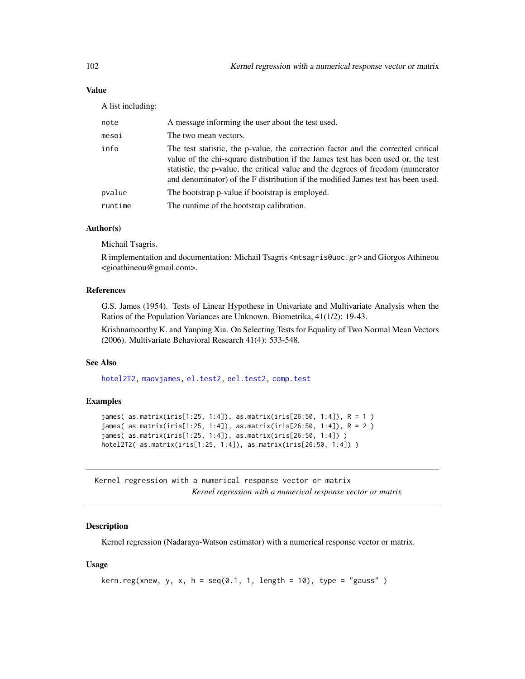# Value

A list including:

| note    | A message informing the user about the test used.                                                                                                                                                                                                                                                                                              |
|---------|------------------------------------------------------------------------------------------------------------------------------------------------------------------------------------------------------------------------------------------------------------------------------------------------------------------------------------------------|
| mesoi   | The two mean vectors.                                                                                                                                                                                                                                                                                                                          |
| info    | The test statistic, the p-value, the correction factor and the corrected critical<br>value of the chi-square distribution if the James test has been used or, the test<br>statistic, the p-value, the critical value and the degrees of freedom (numerator<br>and denominator) of the F distribution if the modified James test has been used. |
| pvalue  | The bootstrap p-value if bootstrap is employed.                                                                                                                                                                                                                                                                                                |
| runtime | The runtime of the bootstrap calibration.                                                                                                                                                                                                                                                                                                      |
|         |                                                                                                                                                                                                                                                                                                                                                |

### Author(s)

Michail Tsagris.

R implementation and documentation: Michail Tsagris <mtsagris@uoc.gr> and Giorgos Athineou <gioathineou@gmail.com>.

# References

G.S. James (1954). Tests of Linear Hypothese in Univariate and Multivariate Analysis when the Ratios of the Population Variances are Unknown. Biometrika, 41(1/2): 19-43.

Krishnamoorthy K. and Yanping Xia. On Selecting Tests for Equality of Two Normal Mean Vectors (2006). Multivariate Behavioral Research 41(4): 533-548.

# See Also

[hotel2T2,](#page-93-0) [maovjames,](#page-127-0) [el.test2,](#page-69-0) [eel.test2,](#page-78-0) [comp.test](#page-94-0)

# Examples

```
james( as.matrix(iris[1:25, 1:4]), as.matrix(iris[26:50, 1:4]), R = 1 )
james( as.matrix(iris[1:25, 1:4]), as.matrix(iris[26:50, 1:4]), R = 2 )
james( as.matrix(iris[1:25, 1:4]), as.matrix(iris[26:50, 1:4]) )
hotel2T2( as.matrix(iris[1:25, 1:4]), as.matrix(iris[26:50, 1:4]) )
```
Kernel regression with a numerical response vector or matrix *Kernel regression with a numerical response vector or matrix*

# Description

Kernel regression (Nadaraya-Watson estimator) with a numerical response vector or matrix.

# Usage

```
kern.reg(xnew, y, x, h = seq(0.1, 1, length = 10), type = "gauss")
```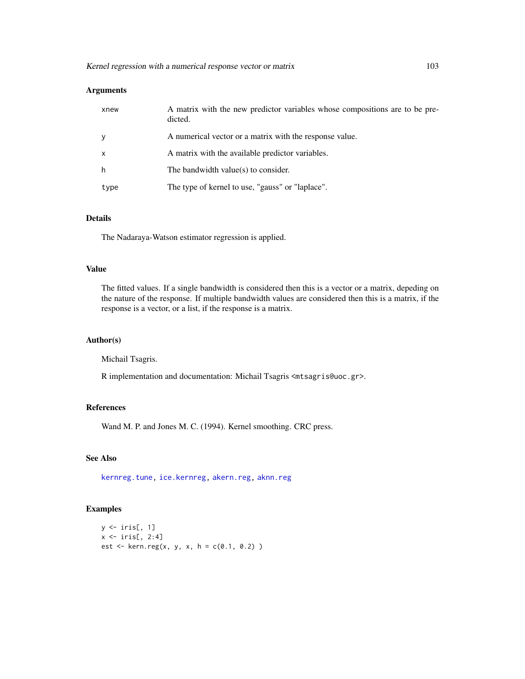# Arguments

| xnew         | A matrix with the new predictor variables whose compositions are to be pre-<br>dicted. |
|--------------|----------------------------------------------------------------------------------------|
|              | A numerical vector or a matrix with the response value.                                |
| $\mathsf{x}$ | A matrix with the available predictor variables.                                       |
| h            | The bandwidth value $(s)$ to consider.                                                 |
| type         | The type of kernel to use, "gauss" or "laplace".                                       |

### Details

The Nadaraya-Watson estimator regression is applied.

### Value

The fitted values. If a single bandwidth is considered then this is a vector or a matrix, depeding on the nature of the response. If multiple bandwidth values are considered then this is a matrix, if the response is a vector, or a list, if the response is a matrix.

# Author(s)

Michail Tsagris.

R implementation and documentation: Michail Tsagris <mtsagris@uoc.gr>.

# References

Wand M. P. and Jones M. C. (1994). Kernel smoothing. CRC press.

# See Also

[kernreg.tune,](#page-36-0) [ice.kernreg,](#page-97-0) [akern.reg,](#page-184-0) [aknn.reg](#page-181-0)

```
y \leftarrow \text{iris}[, 1]x \leftarrow \text{iris}[, 2:4]est <- kern.reg(x, y, x, h = c(0.1, 0.2))
```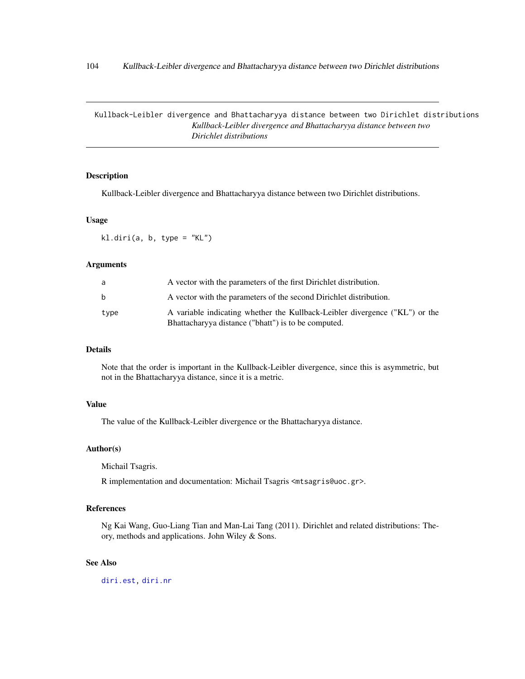Kullback-Leibler divergence and Bhattacharyya distance between two Dirichlet distributions *Kullback-Leibler divergence and Bhattacharyya distance between two Dirichlet distributions*

### Description

Kullback-Leibler divergence and Bhattacharyya distance between two Dirichlet distributions.

#### Usage

 $kl.diri(a, b, type = "KL")$ 

### Arguments

| a    | A vector with the parameters of the first Dirichlet distribution.                                                                  |
|------|------------------------------------------------------------------------------------------------------------------------------------|
| b.   | A vector with the parameters of the second Dirichlet distribution.                                                                 |
| type | A variable indicating whether the Kullback-Leibler divergence ("KL") or the<br>Bhattacharyya distance ("bhatt") is to be computed. |

# Details

Note that the order is important in the Kullback-Leibler divergence, since this is asymmetric, but not in the Bhattacharyya distance, since it is a metric.

# Value

The value of the Kullback-Leibler divergence or the Bhattacharyya distance.

# Author(s)

Michail Tsagris.

R implementation and documentation: Michail Tsagris <mtsagris@uoc.gr>.

# References

Ng Kai Wang, Guo-Liang Tian and Man-Lai Tang (2011). Dirichlet and related distributions: Theory, methods and applications. John Wiley & Sons.

# See Also

[diri.est,](#page-121-0) [diri.nr](#page-122-0)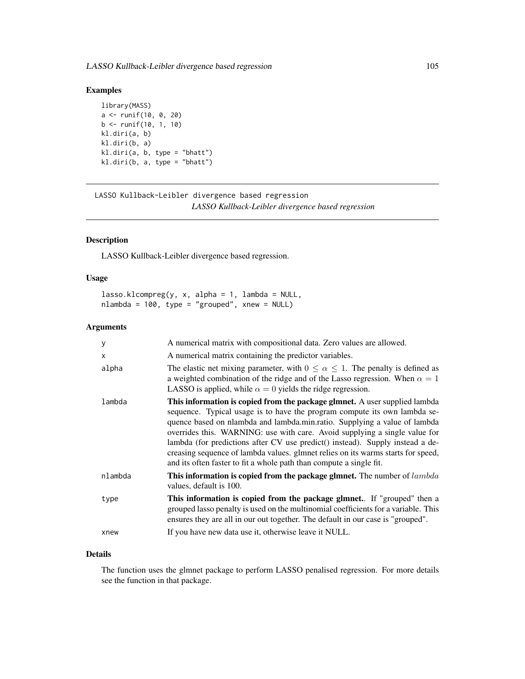# Examples

```
library(MASS)
a <- runif(10, 0, 20)
b \le runif(10, 1, 10)
kl.diri(a, b)
kl.diri(b, a)
kl.diri(a, b, type = "bhatt")
kl.diri(b, a, type = "bhatt")
```
LASSO Kullback-Leibler divergence based regression *LASSO Kullback-Leibler divergence based regression*

# <span id="page-104-0"></span>Description

LASSO Kullback-Leibler divergence based regression.

# Usage

```
lasso.klcompreg(y, x, alpha = 1, lambda = NULL,nlambda = 100, type = "grouped", xnew = NULL)
```
# Arguments

| A numerical matrix with compositional data. Zero values are allowed.                                                                                                                                                                                                                                                                                                                                                                                                                                                                                           |
|----------------------------------------------------------------------------------------------------------------------------------------------------------------------------------------------------------------------------------------------------------------------------------------------------------------------------------------------------------------------------------------------------------------------------------------------------------------------------------------------------------------------------------------------------------------|
| A numerical matrix containing the predictor variables.                                                                                                                                                                                                                                                                                                                                                                                                                                                                                                         |
| The elastic net mixing parameter, with $0 \le \alpha \le 1$ . The penalty is defined as<br>a weighted combination of the ridge and of the Lasso regression. When $\alpha = 1$<br>LASSO is applied, while $\alpha = 0$ yields the ridge regression.                                                                                                                                                                                                                                                                                                             |
| This information is copied from the package glmnet. A user supplied lambda<br>sequence. Typical usage is to have the program compute its own lambda se-<br>quence based on nlambda and lambda.min.ratio. Supplying a value of lambda<br>overrides this. WARNING: use with care. Avoid supplying a single value for<br>lambda (for predictions after CV use predict() instead). Supply instead a de-<br>creasing sequence of lambda values. glmnet relies on its warms starts for speed,<br>and its often faster to fit a whole path than compute a single fit. |
| This information is copied from the package glmnet. The number of lambda<br>values, default is 100.                                                                                                                                                                                                                                                                                                                                                                                                                                                            |
| This information is copied from the package glmnet. If "grouped" then a<br>grouped lasso penalty is used on the multinomial coefficients for a variable. This<br>ensures they are all in our out together. The default in our case is "grouped".                                                                                                                                                                                                                                                                                                               |
|                                                                                                                                                                                                                                                                                                                                                                                                                                                                                                                                                                |
|                                                                                                                                                                                                                                                                                                                                                                                                                                                                                                                                                                |

# Details

The function uses the glmnet package to perform LASSO penalised regression. For more details see the function in that package.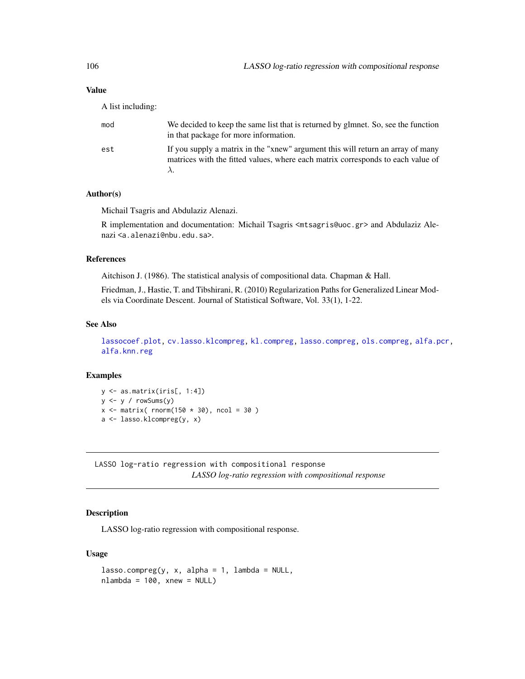# Value

A list including:

| mod | We decided to keep the same list that is returned by glmnet. So, see the function<br>in that package for more information.                                         |
|-----|--------------------------------------------------------------------------------------------------------------------------------------------------------------------|
| est | If you supply a matrix in the "xnew" argument this will return an array of many<br>matrices with the fitted values, where each matrix corresponds to each value of |

# Author(s)

Michail Tsagris and Abdulaziz Alenazi.

R implementation and documentation: Michail Tsagris <mtsagris@uoc.gr> and Abdulaziz Alenazi <a.alenazi@nbu.edu.sa>.

# References

Aitchison J. (1986). The statistical analysis of compositional data. Chapman & Hall.

Friedman, J., Hastie, T. and Tibshirani, R. (2010) Regularization Paths for Generalized Linear Models via Coordinate Descent. Journal of Statistical Software, Vol. 33(1), 1-22.

# See Also

[lassocoef.plot,](#page-144-0) [cv.lasso.klcompreg,](#page-46-0) [kl.compreg,](#page-63-0) [lasso.compreg,](#page-105-0) [ols.compreg,](#page-141-0) [alfa.pcr,](#page-133-0) [alfa.knn.reg](#page-183-0)

#### Examples

y <- as.matrix(iris[, 1:4]) y <- y / rowSums(y)  $x \leftarrow \text{matrix} (\text{norm}(150 * 30), \text{ncol} = 30)$ a <- lasso.klcompreg(y, x)

LASSO log-ratio regression with compositional response *LASSO log-ratio regression with compositional response*

# <span id="page-105-0"></span>Description

LASSO log-ratio regression with compositional response.

### Usage

```
lasso.compile(y, x, alpha = 1, lambda = NULL,nlambda = 100, xnew = NULL)
```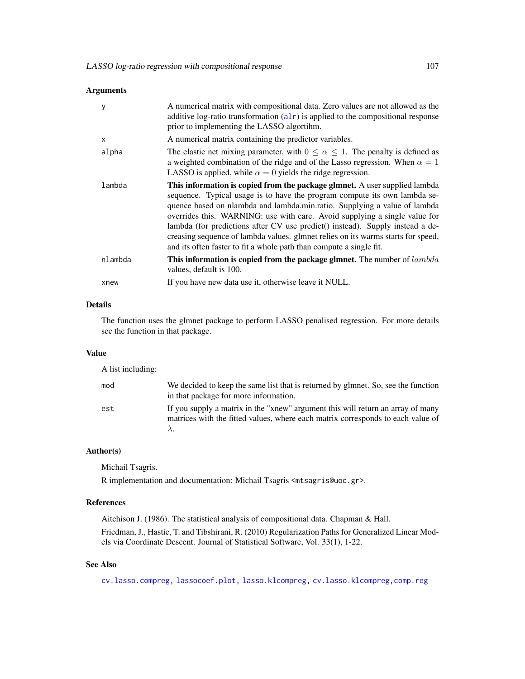# Arguments

| y       | A numerical matrix with compositional data. Zero values are not allowed as the<br>additive log-ratio transformation $(alr)$ is applied to the compositional response<br>prior to implementing the LASSO algortihm.                                                                                                                                                                                                                                                                                                                                                    |
|---------|-----------------------------------------------------------------------------------------------------------------------------------------------------------------------------------------------------------------------------------------------------------------------------------------------------------------------------------------------------------------------------------------------------------------------------------------------------------------------------------------------------------------------------------------------------------------------|
| X       | A numerical matrix containing the predictor variables.                                                                                                                                                                                                                                                                                                                                                                                                                                                                                                                |
| alpha   | The elastic net mixing parameter, with $0 \le \alpha \le 1$ . The penalty is defined as<br>a weighted combination of the ridge and of the Lasso regression. When $\alpha = 1$<br>LASSO is applied, while $\alpha = 0$ yields the ridge regression.                                                                                                                                                                                                                                                                                                                    |
| lambda  | <b>This information is copied from the package glmnet.</b> A user supplied lambda<br>sequence. Typical usage is to have the program compute its own lambda se-<br>quence based on nlambda and lambda.min.ratio. Supplying a value of lambda<br>overrides this. WARNING: use with care. Avoid supplying a single value for<br>lambda (for predictions after CV use predict() instead). Supply instead a de-<br>creasing sequence of lambda values. glmnet relies on its warms starts for speed,<br>and its often faster to fit a whole path than compute a single fit. |
| nlambda | This information is copied from the package glmnet. The number of lambda<br>values, default is 100.                                                                                                                                                                                                                                                                                                                                                                                                                                                                   |
| xnew    | If you have new data use it, otherwise leave it NULL.                                                                                                                                                                                                                                                                                                                                                                                                                                                                                                                 |

# Details

The function uses the glmnet package to perform LASSO penalised regression. For more details see the function in that package.

# Value

A list including:

| mod | We decided to keep the same list that is returned by glmnet. So, see the function<br>in that package for more information.                                         |
|-----|--------------------------------------------------------------------------------------------------------------------------------------------------------------------|
| est | If you supply a matrix in the "xnew" argument this will return an array of many<br>matrices with the fitted values, where each matrix corresponds to each value of |

# Author(s)

Michail Tsagris.

R implementation and documentation: Michail Tsagris <mtsagris@uoc.gr>.

# References

Aitchison J. (1986). The statistical analysis of compositional data. Chapman & Hall.

Friedman, J., Hastie, T. and Tibshirani, R. (2010) Regularization Paths for Generalized Linear Models via Coordinate Descent. Journal of Statistical Software, Vol. 33(1), 1-22.

# See Also

[cv.lasso.compreg,](#page-48-0) [lassocoef.plot,](#page-144-0) [lasso.klcompreg,](#page-104-0) [cv.lasso.klcompreg,](#page-46-0)[comp.reg](#page-134-0)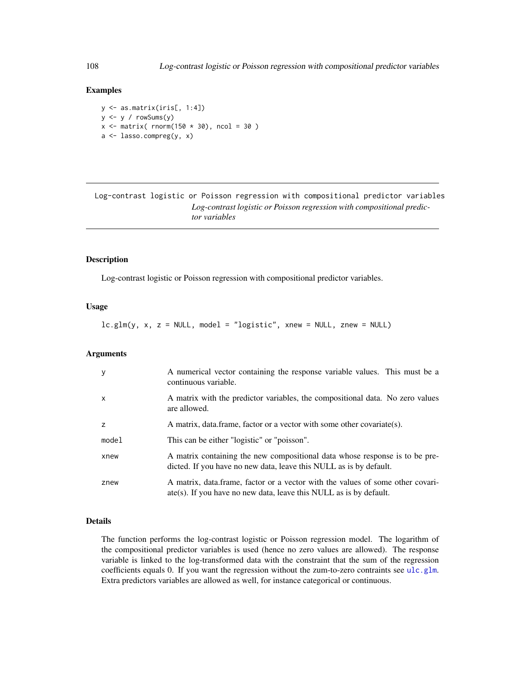### Examples

y <- as.matrix(iris[, 1:4])  $y \leftarrow y / \text{rowsums}(y)$  $x \le$  matrix( rnorm(150  $\star$  30), ncol = 30) a <- lasso.compreg(y, x)

Log-contrast logistic or Poisson regression with compositional predictor variables *Log-contrast logistic or Poisson regression with compositional predictor variables*

# Description

Log-contrast logistic or Poisson regression with compositional predictor variables.

# Usage

lc.glm(y, x, z = NULL, model = "logistic", xnew = NULL, znew = NULL)

# Arguments

| $\mathbf{y}$ | A numerical vector containing the response variable values. This must be a<br>continuous variable.                                                             |
|--------------|----------------------------------------------------------------------------------------------------------------------------------------------------------------|
| $\mathsf{x}$ | A matrix with the predictor variables, the compositional data. No zero values<br>are allowed.                                                                  |
| z            | A matrix, data frame, factor or a vector with some other covariate(s).                                                                                         |
| model        | This can be either "logistic" or "poisson".                                                                                                                    |
| xnew         | A matrix containing the new compositional data whose response is to be pre-<br>dicted. If you have no new data, leave this NULL as is by default.              |
| znew         | A matrix, data frame, factor or a vector with the values of some other covari-<br>$\text{ate}(s)$ . If you have no new data, leave this NULL as is by default. |

# Details

The function performs the log-contrast logistic or Poisson regression model. The logarithm of the compositional predictor variables is used (hence no zero values are allowed). The response variable is linked to the log-transformed data with the constraint that the sum of the regression coefficients equals 0. If you want the regression without the zum-to-zero contraints see [ulc.glm](#page-216-0). Extra predictors variables are allowed as well, for instance categorical or continuous.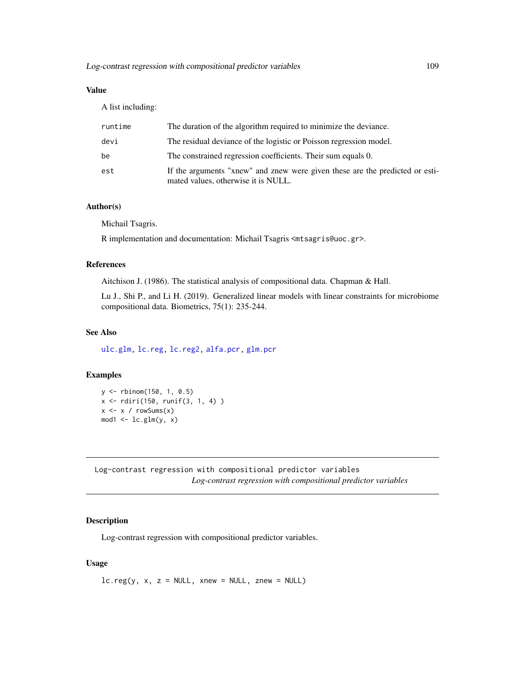A list including:

| runtime | The duration of the algorithm required to minimize the deviance.                                                    |
|---------|---------------------------------------------------------------------------------------------------------------------|
| devi    | The residual deviance of the logistic or Poisson regression model.                                                  |
| be      | The constrained regression coefficients. Their sum equals 0.                                                        |
| est     | If the arguments "xnew" and znew were given these are the predicted or esti-<br>mated values, otherwise it is NULL. |

# Author(s)

Michail Tsagris.

R implementation and documentation: Michail Tsagris <mtsagris@uoc.gr>.

# References

Aitchison J. (1986). The statistical analysis of compositional data. Chapman & Hall.

Lu J., Shi P., and Li H. (2019). Generalized linear models with linear constraints for microbiome compositional data. Biometrics, 75(1): 235-244.

# See Also

[ulc.glm,](#page-216-0) [lc.reg,](#page-108-0) [lc.reg2,](#page-110-0) [alfa.pcr,](#page-133-0) [glm.pcr](#page-149-0)

### Examples

```
y <- rbinom(150, 1, 0.5)
x <- rdiri(150, runif(3, 1, 4) )
x \leftarrow x / rowsums(x)mod1 < -lc.glm(y, x)
```
Log-contrast regression with compositional predictor variables *Log-contrast regression with compositional predictor variables*

## <span id="page-108-0"></span>Description

Log-contrast regression with compositional predictor variables.

### Usage

 $lc.reg(y, x, z = NULL, xnew = NULL, znew = NULL)$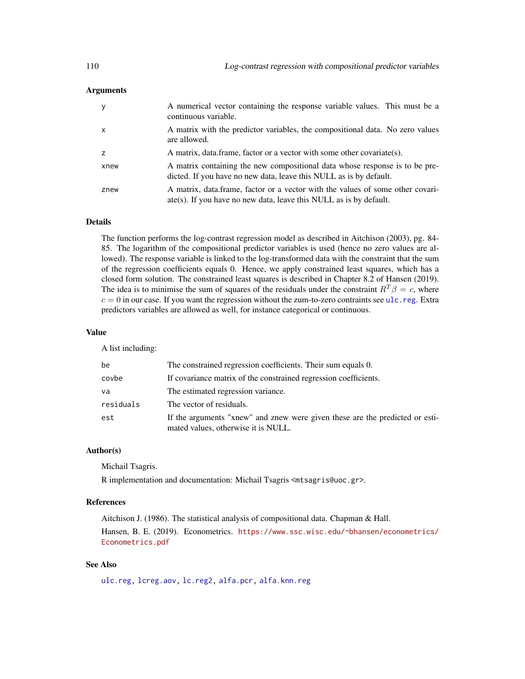## **Arguments**

| y              | A numerical vector containing the response variable values. This must be a<br>continuous variable.                                                             |
|----------------|----------------------------------------------------------------------------------------------------------------------------------------------------------------|
| $\mathsf{x}$   | A matrix with the predictor variables, the compositional data. No zero values<br>are allowed.                                                                  |
| $\overline{z}$ | A matrix, data frame, factor or a vector with some other covariate(s).                                                                                         |
| xnew           | A matrix containing the new compositional data whose response is to be pre-<br>dicted. If you have no new data, leave this NULL as is by default.              |
| znew           | A matrix, data frame, factor or a vector with the values of some other covari-<br>$\text{ate}(s)$ . If you have no new data, leave this NULL as is by default. |

# Details

The function performs the log-contrast regression model as described in Aitchison (2003), pg. 84- 85. The logarithm of the compositional predictor variables is used (hence no zero values are allowed). The response variable is linked to the log-transformed data with the constraint that the sum of the regression coefficients equals 0. Hence, we apply constrained least squares, which has a closed form solution. The constrained least squares is described in Chapter 8.2 of Hansen (2019). The idea is to minimise the sum of squares of the residuals under the constraint  $R^T \beta = c$ , where  $c = 0$  in our case. If you want the regression without the zum-to-zero contraints see [ulc.reg](#page-217-0). Extra predictors variables are allowed as well, for instance categorical or continuous.

### Value

A list including:

| be        | The constrained regression coefficients. Their sum equals 0.                                                        |
|-----------|---------------------------------------------------------------------------------------------------------------------|
| covbe     | If covariance matrix of the constrained regression coefficients.                                                    |
| va        | The estimated regression variance.                                                                                  |
| residuals | The vector of residuals.                                                                                            |
| est       | If the arguments "xnew" and znew were given these are the predicted or esti-<br>mated values, otherwise it is NULL. |

### Author(s)

Michail Tsagris.

R implementation and documentation: Michail Tsagris <mtsagris@uoc.gr>.

### References

Aitchison J. (1986). The statistical analysis of compositional data. Chapman & Hall.

Hansen, B. E. (2019). Econometrics. [https://www.ssc.wisc.edu/~bhansen/econometrics/](https://www.ssc.wisc.edu/~bhansen/econometrics/Econometrics.pdf) [Econometrics.pdf](https://www.ssc.wisc.edu/~bhansen/econometrics/Econometrics.pdf)

# See Also

[ulc.reg,](#page-217-0) [lcreg.aov,](#page-9-0) [lc.reg2,](#page-110-0) [alfa.pcr,](#page-133-0) [alfa.knn.reg](#page-183-0)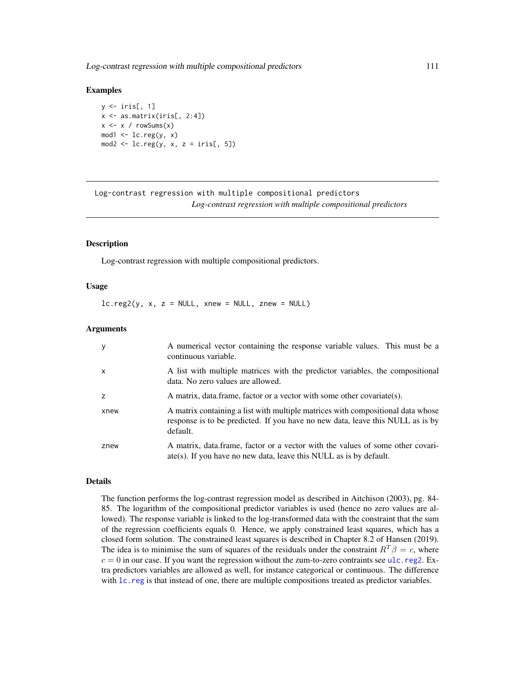Log-contrast regression with multiple compositional predictors 111

### Examples

 $y \leftarrow \text{iris}[, 1]$  $x \leftarrow as.matrix(iris[, 2:4])$  $x \leq x / \text{rowsums}(x)$  $mod1$  <-  $lc.reg(y, x)$  $mod2 < -lc.reg(y, x, z = iris[, 5])$ 

Log-contrast regression with multiple compositional predictors *Log-contrast regression with multiple compositional predictors*

### <span id="page-110-0"></span>Description

Log-contrast regression with multiple compositional predictors.

## Usage

 $lc.read(y, x, z = NULL, xnew = NULL, znew = NULL)$ 

### Arguments

| y        | A numerical vector containing the response variable values. This must be a<br>continuous variable.                                                                            |
|----------|-------------------------------------------------------------------------------------------------------------------------------------------------------------------------------|
| $\times$ | A list with multiple matrices with the predictor variables, the compositional<br>data. No zero values are allowed.                                                            |
|          | A matrix, data frame, factor or a vector with some other covariate(s).                                                                                                        |
| xnew     | A matrix containing a list with multiple matrices with compositional data whose<br>response is to be predicted. If you have no new data, leave this NULL as is by<br>default. |
| znew     | A matrix, data frame, factor or a vector with the values of some other covari-<br>$\text{ate}(s)$ . If you have no new data, leave this NULL as is by default.                |

### Details

The function performs the log-contrast regression model as described in Aitchison (2003), pg. 84- 85. The logarithm of the compositional predictor variables is used (hence no zero values are allowed). The response variable is linked to the log-transformed data with the constraint that the sum of the regression coefficients equals 0. Hence, we apply constrained least squares, which has a closed form solution. The constrained least squares is described in Chapter 8.2 of Hansen (2019). The idea is to minimise the sum of squares of the residuals under the constraint  $R^T \beta = c$ , where  $c = 0$  in our case. If you want the regression without the zum-to-zero contraints see [ulc.reg2](#page-218-0). Extra predictors variables are allowed as well, for instance categorical or continuous. The difference with  $lc.reg$  is that instead of one, there are multiple compositions treated as predictor variables.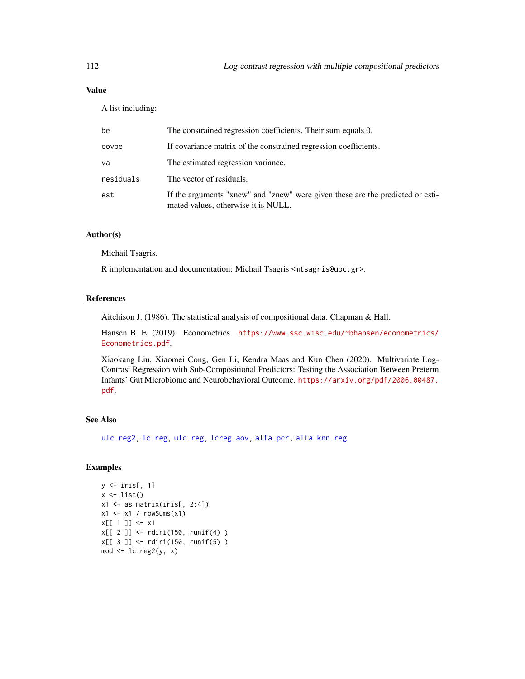A list including:

| be        | The constrained regression coefficients. Their sum equals 0.                                                          |
|-----------|-----------------------------------------------------------------------------------------------------------------------|
| covbe     | If covariance matrix of the constrained regression coefficients.                                                      |
| va        | The estimated regression variance.                                                                                    |
| residuals | The vector of residuals.                                                                                              |
| est       | If the arguments "xnew" and "znew" were given these are the predicted or esti-<br>mated values, otherwise it is NULL. |

## Author(s)

Michail Tsagris.

R implementation and documentation: Michail Tsagris <mtsagris@uoc.gr>.

### References

Aitchison J. (1986). The statistical analysis of compositional data. Chapman & Hall.

Hansen B. E. (2019). Econometrics. [https://www.ssc.wisc.edu/~bhansen/econometrics/](https://www.ssc.wisc.edu/~bhansen/econometrics/Econometrics.pdf) [Econometrics.pdf](https://www.ssc.wisc.edu/~bhansen/econometrics/Econometrics.pdf).

Xiaokang Liu, Xiaomei Cong, Gen Li, Kendra Maas and Kun Chen (2020). Multivariate Log-Contrast Regression with Sub-Compositional Predictors: Testing the Association Between Preterm Infants' Gut Microbiome and Neurobehavioral Outcome. [https://arxiv.org/pdf/2006.00487.](https://arxiv.org/pdf/2006.00487.pdf) [pdf](https://arxiv.org/pdf/2006.00487.pdf).

# See Also

[ulc.reg2,](#page-218-0) [lc.reg,](#page-108-0) [ulc.reg,](#page-217-0) [lcreg.aov,](#page-9-0) [alfa.pcr,](#page-133-0) [alfa.knn.reg](#page-183-0)

## Examples

```
y <- iris[, 1]
x \leftarrow list()x1 \leftarrow as.matrix(iris[, 2:4])x1 \leftarrow x1 / \text{rowsums}(x1)x[[1]] < -x1x[[ 2 ]] <- rdiri(150, runif(4) )
x[[ 3 ]] <- rdiri(150, runif(5) )
mod <- lc.reg2(y, x)
```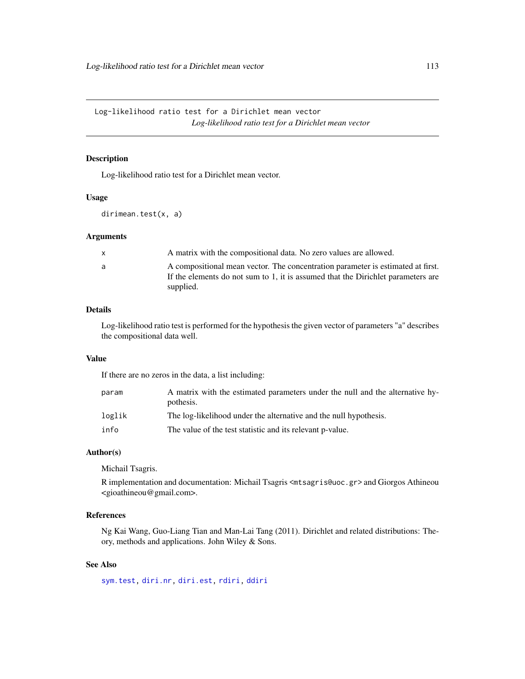Log-likelihood ratio test for a Dirichlet mean vector *Log-likelihood ratio test for a Dirichlet mean vector*

## <span id="page-112-0"></span>Description

Log-likelihood ratio test for a Dirichlet mean vector.

## Usage

dirimean.test(x, a)

## Arguments

| A matrix with the compositional data. No zero values are allowed.<br>$\mathsf{X}$                                                                                                     |  |
|---------------------------------------------------------------------------------------------------------------------------------------------------------------------------------------|--|
| A compositional mean vector. The concentration parameter is estimated at first.<br>a<br>If the elements do not sum to 1, it is assumed that the Dirichlet parameters are<br>supplied. |  |

## Details

Log-likelihood ratio test is performed for the hypothesis the given vector of parameters "a" describes the compositional data well.

## Value

If there are no zeros in the data, a list including:

| param  | A matrix with the estimated parameters under the null and the alternative hy-<br>pothesis. |
|--------|--------------------------------------------------------------------------------------------|
| loglik | The log-likelihood under the alternative and the null hypothesis.                          |
| info   | The value of the test statistic and its relevant p-value.                                  |

# Author(s)

Michail Tsagris.

R implementation and documentation: Michail Tsagris <mtsagris@uoc.gr> and Giorgos Athineou <gioathineou@gmail.com>.

# References

Ng Kai Wang, Guo-Liang Tian and Man-Lai Tang (2011). Dirichlet and related distributions: Theory, methods and applications. John Wiley & Sons.

# See Also

[sym.test,](#page-113-0) [diri.nr,](#page-122-0) [diri.est,](#page-121-0) [rdiri,](#page-58-0) [ddiri](#page-55-0)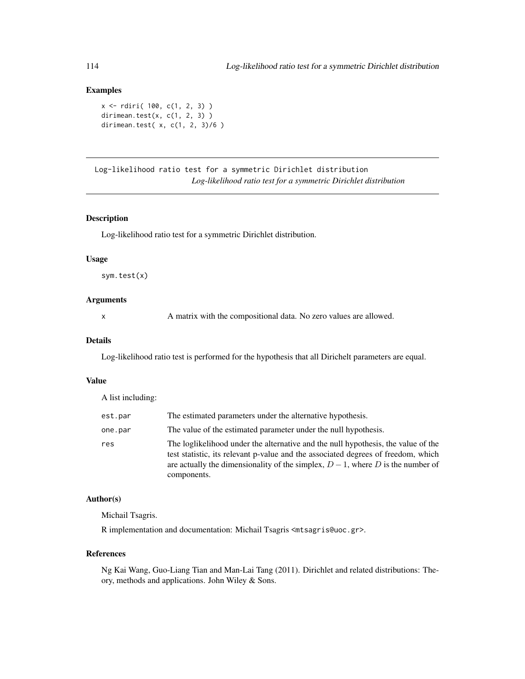# Examples

```
x <- rdiri( 100, c(1, 2, 3) )
dirimean.test(x, c(1, 2, 3))dirimean.test( x, c(1, 2, 3)/6 )
```
Log-likelihood ratio test for a symmetric Dirichlet distribution *Log-likelihood ratio test for a symmetric Dirichlet distribution*

## <span id="page-113-0"></span>Description

Log-likelihood ratio test for a symmetric Dirichlet distribution.

## Usage

sym.test(x)

# Arguments

x A matrix with the compositional data. No zero values are allowed.

### Details

Log-likelihood ratio test is performed for the hypothesis that all Dirichelt parameters are equal.

### Value

A list including:

| est.par | The estimated parameters under the alternative hypothesis.                                                                                                                                                                                                                 |
|---------|----------------------------------------------------------------------------------------------------------------------------------------------------------------------------------------------------------------------------------------------------------------------------|
| one.par | The value of the estimated parameter under the null hypothesis.                                                                                                                                                                                                            |
| res     | The logit kelihood under the alternative and the null hypothesis, the value of the<br>test statistic, its relevant p-value and the associated degrees of freedom, which<br>are actually the dimensionality of the simplex, $D-1$ , where D is the number of<br>components. |

### Author(s)

Michail Tsagris.

R implementation and documentation: Michail Tsagris <mtsagris@uoc.gr>.

## References

Ng Kai Wang, Guo-Liang Tian and Man-Lai Tang (2011). Dirichlet and related distributions: Theory, methods and applications. John Wiley & Sons.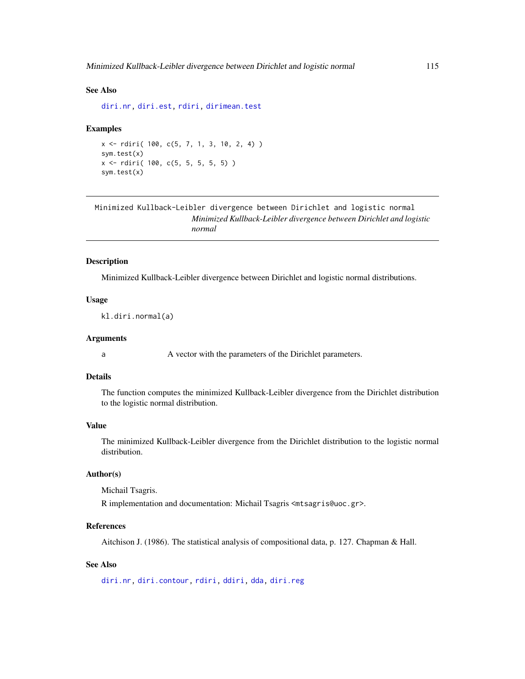### See Also

[diri.nr,](#page-122-0) [diri.est,](#page-121-0) [rdiri,](#page-58-0) [dirimean.test](#page-112-0)

### Examples

```
x <- rdiri( 100, c(5, 7, 1, 3, 10, 2, 4) )
sym.test(x)
x <- rdiri( 100, c(5, 5, 5, 5, 5) )
sym.test(x)
```

```
Minimized Kullback-Leibler divergence between Dirichlet and logistic normal
                        Minimized Kullback-Leibler divergence between Dirichlet and logistic
                        normal
```
## Description

Minimized Kullback-Leibler divergence between Dirichlet and logistic normal distributions.

## Usage

kl.diri.normal(a)

### Arguments

a A vector with the parameters of the Dirichlet parameters.

## Details

The function computes the minimized Kullback-Leibler divergence from the Dirichlet distribution to the logistic normal distribution.

### Value

The minimized Kullback-Leibler divergence from the Dirichlet distribution to the logistic normal distribution.

### Author(s)

Michail Tsagris.

R implementation and documentation: Michail Tsagris <mtsagris@uoc.gr>.

## References

Aitchison J. (1986). The statistical analysis of compositional data, p. 127. Chapman & Hall.

# See Also

[diri.nr,](#page-122-0) [diri.contour,](#page-21-0) [rdiri,](#page-58-0) [ddiri,](#page-55-0) [dda,](#page-57-0) [diri.reg](#page-59-0)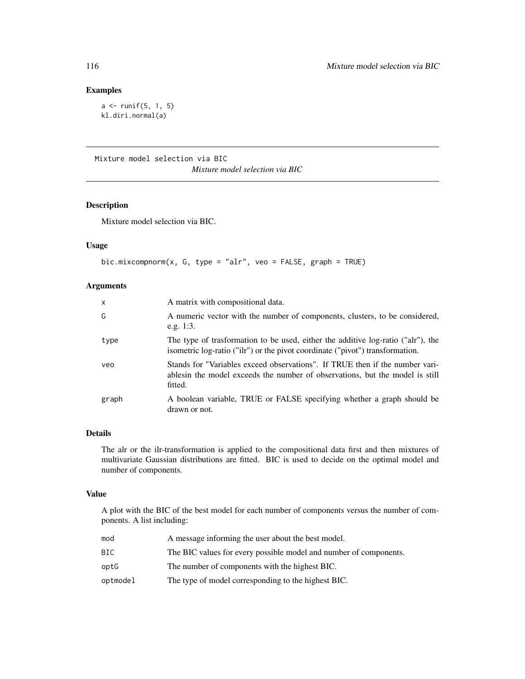# Examples

```
a \leftarrow runif(5, 1, 5)kl.diri.normal(a)
```
Mixture model selection via BIC *Mixture model selection via BIC*

# Description

Mixture model selection via BIC.

# Usage

```
bic.mixcompnorm(x, G, type = "alr", veo = FALSE, graph = TRUE)
```
## Arguments

| $\mathsf{x}$ | A matrix with compositional data.                                                                                                                                        |
|--------------|--------------------------------------------------------------------------------------------------------------------------------------------------------------------------|
| G            | A numeric vector with the number of components, clusters, to be considered,<br>e.g. $1:3$ .                                                                              |
| type         | The type of trasformation to be used, either the additive log-ratio ("alr"), the<br>isometric log-ratio ("ilr") or the pivot coordinate ("pivot") transformation.        |
| veo          | Stands for "Variables exceed observations". If TRUE then if the number vari-<br>ables in the model exceeds the number of observations, but the model is still<br>fitted. |
| graph        | A boolean variable, TRUE or FALSE specifying whether a graph should be<br>drawn or not.                                                                                  |

## Details

The alr or the ilr-transformation is applied to the compositional data first and then mixtures of multivariate Gaussian distributions are fitted. BIC is used to decide on the optimal model and number of components.

## Value

A plot with the BIC of the best model for each number of components versus the number of components. A list including:

| mod      | A message informing the user about the best model.                |
|----------|-------------------------------------------------------------------|
| BIC      | The BIC values for every possible model and number of components. |
| optG     | The number of components with the highest BIC.                    |
| optmodel | The type of model corresponding to the highest BIC.               |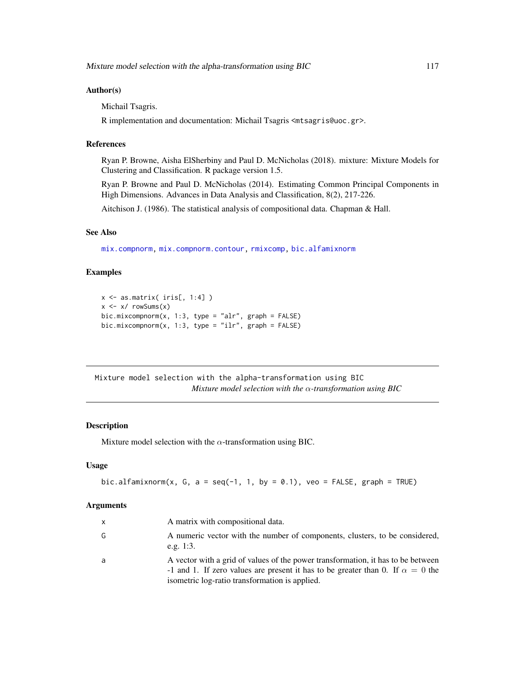### Author(s)

Michail Tsagris.

R implementation and documentation: Michail Tsagris <mtsagris@uoc.gr>.

### References

Ryan P. Browne, Aisha ElSherbiny and Paul D. McNicholas (2018). mixture: Mixture Models for Clustering and Classification. R package version 1.5.

Ryan P. Browne and Paul D. McNicholas (2014). Estimating Common Principal Components in High Dimensions. Advances in Data Analysis and Classification, 8(2), 217-226.

Aitchison J. (1986). The statistical analysis of compositional data. Chapman & Hall.

### See Also

[mix.compnorm,](#page-83-0) [mix.compnorm.contour,](#page-23-0) [rmixcomp,](#page-169-0) [bic.alfamixnorm](#page-116-0)

## Examples

```
x <- as.matrix( iris[, 1:4] )
x \leftarrow x / \text{rowsums}(x)bic.mixcompnorm(x, 1:3, type = "alr", graph = FALSE)bic.mixcompnorm(x, 1:3, type = "ilr", graph = FALSE)
```
Mixture model selection with the alpha-transformation using BIC *Mixture model selection with the* α*-transformation using BIC*

## <span id="page-116-0"></span>Description

Mixture model selection with the  $\alpha$ -transformation using BIC.

### Usage

bic.alfamixnorm(x, G, a = seq(-1, 1, by = 0.1), veo = FALSE, graph = TRUE)

## Arguments

| X | A matrix with compositional data.                                                                                                                                                                                           |
|---|-----------------------------------------------------------------------------------------------------------------------------------------------------------------------------------------------------------------------------|
| G | A numeric vector with the number of components, clusters, to be considered,<br>e.g. $1:3$ .                                                                                                                                 |
| a | A vector with a grid of values of the power transformation, it has to be between<br>-1 and 1. If zero values are present it has to be greater than 0. If $\alpha = 0$ the<br>isometric log-ratio transformation is applied. |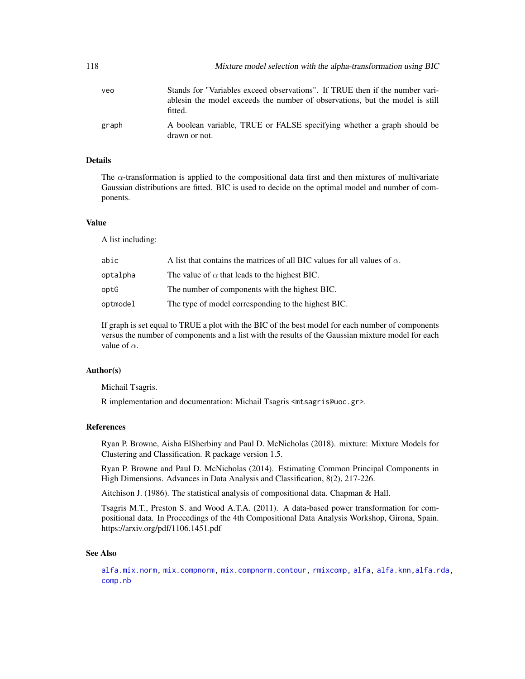| 118   | Mixture model selection with the alpha-transformation using BIC                                                                                                          |
|-------|--------------------------------------------------------------------------------------------------------------------------------------------------------------------------|
| veo   | Stands for "Variables exceed observations". If TRUE then if the number vari-<br>ables in the model exceeds the number of observations, but the model is still<br>fitted. |
| graph | A boolean variable, TRUE or FALSE specifying whether a graph should be<br>drawn or not.                                                                                  |

# Details

The  $\alpha$ -transformation is applied to the compositional data first and then mixtures of multivariate Gaussian distributions are fitted. BIC is used to decide on the optimal model and number of components.

## Value

A list including:

| abic     | A list that contains the matrices of all BIC values for all values of $\alpha$ . |
|----------|----------------------------------------------------------------------------------|
| optalpha | The value of $\alpha$ that leads to the highest BIC.                             |
| optG     | The number of components with the highest BIC.                                   |
| optmodel | The type of model corresponding to the highest BIC.                              |

If graph is set equal to TRUE a plot with the BIC of the best model for each number of components versus the number of components and a list with the results of the Gaussian mixture model for each value of  $\alpha$ .

### Author(s)

Michail Tsagris.

R implementation and documentation: Michail Tsagris <mtsagris@uoc.gr>.

## References

Ryan P. Browne, Aisha ElSherbiny and Paul D. McNicholas (2018). mixture: Mixture Models for Clustering and Classification. R package version 1.5.

Ryan P. Browne and Paul D. McNicholas (2014). Estimating Common Principal Components in High Dimensions. Advances in Data Analysis and Classification, 8(2), 217-226.

Aitchison J. (1986). The statistical analysis of compositional data. Chapman & Hall.

Tsagris M.T., Preston S. and Wood A.T.A. (2011). A data-based power transformation for compositional data. In Proceedings of the 4th Compositional Data Analysis Workshop, Girona, Spain. https://arxiv.org/pdf/1106.1451.pdf

### See Also

[alfa.mix.norm,](#page-85-0) [mix.compnorm,](#page-83-0) [mix.compnorm.contour,](#page-23-0) [rmixcomp,](#page-169-0) [alfa,](#page-185-0) [alfa.knn](#page-194-0)[,alfa.rda,](#page-161-0) [comp.nb](#page-138-0)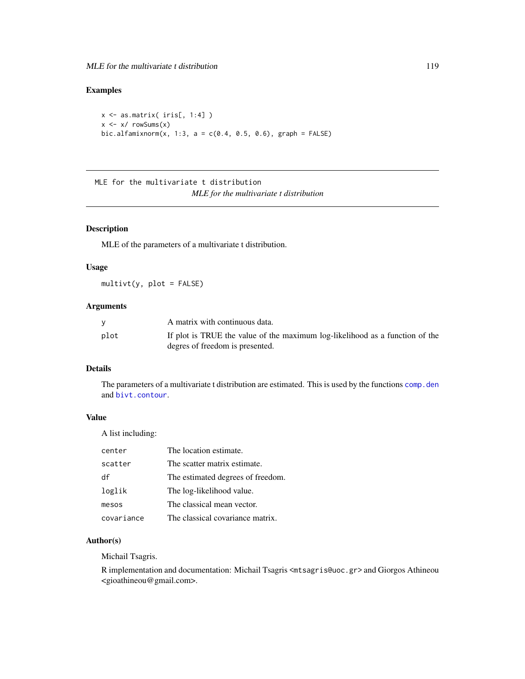# Examples

```
x <- as.matrix( iris[, 1:4] )
x \le -x/ rowSums(x)bic.alfamixnorm(x, 1:3, a = c(0.4, 0.5, 0.6), graph = FALSE)
```
MLE for the multivariate t distribution *MLE for the multivariate t distribution*

## Description

MLE of the parameters of a multivariate t distribution.

## Usage

 $multiplet(y, plot = FALSE)$ 

# Arguments

|      | A matrix with continuous data.                                               |
|------|------------------------------------------------------------------------------|
| plot | If plot is TRUE the value of the maximum log-likelihood as a function of the |
|      | degres of freedom is presented.                                              |

# Details

The parameters of a multivariate t distribution are estimated. This is used by the functions comp. den and [bivt.contour](#page-29-0).

## Value

A list including:

| center     | The location estimate.            |
|------------|-----------------------------------|
| scatter    | The scatter matrix estimate.      |
| df         | The estimated degrees of freedom. |
| loglik     | The log-likelihood value.         |
| mesos      | The classical mean vector.        |
| covariance | The classical covariance matrix.  |

## Author(s)

Michail Tsagris.

R implementation and documentation: Michail Tsagris <mtsagris@uoc.gr> and Giorgos Athineou <gioathineou@gmail.com>.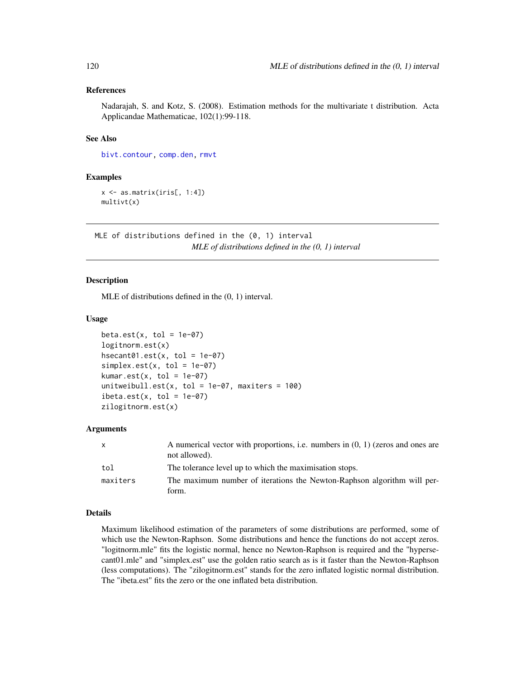## References

Nadarajah, S. and Kotz, S. (2008). Estimation methods for the multivariate t distribution. Acta Applicandae Mathematicae, 102(1):99-118.

## See Also

[bivt.contour,](#page-29-0) [comp.den,](#page-72-0) [rmvt](#page-0-0)

## Examples

 $x \leftarrow as.matrix(iris[, 1:4])$ multivt(x)

MLE of distributions defined in the (0, 1) interval *MLE of distributions defined in the (0, 1) interval*

### <span id="page-119-0"></span>**Description**

MLE of distributions defined in the (0, 1) interval.

### Usage

```
beta.est(x, tol = 1e-07)logitnorm.est(x)
hsecant@1.est(x, tol = 1e-@7)simplex.set(x, tol = 1e-07)kumar.est(x, tol = 1e-07)unitweibull.est(x, tol = 1e-07, maxiters = 100)
ibeta.set(x, tol = 1e-07)zilogitnorm.est(x)
```
### **Arguments**

| $\mathsf{x}$ | A numerical vector with proportions, i.e. numbers in $(0, 1)$ (zeros and ones are<br>not allowed). |
|--------------|----------------------------------------------------------------------------------------------------|
| tol          | The tolerance level up to which the maximisation stops.                                            |
| maxiters     | The maximum number of iterations the Newton-Raphson algorithm will per-<br>form.                   |
|              |                                                                                                    |

## Details

Maximum likelihood estimation of the parameters of some distributions are performed, some of which use the Newton-Raphson. Some distributions and hence the functions do not accept zeros. "logitnorm.mle" fits the logistic normal, hence no Newton-Raphson is required and the "hypersecant01.mle" and "simplex.est" use the golden ratio search as is it faster than the Newton-Raphson (less computations). The "zilogitnorm.est" stands for the zero inflated logistic normal distribution. The "ibeta.est" fits the zero or the one inflated beta distribution.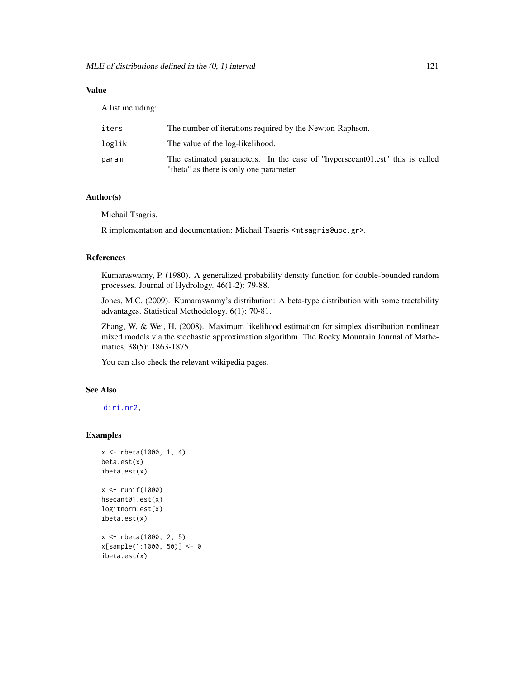A list including:

| iters  | The number of iterations required by the Newton-Raphson.                                                                |
|--------|-------------------------------------------------------------------------------------------------------------------------|
| loglik | The value of the log-likelihood.                                                                                        |
| param  | The estimated parameters. In the case of "hypersecant 01.est" this is called<br>"theta" as there is only one parameter. |

## Author(s)

Michail Tsagris.

R implementation and documentation: Michail Tsagris <mtsagris@uoc.gr>.

## References

Kumaraswamy, P. (1980). A generalized probability density function for double-bounded random processes. Journal of Hydrology. 46(1-2): 79-88.

Jones, M.C. (2009). Kumaraswamy's distribution: A beta-type distribution with some tractability advantages. Statistical Methodology. 6(1): 70-81.

Zhang, W. & Wei, H. (2008). Maximum likelihood estimation for simplex distribution nonlinear mixed models via the stochastic approximation algorithm. The Rocky Mountain Journal of Mathematics, 38(5): 1863-1875.

You can also check the relevant wikipedia pages.

## See Also

[diri.nr2,](#page-0-0)

## Examples

```
x <- rbeta(1000, 1, 4)
beta.est(x)
ibeta.est(x)
x <- runif(1000)
hsecant01.est(x)
logitnorm.est(x)
ibeta.est(x)
x <- rbeta(1000, 2, 5)
x[sample(1:1000, 50)] <- 0
ibeta.est(x)
```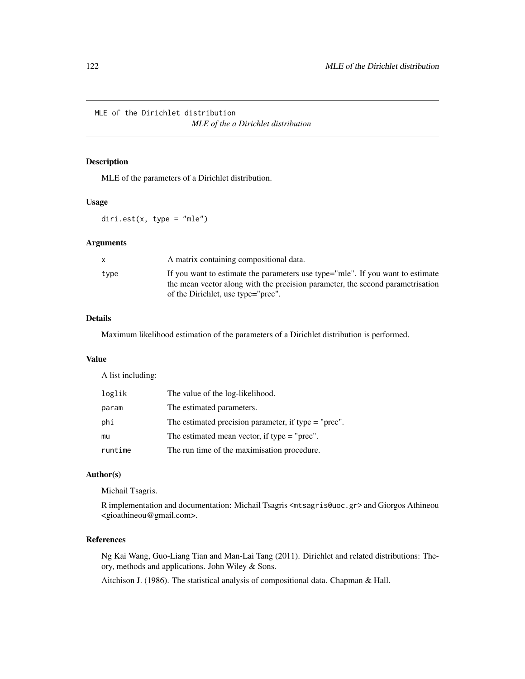MLE of the Dirichlet distribution

*MLE of the a Dirichlet distribution*

# <span id="page-121-0"></span>Description

MLE of the parameters of a Dirichlet distribution.

# Usage

 $diri.set(x, type = "mle")$ 

## Arguments

| X    | A matrix containing compositional data.                                                                                                                                                                |
|------|--------------------------------------------------------------------------------------------------------------------------------------------------------------------------------------------------------|
| type | If you want to estimate the parameters use type="mle". If you want to estimate<br>the mean vector along with the precision parameter, the second parametrisation<br>of the Dirichlet, use type="prec". |

# Details

Maximum likelihood estimation of the parameters of a Dirichlet distribution is performed.

## Value

A list including:

| loglik  | The value of the log-likelihood.                       |
|---------|--------------------------------------------------------|
| param   | The estimated parameters.                              |
| phi     | The estimated precision parameter, if type $=$ "prec". |
| mu      | The estimated mean vector, if type $=$ "prec".         |
| runtime | The run time of the maximisation procedure.            |

## Author(s)

Michail Tsagris.

R implementation and documentation: Michail Tsagris <mtsagris@uoc.gr> and Giorgos Athineou <gioathineou@gmail.com>.

## References

Ng Kai Wang, Guo-Liang Tian and Man-Lai Tang (2011). Dirichlet and related distributions: Theory, methods and applications. John Wiley & Sons.

Aitchison J. (1986). The statistical analysis of compositional data. Chapman & Hall.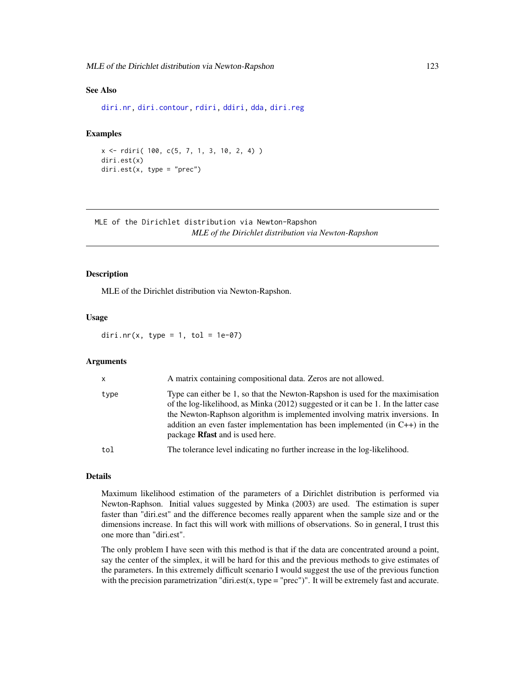## See Also

[diri.nr,](#page-122-0) [diri.contour,](#page-21-0) [rdiri,](#page-58-0) [ddiri,](#page-55-0) [dda,](#page-57-0) [diri.reg](#page-59-0)

# Examples

```
x <- rdiri( 100, c(5, 7, 1, 3, 10, 2, 4) )
diri.est(x)
diri.est(x, type = "prec")
```
MLE of the Dirichlet distribution via Newton-Rapshon *MLE of the Dirichlet distribution via Newton-Rapshon*

### <span id="page-122-0"></span>Description

MLE of the Dirichlet distribution via Newton-Rapshon.

### Usage

diri.nr(x, type = 1, tol = 1e-07)

### Arguments

| $\mathsf{x}$ | A matrix containing compositional data. Zeros are not allowed.                                                                                                                                                                                                                                                                                                                     |
|--------------|------------------------------------------------------------------------------------------------------------------------------------------------------------------------------------------------------------------------------------------------------------------------------------------------------------------------------------------------------------------------------------|
| type         | Type can either be 1, so that the Newton-Rapshon is used for the maximisation<br>of the log-likelihood, as Minka (2012) suggested or it can be 1. In the latter case<br>the Newton-Raphson algorithm is implemented involving matrix inversions. In<br>addition an even faster implementation has been implemented (in $C_{++}$ ) in the<br>package <b>Rfast</b> and is used here. |
| tol          | The tolerance level indicating no further increase in the log-likelihood.                                                                                                                                                                                                                                                                                                          |

## Details

Maximum likelihood estimation of the parameters of a Dirichlet distribution is performed via Newton-Raphson. Initial values suggested by Minka (2003) are used. The estimation is super faster than "diri.est" and the difference becomes really apparent when the sample size and or the dimensions increase. In fact this will work with millions of observations. So in general, I trust this one more than "diri.est".

The only problem I have seen with this method is that if the data are concentrated around a point, say the center of the simplex, it will be hard for this and the previous methods to give estimates of the parameters. In this extremely difficult scenario I would suggest the use of the previous function with the precision parametrization "diri.est(x, type = "prec")". It will be extremely fast and accurate.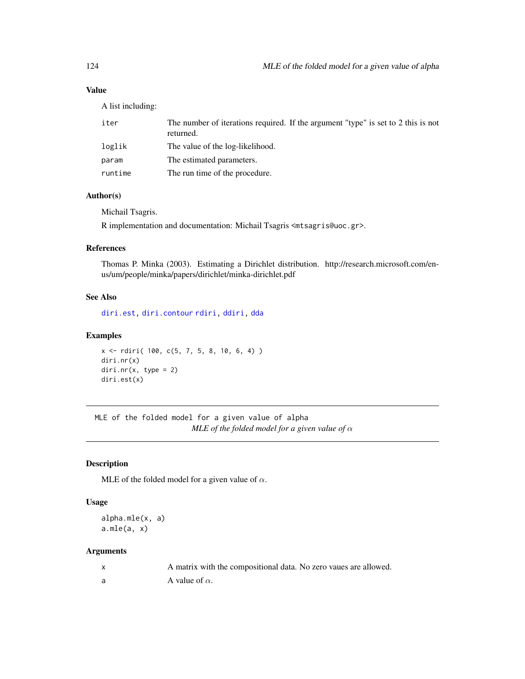A list including:

| iter    | The number of iterations required. If the argument "type" is set to 2 this is not<br>returned. |
|---------|------------------------------------------------------------------------------------------------|
| loglik  | The value of the log-likelihood.                                                               |
| param   | The estimated parameters.                                                                      |
| runtime | The run time of the procedure.                                                                 |

# Author(s)

Michail Tsagris.

R implementation and documentation: Michail Tsagris <mtsagris@uoc.gr>.

# References

Thomas P. Minka (2003). Estimating a Dirichlet distribution. http://research.microsoft.com/enus/um/people/minka/papers/dirichlet/minka-dirichlet.pdf

## See Also

[diri.est,](#page-121-0) [diri.contour](#page-21-0) [rdiri,](#page-58-0) [ddiri,](#page-55-0) [dda](#page-57-0)

## Examples

```
x <- rdiri( 100, c(5, 7, 5, 8, 10, 6, 4) )
diri.nr(x)
diri.nr(x, type = 2)
diri.est(x)
```
MLE of the folded model for a given value of alpha *MLE of the folded model for a given value of*  $\alpha$ 

# Description

MLE of the folded model for a given value of  $\alpha$ .

## Usage

alpha.mle(x, a)  $a.mle(a, x)$ 

## Arguments

| A matrix with the compositional data. No zero vaues are allowed. |
|------------------------------------------------------------------|
| A value of $\alpha$ .                                            |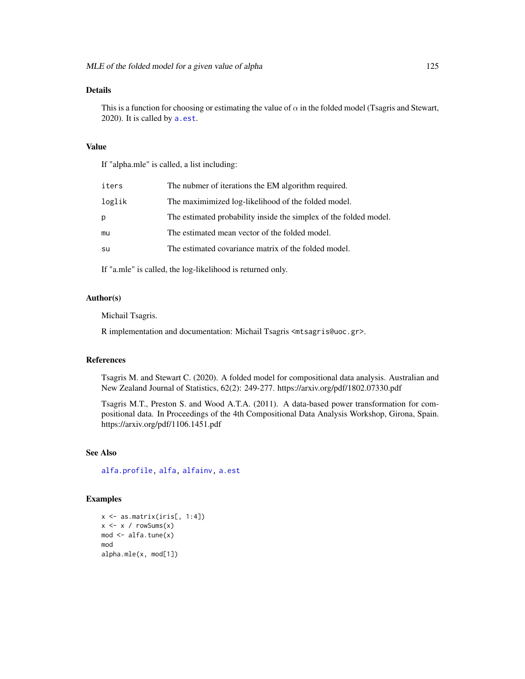## Details

This is a function for choosing or estimating the value of  $\alpha$  in the folded model (Tsagris and Stewart, 2020). It is called by [a.est](#page-75-0).

## Value

If "alpha.mle" is called, a list including:

| iters  | The nubmer of iterations the EM algorithm required.               |
|--------|-------------------------------------------------------------------|
| loglik | The maximimized log-likelihood of the folded model.               |
| p      | The estimated probability inside the simplex of the folded model. |
| mu     | The estimated mean vector of the folded model.                    |
| su     | The estimated covariance matrix of the folded model.              |
|        |                                                                   |

If "a.mle" is called, the log-likelihood is returned only.

## Author(s)

Michail Tsagris.

R implementation and documentation: Michail Tsagris <mtsagris@uoc.gr>.

### References

Tsagris M. and Stewart C. (2020). A folded model for compositional data analysis. Australian and New Zealand Journal of Statistics, 62(2): 249-277. https://arxiv.org/pdf/1802.07330.pdf

Tsagris M.T., Preston S. and Wood A.T.A. (2011). A data-based power transformation for compositional data. In Proceedings of the 4th Compositional Data Analysis Workshop, Girona, Spain. https://arxiv.org/pdf/1106.1451.pdf

## See Also

[alfa.profile,](#page-76-0) [alfa,](#page-185-0) [alfainv,](#page-99-0) [a.est](#page-75-0)

## Examples

 $x \leftarrow as.matrix(iris[, 1:4])$  $x \leq -x / \text{rowsums}(x)$ mod <- alfa.tune(x) mod alpha.mle(x, mod[1])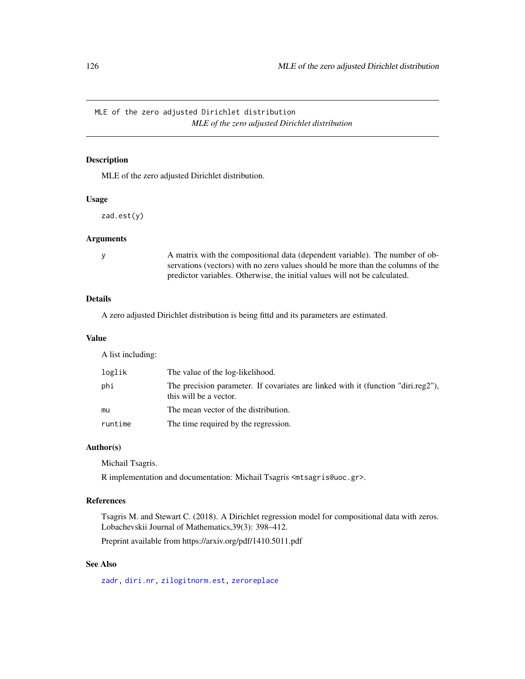MLE of the zero adjusted Dirichlet distribution *MLE of the zero adjusted Dirichlet distribution*

# Description

MLE of the zero adjusted Dirichlet distribution.

### Usage

zad.est(y)

### Arguments

y A matrix with the compositional data (dependent variable). The number of observations (vectors) with no zero values should be more than the columns of the predictor variables. Otherwise, the initial values will not be calculated.

# Details

A zero adjusted Dirichlet distribution is being fittd and its parameters are estimated.

## Value

A list including:

| loglik  | The value of the log-likelihood.                                                                            |
|---------|-------------------------------------------------------------------------------------------------------------|
| phi     | The precision parameter. If covariates are linked with it (function "diri.reg2"),<br>this will be a vector. |
| mu      | The mean vector of the distribution.                                                                        |
| runtime | The time required by the regression.                                                                        |

### Author(s)

Michail Tsagris.

R implementation and documentation: Michail Tsagris <mtsagris@uoc.gr>.

# References

Tsagris M. and Stewart C. (2018). A Dirichlet regression model for compositional data with zeros. Lobachevskii Journal of Mathematics,39(3): 398–412.

Preprint available from https://arxiv.org/pdf/1410.5011.pdf

# See Also

[zadr,](#page-221-0) [diri.nr,](#page-122-0) [zilogitnorm.est,](#page-119-0) [zeroreplace](#page-142-0)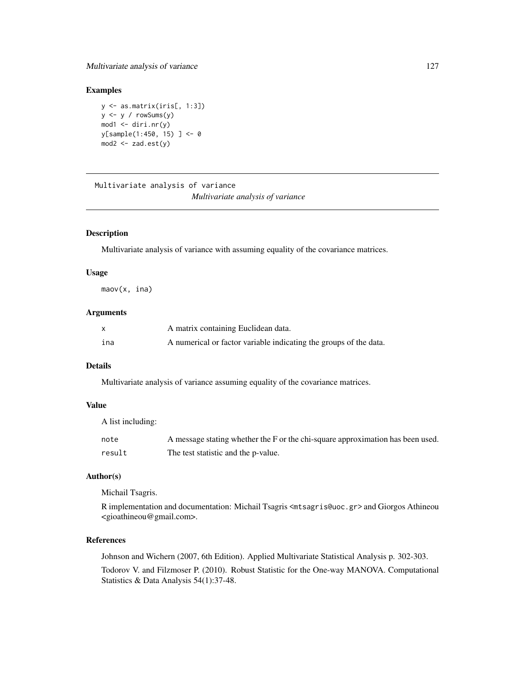# Multivariate analysis of variance 127

## Examples

y <- as.matrix(iris[, 1:3])  $y \le y / \text{rowsums}(y)$  $mod1$  <- diri.nr(y) y[sample(1:450, 15) ] <- 0  $mod2 < -zad.est(y)$ 

Multivariate analysis of variance *Multivariate analysis of variance*

### <span id="page-126-0"></span>Description

Multivariate analysis of variance with assuming equality of the covariance matrices.

### Usage

maov(x, ina)

### Arguments

| X   | A matrix containing Euclidean data.                               |
|-----|-------------------------------------------------------------------|
| ina | A numerical or factor variable indicating the groups of the data. |

# Details

Multivariate analysis of variance assuming equality of the covariance matrices.

# Value

A list including:

| note   | A message stating whether the F or the chi-square approximation has been used. |
|--------|--------------------------------------------------------------------------------|
| result | The test statistic and the p-value.                                            |

# Author(s)

Michail Tsagris.

R implementation and documentation: Michail Tsagris <mtsagris@uoc.gr> and Giorgos Athineou <gioathineou@gmail.com>.

## References

Johnson and Wichern (2007, 6th Edition). Applied Multivariate Statistical Analysis p. 302-303. Todorov V. and Filzmoser P. (2010). Robust Statistic for the One-way MANOVA. Computational Statistics & Data Analysis 54(1):37-48.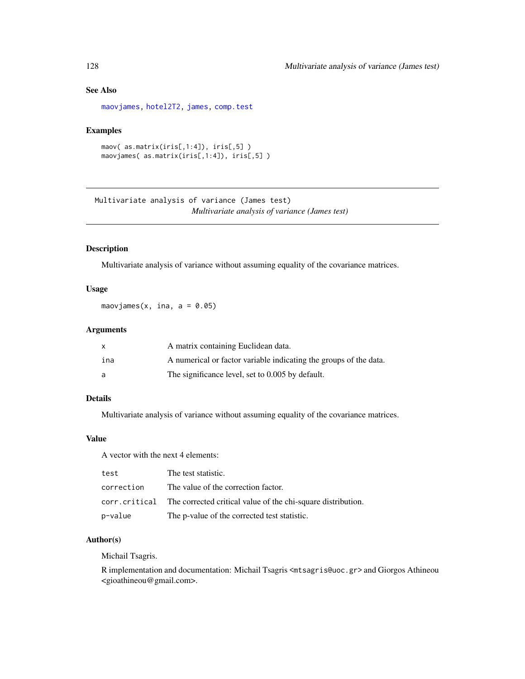# See Also

[maovjames,](#page-127-0) [hotel2T2,](#page-93-0) [james,](#page-100-0) [comp.test](#page-94-0)

## Examples

```
maov( as.matrix(iris[,1:4]), iris[,5] )
maovjames( as.matrix(iris[,1:4]), iris[,5] )
```
Multivariate analysis of variance (James test) *Multivariate analysis of variance (James test)*

## <span id="page-127-0"></span>Description

Multivariate analysis of variance without assuming equality of the covariance matrices.

## Usage

maovjames(x, ina,  $a = 0.05$ )

# Arguments

|     | A matrix containing Euclidean data.                               |
|-----|-------------------------------------------------------------------|
| ina | A numerical or factor variable indicating the groups of the data. |
|     | The significance level, set to 0.005 by default.                  |

## Details

Multivariate analysis of variance without assuming equality of the covariance matrices.

## Value

A vector with the next 4 elements:

| test       | The test statistic.                                                        |
|------------|----------------------------------------------------------------------------|
| correction | The value of the correction factor.                                        |
|            | corr.critical The corrected critical value of the chi-square distribution. |
| p-value    | The p-value of the corrected test statistic.                               |

## Author(s)

Michail Tsagris.

R implementation and documentation: Michail Tsagris <mtsagris@uoc.gr> and Giorgos Athineou <gioathineou@gmail.com>.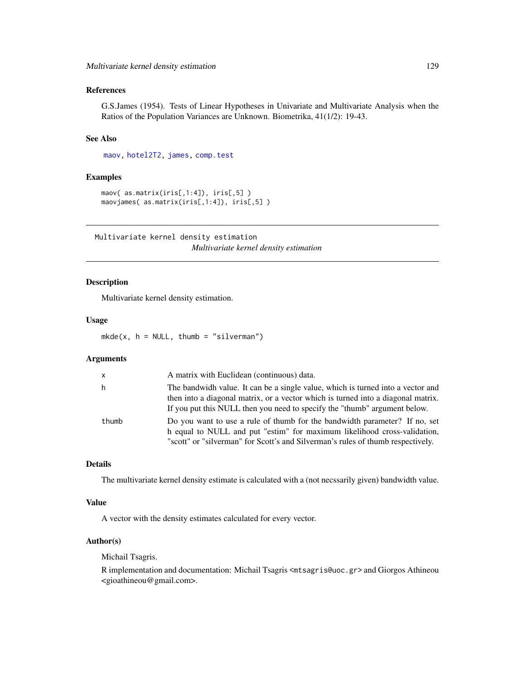# References

G.S.James (1954). Tests of Linear Hypotheses in Univariate and Multivariate Analysis when the Ratios of the Population Variances are Unknown. Biometrika, 41(1/2): 19-43.

# See Also

[maov,](#page-126-0) [hotel2T2,](#page-93-0) [james,](#page-100-0) [comp.test](#page-94-0)

## Examples

```
maov( as.matrix(iris[,1:4]), iris[,5] )
maovjames( as.matrix(iris[,1:4]), iris[,5] )
```
Multivariate kernel density estimation *Multivariate kernel density estimation*

# <span id="page-128-0"></span>Description

Multivariate kernel density estimation.

### Usage

 $mkde(x, h = NULL, thumb = "silverman")$ 

## Arguments

| $\mathsf{x}$ | A matrix with Euclidean (continuous) data.                                                                                                                                                                                                       |
|--------------|--------------------------------------------------------------------------------------------------------------------------------------------------------------------------------------------------------------------------------------------------|
| h            | The bandwidh value. It can be a single value, which is turned into a vector and<br>then into a diagonal matrix, or a vector which is turned into a diagonal matrix.<br>If you put this NULL then you need to specify the "thumb" argument below. |
| thumb        | Do you want to use a rule of thumb for the bandwidth parameter? If no, set<br>h equal to NULL and put "estim" for maximum likelihood cross-validation,<br>"scott" or "silverman" for Scott's and Silverman's rules of thumb respectively.        |

### Details

The multivariate kernel density estimate is calculated with a (not necssarily given) bandwidth value.

### Value

A vector with the density estimates calculated for every vector.

### Author(s)

Michail Tsagris.

R implementation and documentation: Michail Tsagris <mtsagris@uoc.gr> and Giorgos Athineou <gioathineou@gmail.com>.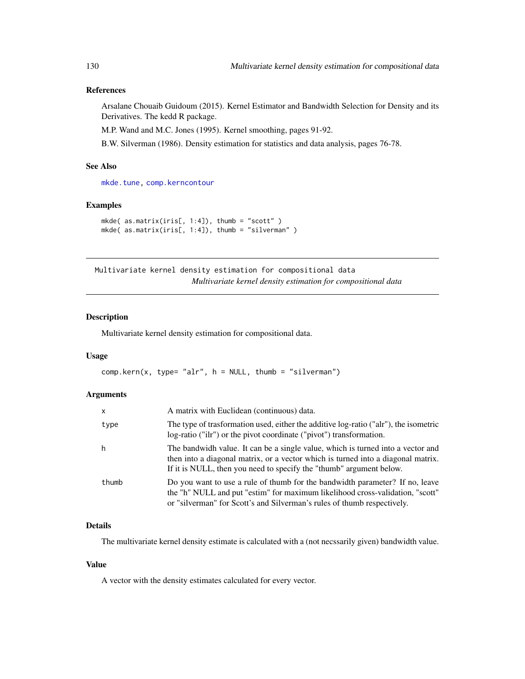# References

Arsalane Chouaib Guidoum (2015). Kernel Estimator and Bandwidth Selection for Density and its Derivatives. The kedd R package.

M.P. Wand and M.C. Jones (1995). Kernel smoothing, pages 91-92.

B.W. Silverman (1986). Density estimation for statistics and data analysis, pages 76-78.

# See Also

[mkde.tune,](#page-200-0) [comp.kerncontour](#page-26-0)

### Examples

```
mkde( as.matrix(iris[, 1:4]), thumb = "scott" )
mkde( as.matrix(iris[, 1:4]), thumb = "silverman" )
```
Multivariate kernel density estimation for compositional data *Multivariate kernel density estimation for compositional data*

## Description

Multivariate kernel density estimation for compositional data.

### Usage

```
comp.kern(x, type= "alr", h = NULL, thumb = "silverman")
```
### Arguments

| X     | A matrix with Euclidean (continuous) data.                                                                                                                                                                                                 |
|-------|--------------------------------------------------------------------------------------------------------------------------------------------------------------------------------------------------------------------------------------------|
| type  | The type of trasformation used, either the additive log-ratio ("alr"), the isometric<br>log-ratio ("ilr") or the pivot coordinate ("pivot") transformation.                                                                                |
| h     | The bandwidh value. It can be a single value, which is turned into a vector and<br>then into a diagonal matrix, or a vector which is turned into a diagonal matrix.<br>If it is NULL, then you need to specify the "thumb" argument below. |
| thumb | Do you want to use a rule of thumb for the bandwidth parameter? If no, leave<br>the "h" NULL and put "estim" for maximum likelihood cross-validation, "scott"<br>or "silverman" for Scott's and Silverman's rules of thumb respectively.   |

## Details

The multivariate kernel density estimate is calculated with a (not necssarily given) bandwidth value.

## Value

A vector with the density estimates calculated for every vector.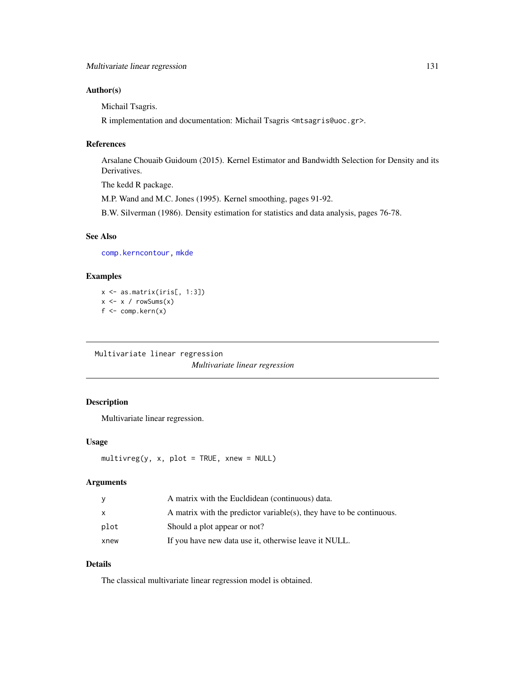## Author(s)

Michail Tsagris.

R implementation and documentation: Michail Tsagris <mtsagris@uoc.gr>.

# References

Arsalane Chouaib Guidoum (2015). Kernel Estimator and Bandwidth Selection for Density and its Derivatives.

The kedd R package.

M.P. Wand and M.C. Jones (1995). Kernel smoothing, pages 91-92.

B.W. Silverman (1986). Density estimation for statistics and data analysis, pages 76-78.

# See Also

[comp.kerncontour,](#page-26-0) [mkde](#page-128-0)

# Examples

 $x \leftarrow as_matrix(iris[, 1:3])$  $x \leftarrow x / rowsums(x)$ f <- comp.kern(x)

Multivariate linear regression *Multivariate linear regression*

# <span id="page-130-0"></span>Description

Multivariate linear regression.

## Usage

```
multiplicity <math>(y, x, plot = TRUE, xnew = NULL)</math>
```
## Arguments

| y    | A matrix with the Eucldidean (continuous) data.                      |
|------|----------------------------------------------------------------------|
| X    | A matrix with the predictor variable(s), they have to be continuous. |
| plot | Should a plot appear or not?                                         |
| xnew | If you have new data use it, otherwise leave it NULL.                |

# Details

The classical multivariate linear regression model is obtained.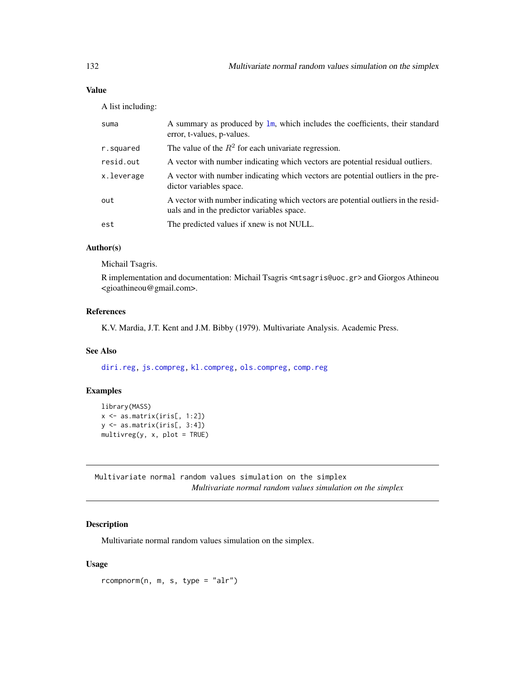A list including:

| suma       | A summary as produced by $\text{lm}$ , which includes the coefficients, their standard<br>error, t-values, p-values.             |
|------------|----------------------------------------------------------------------------------------------------------------------------------|
| r.squared  | The value of the $R^2$ for each univariate regression.                                                                           |
| resid.out  | A vector with number indicating which vectors are potential residual outliers.                                                   |
| x.leverage | A vector with number indicating which vectors are potential outliers in the pre-<br>dictor variables space.                      |
| out        | A vector with number indicating which vectors are potential outliers in the resid-<br>uals and in the predictor variables space. |
| est        | The predicted values if xnew is not NULL.                                                                                        |

# Author(s)

Michail Tsagris.

R implementation and documentation: Michail Tsagris <mtsagris@uoc.gr> and Giorgos Athineou <gioathineou@gmail.com>.

# References

K.V. Mardia, J.T. Kent and J.M. Bibby (1979). Multivariate Analysis. Academic Press.

## See Also

[diri.reg,](#page-59-0) [js.compreg,](#page-63-0) [kl.compreg,](#page-63-0) [ols.compreg,](#page-141-0) [comp.reg](#page-134-0)

# Examples

```
library(MASS)
x <- as.matrix(iris[, 1:2])
y <- as.matrix(iris[, 3:4])
multivreg(y, x, plot = TRUE)
```
Multivariate normal random values simulation on the simplex *Multivariate normal random values simulation on the simplex*

# <span id="page-131-0"></span>Description

Multivariate normal random values simulation on the simplex.

# Usage

rcompnorm(n, m, s, type = "alr")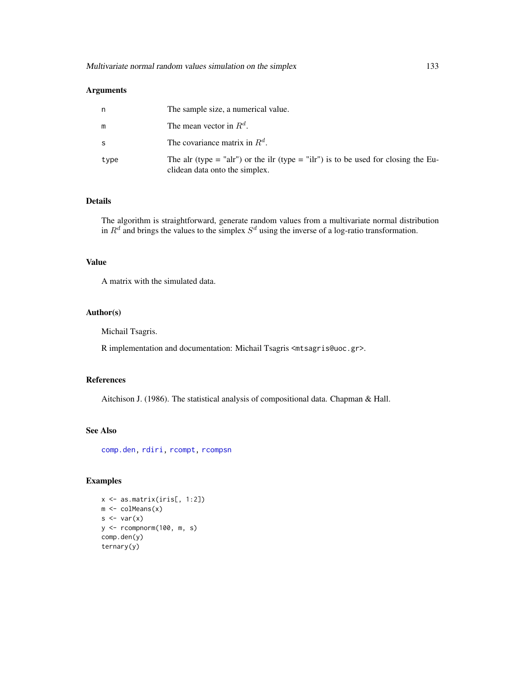## Arguments

| n    | The sample size, a numerical value.                                                                                  |
|------|----------------------------------------------------------------------------------------------------------------------|
| m    | The mean vector in $R^d$ .                                                                                           |
| S    | The covariance matrix in $R^d$ .                                                                                     |
| type | The alr (type = "alr") or the ilr (type = "ilr") is to be used for closing the Eu-<br>clidean data onto the simplex. |

## Details

The algorithm is straightforward, generate random values from a multivariate normal distribution in  $R^d$  and brings the values to the simplex  $S^d$  using the inverse of a log-ratio transformation.

### Value

A matrix with the simulated data.

## Author(s)

Michail Tsagris.

R implementation and documentation: Michail Tsagris <mtsagris@uoc.gr>.

### References

Aitchison J. (1986). The statistical analysis of compositional data. Chapman & Hall.

## See Also

[comp.den,](#page-72-0) [rdiri,](#page-58-0) [rcompt,](#page-137-0) [rcompsn](#page-136-0)

# Examples

```
x <- as.matrix(iris[, 1:2])
m \leftarrow \text{colMeans}(x)s \leftarrow \text{var}(x)y <- rcompnorm(100, m, s)
comp.den(y)
ternary(y)
```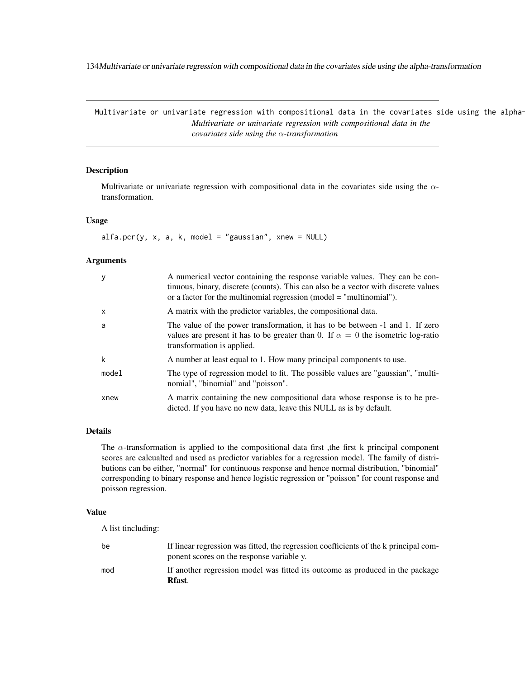134Multivariate or univariate regression with compositional data in the covariates side using the alpha-transformation

Multivariate or univariate regression with compositional data in the covariates side using the alpha-*Multivariate or univariate regression with compositional data in the covariates side using the* α*-transformation*

# <span id="page-133-0"></span>Description

Multivariate or univariate regression with compositional data in the covariates side using the  $\alpha$ transformation.

## Usage

 $alfa.pcr(y, x, a, k, model = "gaussian", xnew = NULL)$ 

### Arguments

| у            | A numerical vector containing the response variable values. They can be con-<br>tinuous, binary, discrete (counts). This can also be a vector with discrete values<br>or a factor for the multinomial regression (model $=$ "multinomial"). |
|--------------|---------------------------------------------------------------------------------------------------------------------------------------------------------------------------------------------------------------------------------------------|
| $\mathsf{x}$ | A matrix with the predictor variables, the compositional data.                                                                                                                                                                              |
| a            | The value of the power transformation, it has to be between -1 and 1. If zero<br>values are present it has to be greater than 0. If $\alpha = 0$ the isometric log-ratio<br>transformation is applied.                                      |
| k            | A number at least equal to 1. How many principal components to use.                                                                                                                                                                         |
| model        | The type of regression model to fit. The possible values are "gaussian", "multi-<br>nomial", "binomial" and "poisson".                                                                                                                      |
| xnew         | A matrix containing the new compositional data whose response is to be pre-<br>dicted. If you have no new data, leave this NULL as is by default.                                                                                           |

## Details

The  $\alpha$ -transformation is applied to the compositional data first, the first k principal component scores are calcualted and used as predictor variables for a regression model. The family of distributions can be either, "normal" for continuous response and hence normal distribution, "binomial" corresponding to binary response and hence logistic regression or "poisson" for count response and poisson regression.

# Value

A list tincluding:

| be  | If linear regression was fitted, the regression coefficients of the k principal com-<br>ponent scores on the response variable y. |
|-----|-----------------------------------------------------------------------------------------------------------------------------------|
| mod | If another regression model was fitted its outcome as produced in the package<br>Rfast.                                           |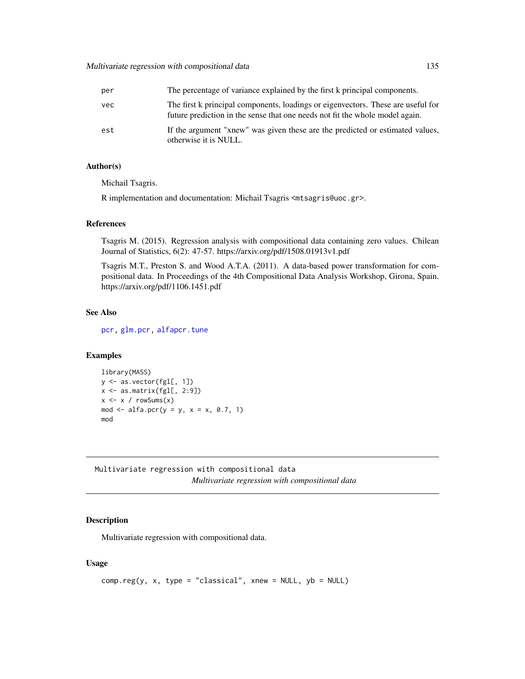# Multivariate regression with compositional data 135

| per | The percentage of variance explained by the first k principal components.                                                                                        |
|-----|------------------------------------------------------------------------------------------------------------------------------------------------------------------|
| vec | The first k principal components, loadings or eigenvectors. These are useful for<br>future prediction in the sense that one needs not fit the whole model again. |
| est | If the argument "xnew" was given these are the predicted or estimated values,<br>otherwise it is NULL.                                                           |

## Author(s)

Michail Tsagris.

R implementation and documentation: Michail Tsagris <mtsagris@uoc.gr>.

## References

Tsagris M. (2015). Regression analysis with compositional data containing zero values. Chilean Journal of Statistics, 6(2): 47-57. https://arxiv.org/pdf/1508.01913v1.pdf

Tsagris M.T., Preston S. and Wood A.T.A. (2011). A data-based power transformation for compositional data. In Proceedings of the 4th Compositional Data Analysis Workshop, Girona, Spain. https://arxiv.org/pdf/1106.1451.pdf

### See Also

[pcr,](#page-149-0) [glm.pcr,](#page-149-0) [alfapcr.tune](#page-208-0)

### Examples

```
library(MASS)
y <- as.vector(fgl[, 1])
x <- as.matrix(fgl[, 2:9])
x \le -x / \text{rowsums}(x)mod \le alfa.pcr(y = y, x = x, 0.7, 1)
mod
```
Multivariate regression with compositional data *Multivariate regression with compositional data*

### <span id="page-134-0"></span>Description

Multivariate regression with compositional data.

### Usage

```
comp.reg(y, x, type = "classical", xnew = NULL, yb = NULL)
```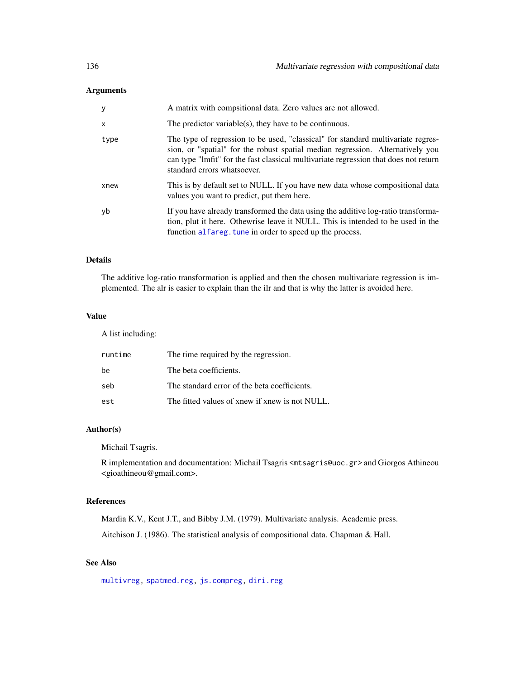# Arguments

| <b>y</b>     | A matrix with compsitional data. Zero values are not allowed.                                                                                                                                                                                                                             |
|--------------|-------------------------------------------------------------------------------------------------------------------------------------------------------------------------------------------------------------------------------------------------------------------------------------------|
| $\mathsf{x}$ | The predictor variable(s), they have to be continuous.                                                                                                                                                                                                                                    |
| type         | The type of regression to be used, "classical" for standard multivariate regres-<br>sion, or "spatial" for the robust spatial median regression. Alternatively you<br>can type "lmfit" for the fast classical multivariate regression that does not return<br>standard errors whatsoever. |
| xnew         | This is by default set to NULL. If you have new data whose compositional data<br>values you want to predict, put them here.                                                                                                                                                               |
| yb           | If you have already transformed the data using the additive log-ratio transforma-<br>tion, plut it here. Othewrise leave it NULL. This is intended to be used in the<br>function alfareg. tune in order to speed up the process.                                                          |

# Details

The additive log-ratio transformation is applied and then the chosen multivariate regression is implemented. The alr is easier to explain than the ilr and that is why the latter is avoided here.

# Value

A list including:

| runtime | The time required by the regression.           |
|---------|------------------------------------------------|
| be      | The beta coefficients.                         |
| seb     | The standard error of the beta coefficients.   |
| est     | The fitted values of xnew if xnew is not NULL. |

# Author(s)

Michail Tsagris.

R implementation and documentation: Michail Tsagris <mtsagris@uoc.gr> and Giorgos Athineou <gioathineou@gmail.com>.

## References

Mardia K.V., Kent J.T., and Bibby J.M. (1979). Multivariate analysis. Academic press. Aitchison J. (1986). The statistical analysis of compositional data. Chapman & Hall.

# See Also

[multivreg,](#page-130-0) [spatmed.reg,](#page-173-0) [js.compreg,](#page-63-0) [diri.reg](#page-59-0)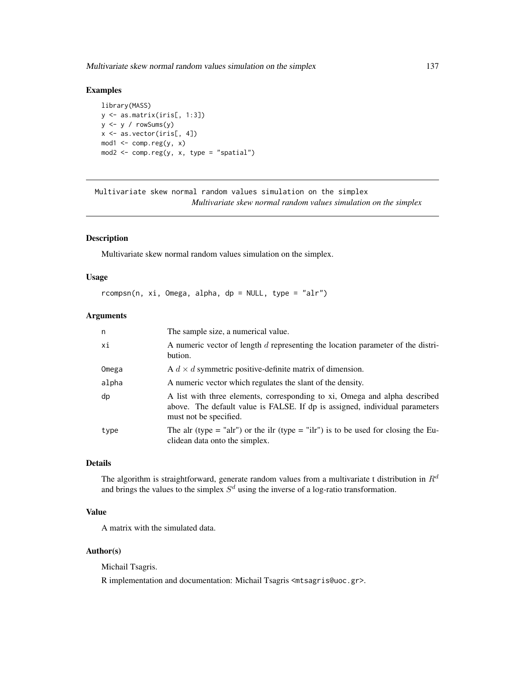Multivariate skew normal random values simulation on the simplex 137

## Examples

```
library(MASS)
y <- as.matrix(iris[, 1:3])
y \le y / \text{rowsums}(y)x <- as.vector(iris[, 4])
mod1 <- comp.reg(y, x)
mod2 <- comp.reg(y, x, type = "spatial")
```
Multivariate skew normal random values simulation on the simplex *Multivariate skew normal random values simulation on the simplex*

# <span id="page-136-0"></span>Description

Multivariate skew normal random values simulation on the simplex.

## Usage

 $r \text{compsn}(n, xi, Omega, alpha, dp = NULL, type = "alr")$ 

# Arguments

| n     | The sample size, a numerical value.                                                                                                                                                 |
|-------|-------------------------------------------------------------------------------------------------------------------------------------------------------------------------------------|
| хi    | A numeric vector of length d representing the location parameter of the distri-<br>bution.                                                                                          |
| Omega | A $d \times d$ symmetric positive-definite matrix of dimension.                                                                                                                     |
| alpha | A numeric vector which regulates the slant of the density.                                                                                                                          |
| dp    | A list with three elements, corresponding to xi, Omega and alpha described<br>above. The default value is FALSE. If dp is assigned, individual parameters<br>must not be specified. |
| type  | The alr (type = "alr") or the ilr (type = "ilr") is to be used for closing the Eu-<br>clidean data onto the simplex.                                                                |

## Details

The algorithm is straightforward, generate random values from a multivariate t distribution in  $R<sup>d</sup>$ and brings the values to the simplex  $S<sup>d</sup>$  using the inverse of a log-ratio transformation.

# Value

A matrix with the simulated data.

## Author(s)

Michail Tsagris.

R implementation and documentation: Michail Tsagris <mtsagris@uoc.gr>.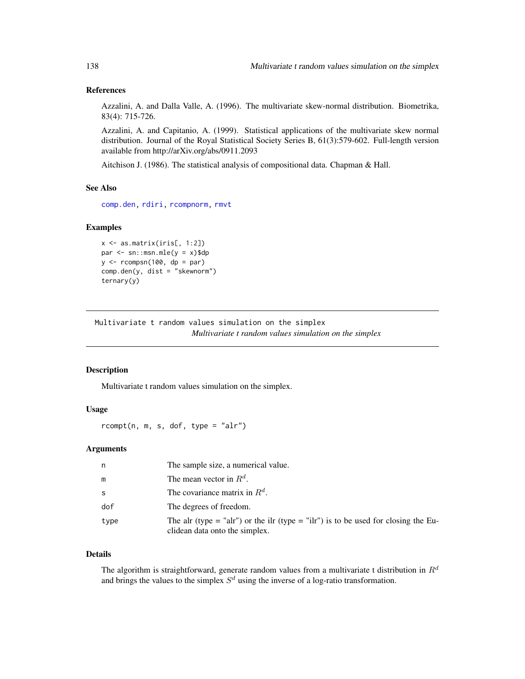## References

Azzalini, A. and Dalla Valle, A. (1996). The multivariate skew-normal distribution. Biometrika, 83(4): 715-726.

Azzalini, A. and Capitanio, A. (1999). Statistical applications of the multivariate skew normal distribution. Journal of the Royal Statistical Society Series B, 61(3):579-602. Full-length version available from http://arXiv.org/abs/0911.2093

Aitchison J. (1986). The statistical analysis of compositional data. Chapman & Hall.

## See Also

[comp.den,](#page-72-0) [rdiri,](#page-58-0) [rcompnorm,](#page-131-0) [rmvt](#page-0-0)

### Examples

```
x \leftarrow as_matrix(iris[, 1:2])par \leq sn::msn.mle(y = x)$dp
y \le -r \text{compsn}(100, dp = par)comp.den(y, dist = "skewnorm")
ternary(y)
```
Multivariate t random values simulation on the simplex *Multivariate t random values simulation on the simplex*

## <span id="page-137-0"></span>Description

Multivariate t random values simulation on the simplex.

### Usage

 $rcompt(n, m, s, dof, type = "alr")$ 

## Arguments

| n    | The sample size, a numerical value.                                                                                  |
|------|----------------------------------------------------------------------------------------------------------------------|
| m    | The mean vector in $R^d$ .                                                                                           |
| S    | The covariance matrix in $R^d$ .                                                                                     |
| dof  | The degrees of freedom.                                                                                              |
| type | The alr (type = "alr") or the ilr (type = "ilr") is to be used for closing the Eu-<br>clidean data onto the simplex. |

### Details

The algorithm is straightforward, generate random values from a multivariate t distribution in  $R<sup>d</sup>$ and brings the values to the simplex  $S<sup>d</sup>$  using the inverse of a log-ratio transformation.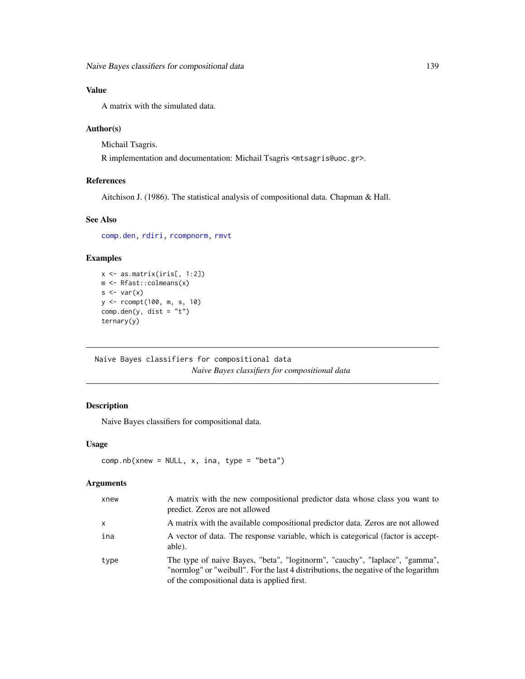A matrix with the simulated data.

## Author(s)

Michail Tsagris.

R implementation and documentation: Michail Tsagris <mtsagris@uoc.gr>.

### References

Aitchison J. (1986). The statistical analysis of compositional data. Chapman & Hall.

### See Also

[comp.den,](#page-72-0) [rdiri,](#page-58-0) [rcompnorm,](#page-131-0) [rmvt](#page-0-0)

## Examples

```
x <- as.matrix(iris[, 1:2])
m <- Rfast::colmeans(x)
s \leftarrow \text{var}(x)y <- rcompt(100, m, s, 10)
comp.den(y, dist = "t")ternary(y)
```
Naive Bayes classifiers for compositional data *Naive Bayes classifiers for compositional data*

# <span id="page-138-0"></span>Description

Naive Bayes classifiers for compositional data.

## Usage

```
comp.nb(xnew = NULL, x, ina, type = "beta")
```
## Arguments

| xnew         | A matrix with the new compositional predictor data whose class you want to<br>predict. Zeros are not allowed                                                                                                      |
|--------------|-------------------------------------------------------------------------------------------------------------------------------------------------------------------------------------------------------------------|
| $\mathsf{x}$ | A matrix with the available compositional predictor data. Zeros are not allowed                                                                                                                                   |
| ina          | A vector of data. The response variable, which is categorical (factor is accept-<br>able).                                                                                                                        |
| type         | The type of naive Bayes, "beta", "logitnorm", "cauchy", "laplace", "gamma",<br>"normlog" or "weibull". For the last 4 distributions, the negative of the logarithm<br>of the compositional data is applied first. |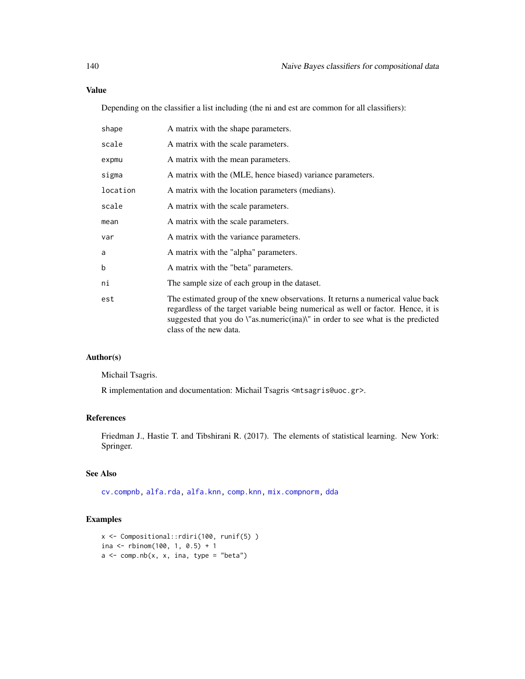Depending on the classifier a list including (the ni and est are common for all classifiers):

| shape    | A matrix with the shape parameters.                                                                                                                                                                                                                                               |
|----------|-----------------------------------------------------------------------------------------------------------------------------------------------------------------------------------------------------------------------------------------------------------------------------------|
| scale    | A matrix with the scale parameters.                                                                                                                                                                                                                                               |
| expmu    | A matrix with the mean parameters.                                                                                                                                                                                                                                                |
| sigma    | A matrix with the (MLE, hence biased) variance parameters.                                                                                                                                                                                                                        |
| location | A matrix with the location parameters (medians).                                                                                                                                                                                                                                  |
| scale    | A matrix with the scale parameters.                                                                                                                                                                                                                                               |
| mean     | A matrix with the scale parameters.                                                                                                                                                                                                                                               |
| var      | A matrix with the variance parameters.                                                                                                                                                                                                                                            |
| a        | A matrix with the "alpha" parameters.                                                                                                                                                                                                                                             |
| b        | A matrix with the "beta" parameters.                                                                                                                                                                                                                                              |
| ni       | The sample size of each group in the dataset.                                                                                                                                                                                                                                     |
| est      | The estimated group of the xnew observations. It returns a numerical value back<br>regardless of the target variable being numerical as well or factor. Hence, it is<br>suggested that you do \"as.numeric(ina)\" in order to see what is the predicted<br>class of the new data. |

## Author(s)

Michail Tsagris.

R implementation and documentation: Michail Tsagris <mtsagris@uoc.gr>.

## References

Friedman J., Hastie T. and Tibshirani R. (2017). The elements of statistical learning. New York: Springer.

# See Also

[cv.compnb,](#page-49-0) [alfa.rda,](#page-161-0) [alfa.knn,](#page-194-0) [comp.knn,](#page-194-0) [mix.compnorm,](#page-83-0) [dda](#page-57-0)

## Examples

```
x <- Compositional::rdiri(100, runif(5) )
ina <- rbinom(100, 1, 0.5) + 1a \leq \text{comp.nb}(x, x, ina, type = "beta")
```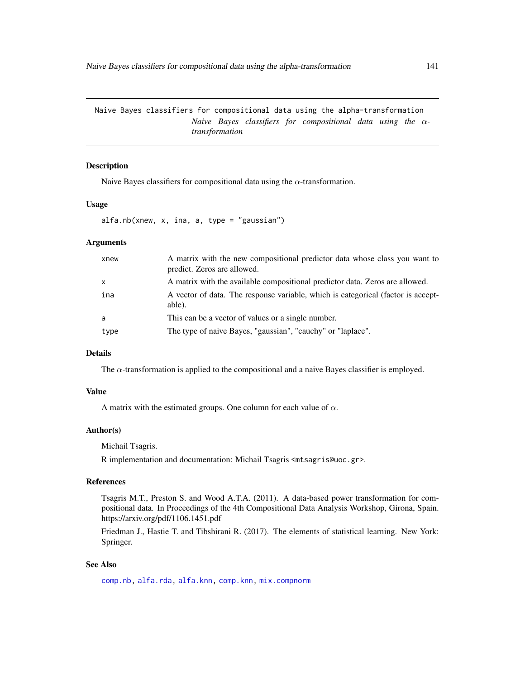Naive Bayes classifiers for compositional data using the alpha-transformation *Naive Bayes classifiers for compositional data using the* α*transformation*

## Description

Naive Bayes classifiers for compositional data using the  $\alpha$ -transformation.

### Usage

alfa.nb(xnew, x, ina, a, type = "gaussian")

## Arguments

| xnew         | A matrix with the new compositional predictor data whose class you want to<br>predict. Zeros are allowed. |
|--------------|-----------------------------------------------------------------------------------------------------------|
| $\mathsf{x}$ | A matrix with the available compositional predictor data. Zeros are allowed.                              |
| ina          | A vector of data. The response variable, which is categorical (factor is accept-<br>able).                |
| a            | This can be a vector of values or a single number.                                                        |
| type         | The type of naive Bayes, "gaussian", "cauchy" or "laplace".                                               |

# Details

The  $\alpha$ -transformation is applied to the compositional and a naive Bayes classifier is employed.

## Value

A matrix with the estimated groups. One column for each value of  $\alpha$ .

## Author(s)

Michail Tsagris.

R implementation and documentation: Michail Tsagris <mtsagris@uoc.gr>.

### References

Tsagris M.T., Preston S. and Wood A.T.A. (2011). A data-based power transformation for compositional data. In Proceedings of the 4th Compositional Data Analysis Workshop, Girona, Spain. https://arxiv.org/pdf/1106.1451.pdf

Friedman J., Hastie T. and Tibshirani R. (2017). The elements of statistical learning. New York: Springer.

### See Also

[comp.nb,](#page-138-0) [alfa.rda,](#page-161-0) [alfa.knn,](#page-194-0) [comp.knn,](#page-194-0) [mix.compnorm](#page-83-0)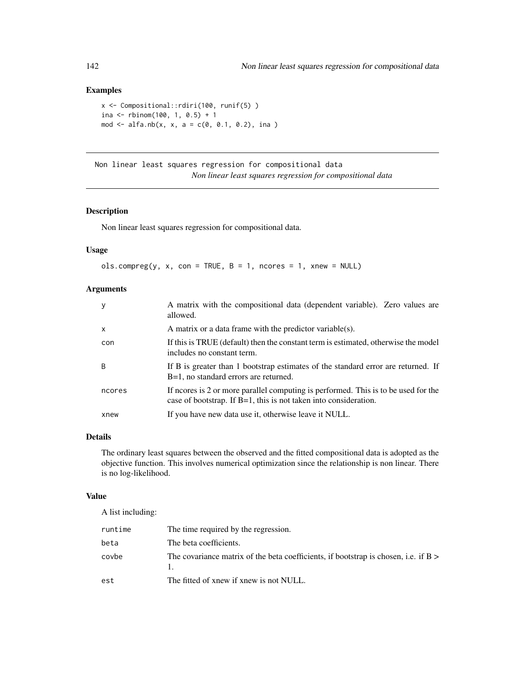# Examples

```
x <- Compositional::rdiri(100, runif(5) )
ina <- rbinom(100, 1, 0.5) + 1
mod \le alfa.nb(x, x, a = c(0, 0.1, 0.2), ina )
```
Non linear least squares regression for compositional data *Non linear least squares regression for compositional data*

# <span id="page-141-0"></span>Description

Non linear least squares regression for compositional data.

# Usage

```
ols.compile(y, x, con = TRUE, B = 1, nocres = 1, xnew = NULL)
```
# Arguments

| y            | A matrix with the compositional data (dependent variable). Zero values are<br>allowed.                                                                    |
|--------------|-----------------------------------------------------------------------------------------------------------------------------------------------------------|
| $\mathsf{x}$ | A matrix or a data frame with the predictor variable(s).                                                                                                  |
| con          | If this is TRUE (default) then the constant term is estimated, otherwise the model<br>includes no constant term.                                          |
| <sub>B</sub> | If B is greater than 1 bootstrap estimates of the standard error are returned. If<br>B=1, no standard errors are returned.                                |
| ncores       | If neores is 2 or more parallel computing is performed. This is to be used for the<br>case of bootstrap. If $B=1$ , this is not taken into consideration. |
| xnew         | If you have new data use it, otherwise leave it NULL.                                                                                                     |

## Details

The ordinary least squares between the observed and the fitted compositional data is adopted as the objective function. This involves numerical optimization since the relationship is non linear. There is no log-likelihood.

# Value

A list including:

| runtime | The time required by the regression.                                              |
|---------|-----------------------------------------------------------------------------------|
| beta    | The beta coefficients.                                                            |
| covbe   | The covariance matrix of the beta coefficients, if bootstrap is chosen, i.e. if B |
| est     | The fitted of xnew if xnew is not NULL.                                           |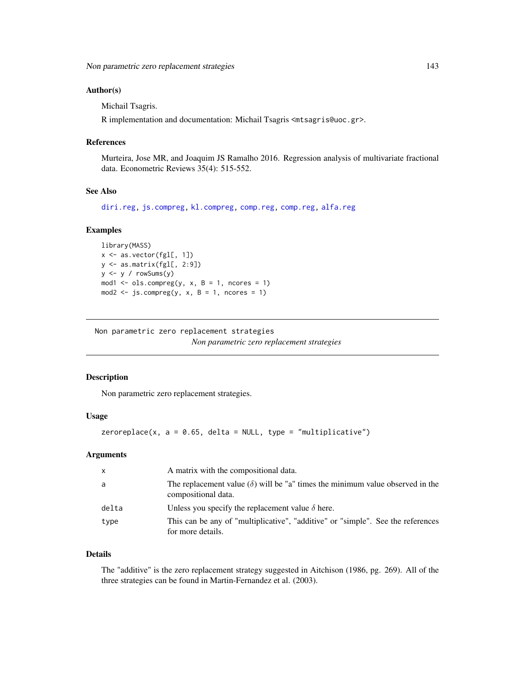### Author(s)

Michail Tsagris.

R implementation and documentation: Michail Tsagris <mtsagris@uoc.gr>.

### References

Murteira, Jose MR, and Joaquim JS Ramalho 2016. Regression analysis of multivariate fractional data. Econometric Reviews 35(4): 515-552.

# See Also

[diri.reg,](#page-59-0) [js.compreg,](#page-63-0) [kl.compreg,](#page-63-0) [comp.reg,](#page-134-0) [comp.reg,](#page-134-0) [alfa.reg](#page-159-0)

### Examples

```
library(MASS)
x <- as.vector(fgl[, 1])
y <- as.matrix(fgl[, 2:9])
y \leftarrow y / \text{rowsums}(y)mod1 <- ols.compreg(y, x, B = 1, ncores = 1)
mod2 <- js.compreg(y, x, B = 1, ncores = 1)
```
Non parametric zero replacement strategies *Non parametric zero replacement strategies*

## <span id="page-142-0"></span>Description

Non parametric zero replacement strategies.

## Usage

 $zeroreplace(x, a = 0.65, delta = NULL, type = "multiplied"')$ 

### Arguments

| $\mathsf{x}$ | A matrix with the compositional data.                                                                         |
|--------------|---------------------------------------------------------------------------------------------------------------|
| a            | The replacement value ( $\delta$ ) will be "a" times the minimum value observed in the<br>compositional data. |
| delta        | Unless you specify the replacement value $\delta$ here.                                                       |
| type         | This can be any of "multiplicative", "additive" or "simple". See the references<br>for more details.          |

### Details

The "additive" is the zero replacement strategy suggested in Aitchison (1986, pg. 269). All of the three strategies can be found in Martin-Fernandez et al. (2003).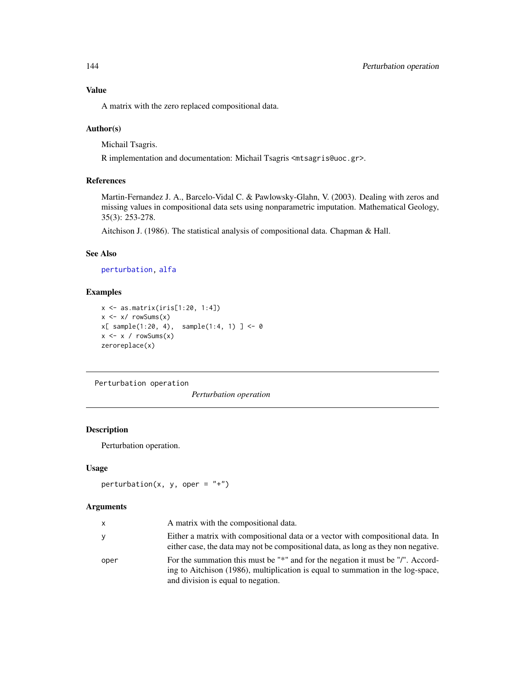A matrix with the zero replaced compositional data.

## Author(s)

Michail Tsagris.

R implementation and documentation: Michail Tsagris <mtsagris@uoc.gr>.

### References

Martin-Fernandez J. A., Barcelo-Vidal C. & Pawlowsky-Glahn, V. (2003). Dealing with zeros and missing values in compositional data sets using nonparametric imputation. Mathematical Geology, 35(3): 253-278.

Aitchison J. (1986). The statistical analysis of compositional data. Chapman & Hall.

## See Also

[perturbation,](#page-143-0) [alfa](#page-185-0)

# Examples

```
x <- as.matrix(iris[1:20, 1:4])
x \le -x / \text{rowsums}(x)x[ sample(1:20, 4), sample(1:4, 1) ] <- 0
x \leq x / \text{rowsums}(x)zeroreplace(x)
```
Perturbation operation

*Perturbation operation*

## <span id="page-143-0"></span>Description

Perturbation operation.

### Usage

perturbation(x, y, oper =  $"$ +")

### Arguments

| x    | A matrix with the compositional data.                                                                                                                                                                    |
|------|----------------------------------------------------------------------------------------------------------------------------------------------------------------------------------------------------------|
| ٧    | Either a matrix with compositional data or a vector with compositional data. In<br>either case, the data may not be compositional data, as long as they non negative.                                    |
| oper | For the summation this must be "*" and for the negation it must be "/". Accord-<br>ing to Aitchison (1986), multiplication is equal to summation in the log-space,<br>and division is equal to negation. |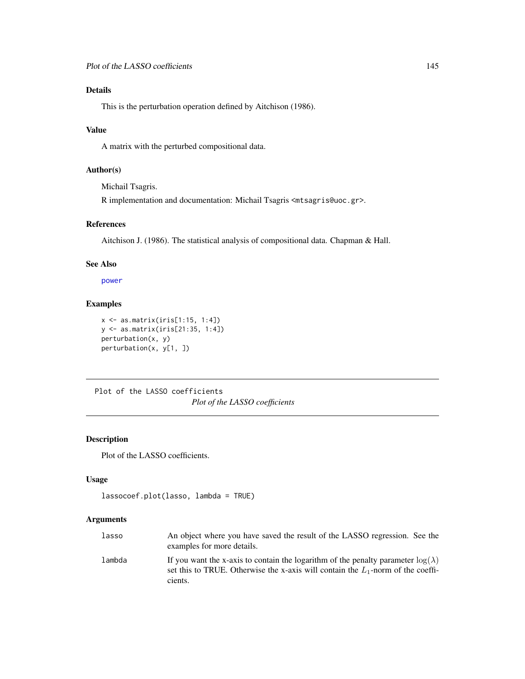# Details

This is the perturbation operation defined by Aitchison (1986).

# Value

A matrix with the perturbed compositional data.

# Author(s)

Michail Tsagris.

R implementation and documentation: Michail Tsagris <mtsagris@uoc.gr>.

# References

Aitchison J. (1986). The statistical analysis of compositional data. Chapman & Hall.

## See Also

[power](#page-0-0)

# Examples

```
x <- as.matrix(iris[1:15, 1:4])
y <- as.matrix(iris[21:35, 1:4])
perturbation(x, y)
perturbation(x, y[1, ])
```
Plot of the LASSO coefficients *Plot of the LASSO coefficients*

# Description

Plot of the LASSO coefficients.

#### Usage

```
lassocoef.plot(lasso, lambda = TRUE)
```
# Arguments

| lasso  | An object where you have saved the result of the LASSO regression. See the<br>examples for more details.                                                                                 |
|--------|------------------------------------------------------------------------------------------------------------------------------------------------------------------------------------------|
| lambda | If you want the x-axis to contain the logarithm of the penalty parameter $log(\lambda)$<br>set this to TRUE. Otherwise the x-axis will contain the $L_1$ -norm of the coeffi-<br>cients. |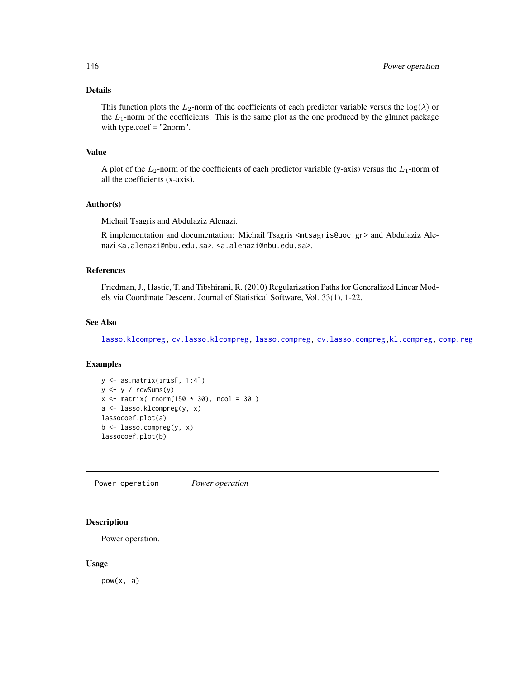# Details

This function plots the L<sub>2</sub>-norm of the coefficients of each predictor variable versus the  $log(\lambda)$  or the  $L_1$ -norm of the coefficients. This is the same plot as the one produced by the glmnet package with type.coef = "2norm".

# Value

A plot of the  $L_2$ -norm of the coefficients of each predictor variable (y-axis) versus the  $L_1$ -norm of all the coefficients (x-axis).

#### Author(s)

Michail Tsagris and Abdulaziz Alenazi.

R implementation and documentation: Michail Tsagris <mtsagris@uoc.gr> and Abdulaziz Alenazi <a.alenazi@nbu.edu.sa>. <a.alenazi@nbu.edu.sa>.

# References

Friedman, J., Hastie, T. and Tibshirani, R. (2010) Regularization Paths for Generalized Linear Models via Coordinate Descent. Journal of Statistical Software, Vol. 33(1), 1-22.

# See Also

[lasso.klcompreg,](#page-104-0) [cv.lasso.klcompreg,](#page-46-0) [lasso.compreg,](#page-105-0) [cv.lasso.compreg,](#page-48-0)[kl.compreg,](#page-63-0) [comp.reg](#page-134-0)

#### Examples

```
y <- as.matrix(iris[, 1:4])
y \leftarrow y / rowsums(y)x \le matrix( rnorm(150 \star 30), ncol = 30)
a <- lasso.klcompreg(y, x)
lassocoef.plot(a)
b \leq - lasso.compreg(y, x)
lassocoef.plot(b)
```
Power operation *Power operation*

#### Description

Power operation.

#### Usage

pow(x, a)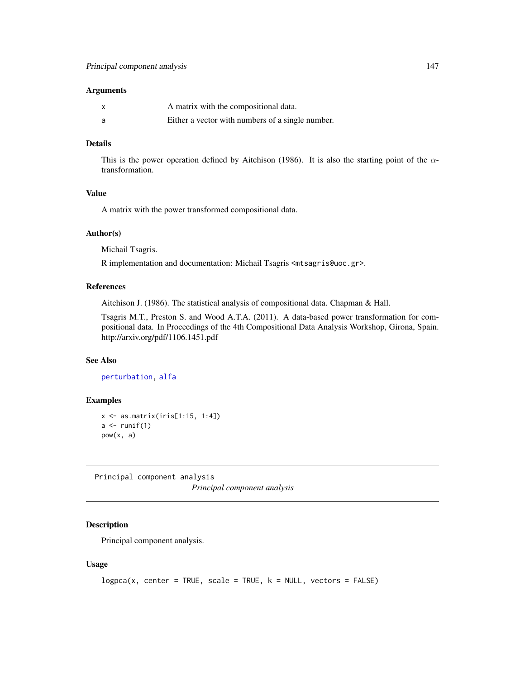# Arguments

| $\boldsymbol{\mathsf{x}}$ | A matrix with the compositional data.            |
|---------------------------|--------------------------------------------------|
| a                         | Either a vector with numbers of a single number. |

# Details

This is the power operation defined by Aitchison (1986). It is also the starting point of the  $\alpha$ transformation.

# Value

A matrix with the power transformed compositional data.

#### Author(s)

Michail Tsagris.

R implementation and documentation: Michail Tsagris <mtsagris@uoc.gr>.

#### References

Aitchison J. (1986). The statistical analysis of compositional data. Chapman & Hall.

Tsagris M.T., Preston S. and Wood A.T.A. (2011). A data-based power transformation for compositional data. In Proceedings of the 4th Compositional Data Analysis Workshop, Girona, Spain. http://arxiv.org/pdf/1106.1451.pdf

# See Also

[perturbation,](#page-143-0) [alfa](#page-185-0)

# Examples

```
x \leftarrow as_matrix(iris[1:15, 1:4])a \leftarrow runif(1)pow(x, a)
```
Principal component analysis *Principal component analysis*

# <span id="page-146-0"></span>Description

Principal component analysis.

#### Usage

```
logpca(x, center = TRUE, scale = TRUE, k = NULL, vectors = FALSE)
```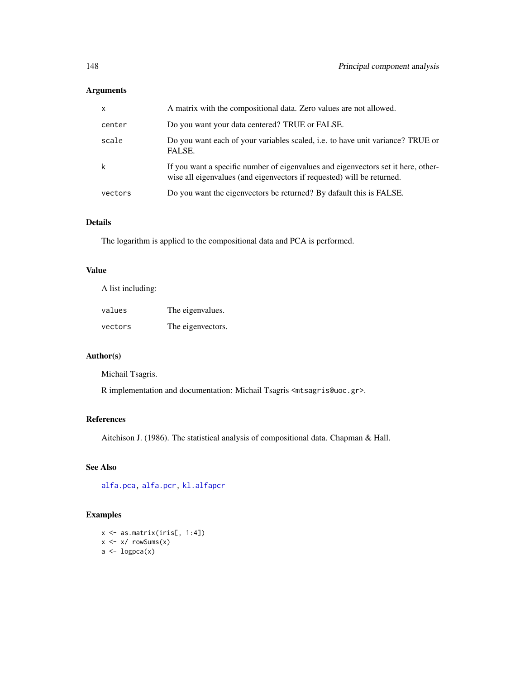# Arguments

| $\mathsf{x}$ | A matrix with the compositional data. Zero values are not allowed.                                                                                          |
|--------------|-------------------------------------------------------------------------------------------------------------------------------------------------------------|
| center       | Do you want your data centered? TRUE or FALSE.                                                                                                              |
| scale        | Do you want each of your variables scaled, i.e. to have unit variance? TRUE or<br>FALSE.                                                                    |
| k            | If you want a specific number of eigenvalues and eigenvectors set it here, other-<br>wise all eigenvalues (and eigenvectors if requested) will be returned. |
| vectors      | Do you want the eigenvectors be returned? By dafault this is FALSE.                                                                                         |

# Details

The logarithm is applied to the compositional data and PCA is performed.

# Value

A list including:

| values  | The eigenvalues.  |
|---------|-------------------|
| vectors | The eigenvectors. |

# Author(s)

Michail Tsagris.

R implementation and documentation: Michail Tsagris <mtsagris@uoc.gr>.

# References

Aitchison J. (1986). The statistical analysis of compositional data. Chapman & Hall.

# See Also

[alfa.pca,](#page-148-0) [alfa.pcr,](#page-133-0) [kl.alfapcr](#page-65-0)

# Examples

x <- as.matrix(iris[, 1:4])  $x \leftarrow x / \text{rowsums}(x)$  $a \leftarrow \text{logpca}(x)$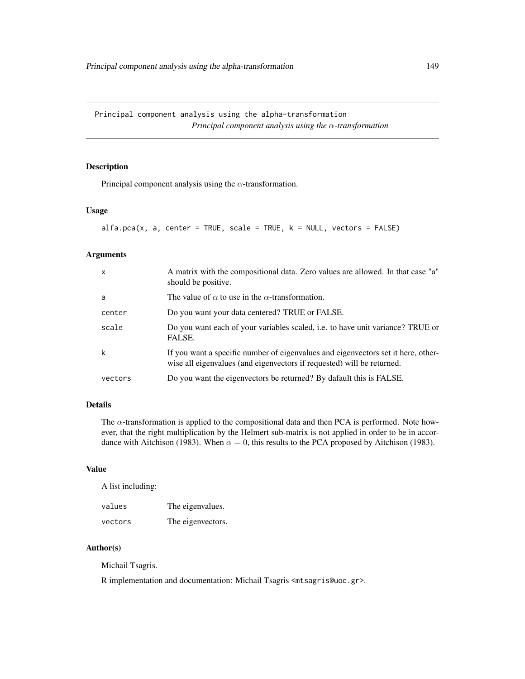Principal component analysis using the alpha-transformation *Principal component analysis using the* α*-transformation*

# <span id="page-148-0"></span>Description

Principal component analysis using the  $\alpha$ -transformation.

## Usage

```
alfa.pca(x, a, center = TRUE, scale = TRUE, k = NULL, vectors = FALSE)
```
# Arguments

| $\mathsf{x}$ | A matrix with the compositional data. Zero values are allowed. In that case "a"<br>should be positive.                                                      |
|--------------|-------------------------------------------------------------------------------------------------------------------------------------------------------------|
| a            | The value of $\alpha$ to use in the $\alpha$ -transformation.                                                                                               |
| center       | Do you want your data centered? TRUE or FALSE.                                                                                                              |
| scale        | Do you want each of your variables scaled, <i>i.e.</i> to have unit variance? TRUE or<br>FALSE.                                                             |
| k            | If you want a specific number of eigenvalues and eigenvectors set it here, other-<br>wise all eigenvalues (and eigenvectors if requested) will be returned. |
| vectors      | Do you want the eigenvectors be returned? By dafault this is FALSE.                                                                                         |

# Details

The  $\alpha$ -transformation is applied to the compositional data and then PCA is performed. Note however, that the right multiplication by the Helmert sub-matrix is not applied in order to be in accordance with Aitchison (1983). When  $\alpha = 0$ , this results to the PCA proposed by Aitchison (1983).

# Value

A list including:

| values  | The eigenvalues.  |
|---------|-------------------|
| vectors | The eigenvectors. |

# Author(s)

Michail Tsagris.

R implementation and documentation: Michail Tsagris <mtsagris@uoc.gr>.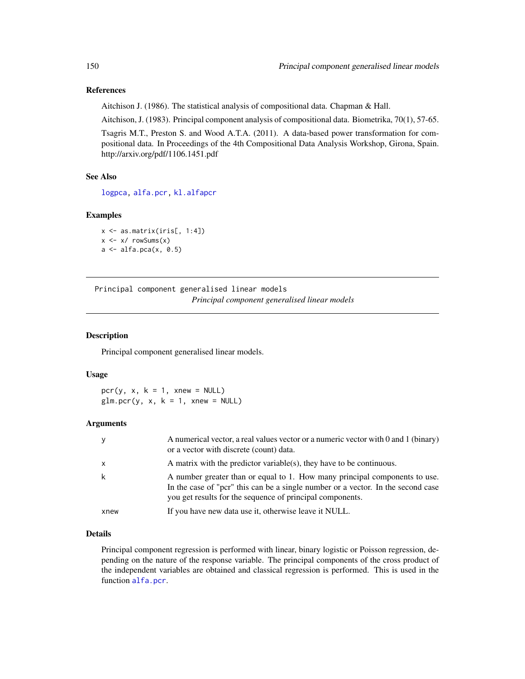## References

Aitchison J. (1986). The statistical analysis of compositional data. Chapman & Hall.

Aitchison, J. (1983). Principal component analysis of compositional data. Biometrika, 70(1), 57-65.

Tsagris M.T., Preston S. and Wood A.T.A. (2011). A data-based power transformation for compositional data. In Proceedings of the 4th Compositional Data Analysis Workshop, Girona, Spain. http://arxiv.org/pdf/1106.1451.pdf

#### See Also

[logpca,](#page-146-0) [alfa.pcr,](#page-133-0) [kl.alfapcr](#page-65-0)

# Examples

```
x \leftarrow as.matrix(iris[, 1:4])x \leftarrow x / \text{rowsums}(x)a \leftarrow alfa.pca(x, 0.5)
```
Principal component generalised linear models *Principal component generalised linear models*

# Description

Principal component generalised linear models.

#### Usage

 $pcr(y, x, k = 1, xnew = NULL)$  $glm.pcr(y, x, k = 1, xnew = NULL)$ 

# Arguments

| y            | A numerical vector, a real values vector or a numeric vector with 0 and 1 (binary)<br>or a vector with discrete (count) data.                                                                                               |
|--------------|-----------------------------------------------------------------------------------------------------------------------------------------------------------------------------------------------------------------------------|
| $\mathsf{x}$ | A matrix with the predictor variable(s), they have to be continuous.                                                                                                                                                        |
| k            | A number greater than or equal to 1. How many principal components to use.<br>In the case of "pcr" this can be a single number or a vector. In the second case<br>you get results for the sequence of principal components. |
| xnew         | If you have new data use it, otherwise leave it NULL.                                                                                                                                                                       |

# Details

Principal component regression is performed with linear, binary logistic or Poisson regression, depending on the nature of the response variable. The principal components of the cross product of the independent variables are obtained and classical regression is performed. This is used in the function [alfa.pcr](#page-133-0).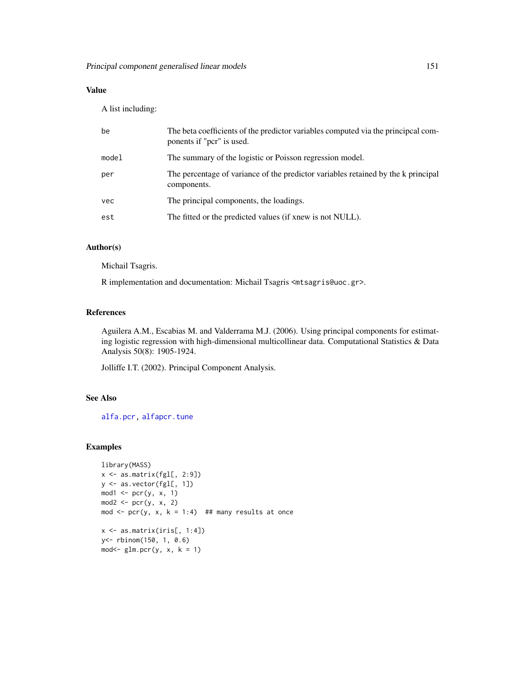# Value

A list including:

| be    | The beta coefficients of the predictor variables computed via the principcal com-<br>ponents if "pcr" is used. |
|-------|----------------------------------------------------------------------------------------------------------------|
| model | The summary of the logistic or Poisson regression model.                                                       |
| per   | The percentage of variance of the predictor variables retained by the k principal<br>components.               |
| vec   | The principal components, the loadings.                                                                        |
| est   | The fitted or the predicted values (if xnew is not NULL).                                                      |
|       |                                                                                                                |

# Author(s)

Michail Tsagris.

R implementation and documentation: Michail Tsagris <mtsagris@uoc.gr>.

# References

Aguilera A.M., Escabias M. and Valderrama M.J. (2006). Using principal components for estimating logistic regression with high-dimensional multicollinear data. Computational Statistics & Data Analysis 50(8): 1905-1924.

Jolliffe I.T. (2002). Principal Component Analysis.

# See Also

[alfa.pcr,](#page-133-0) [alfapcr.tune](#page-208-0)

# Examples

```
library(MASS)
x <- as.matrix(fgl[, 2:9])
y <- as.vector(fgl[, 1])
mod1 \le pcr(y, x, 1)
mod2 \leq pcr(y, x, 2)mod \le pcr(y, x, k = 1:4) ## many results at once
x \leftarrow as.matrix(iris[, 1:4])y<- rbinom(150, 1, 0.6)
mod < -glm.pcr(y, x, k = 1)
```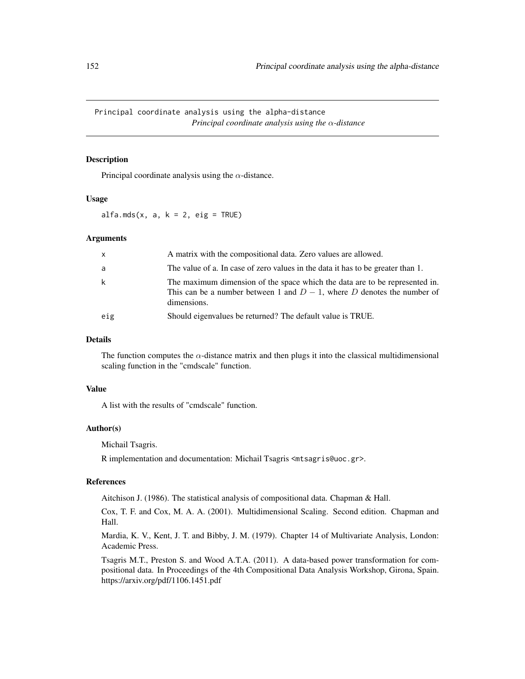Principal coordinate analysis using the alpha-distance *Principal coordinate analysis using the* α*-distance*

#### <span id="page-151-0"></span>Description

Principal coordinate analysis using the  $\alpha$ -distance.

#### Usage

alfa.mds $(x, a, k = 2, eig = TRUE)$ 

#### Arguments

| $\mathsf{x}$ | A matrix with the compositional data. Zero values are allowed.                                                                                                         |
|--------------|------------------------------------------------------------------------------------------------------------------------------------------------------------------------|
| a            | The value of a. In case of zero values in the data it has to be greater than 1.                                                                                        |
| k            | The maximum dimension of the space which the data are to be represented in.<br>This can be a number between 1 and $D-1$ , where D denotes the number of<br>dimensions. |
| eig          | Should eigenvalues be returned? The default value is TRUE.                                                                                                             |
|              |                                                                                                                                                                        |

#### Details

The function computes the  $\alpha$ -distance matrix and then plugs it into the classical multidimensional scaling function in the "cmdscale" function.

#### Value

A list with the results of "cmdscale" function.

#### Author(s)

Michail Tsagris.

R implementation and documentation: Michail Tsagris <mtsagris@uoc.gr>.

#### References

Aitchison J. (1986). The statistical analysis of compositional data. Chapman & Hall.

Cox, T. F. and Cox, M. A. A. (2001). Multidimensional Scaling. Second edition. Chapman and Hall.

Mardia, K. V., Kent, J. T. and Bibby, J. M. (1979). Chapter 14 of Multivariate Analysis, London: Academic Press.

Tsagris M.T., Preston S. and Wood A.T.A. (2011). A data-based power transformation for compositional data. In Proceedings of the 4th Compositional Data Analysis Workshop, Girona, Spain. https://arxiv.org/pdf/1106.1451.pdf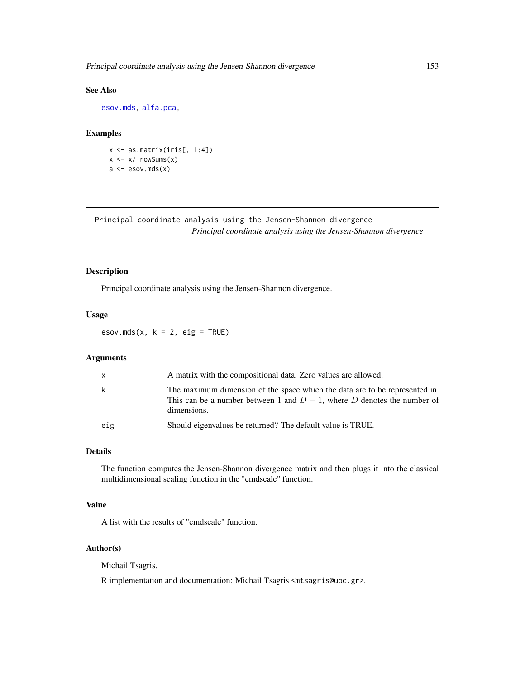Principal coordinate analysis using the Jensen-Shannon divergence 153

# See Also

[esov.mds,](#page-152-0) [alfa.pca,](#page-148-0)

## Examples

x <- as.matrix(iris[, 1:4])  $x \leftarrow x / \text{rowsums}(x)$  $a \leftarrow \text{esov.mds}(x)$ 

Principal coordinate analysis using the Jensen-Shannon divergence *Principal coordinate analysis using the Jensen-Shannon divergence*

#### <span id="page-152-0"></span>Description

Principal coordinate analysis using the Jensen-Shannon divergence.

## Usage

esov.mds(x,  $k = 2$ , eig = TRUE)

## Arguments

| $\mathbf{x}$ | A matrix with the compositional data. Zero values are allowed.                                                                                                         |
|--------------|------------------------------------------------------------------------------------------------------------------------------------------------------------------------|
| k            | The maximum dimension of the space which the data are to be represented in.<br>This can be a number between 1 and $D-1$ , where D denotes the number of<br>dimensions. |
| eig          | Should eigenvalues be returned? The default value is TRUE.                                                                                                             |

# Details

The function computes the Jensen-Shannon divergence matrix and then plugs it into the classical multidimensional scaling function in the "cmdscale" function.

# Value

A list with the results of "cmdscale" function.

# Author(s)

Michail Tsagris.

R implementation and documentation: Michail Tsagris <mtsagris@uoc.gr>.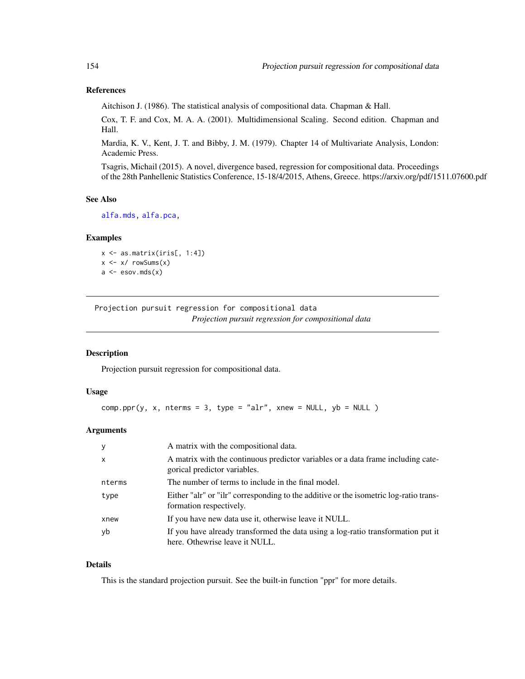# References

Aitchison J. (1986). The statistical analysis of compositional data. Chapman & Hall.

Cox, T. F. and Cox, M. A. A. (2001). Multidimensional Scaling. Second edition. Chapman and Hall.

Mardia, K. V., Kent, J. T. and Bibby, J. M. (1979). Chapter 14 of Multivariate Analysis, London: Academic Press.

Tsagris, Michail (2015). A novel, divergence based, regression for compositional data. Proceedings of the 28th Panhellenic Statistics Conference, 15-18/4/2015, Athens, Greece. https://arxiv.org/pdf/1511.07600.pdf

#### See Also

[alfa.mds,](#page-151-0) [alfa.pca,](#page-148-0)

#### Examples

 $x \leq -$  as.matrix(iris[, 1:4])  $x \le -x / \text{rowsums}(x)$  $a \leftarrow \text{esov.mds}(x)$ 

Projection pursuit regression for compositional data *Projection pursuit regression for compositional data*

# <span id="page-153-0"></span>Description

Projection pursuit regression for compositional data.

#### Usage

 $comp.ppr(y, x, nterms = 3, type = "alr", xnew = NULL, yb = NULL)$ 

#### Arguments

| У            | A matrix with the compositional data.                                                                              |
|--------------|--------------------------------------------------------------------------------------------------------------------|
| $\mathsf{x}$ | A matrix with the continuous predictor variables or a data frame including cate-<br>gorical predictor variables.   |
| nterms       | The number of terms to include in the final model.                                                                 |
| type         | Either "alr" or "ilr" corresponding to the additive or the isometric log-ratio trans-<br>formation respectively.   |
| xnew         | If you have new data use it, otherwise leave it NULL.                                                              |
| yb           | If you have already transformed the data using a log-ratio transformation put it<br>here. Othewrise leave it NULL. |

## Details

This is the standard projection pursuit. See the built-in function "ppr" for more details.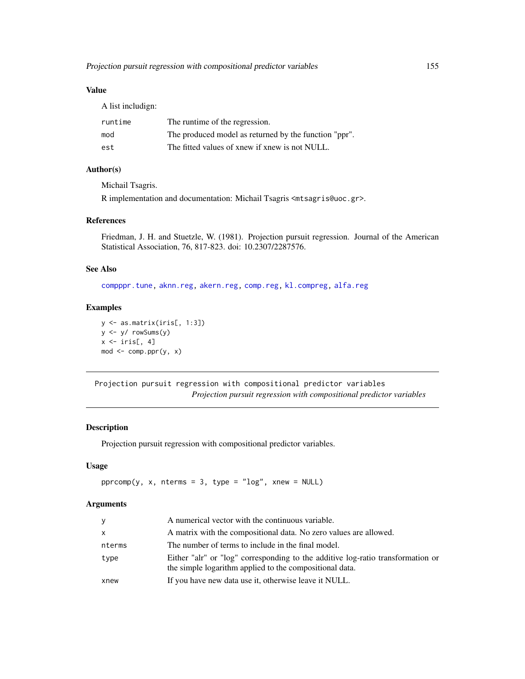# Value

A list includign:

| runtime | The runtime of the regression.                        |
|---------|-------------------------------------------------------|
| mod     | The produced model as returned by the function "ppr". |
| est     | The fitted values of xnew if xnew is not NULL.        |

# Author(s)

Michail Tsagris.

R implementation and documentation: Michail Tsagris <mtsagris@uoc.gr>.

# References

Friedman, J. H. and Stuetzle, W. (1981). Projection pursuit regression. Journal of the American Statistical Association, 76, 817-823. doi: 10.2307/2287576.

# See Also

[compppr.tune,](#page-205-0) [aknn.reg,](#page-181-0) [akern.reg,](#page-184-0) [comp.reg,](#page-134-0) [kl.compreg,](#page-63-0) [alfa.reg](#page-159-0)

# Examples

```
y <- as.matrix(iris[, 1:3])
y <- y/ rowSums(y)
x \leftarrow \text{iris}[, 4]mod \le - comp.ppr(y, x)
```
Projection pursuit regression with compositional predictor variables *Projection pursuit regression with compositional predictor variables*

# Description

Projection pursuit regression with compositional predictor variables.

#### Usage

```
pprcomp(y, x, nterms = 3, type = "log", xnew = NULL)
```
# Arguments

| V      | A numerical vector with the continuous variable.                                                                                           |
|--------|--------------------------------------------------------------------------------------------------------------------------------------------|
| x      | A matrix with the compositional data. No zero values are allowed.                                                                          |
| nterms | The number of terms to include in the final model.                                                                                         |
| type   | Either "alr" or "log" corresponding to the additive log-ratio transformation or<br>the simple logarithm applied to the compositional data. |
| xnew   | If you have new data use it, otherwise leave it NULL.                                                                                      |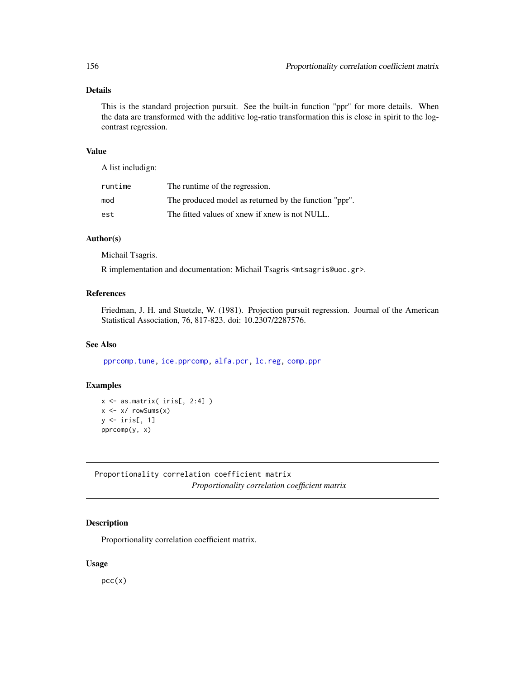# Details

This is the standard projection pursuit. See the built-in function "ppr" for more details. When the data are transformed with the additive log-ratio transformation this is close in spirit to the logcontrast regression.

# Value

A list includign:

| runtime | The runtime of the regression.                        |
|---------|-------------------------------------------------------|
| mod     | The produced model as returned by the function "ppr". |
| est     | The fitted values of xnew if xnew is not NULL.        |

# Author(s)

Michail Tsagris.

R implementation and documentation: Michail Tsagris <mtsagris@uoc.gr>.

#### References

Friedman, J. H. and Stuetzle, W. (1981). Projection pursuit regression. Journal of the American Statistical Association, 76, 817-823. doi: 10.2307/2287576.

# See Also

[pprcomp.tune,](#page-206-0) [ice.pprcomp,](#page-96-0) [alfa.pcr,](#page-133-0) [lc.reg,](#page-108-0) [comp.ppr](#page-153-0)

# Examples

 $x \leftarrow as.matrix(ints[, 2:4])$  $x \leftarrow x / \text{rowsums}(x)$ y <- iris[, 1] pprcomp(y, x)

Proportionality correlation coefficient matrix *Proportionality correlation coefficient matrix*

# Description

Proportionality correlation coefficient matrix.

#### Usage

 $pcc(x)$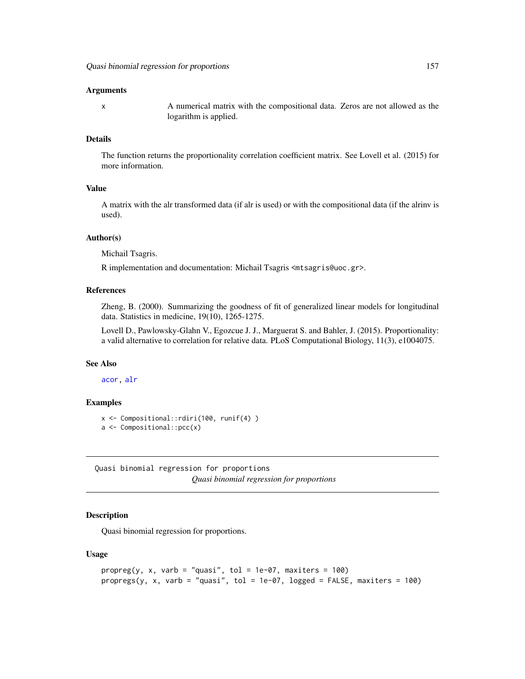#### Arguments

x A numerical matrix with the compositional data. Zeros are not allowed as the logarithm is applied.

## Details

The function returns the proportionality correlation coefficient matrix. See Lovell et al. (2015) for more information.

# Value

A matrix with the alr transformed data (if alr is used) or with the compositional data (if the alrinv is used).

#### Author(s)

Michail Tsagris.

R implementation and documentation: Michail Tsagris <mtsagris@uoc.gr>.

#### References

Zheng, B. (2000). Summarizing the goodness of fit of generalized linear models for longitudinal data. Statistics in medicine, 19(10), 1265-1275.

Lovell D., Pawlowsky-Glahn V., Egozcue J. J., Marguerat S. and Bahler, J. (2015). Proportionality: a valid alternative to correlation for relative data. PLoS Computational Biology, 11(3), e1004075.

# See Also

[acor,](#page-8-0) [alr](#page-177-0)

## Examples

```
x <- Compositional::rdiri(100, runif(4) )
a <- Compositional::pcc(x)
```
Quasi binomial regression for proportions *Quasi binomial regression for proportions*

#### Description

Quasi binomial regression for proportions.

#### Usage

```
proper(g, x, varb = "quasi", tol = 1e-07, maxiters = 100)propregs(y, x, varb = "quasi", tol = 1e-07, logged = FALSE, maxiters = 100)
```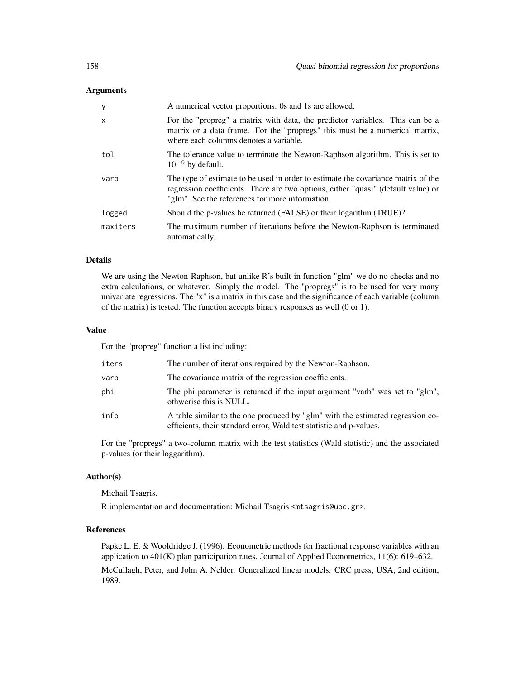#### **Arguments**

| y            | A numerical vector proportions. Os and 1s are allowed.                                                                                                                                                                    |
|--------------|---------------------------------------------------------------------------------------------------------------------------------------------------------------------------------------------------------------------------|
| $\mathsf{x}$ | For the "propreg" a matrix with data, the predictor variables. This can be a<br>matrix or a data frame. For the "propregs" this must be a numerical matrix,<br>where each columns denotes a variable.                     |
| tol          | The tolerance value to terminate the Newton-Raphson algorithm. This is set to<br>$10^{-9}$ by default.                                                                                                                    |
| varb         | The type of estimate to be used in order to estimate the covariance matrix of the<br>regression coefficients. There are two options, either "quasi" (default value) or<br>"glm". See the references for more information. |
| logged       | Should the p-values be returned (FALSE) or their logarithm (TRUE)?                                                                                                                                                        |
| maxiters     | The maximum number of iterations before the Newton-Raphson is terminated<br>automatically.                                                                                                                                |

# Details

We are using the Newton-Raphson, but unlike R's built-in function "glm" we do no checks and no extra calculations, or whatever. Simply the model. The "propregs" is to be used for very many univariate regressions. The "x" is a matrix in this case and the significance of each variable (column of the matrix) is tested. The function accepts binary responses as well (0 or 1).

#### Value

For the "propreg" function a list including:

| iters | The number of iterations required by the Newton-Raphson.                                                                                              |
|-------|-------------------------------------------------------------------------------------------------------------------------------------------------------|
| varb  | The covariance matrix of the regression coefficients.                                                                                                 |
| phi   | The phi parameter is returned if the input argument "varb" was set to "glm",<br>othwerise this is NULL.                                               |
| info  | A table similar to the one produced by "glm" with the estimated regression co-<br>efficients, their standard error, Wald test statistic and p-values. |

For the "propregs" a two-column matrix with the test statistics (Wald statistic) and the associated p-values (or their loggarithm).

## Author(s)

Michail Tsagris.

R implementation and documentation: Michail Tsagris <mtsagris@uoc.gr>.

# References

Papke L. E. & Wooldridge J. (1996). Econometric methods for fractional response variables with an application to 401(K) plan participation rates. Journal of Applied Econometrics, 11(6): 619–632. McCullagh, Peter, and John A. Nelder. Generalized linear models. CRC press, USA, 2nd edition, 1989.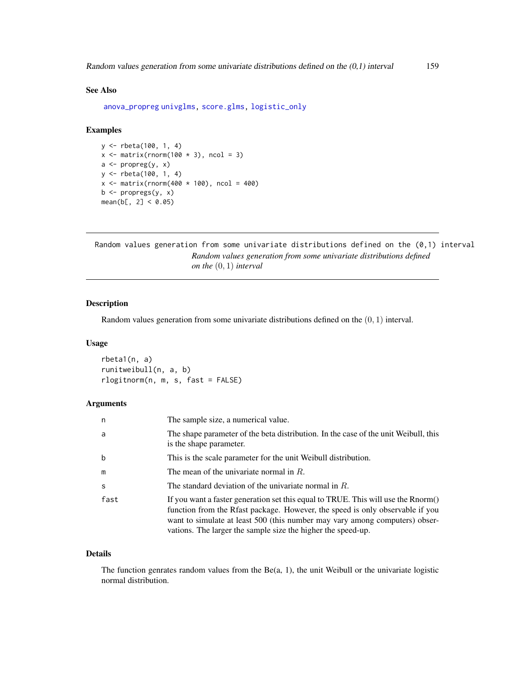# See Also

[anova\\_propreg](#page-0-0) [univglms,](#page-0-0) [score.glms,](#page-0-0) [logistic\\_only](#page-0-0)

# Examples

```
y <- rbeta(100, 1, 4)
x \leftarrow \text{matrix}(rnorm(100 * 3), ncol = 3)a \leftarrow propreg(y, x)
y <- rbeta(100, 1, 4)
x \le - matrix(rnorm(400 * 100), ncol = 400)
b \leftarrow propregs(y, x)
mean(b[, 2] < 0.05)
```
Random values generation from some univariate distributions defined on the (0,1) interval *Random values generation from some univariate distributions defined on the* (0, 1) *interval*

# Description

Random values generation from some univariate distributions defined on the  $(0, 1)$  interval.

#### Usage

rbeta1(n, a) runitweibull(n, a, b) rlogitnorm(n, m, s, fast = FALSE)

# Arguments

| n    | The sample size, a numerical value.                                                                                                                                                                                                                                                                               |
|------|-------------------------------------------------------------------------------------------------------------------------------------------------------------------------------------------------------------------------------------------------------------------------------------------------------------------|
| a    | The shape parameter of the beta distribution. In the case of the unit Weibull, this<br>is the shape parameter.                                                                                                                                                                                                    |
| b    | This is the scale parameter for the unit Weibull distribution.                                                                                                                                                                                                                                                    |
| m    | The mean of the univariate normal in $R$ .                                                                                                                                                                                                                                                                        |
| S    | The standard deviation of the univariate normal in $R$ .                                                                                                                                                                                                                                                          |
| fast | If you want a faster generation set this equal to TRUE. This will use the Rnorm()<br>function from the Rfast package. However, the speed is only observable if you<br>want to simulate at least 500 (this number may vary among computers) obser-<br>vations. The larger the sample size the higher the speed-up. |

#### Details

The function genrates random values from the  $Be(a, 1)$ , the unit Weibull or the univariate logistic normal distribution.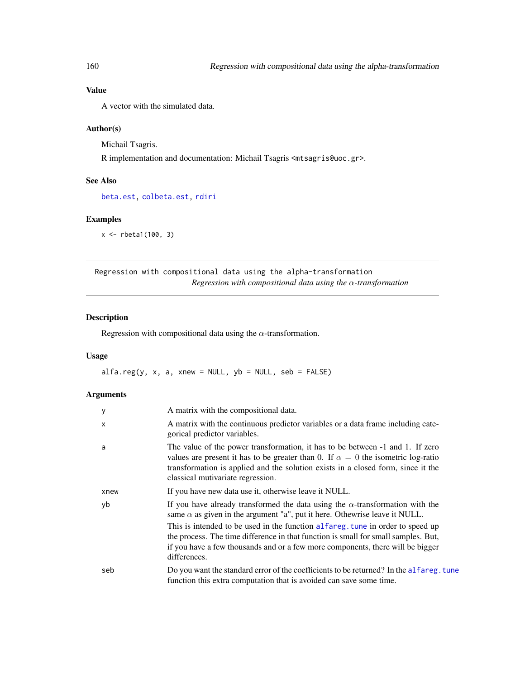# Value

A vector with the simulated data.

## Author(s)

Michail Tsagris. R implementation and documentation: Michail Tsagris <mtsagris@uoc.gr>.

## See Also

[beta.est,](#page-119-0) [colbeta.est,](#page-15-0) [rdiri](#page-58-0)

#### Examples

x <- rbeta1(100, 3)

Regression with compositional data using the alpha-transformation *Regression with compositional data using the* α*-transformation*

# <span id="page-159-0"></span>Description

Regression with compositional data using the  $\alpha$ -transformation.

# Usage

 $alfa.read(y, x, a, xnew = NULL, yb = NULL, seb = FALSE)$ 

# Arguments

| y            | A matrix with the compositional data.                                                                                                                                                                                                                                                             |
|--------------|---------------------------------------------------------------------------------------------------------------------------------------------------------------------------------------------------------------------------------------------------------------------------------------------------|
| $\mathsf{x}$ | A matrix with the continuous predictor variables or a data frame including cate-<br>gorical predictor variables.                                                                                                                                                                                  |
| a            | The value of the power transformation, it has to be between -1 and 1. If zero<br>values are present it has to be greater than 0. If $\alpha = 0$ the isometric log-ratio<br>transformation is applied and the solution exists in a closed form, since it the<br>classical mutivariate regression. |
| xnew         | If you have new data use it, otherwise leave it NULL.                                                                                                                                                                                                                                             |
| yb           | If you have already transformed the data using the $\alpha$ -transformation with the<br>same $\alpha$ as given in the argument "a", put it here. Othewrise leave it NULL.                                                                                                                         |
|              | This is intended to be used in the function alfareg, tune in order to speed up<br>the process. The time difference in that function is small for small samples. But,<br>if you have a few thousands and or a few more components, there will be bigger<br>differences.                            |
| seb          | Do you want the standard error of the coefficients to be returned? In the alfareg. tune<br>function this extra computation that is avoided can save some time.                                                                                                                                    |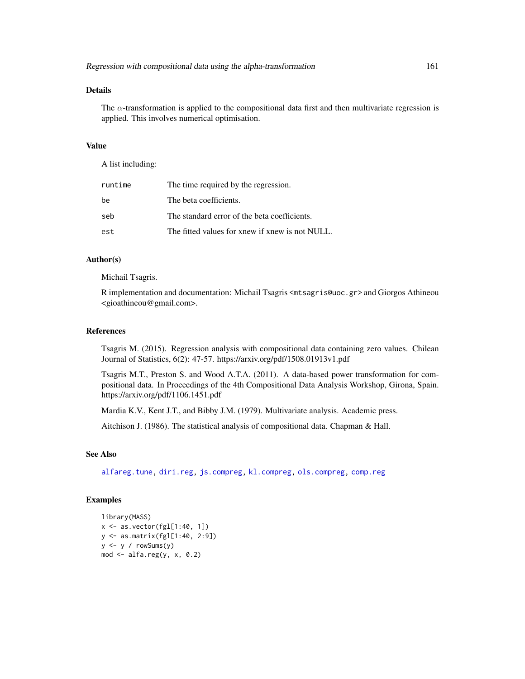# Details

The  $\alpha$ -transformation is applied to the compositional data first and then multivariate regression is applied. This involves numerical optimisation.

## Value

A list including:

| runtime | The time required by the regression.            |
|---------|-------------------------------------------------|
| be      | The beta coefficients.                          |
| seb     | The standard error of the beta coefficients.    |
| est     | The fitted values for xnew if xnew is not NULL. |

#### Author(s)

Michail Tsagris.

R implementation and documentation: Michail Tsagris <mtsagris@uoc.gr> and Giorgos Athineou <gioathineou@gmail.com>.

# References

Tsagris M. (2015). Regression analysis with compositional data containing zero values. Chilean Journal of Statistics, 6(2): 47-57. https://arxiv.org/pdf/1508.01913v1.pdf

Tsagris M.T., Preston S. and Wood A.T.A. (2011). A data-based power transformation for compositional data. In Proceedings of the 4th Compositional Data Analysis Workshop, Girona, Spain. https://arxiv.org/pdf/1106.1451.pdf

Mardia K.V., Kent J.T., and Bibby J.M. (1979). Multivariate analysis. Academic press.

Aitchison J. (1986). The statistical analysis of compositional data. Chapman & Hall.

#### See Also

[alfareg.tune,](#page-213-0) [diri.reg,](#page-59-0) [js.compreg,](#page-63-0) [kl.compreg,](#page-63-0) [ols.compreg,](#page-141-0) [comp.reg](#page-134-0)

## Examples

```
library(MASS)
x \leftarrow as-vector(fgl[1:40, 1])y <- as.matrix(fgl[1:40, 2:9])
y \le y / \text{rowsums}(y)mod \leftarrow alfa.read(y, x, 0.2)
```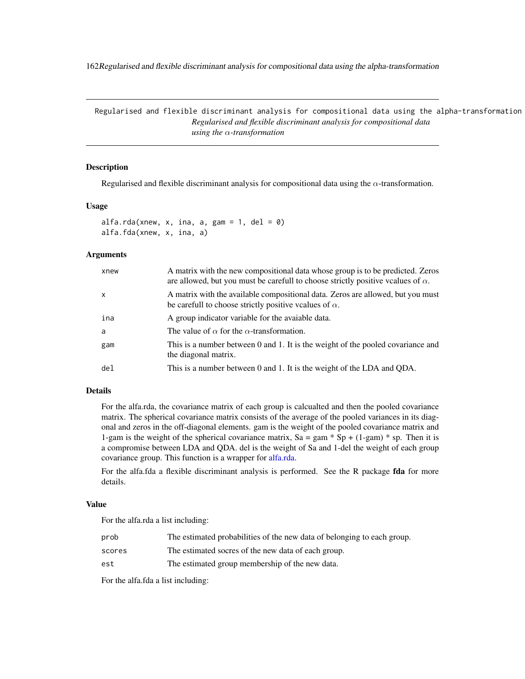162Regularised and flexible discriminant analysis for compositional data using the alpha-transformation

Regularised and flexible discriminant analysis for compositional data using the alpha-transformation *Regularised and flexible discriminant analysis for compositional data using the* α*-transformation*

## <span id="page-161-0"></span>Description

Regularised and flexible discriminant analysis for compositional data using the  $\alpha$ -transformation.

#### Usage

alfa.rda(xnew, x, ina, a, gam = 1, del = 0) alfa.fda(xnew, x, ina, a)

## Arguments

| xnew         | A matrix with the new compositional data whose group is to be predicted. Zeros<br>are allowed, but you must be carefull to choose strictly positive vcalues of $\alpha$ . |
|--------------|---------------------------------------------------------------------------------------------------------------------------------------------------------------------------|
| $\mathsf{x}$ | A matrix with the available compositional data. Zeros are allowed, but you must<br>be carefull to choose strictly positive vcalues of $\alpha$ .                          |
| ina          | A group indicator variable for the avaiable data.                                                                                                                         |
| a            | The value of $\alpha$ for the $\alpha$ -transformation.                                                                                                                   |
| gam          | This is a number between 0 and 1. It is the weight of the pooled covariance and<br>the diagonal matrix.                                                                   |
| del          | This is a number between 0 and 1. It is the weight of the LDA and QDA.                                                                                                    |

#### Details

For the alfa.rda, the covariance matrix of each group is calcualted and then the pooled covariance matrix. The spherical covariance matrix consists of the average of the pooled variances in its diagonal and zeros in the off-diagonal elements. gam is the weight of the pooled covariance matrix and 1-gam is the weight of the spherical covariance matrix,  $Sa = gam * Sp + (1-gam) * sp$ . Then it is a compromise between LDA and QDA. del is the weight of Sa and 1-del the weight of each group covariance group. This function is a wrapper for [alfa.rda.](#page-161-0)

For the alfa.fda a flexible discriminant analysis is performed. See the R package fda for more details.

#### Value

For the alfa.rda a list including:

| prob   | The estimated probabilities of the new data of belonging to each group. |
|--------|-------------------------------------------------------------------------|
| scores | The estimated socres of the new data of each group.                     |
| est    | The estimated group membership of the new data.                         |

For the alfa.fda a list including: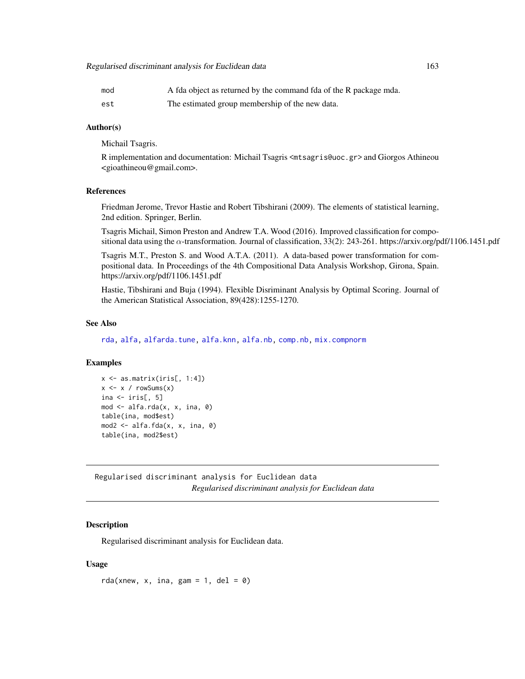| mod | A fda object as returned by the command fda of the R package mda. |
|-----|-------------------------------------------------------------------|
| est | The estimated group membership of the new data.                   |

# Author(s)

Michail Tsagris.

R implementation and documentation: Michail Tsagris <mtsagris@uoc.gr> and Giorgos Athineou <gioathineou@gmail.com>.

# References

Friedman Jerome, Trevor Hastie and Robert Tibshirani (2009). The elements of statistical learning, 2nd edition. Springer, Berlin.

Tsagris Michail, Simon Preston and Andrew T.A. Wood (2016). Improved classification for compositional data using the  $\alpha$ -transformation. Journal of classification, 33(2): 243-261. https://arxiv.org/pdf/1106.1451.pdf

Tsagris M.T., Preston S. and Wood A.T.A. (2011). A data-based power transformation for compositional data. In Proceedings of the 4th Compositional Data Analysis Workshop, Girona, Spain. https://arxiv.org/pdf/1106.1451.pdf

Hastie, Tibshirani and Buja (1994). Flexible Disriminant Analysis by Optimal Scoring. Journal of the American Statistical Association, 89(428):1255-1270.

## See Also

[rda,](#page-162-0) [alfa,](#page-185-0) [alfarda.tune,](#page-37-0) [alfa.knn,](#page-194-0) [alfa.nb,](#page-140-0) [comp.nb,](#page-138-0) [mix.compnorm](#page-83-0)

# Examples

```
x <- as.matrix(iris[, 1:4])
x \le -x / \text{rowsums}(x)ina \leftarrow iris[, 5]
mod <- alfa.rda(x, x, ina, 0)
table(ina, mod$est)
mod2 \leq alfa.fda(x, x, ina, 0)
table(ina, mod2$est)
```
Regularised discriminant analysis for Euclidean data *Regularised discriminant analysis for Euclidean data*

#### <span id="page-162-0"></span>Description

Regularised discriminant analysis for Euclidean data.

#### Usage

rda(xnew, x, ina, gam = 1, del = 0)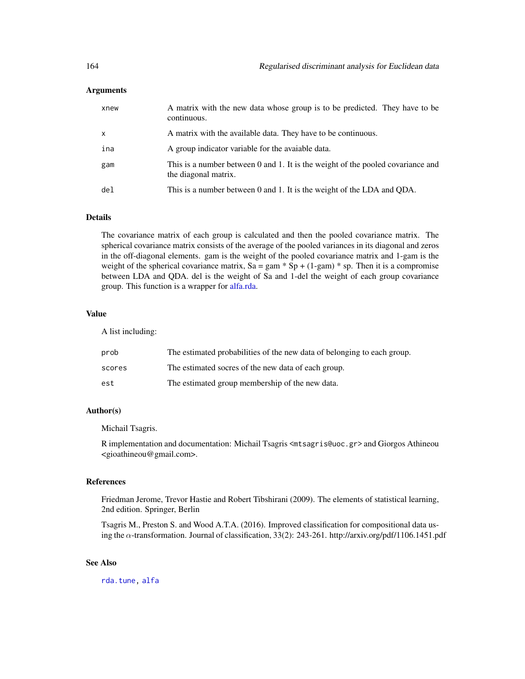#### Arguments

| xnew            | A matrix with the new data whose group is to be predicted. They have to be<br>continuous.               |
|-----------------|---------------------------------------------------------------------------------------------------------|
| $\mathsf{x}$    | A matrix with the available data. They have to be continuous.                                           |
| ina             | A group indicator variable for the avaiable data.                                                       |
| gam             | This is a number between 0 and 1. It is the weight of the pooled covariance and<br>the diagonal matrix. |
| de <sub>1</sub> | This is a number between 0 and 1. It is the weight of the LDA and QDA.                                  |

# Details

The covariance matrix of each group is calculated and then the pooled covariance matrix. The spherical covariance matrix consists of the average of the pooled variances in its diagonal and zeros in the off-diagonal elements. gam is the weight of the pooled covariance matrix and 1-gam is the weight of the spherical covariance matrix,  $Sa = gam * Sp + (1-gam) * sp$ . Then it is a compromise between LDA and QDA. del is the weight of Sa and 1-del the weight of each group covariance group. This function is a wrapper for [alfa.rda.](#page-161-0)

#### Value

A list including:

| prob   | The estimated probabilities of the new data of belonging to each group. |
|--------|-------------------------------------------------------------------------|
| scores | The estimated socres of the new data of each group.                     |
| est    | The estimated group membership of the new data.                         |

## Author(s)

Michail Tsagris.

R implementation and documentation: Michail Tsagris <mtsagris@uoc.gr> and Giorgos Athineou <gioathineou@gmail.com>.

#### References

Friedman Jerome, Trevor Hastie and Robert Tibshirani (2009). The elements of statistical learning, 2nd edition. Springer, Berlin

Tsagris M., Preston S. and Wood A.T.A. (2016). Improved classification for compositional data using the α-transformation. Journal of classification, 33(2): 243-261. http://arxiv.org/pdf/1106.1451.pdf

#### See Also

[rda.tune,](#page-209-0) [alfa](#page-185-0)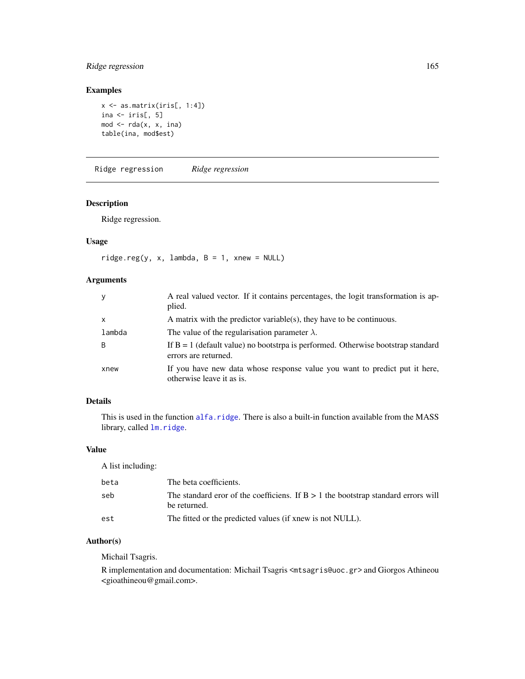# Ridge regression 165

# Examples

```
x \leftarrow as.matrix(iris[, 1:4])ina \le iris[, 5]
mod < -rda(x, x, ina)table(ina, mod$est)
```
Ridge regression *Ridge regression*

# <span id="page-164-0"></span>Description

Ridge regression.

# Usage

 $ridge.reg(y, x, lambda, B = 1, xnew = NULL)$ 

# Arguments

| y            | A real valued vector. If it contains percentages, the logit transformation is ap-<br>plied.                |
|--------------|------------------------------------------------------------------------------------------------------------|
| $\mathsf{x}$ | A matrix with the predictor variable(s), they have to be continuous.                                       |
| lambda       | The value of the regularisation parameter $\lambda$ .                                                      |
| B            | If $B = 1$ (default value) no bootstrpa is performed. Otherwise bootstrap standard<br>errors are returned. |
| xnew         | If you have new data whose response value you want to predict put it here,<br>otherwise leave it as is.    |

# Details

This is used in the function [alfa.ridge](#page-166-0). There is also a built-in function available from the MASS library, called  $lm.ridge.$  $lm.ridge.$ 

#### Value

A list including:

| beta | The beta coefficients.                                                                              |
|------|-----------------------------------------------------------------------------------------------------|
| seb  | The standard eror of the coefficiens. If $B > 1$ the bootstrap standard errors will<br>be returned. |
| est  | The fitted or the predicted values (if xnew is not NULL).                                           |

## Author(s)

Michail Tsagris.

R implementation and documentation: Michail Tsagris <mtsagris@uoc.gr> and Giorgos Athineou <gioathineou@gmail.com>.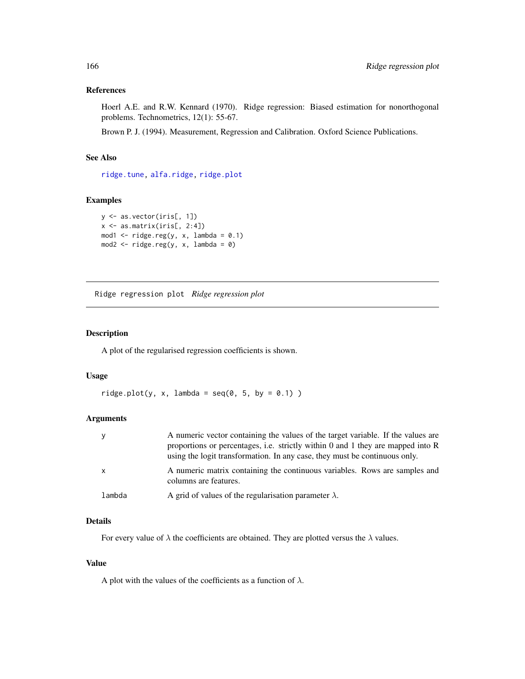#### References

Hoerl A.E. and R.W. Kennard (1970). Ridge regression: Biased estimation for nonorthogonal problems. Technometrics, 12(1): 55-67.

Brown P. J. (1994). Measurement, Regression and Calibration. Oxford Science Publications.

# See Also

[ridge.tune,](#page-39-0) [alfa.ridge,](#page-166-0) [ridge.plot](#page-165-0)

# Examples

```
y <- as.vector(iris[, 1])
x \leftarrow as.matrix(iris[, 2:4])mod1 <- ridge.read(y, x, lambda = 0.1)mod2 <- ridge.read(y, x, lambda = 0)
```
Ridge regression plot *Ridge regression plot*

# <span id="page-165-0"></span>Description

A plot of the regularised regression coefficients is shown.

#### Usage

```
ridge.plot(y, x, lambda = seq(0, 5, by = 0.1))
```
#### Arguments

| V      | A numeric vector containing the values of the target variable. If the values are<br>proportions or percentages, i.e. strictly within 0 and 1 they are mapped into R<br>using the logit transformation. In any case, they must be continuous only. |
|--------|---------------------------------------------------------------------------------------------------------------------------------------------------------------------------------------------------------------------------------------------------|
| X      | A numeric matrix containing the continuous variables. Rows are samples and<br>columns are features.                                                                                                                                               |
| lambda | A grid of values of the regularisation parameter $\lambda$ .                                                                                                                                                                                      |

# Details

For every value of  $\lambda$  the coefficients are obtained. They are plotted versus the  $\lambda$  values.

#### Value

A plot with the values of the coefficients as a function of  $\lambda$ .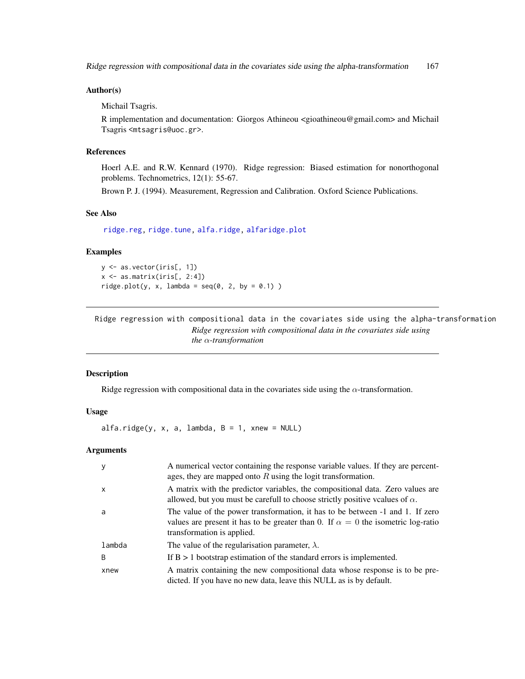Ridge regression with compositional data in the covariates side using the alpha-transformation 167

#### Author(s)

Michail Tsagris.

R implementation and documentation: Giorgos Athineou <gioathineou@gmail.com> and Michail Tsagris <mtsagris@uoc.gr>.

# References

Hoerl A.E. and R.W. Kennard (1970). Ridge regression: Biased estimation for nonorthogonal problems. Technometrics, 12(1): 55-67.

Brown P. J. (1994). Measurement, Regression and Calibration. Oxford Science Publications.

## See Also

[ridge.reg,](#page-164-0) [ridge.tune,](#page-39-0) [alfa.ridge,](#page-166-0) [alfaridge.plot](#page-167-0)

# Examples

```
y <- as.vector(iris[, 1])
x \leftarrow as.matrix(iris[, 2:4])ridge.plot(y, x, lambda = seq(0, 2, by = 0.1))
```
Ridge regression with compositional data in the covariates side using the alpha-transformation *Ridge regression with compositional data in the covariates side using the* α*-transformation*

#### <span id="page-166-0"></span>Description

Ridge regression with compositional data in the covariates side using the  $\alpha$ -transformation.

## Usage

 $alfa.ridge(y, x, a, lambda, B = 1, xnew = NULL)$ 

#### **Arguments**

| y            | A numerical vector containing the response variable values. If they are percent-<br>ages, they are mapped onto $R$ using the logit transformation.                                                     |
|--------------|--------------------------------------------------------------------------------------------------------------------------------------------------------------------------------------------------------|
| $\mathsf{x}$ | A matrix with the predictor variables, the compositional data. Zero values are<br>allowed, but you must be carefull to choose strictly positive vcalues of $\alpha$ .                                  |
| a            | The value of the power transformation, it has to be between -1 and 1. If zero<br>values are present it has to be greater than 0. If $\alpha = 0$ the isometric log-ratio<br>transformation is applied. |
| lambda       | The value of the regularisation parameter, $\lambda$ .                                                                                                                                                 |
| <sub>B</sub> | If $B > 1$ bootstrap estimation of the standard errors is implemented.                                                                                                                                 |
| xnew         | A matrix containing the new compositional data whose response is to be pre-<br>dicted. If you have no new data, leave this NULL as is by default.                                                      |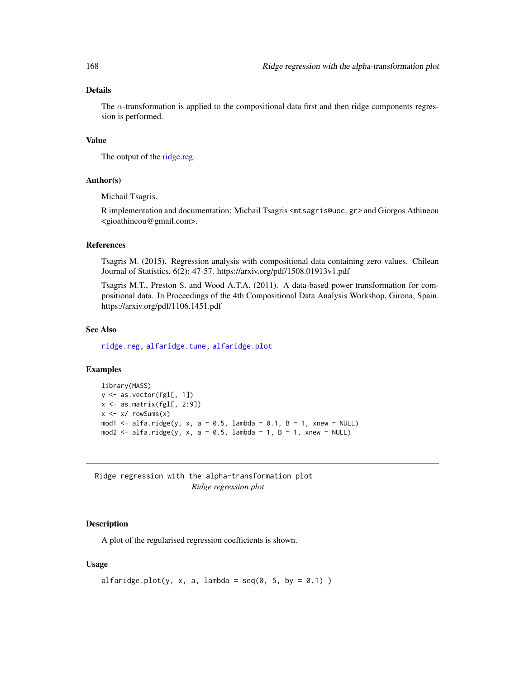# Details

The  $\alpha$ -transformation is applied to the compositional data first and then ridge components regression is performed.

# Value

The output of the [ridge.reg.](#page-164-0)

# Author(s)

Michail Tsagris.

R implementation and documentation: Michail Tsagris <mtsagris@uoc.gr> and Giorgos Athineou <gioathineou@gmail.com>.

# References

Tsagris M. (2015). Regression analysis with compositional data containing zero values. Chilean Journal of Statistics, 6(2): 47-57. https://arxiv.org/pdf/1508.01913v1.pdf

Tsagris M.T., Preston S. and Wood A.T.A. (2011). A data-based power transformation for compositional data. In Proceedings of the 4th Compositional Data Analysis Workshop, Girona, Spain. https://arxiv.org/pdf/1106.1451.pdf

# See Also

[ridge.reg,](#page-164-0) [alfaridge.tune,](#page-41-0) [alfaridge.plot](#page-167-0)

#### Examples

```
library(MASS)
y <- as.vector(fgl[, 1])
x \leftarrow as.matrix(fgl[, 2:9])x \leftarrow x / \text{rowsums}(x)mod1 \le alfa.ridge(y, x, a = 0.5, lambda = 0.1, B = 1, xnew = NULL)
mod2 <- alfa.ridge(y, x, a = 0.5, lambda = 1, B = 1, xnew = NULL)
```
Ridge regression with the alpha-transformation plot *Ridge regression plot*

#### <span id="page-167-0"></span>Description

A plot of the regularised regression coefficients is shown.

#### Usage

```
alfaridge.plot(y, x, a, lambda = seq(0, 5, by = 0.1))
```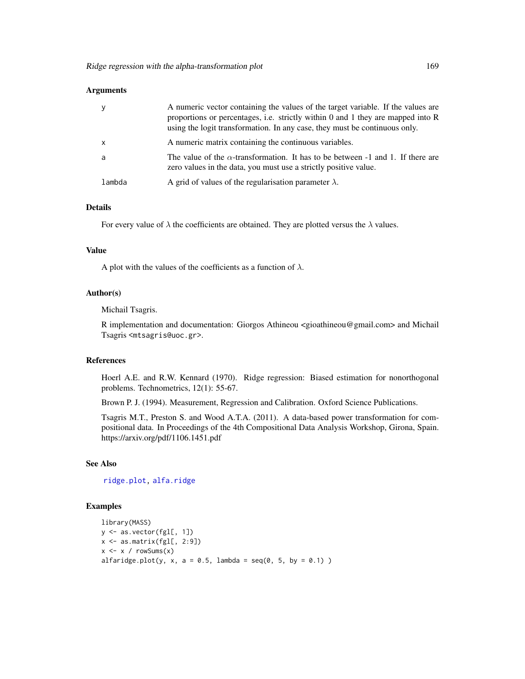#### **Arguments**

| y            | A numeric vector containing the values of the target variable. If the values are<br>proportions or percentages, i.e. strictly within 0 and 1 they are mapped into $\bf{R}$<br>using the logit transformation. In any case, they must be continuous only. |
|--------------|----------------------------------------------------------------------------------------------------------------------------------------------------------------------------------------------------------------------------------------------------------|
| $\mathsf{x}$ | A numeric matrix containing the continuous variables.                                                                                                                                                                                                    |
| -a           | The value of the $\alpha$ -transformation. It has to be between -1 and 1. If there are<br>zero values in the data, you must use a strictly positive value.                                                                                               |
| lambda       | A grid of values of the regularisation parameter $\lambda$ .                                                                                                                                                                                             |

# Details

For every value of  $\lambda$  the coefficients are obtained. They are plotted versus the  $\lambda$  values.

#### Value

A plot with the values of the coefficients as a function of  $\lambda$ .

## Author(s)

Michail Tsagris.

R implementation and documentation: Giorgos Athineou <gioathineou@gmail.com> and Michail Tsagris <mtsagris@uoc.gr>.

# References

Hoerl A.E. and R.W. Kennard (1970). Ridge regression: Biased estimation for nonorthogonal problems. Technometrics, 12(1): 55-67.

Brown P. J. (1994). Measurement, Regression and Calibration. Oxford Science Publications.

Tsagris M.T., Preston S. and Wood A.T.A. (2011). A data-based power transformation for compositional data. In Proceedings of the 4th Compositional Data Analysis Workshop, Girona, Spain. https://arxiv.org/pdf/1106.1451.pdf

#### See Also

[ridge.plot,](#page-165-0) [alfa.ridge](#page-166-0)

# Examples

```
library(MASS)
y <- as.vector(fgl[, 1])
x \leftarrow as.matrix(fgl[, 2:9])x \le -x / \text{rowsums}(x)alfaridge.plot(y, x, a = 0.5, lambda = seq(0, 5, by = 0.1))
```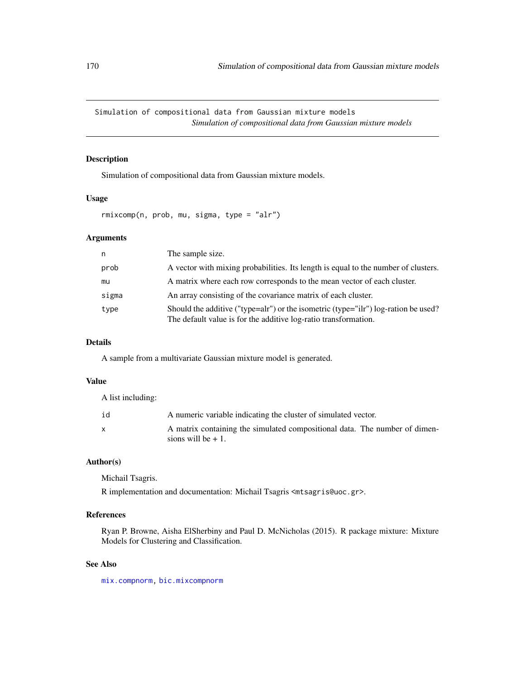Simulation of compositional data from Gaussian mixture models *Simulation of compositional data from Gaussian mixture models*

# <span id="page-169-0"></span>Description

Simulation of compositional data from Gaussian mixture models.

#### Usage

rmixcomp(n, prob, mu, sigma, type = "alr")

# Arguments

| n     | The sample size.                                                                                                                                      |
|-------|-------------------------------------------------------------------------------------------------------------------------------------------------------|
| prob  | A vector with mixing probabilities. Its length is equal to the number of clusters.                                                                    |
| mu    | A matrix where each row corresponds to the mean vector of each cluster.                                                                               |
| sigma | An array consisting of the covariance matrix of each cluster.                                                                                         |
| type  | Should the additive ("type=alr") or the isometric (type="ilr") log-ration be used?<br>The default value is for the additive log-ratio transformation. |

# Details

A sample from a multivariate Gaussian mixture model is generated.

# Value

A list including:

| id | A numeric variable indicating the cluster of simulated vector.                                     |
|----|----------------------------------------------------------------------------------------------------|
|    | A matrix containing the simulated compositional data. The number of dimen-<br>sions will be $+1$ . |

# Author(s)

Michail Tsagris.

R implementation and documentation: Michail Tsagris <mtsagris@uoc.gr>.

# References

Ryan P. Browne, Aisha ElSherbiny and Paul D. McNicholas (2015). R package mixture: Mixture Models for Clustering and Classification.

# See Also

[mix.compnorm,](#page-83-0) [bic.mixcompnorm](#page-115-0)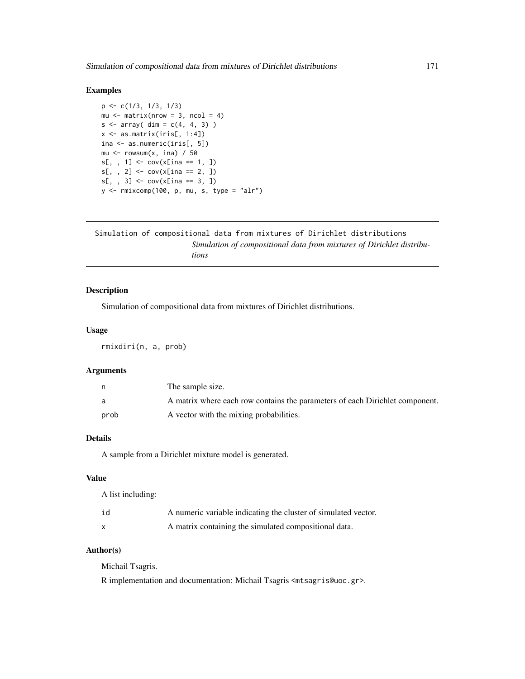## Examples

```
p <- c(1/3, 1/3, 1/3)
mu \leq matrix(nrow = 3, ncol = 4)
s \leq \arctan(\dim = c(4, 4, 3))x \leftarrow as_matrix(iris[, 1:4])ina <- as.numeric(iris[, 5])
mu \leq rowsum(x, \text{ ina}) / 50
s[,, 1] <- cov(x[ina == 1, ])s[,, 2] <- cov(x[ina == 2, ])s[,, 3] <- cov(x[ina == 3, ])y <- rmixcomp(100, p, mu, s, type = "alr")
```

```
Simulation of compositional data from mixtures of Dirichlet distributions
                         Simulation of compositional data from mixtures of Dirichlet distribu-
                         tions
```
# Description

Simulation of compositional data from mixtures of Dirichlet distributions.

## Usage

rmixdiri(n, a, prob)

#### Arguments

|      | The sample size.                                                             |
|------|------------------------------------------------------------------------------|
| a    | A matrix where each row contains the parameters of each Dirichlet component. |
| prob | A vector with the mixing probabilities.                                      |

# Details

A sample from a Dirichlet mixture model is generated.

# Value

A list including:

| id | A numeric variable indicating the cluster of simulated vector. |
|----|----------------------------------------------------------------|
|    | A matrix containing the simulated compositional data.          |

# Author(s)

Michail Tsagris.

R implementation and documentation: Michail Tsagris <mtsagris@uoc.gr>.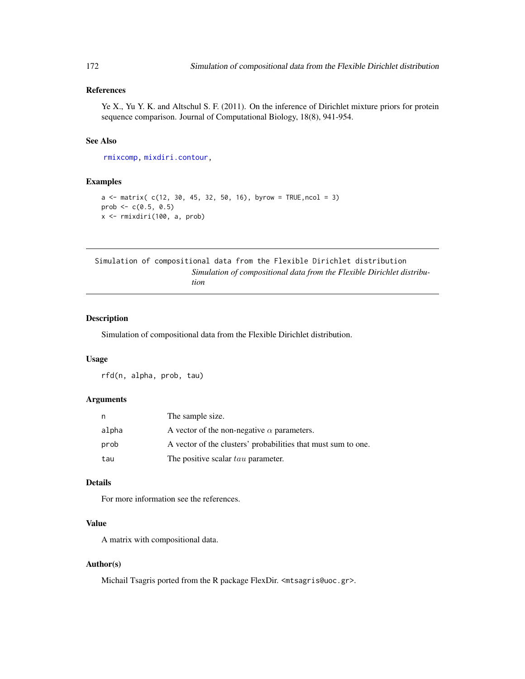# References

Ye X., Yu Y. K. and Altschul S. F. (2011). On the inference of Dirichlet mixture priors for protein sequence comparison. Journal of Computational Biology, 18(8), 941-954.

# See Also

[rmixcomp,](#page-169-0) [mixdiri.contour,](#page-17-0)

#### Examples

```
a \le matrix( c(12, 30, 45, 32, 50, 16), byrow = TRUE, ncol = 3)
prob <-c(0.5, 0.5)x <- rmixdiri(100, a, prob)
```
Simulation of compositional data from the Flexible Dirichlet distribution *Simulation of compositional data from the Flexible Dirichlet distribution*

# Description

Simulation of compositional data from the Flexible Dirichlet distribution.

#### Usage

rfd(n, alpha, prob, tau)

#### Arguments

| n.    | The sample size.                                              |
|-------|---------------------------------------------------------------|
| alpha | A vector of the non-negative $\alpha$ parameters.             |
| prob  | A vector of the clusters' probabilities that must sum to one. |
| tau   | The positive scalar tau parameter.                            |

# Details

For more information see the references.

# Value

A matrix with compositional data.

#### Author(s)

Michail Tsagris ported from the R package FlexDir. <mtsagris@uoc.gr>.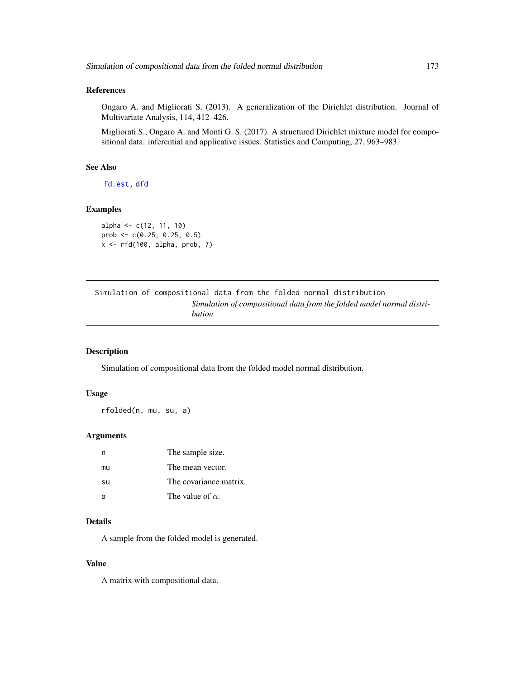# References

Ongaro A. and Migliorati S. (2013). A generalization of the Dirichlet distribution. Journal of Multivariate Analysis, 114, 412–426.

Migliorati S., Ongaro A. and Monti G. S. (2017). A structured Dirichlet mixture model for compositional data: inferential and applicative issues. Statistics and Computing, 27, 963–983.

# See Also

[fd.est,](#page-81-0) [dfd](#page-53-0)

# Examples

```
alpha <- c(12, 11, 10)
prob <- c(0.25, 0.25, 0.5)
x \leftarrow rfd(100, alpha, prob, 7)
```

|  | Simulation of compositional data from the folded normal distribution |  |  |                                                                       |  |
|--|----------------------------------------------------------------------|--|--|-----------------------------------------------------------------------|--|
|  |                                                                      |  |  | Simulation of compositional data from the folded model normal distri- |  |
|  | bution                                                               |  |  |                                                                       |  |

# Description

Simulation of compositional data from the folded model normal distribution.

#### Usage

rfolded(n, mu, su, a)

#### Arguments

| n  | The sample size.        |
|----|-------------------------|
| mu | The mean vector.        |
| su | The covariance matrix.  |
| -a | The value of $\alpha$ . |

## Details

A sample from the folded model is generated.

#### Value

A matrix with compositional data.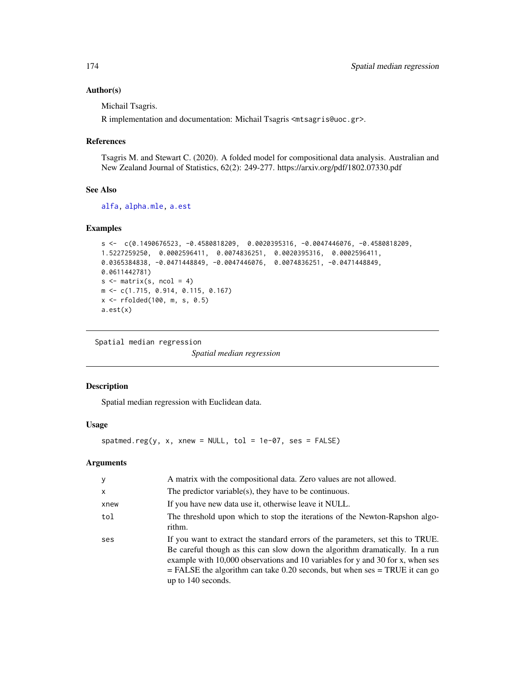#### Author(s)

Michail Tsagris.

R implementation and documentation: Michail Tsagris <mtsagris@uoc.gr>.

# References

Tsagris M. and Stewart C. (2020). A folded model for compositional data analysis. Australian and New Zealand Journal of Statistics, 62(2): 249-277. https://arxiv.org/pdf/1802.07330.pdf

#### See Also

[alfa,](#page-185-0) [alpha.mle,](#page-123-0) [a.est](#page-75-0)

#### Examples

```
s \leq c(0.1490676523, -0.4580818209, 0.0020395316, -0.0047446076, -0.4580818209,1.5227259250, 0.0002596411, 0.0074836251, 0.0020395316, 0.0002596411,
0.0365384838, -0.0471448849, -0.0047446076, 0.0074836251, -0.0471448849,
0.0611442781)
s \leftarrow matrix(s, \text{ ncol} = 4)m <- c(1.715, 0.914, 0.115, 0.167)
x <- rfolded(100, m, s, 0.5)
a.est(x)
```
Spatial median regression

*Spatial median regression*

# Description

Spatial median regression with Euclidean data.

# Usage

```
spatmed.reg(y, x, xnew = NULL, tol = 1e-07, ses = FALSE)
```
# Arguments

| y            | A matrix with the compositional data. Zero values are not allowed.                                                                                                                                                                                                                                                                                        |
|--------------|-----------------------------------------------------------------------------------------------------------------------------------------------------------------------------------------------------------------------------------------------------------------------------------------------------------------------------------------------------------|
| $\mathsf{x}$ | The predictor variable(s), they have to be continuous.                                                                                                                                                                                                                                                                                                    |
| xnew         | If you have new data use it, otherwise leave it NULL.                                                                                                                                                                                                                                                                                                     |
| tol          | The threshold upon which to stop the iterations of the Newton-Rapshon algo-<br>rithm.                                                                                                                                                                                                                                                                     |
| ses          | If you want to extract the standard errors of the parameters, set this to TRUE.<br>Be careful though as this can slow down the algorithm dramatically. In a run<br>example with 10,000 observations and 10 variables for y and 30 for x, when ses<br>$=$ FALSE the algorithm can take 0.20 seconds, but when ses $=$ TRUE it can go<br>up to 140 seconds. |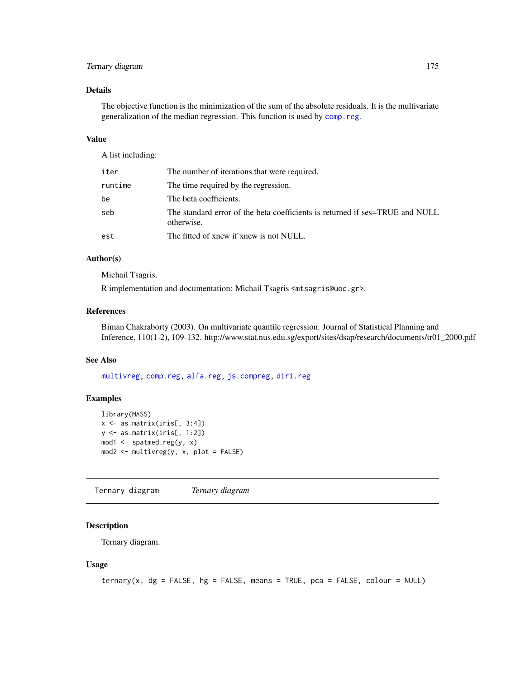# Ternary diagram 175

# Details

The objective function is the minimization of the sum of the absolute residuals. It is the multivariate generalization of the median regression. This function is used by [comp.reg](#page-134-0).

#### Value

A list including:

| iter    | The number of iterations that were required.                                               |
|---------|--------------------------------------------------------------------------------------------|
| runtime | The time required by the regression.                                                       |
| be      | The beta coefficients.                                                                     |
| seb     | The standard error of the beta coefficients is returned if ses=TRUE and NULL<br>otherwise. |
| est     | The fitted of xnew if xnew is not NULL.                                                    |

# Author(s)

Michail Tsagris.

R implementation and documentation: Michail Tsagris <mtsagris@uoc.gr>.

# References

Biman Chakraborty (2003). On multivariate quantile regression. Journal of Statistical Planning and Inference, 110(1-2), 109-132. http://www.stat.nus.edu.sg/export/sites/dsap/research/documents/tr01\_2000.pdf

## See Also

[multivreg,](#page-130-0) [comp.reg,](#page-134-0) [alfa.reg,](#page-159-0) [js.compreg,](#page-63-0) [diri.reg](#page-59-0)

## Examples

```
library(MASS)
x \leftarrow as_matrix(iris[, 3:4])y <- as.matrix(iris[, 1:2])
mod1 <- spatmed.reg(y, x)
mod2 <- multivreg(y, x, plot = FALSE)
```
Ternary diagram *Ternary diagram*

# <span id="page-174-0"></span>Description

Ternary diagram.

#### Usage

```
ternary(x, dg = FALSE, hg = FALSE, means = TRUE, pca = FALSE, colour = NULL)
```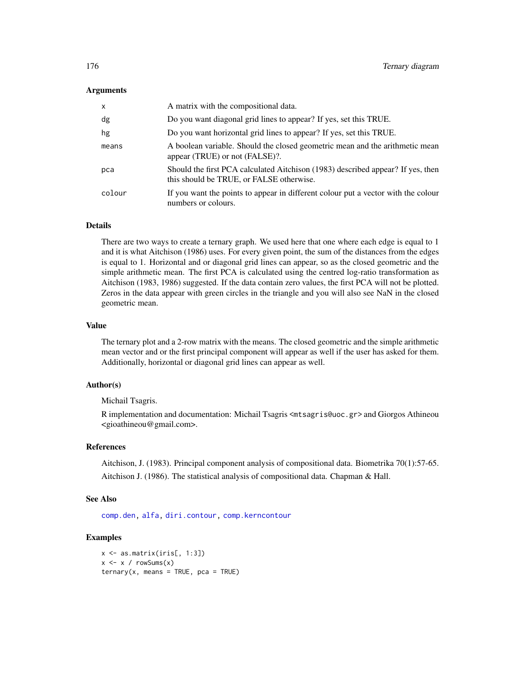#### Arguments

| $\times$ | A matrix with the compositional data.                                                                                       |
|----------|-----------------------------------------------------------------------------------------------------------------------------|
| dg       | Do you want diagonal grid lines to appear? If yes, set this TRUE.                                                           |
| hg       | Do you want horizontal grid lines to appear? If yes, set this TRUE.                                                         |
| means    | A boolean variable. Should the closed geometric mean and the arithmetic mean<br>appear (TRUE) or not (FALSE)?.              |
| pca      | Should the first PCA calculated Aitchison (1983) described appear? If yes, then<br>this should be TRUE, or FALSE otherwise. |
| colour   | If you want the points to appear in different colour put a vector with the colour<br>numbers or colours.                    |

# Details

There are two ways to create a ternary graph. We used here that one where each edge is equal to 1 and it is what Aitchison (1986) uses. For every given point, the sum of the distances from the edges is equal to 1. Horizontal and or diagonal grid lines can appear, so as the closed geometric and the simple arithmetic mean. The first PCA is calculated using the centred log-ratio transformation as Aitchison (1983, 1986) suggested. If the data contain zero values, the first PCA will not be plotted. Zeros in the data appear with green circles in the triangle and you will also see NaN in the closed geometric mean.

#### Value

The ternary plot and a 2-row matrix with the means. The closed geometric and the simple arithmetic mean vector and or the first principal component will appear as well if the user has asked for them. Additionally, horizontal or diagonal grid lines can appear as well.

#### Author(s)

Michail Tsagris.

R implementation and documentation: Michail Tsagris <mtsagris@uoc.gr> and Giorgos Athineou <gioathineou@gmail.com>.

#### References

Aitchison, J. (1983). Principal component analysis of compositional data. Biometrika 70(1):57-65. Aitchison J. (1986). The statistical analysis of compositional data. Chapman & Hall.

#### See Also

[comp.den,](#page-72-0) [alfa,](#page-185-0) [diri.contour,](#page-21-0) [comp.kerncontour](#page-26-0)

## Examples

```
x <- as.matrix(iris[, 1:3])
x \le -x / \text{rowsums}(x)ternary(x, means = TRUE, pca = TRUE)
```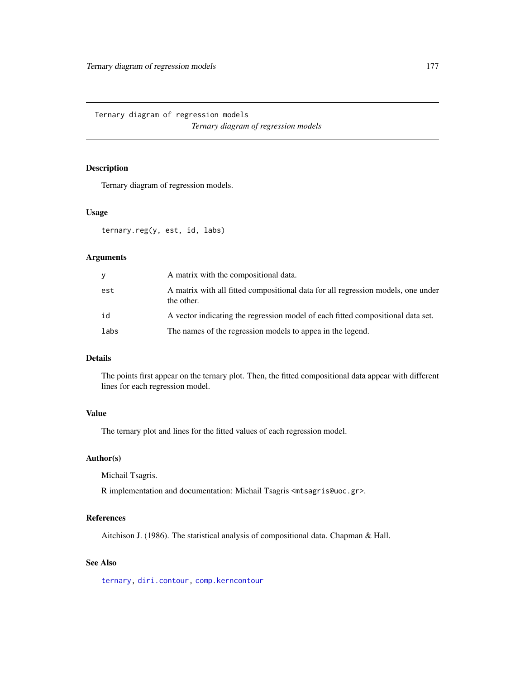Ternary diagram of regression models *Ternary diagram of regression models*

# Description

Ternary diagram of regression models.

# Usage

ternary.reg(y, est, id, labs)

## Arguments

| V    | A matrix with the compositional data.                                                          |
|------|------------------------------------------------------------------------------------------------|
| est  | A matrix with all fitted compositional data for all regression models, one under<br>the other. |
| id   | A vector indicating the regression model of each fitted compositional data set.                |
| labs | The names of the regression models to appea in the legend.                                     |

# Details

The points first appear on the ternary plot. Then, the fitted compositional data appear with different lines for each regression model.

# Value

The ternary plot and lines for the fitted values of each regression model.

## Author(s)

Michail Tsagris.

R implementation and documentation: Michail Tsagris <mtsagris@uoc.gr>.

# References

Aitchison J. (1986). The statistical analysis of compositional data. Chapman & Hall.

# See Also

[ternary,](#page-174-0) [diri.contour,](#page-21-0) [comp.kerncontour](#page-26-0)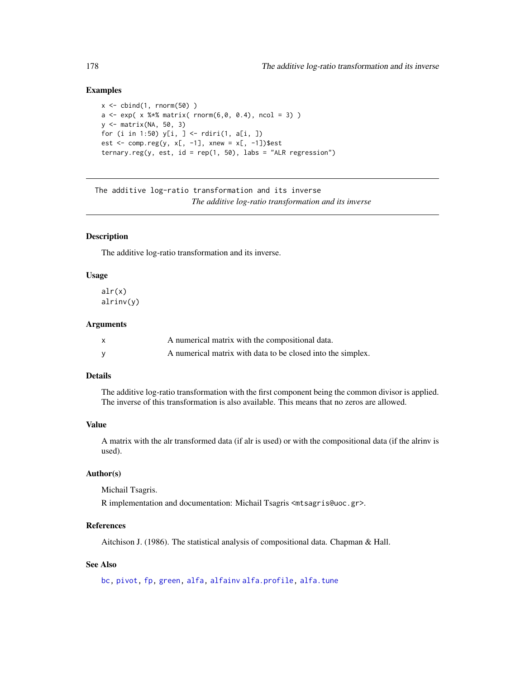# Examples

```
x \leftarrow \text{cbind}(1, \text{norm}(50))a \leq \exp(\; x \; * \; x) matrix( rnorm(6,0, 0.4), ncol = 3))
y <- matrix(NA, 50, 3)
for (i in 1:50) y[i, ] \leftarrow rdiri(1, a[i, ])
est <- comp.reg(y, x[-1], xnew = x[-1])$est
ternary.reg(y, est, id = rep(1, 50), labs = "ALR regression")
```
The additive log-ratio transformation and its inverse *The additive log-ratio transformation and its inverse*

# <span id="page-177-0"></span>Description

The additive log-ratio transformation and its inverse.

#### Usage

alr(x) alrinv(y)

#### **Arguments**

| X | A numerical matrix with the compositional data.             |
|---|-------------------------------------------------------------|
|   | A numerical matrix with data to be closed into the simplex. |

#### Details

The additive log-ratio transformation with the first component being the common divisor is applied. The inverse of this transformation is also available. This means that no zeros are allowed.

## Value

A matrix with the alr transformed data (if alr is used) or with the compositional data (if the alrinv is used).

# Author(s)

Michail Tsagris.

R implementation and documentation: Michail Tsagris <mtsagris@uoc.gr>.

# References

Aitchison J. (1986). The statistical analysis of compositional data. Chapman & Hall.

# See Also

[bc,](#page-187-0) [pivot,](#page-196-0) [fp,](#page-189-0) [green,](#page-88-0) [alfa,](#page-185-0) [alfainv](#page-99-0) [alfa.profile,](#page-76-0) [alfa.tune](#page-80-0)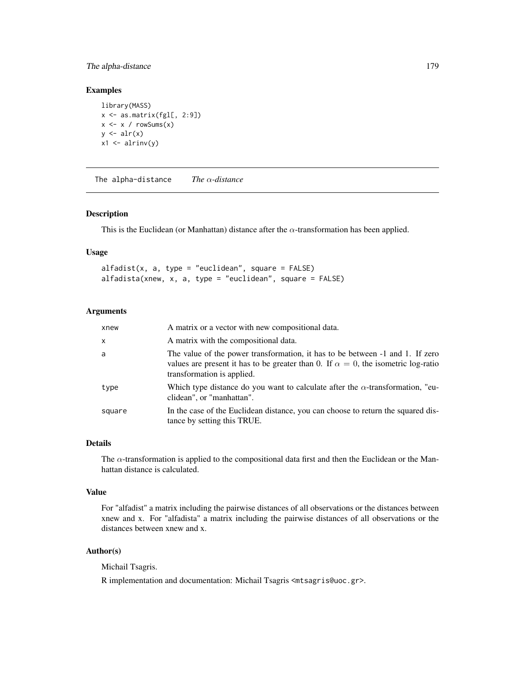# The alpha-distance 179

# Examples

```
library(MASS)
x \leftarrow as_matrix(fgl[, 2:9])x \leq x / \text{rowsums}(x)y \leftarrow \text{alr}(x)x1 \leftarrow \text{alrinv}(y)
```
The alpha-distance *The* α*-distance*

## Description

This is the Euclidean (or Manhattan) distance after the  $\alpha$ -transformation has been applied.

#### Usage

```
alfadist(x, a, type = "euclidean", square = FALSE)alfadista(xnew, x, a, type = "euclidean", square = FALSE)
```
# Arguments

| xnew         | A matrix or a vector with new compositional data.                                                                                                                                                        |
|--------------|----------------------------------------------------------------------------------------------------------------------------------------------------------------------------------------------------------|
| $\mathsf{x}$ | A matrix with the compositional data.                                                                                                                                                                    |
| a            | The value of the power transformation, it has to be between -1 and 1. If zero<br>values are present it has to be greater than 0. If $\alpha = 0$ , the isometric log-ratio<br>transformation is applied. |
| type         | Which type distance do you want to calculate after the $\alpha$ -transformation, "eu-<br>clidean", or "manhattan".                                                                                       |
| square       | In the case of the Euclidean distance, you can choose to return the squared dis-<br>tance by setting this TRUE.                                                                                          |

# Details

The  $\alpha$ -transformation is applied to the compositional data first and then the Euclidean or the Manhattan distance is calculated.

#### Value

For "alfadist" a matrix including the pairwise distances of all observations or the distances between xnew and x. For "alfadista" a matrix including the pairwise distances of all observations or the distances between xnew and x.

# Author(s)

Michail Tsagris.

R implementation and documentation: Michail Tsagris <mtsagris@uoc.gr>.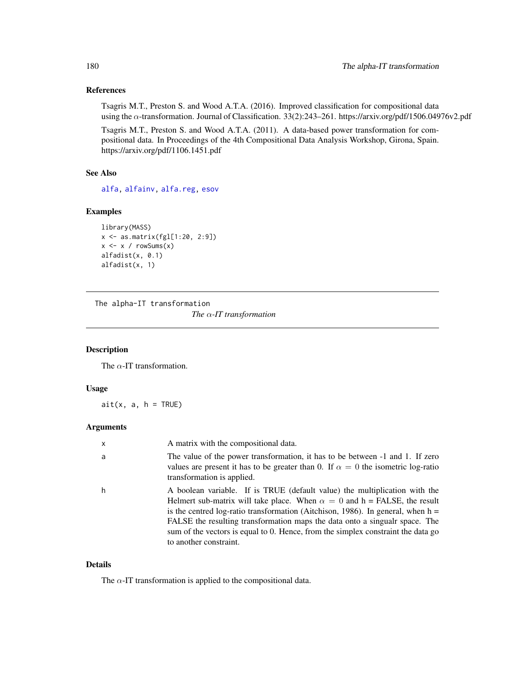# References

Tsagris M.T., Preston S. and Wood A.T.A. (2016). Improved classification for compositional data using the α-transformation. Journal of Classification. 33(2):243–261. https://arxiv.org/pdf/1506.04976v2.pdf

Tsagris M.T., Preston S. and Wood A.T.A. (2011). A data-based power transformation for compositional data. In Proceedings of the 4th Compositional Data Analysis Workshop, Girona, Spain. https://arxiv.org/pdf/1106.1451.pdf

# See Also

[alfa,](#page-185-0) [alfainv,](#page-99-0) [alfa.reg,](#page-159-0) [esov](#page-188-0)

## Examples

```
library(MASS)
x <- as.matrix(fgl[1:20, 2:9])
x \le -x / \text{rowsums}(x)alfadist(x, 0.1)
alfadist(x, 1)
```
The alpha-IT transformation

*The* α*-IT transformation*

## Description

The  $\alpha$ -IT transformation.

### Usage

 $ait(x, a, h = TRUE)$ 

#### Arguments

| $\times$ | A matrix with the compositional data.                                                                                                                                                                                                                                                                                                                                                                                                             |
|----------|---------------------------------------------------------------------------------------------------------------------------------------------------------------------------------------------------------------------------------------------------------------------------------------------------------------------------------------------------------------------------------------------------------------------------------------------------|
| a        | The value of the power transformation, it has to be between -1 and 1. If zero<br>values are present it has to be greater than 0. If $\alpha = 0$ the isometric log-ratio<br>transformation is applied.                                                                                                                                                                                                                                            |
| h        | A boolean variable. If is TRUE (default value) the multiplication with the<br>Helmert sub-matrix will take place. When $\alpha = 0$ and $h =$ FALSE, the result<br>is the centred log-ratio transformation (Aitchison, 1986). In general, when $h =$<br>FALSE the resulting transformation maps the data onto a singualr space. The<br>sum of the vectors is equal to 0. Hence, from the simplex constraint the data go<br>to another constraint. |

# Details

The  $\alpha$ -IT transformation is applied to the compositional data.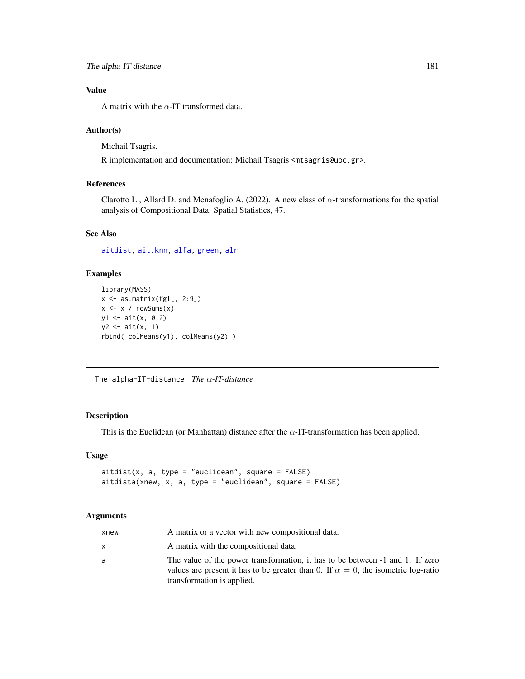## Value

A matrix with the  $\alpha$ -IT transformed data.

#### Author(s)

Michail Tsagris.

R implementation and documentation: Michail Tsagris <mtsagris@uoc.gr>.

### References

Clarotto L., Allard D. and Menafoglio A. (2022). A new class of  $\alpha$ -transformations for the spatial analysis of Compositional Data. Spatial Statistics, 47.

### See Also

[aitdist,](#page-180-0) [ait.knn,](#page-194-0) [alfa,](#page-185-0) [green,](#page-88-0) [alr](#page-177-0)

## Examples

```
library(MASS)
x \leftarrow as.matrix(fgl[, 2:9])x \leftarrow x / \text{rowsums}(x)y1 <- ait(x, 0.2)
y2 \leftarrow \text{ait}(x, 1)rbind( colMeans(y1), colMeans(y2) )
```
The alpha-IT-distance *The* α*-IT-distance*

### <span id="page-180-0"></span>Description

This is the Euclidean (or Manhattan) distance after the  $\alpha$ -IT-transformation has been applied.

#### Usage

```
aitdist(x, a, type = "euclidean", square = FALSE)aitdista(xnew, x, a, type = "euclidean", square = FALSE)
```
#### Arguments

| xnew         | A matrix or a vector with new compositional data.                                                                                                                                                        |
|--------------|----------------------------------------------------------------------------------------------------------------------------------------------------------------------------------------------------------|
| $\mathsf{x}$ | A matrix with the compositional data.                                                                                                                                                                    |
| a            | The value of the power transformation, it has to be between -1 and 1. If zero<br>values are present it has to be greater than 0. If $\alpha = 0$ , the isometric log-ratio<br>transformation is applied. |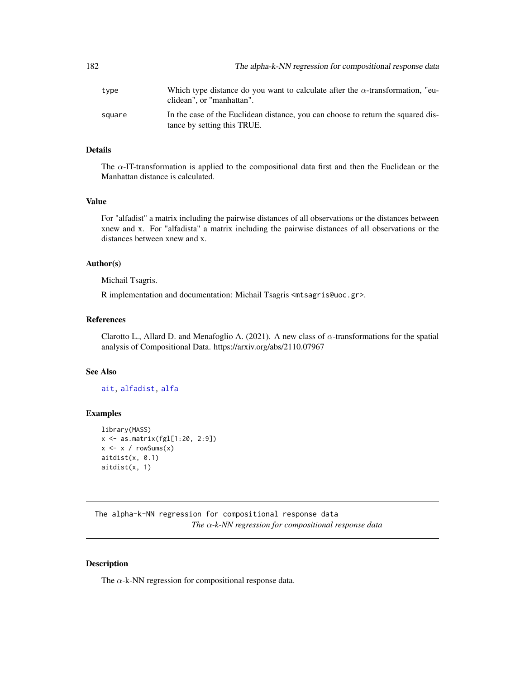| 182    | The alpha-k-NN regression for compositional response data                                                          |
|--------|--------------------------------------------------------------------------------------------------------------------|
| type   | Which type distance do you want to calculate after the $\alpha$ -transformation, "eu-<br>clidean", or "manhattan". |
| square | In the case of the Euclidean distance, you can choose to return the squared dis-<br>tance by setting this TRUE.    |

#### Details

The  $\alpha$ -IT-transformation is applied to the compositional data first and then the Euclidean or the Manhattan distance is calculated.

#### Value

For "alfadist" a matrix including the pairwise distances of all observations or the distances between xnew and x. For "alfadista" a matrix including the pairwise distances of all observations or the distances between xnew and x.

#### Author(s)

Michail Tsagris.

R implementation and documentation: Michail Tsagris <mtsagris@uoc.gr>.

### References

Clarotto L., Allard D. and Menafoglio A. (2021). A new class of  $\alpha$ -transformations for the spatial analysis of Compositional Data. https://arxiv.org/abs/2110.07967

#### See Also

[ait,](#page-179-0) [alfadist,](#page-178-0) [alfa](#page-185-0)

#### Examples

```
library(MASS)
x <- as.matrix(fgl[1:20, 2:9])
x \leftarrow x / rowsums(x)aitdist(x, 0.1)
aitdist(x, 1)
```
The alpha-k-NN regression for compositional response data *The* α*-k-NN regression for compositional response data*

#### <span id="page-181-0"></span>Description

The  $\alpha$ -k-NN regression for compositional response data.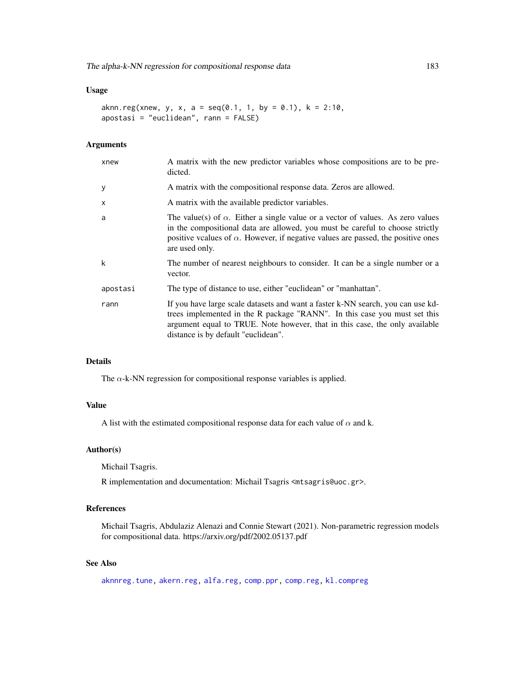#### Usage

```
aknn.reg(xnew, y, x, a = seq(0.1, 1, by = 0.1), k = 2:10,
apostasi = "euclidean", rann = FALSE)
```
#### Arguments

| A matrix with the compositional response data. Zeros are allowed.                                                                                                                                                                                                                     |
|---------------------------------------------------------------------------------------------------------------------------------------------------------------------------------------------------------------------------------------------------------------------------------------|
| A matrix with the available predictor variables.                                                                                                                                                                                                                                      |
| The value(s) of $\alpha$ . Either a single value or a vector of values. As zero values<br>in the compositional data are allowed, you must be careful to choose strictly<br>positive vcalues of $\alpha$ . However, if negative values are passed, the positive ones<br>are used only. |
| The number of nearest neighbours to consider. It can be a single number or a<br>vector.                                                                                                                                                                                               |
| The type of distance to use, either "euclidean" or "manhattan".                                                                                                                                                                                                                       |
| If you have large scale datasets and want a faster k-NN search, you can use kd-<br>trees implemented in the R package "RANN". In this case you must set this<br>argument equal to TRUE. Note however, that in this case, the only available<br>distance is by default "euclidean".    |
|                                                                                                                                                                                                                                                                                       |

### Details

The  $\alpha$ -k-NN regression for compositional response variables is applied.

### Value

A list with the estimated compositional response data for each value of  $\alpha$  and k.

### Author(s)

Michail Tsagris.

R implementation and documentation: Michail Tsagris <mtsagris@uoc.gr>.

#### References

Michail Tsagris, Abdulaziz Alenazi and Connie Stewart (2021). Non-parametric regression models for compositional data. https://arxiv.org/pdf/2002.05137.pdf

### See Also

[aknnreg.tune,](#page-33-0) [akern.reg,](#page-184-0) [alfa.reg,](#page-159-0) [comp.ppr,](#page-153-0) [comp.reg,](#page-134-0) [kl.compreg](#page-63-0)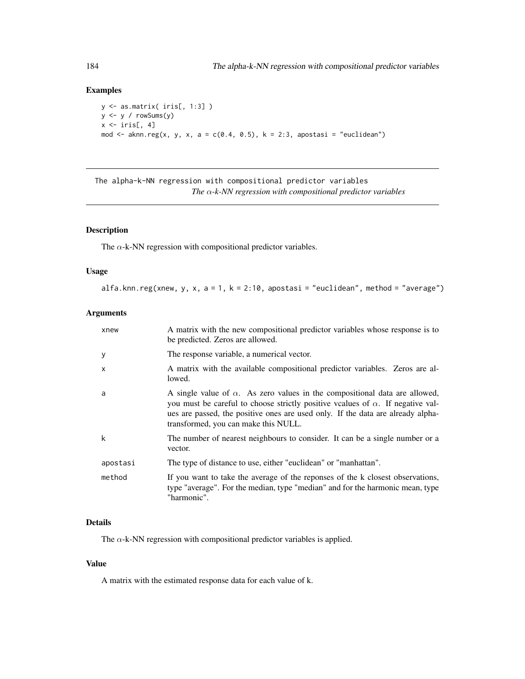### Examples

```
y <- as.matrix( iris[, 1:3] )
y <- y / rowSums(y)
x \leftarrow \text{iris}[, 4]mod \leq aknn.reg(x, y, x, a = c(0.4, 0.5), k = 2:3, apostasi = "euclidean")
```
The alpha-k-NN regression with compositional predictor variables *The* α*-k-NN regression with compositional predictor variables*

### Description

The  $\alpha$ -k-NN regression with compositional predictor variables.

#### Usage

alfa.knn.reg(xnew, y, x, a = 1, k = 2:10, apostasi = "euclidean", method = "average")

### Arguments

| xnew         | A matrix with the new compositional predictor variables whose response is to<br>be predicted. Zeros are allowed.                                                                                                                                                                                        |
|--------------|---------------------------------------------------------------------------------------------------------------------------------------------------------------------------------------------------------------------------------------------------------------------------------------------------------|
| У            | The response variable, a numerical vector.                                                                                                                                                                                                                                                              |
| $\mathsf{x}$ | A matrix with the available compositional predictor variables. Zeros are al-<br>lowed.                                                                                                                                                                                                                  |
| a            | A single value of $\alpha$ . As zero values in the compositional data are allowed,<br>you must be careful to choose strictly positive vcalues of $\alpha$ . If negative val-<br>ues are passed, the positive ones are used only. If the data are already alpha-<br>transformed, you can make this NULL. |
| k            | The number of nearest neighbours to consider. It can be a single number or a<br>vector.                                                                                                                                                                                                                 |
| apostasi     | The type of distance to use, either "euclidean" or "manhattan".                                                                                                                                                                                                                                         |
| method       | If you want to take the average of the reponses of the k closest observations,<br>type "average". For the median, type "median" and for the harmonic mean, type<br>"harmonic".                                                                                                                          |

### Details

The  $\alpha$ -k-NN regression with compositional predictor variables is applied.

#### Value

A matrix with the estimated response data for each value of k.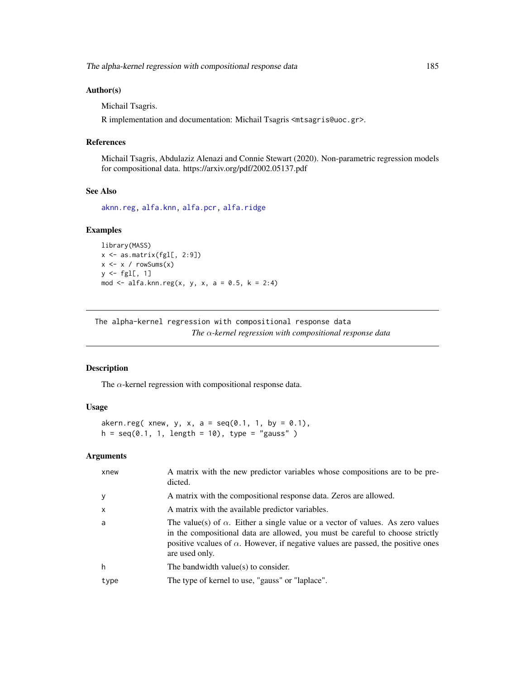The alpha-kernel regression with compositional response data 185

### Author(s)

Michail Tsagris.

R implementation and documentation: Michail Tsagris <mtsagris@uoc.gr>.

#### References

Michail Tsagris, Abdulaziz Alenazi and Connie Stewart (2020). Non-parametric regression models for compositional data. https://arxiv.org/pdf/2002.05137.pdf

#### See Also

[aknn.reg,](#page-181-0) [alfa.knn,](#page-194-0) [alfa.pcr,](#page-133-0) [alfa.ridge](#page-166-0)

#### Examples

```
library(MASS)
x <- as.matrix(fgl[, 2:9])
x \leq x / \text{rowsums}(x)y \leftarrow \text{fgl[, 1}mod <- alfa.knn.reg(x, y, x, a = 0.5, k = 2:4)
```
The alpha-kernel regression with compositional response data *The* α*-kernel regression with compositional response data*

### <span id="page-184-0"></span>Description

The  $\alpha$ -kernel regression with compositional response data.

### Usage

```
akern.reg( xnew, y, x, a = seq(0.1, 1, by = 0.1),
h = seq(0.1, 1, length = 10), type = "gauss" )
```
#### Arguments

| xnew     | A matrix with the new predictor variables whose compositions are to be pre-<br>dicted.                                                                                                                                                                                                |
|----------|---------------------------------------------------------------------------------------------------------------------------------------------------------------------------------------------------------------------------------------------------------------------------------------|
| y        | A matrix with the compositional response data. Zeros are allowed.                                                                                                                                                                                                                     |
| $\times$ | A matrix with the available predictor variables.                                                                                                                                                                                                                                      |
| a        | The value(s) of $\alpha$ . Either a single value or a vector of values. As zero values<br>in the compositional data are allowed, you must be careful to choose strictly<br>positive vcalues of $\alpha$ . However, if negative values are passed, the positive ones<br>are used only. |
| h        | The bandwidth value(s) to consider.                                                                                                                                                                                                                                                   |
| type     | The type of kernel to use, "gauss" or "laplace".                                                                                                                                                                                                                                      |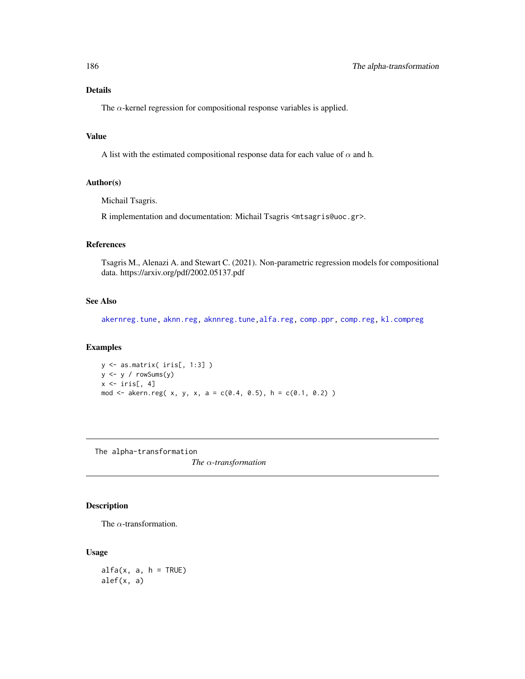### Details

The  $\alpha$ -kernel regression for compositional response variables is applied.

### Value

A list with the estimated compositional response data for each value of  $\alpha$  and h.

#### Author(s)

Michail Tsagris.

R implementation and documentation: Michail Tsagris <mtsagris@uoc.gr>.

### References

Tsagris M., Alenazi A. and Stewart C. (2021). Non-parametric regression models for compositional data. https://arxiv.org/pdf/2002.05137.pdf

### See Also

[akernreg.tune,](#page-35-0) [aknn.reg,](#page-181-0) [aknnreg.tune,](#page-33-0)[alfa.reg,](#page-159-0) [comp.ppr,](#page-153-0) [comp.reg,](#page-134-0) [kl.compreg](#page-63-0)

### Examples

 $y \leftarrow$  as.matrix( iris[, 1:3])  $y \leftarrow y / \text{rowsums}(y)$  $x \leftarrow \text{iris}[, 4]$ mod <- akern.reg( x, y, x, a = c(0.4, 0.5), h = c(0.1, 0.2) )

The alpha-transformation

*The* α*-transformation*

### <span id="page-185-0"></span>Description

The  $\alpha$ -transformation.

### Usage

 $alfa(x, a, h = TRUE)$ alef(x, a)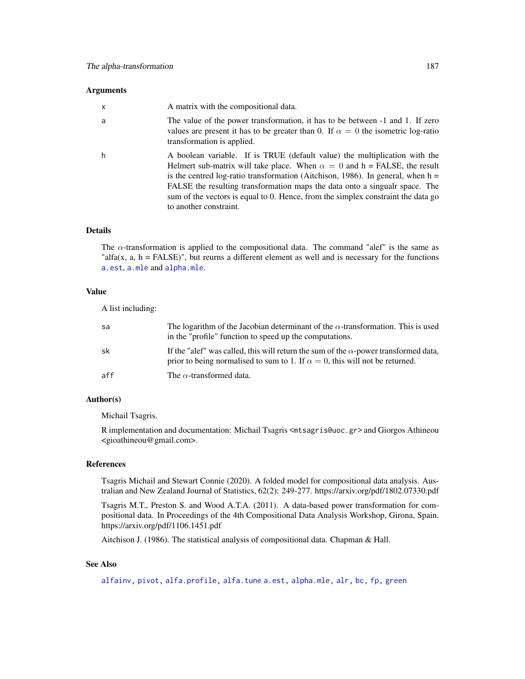#### **Arguments**

| $\mathsf{x}$ | A matrix with the compositional data.                                                                                                                                                                                                                                                                                                                                                                                                           |
|--------------|-------------------------------------------------------------------------------------------------------------------------------------------------------------------------------------------------------------------------------------------------------------------------------------------------------------------------------------------------------------------------------------------------------------------------------------------------|
| a            | The value of the power transformation, it has to be between -1 and 1. If zero<br>values are present it has to be greater than 0. If $\alpha = 0$ the isometric log-ratio<br>transformation is applied.                                                                                                                                                                                                                                          |
| h            | A boolean variable. If is TRUE (default value) the multiplication with the<br>Helmert sub-matrix will take place. When $\alpha = 0$ and h = FALSE, the result<br>is the centred log-ratio transformation (Aitchison, 1986). In general, when $h =$<br>FALSE the resulting transformation maps the data onto a singualr space. The<br>sum of the vectors is equal to 0. Hence, from the simplex constraint the data go<br>to another constraint. |

#### Details

The  $\alpha$ -transformation is applied to the compositional data. The command "alef" is the same as "alfa(x,  $a, h = FALSE$ )", but reurns a different element as well and is necessary for the functions [a.est](#page-75-0), [a.mle](#page-123-0) and [alpha.mle](#page-123-0).

#### Value

A list including:

| sa  | The logarithm of the Jacobian determinant of the $\alpha$ -transformation. This is used<br>in the "profile" function to speed up the computations.                                 |
|-----|------------------------------------------------------------------------------------------------------------------------------------------------------------------------------------|
| sk  | If the "alef" was called, this will return the sum of the $\alpha$ -power transformed data,<br>prior to being normalised to sum to 1. If $\alpha = 0$ , this will not be returned. |
| aff | The $\alpha$ -transformed data.                                                                                                                                                    |

### Author(s)

Michail Tsagris.

R implementation and documentation: Michail Tsagris <mtsagris@uoc.gr> and Giorgos Athineou <gioathineou@gmail.com>.

#### References

Tsagris Michail and Stewart Connie (2020). A folded model for compositional data analysis. Australian and New Zealand Journal of Statistics, 62(2): 249-277. https://arxiv.org/pdf/1802.07330.pdf

Tsagris M.T., Preston S. and Wood A.T.A. (2011). A data-based power transformation for compositional data. In Proceedings of the 4th Compositional Data Analysis Workshop, Girona, Spain. https://arxiv.org/pdf/1106.1451.pdf

Aitchison J. (1986). The statistical analysis of compositional data. Chapman & Hall.

### See Also

[alfainv,](#page-99-0) [pivot,](#page-196-0) [alfa.profile,](#page-76-0) [alfa.tune](#page-80-0) [a.est,](#page-75-0) [alpha.mle,](#page-123-0) [alr,](#page-177-0) [bc,](#page-187-0) [fp,](#page-189-0) [green](#page-88-0)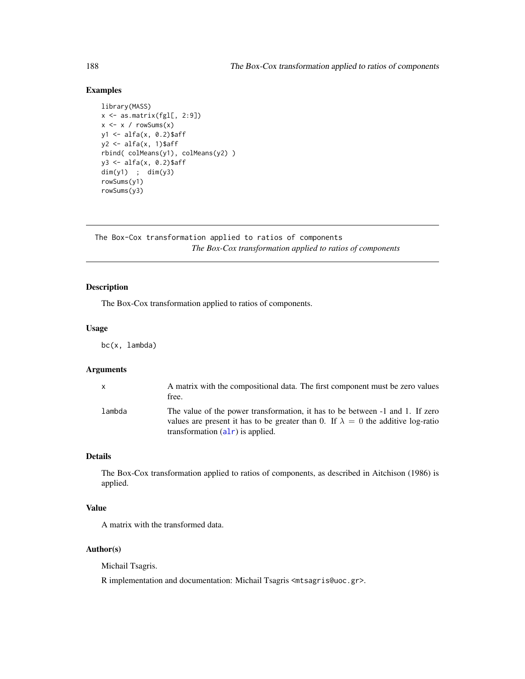### Examples

```
library(MASS)
x <- as.matrix(fgl[, 2:9])
x \leftarrow x / rowsums(x)y1 <- alfa(x, 0.2)$aff
y2 \leftarrow alfa(x, 1)$aff
rbind( colMeans(y1), colMeans(y2) )
y3 <- alfa(x, 0.2)$aff
dim(y1) ; dim(y3)
rowSums(y1)
rowSums(y3)
```
The Box-Cox transformation applied to ratios of components *The Box-Cox transformation applied to ratios of components*

### <span id="page-187-0"></span>Description

The Box-Cox transformation applied to ratios of components.

#### Usage

bc(x, lambda)

### Arguments

| X      | A matrix with the compositional data. The first component must be zero values<br>free.                                                                                                                         |
|--------|----------------------------------------------------------------------------------------------------------------------------------------------------------------------------------------------------------------|
| lambda | The value of the power transformation, it has to be between -1 and 1. If zero<br>values are present it has to be greater than 0. If $\lambda = 0$ the additive log-ratio<br>transformation $(alr)$ is applied. |

### Details

The Box-Cox transformation applied to ratios of components, as described in Aitchison (1986) is applied.

### Value

A matrix with the transformed data.

#### Author(s)

Michail Tsagris.

R implementation and documentation: Michail Tsagris <mtsagris@uoc.gr>.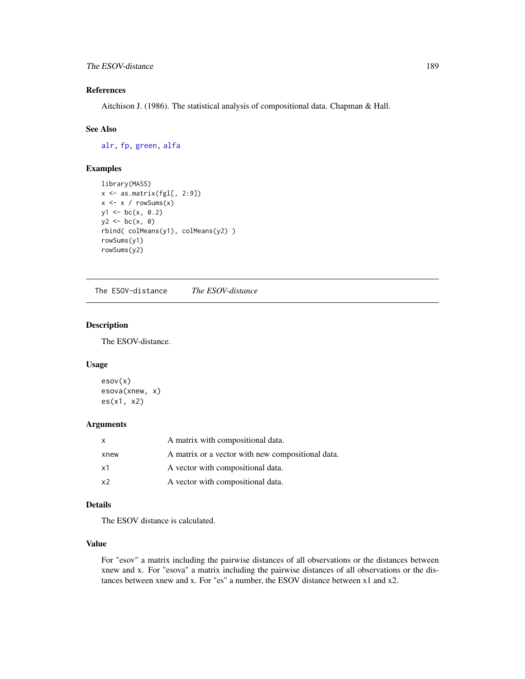### References

Aitchison J. (1986). The statistical analysis of compositional data. Chapman & Hall.

#### See Also

[alr,](#page-177-0) [fp,](#page-189-0) [green,](#page-88-0) [alfa](#page-185-0)

### Examples

```
library(MASS)
x <- as.matrix(fgl[, 2:9])
x \leftarrow x / rowsums(x)y1 \leftarrow bc(x, 0.2)y2 \le - bc(x, 0)
rbind( colMeans(y1), colMeans(y2) )
rowSums(y1)
rowSums(y2)
```
The ESOV-distance *The ESOV-distance*

### <span id="page-188-0"></span>Description

The ESOV-distance.

#### Usage

esov(x) esova(xnew, x) es(x1, x2)

### Arguments

| X              | A matrix with compositional data.                 |
|----------------|---------------------------------------------------|
| xnew           | A matrix or a vector with new compositional data. |
| x1             | A vector with compositional data.                 |
| x <sub>2</sub> | A vector with compositional data.                 |

### Details

The ESOV distance is calculated.

### Value

For "esov" a matrix including the pairwise distances of all observations or the distances between xnew and x. For "esova" a matrix including the pairwise distances of all observations or the distances between xnew and x. For "es" a number, the ESOV distance between x1 and x2.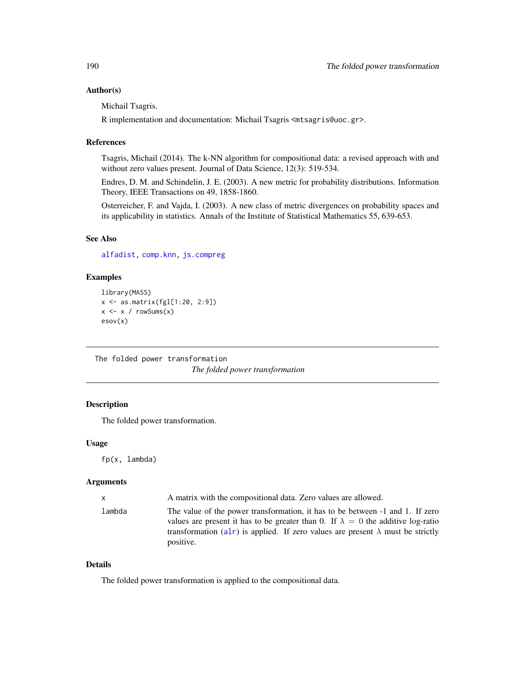#### Author(s)

Michail Tsagris.

R implementation and documentation: Michail Tsagris <mtsagris@uoc.gr>.

#### References

Tsagris, Michail (2014). The k-NN algorithm for compositional data: a revised approach with and without zero values present. Journal of Data Science, 12(3): 519-534.

Endres, D. M. and Schindelin, J. E. (2003). A new metric for probability distributions. Information Theory, IEEE Transactions on 49, 1858-1860.

Osterreicher, F. and Vajda, I. (2003). A new class of metric divergences on probability spaces and its applicability in statistics. Annals of the Institute of Statistical Mathematics 55, 639-653.

#### See Also

[alfadist,](#page-178-0) [comp.knn,](#page-194-0) [js.compreg](#page-63-0)

#### Examples

```
library(MASS)
x <- as.matrix(fgl[1:20, 2:9])
x \leftarrow x / rowsums(x)esov(x)
```
The folded power transformation *The folded power transformation*

### <span id="page-189-0"></span>Description

The folded power transformation.

#### Usage

fp(x, lambda)

#### Arguments

| X      | A matrix with the compositional data. Zero values are allowed.                                                                                                                                                                                                                  |
|--------|---------------------------------------------------------------------------------------------------------------------------------------------------------------------------------------------------------------------------------------------------------------------------------|
| lambda | The value of the power transformation, it has to be between -1 and 1. If zero<br>values are present it has to be greater than 0. If $\lambda = 0$ the additive log-ratio<br>transformation (alr) is applied. If zero values are present $\lambda$ must be strictly<br>positive. |

### Details

The folded power transformation is applied to the compositional data.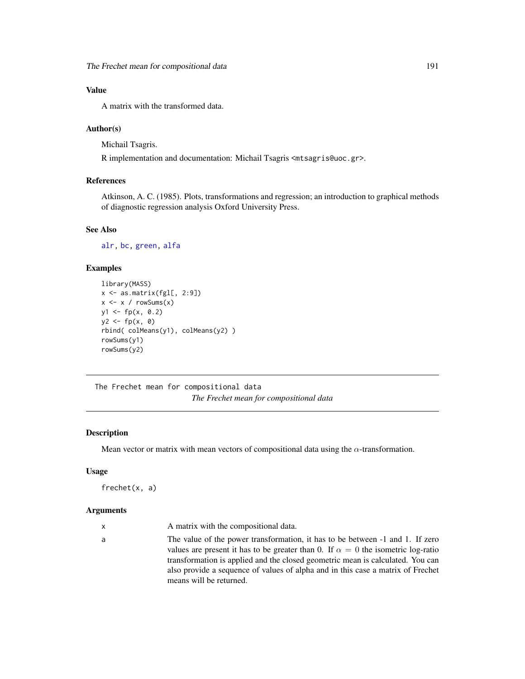### Value

A matrix with the transformed data.

#### Author(s)

Michail Tsagris.

R implementation and documentation: Michail Tsagris <mtsagris@uoc.gr>.

#### References

Atkinson, A. C. (1985). Plots, transformations and regression; an introduction to graphical methods of diagnostic regression analysis Oxford University Press.

#### See Also

[alr,](#page-177-0) [bc,](#page-187-0) [green,](#page-88-0) [alfa](#page-185-0)

### Examples

```
library(MASS)
x <- as.matrix(fgl[, 2:9])
x \leftarrow x / rowsums(x)y1 \leftarrow fp(x, 0.2)y2 \leq -f p(x, 0)rbind( colMeans(y1), colMeans(y2) )
rowSums(y1)
rowSums(y2)
```
The Frechet mean for compositional data *The Frechet mean for compositional data*

### Description

Mean vector or matrix with mean vectors of compositional data using the  $\alpha$ -transformation.

#### Usage

frechet(x, a)

## Arguments

a The value of the power transformation, it has to be between -1 and 1. If zero values are present it has to be greater than 0. If  $\alpha = 0$  the isometric log-ratio transformation is applied and the closed geometric mean is calculated. You can also provide a sequence of values of alpha and in this case a matrix of Frechet means will be returned.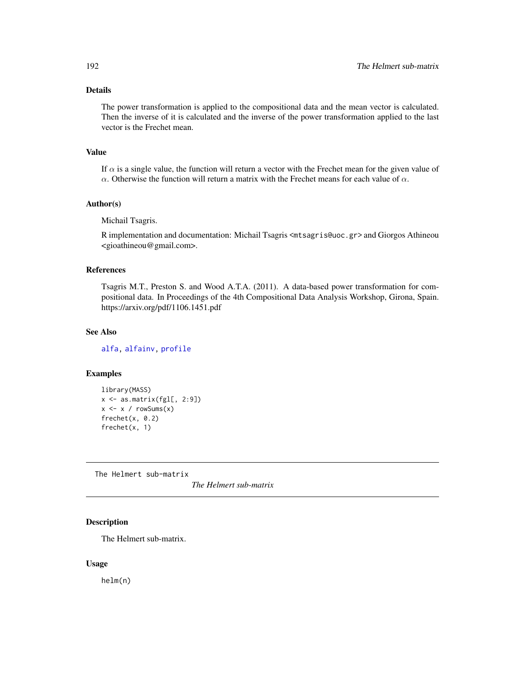### Details

The power transformation is applied to the compositional data and the mean vector is calculated. Then the inverse of it is calculated and the inverse of the power transformation applied to the last vector is the Frechet mean.

#### Value

If  $\alpha$  is a single value, the function will return a vector with the Frechet mean for the given value of  $\alpha$ . Otherwise the function will return a matrix with the Frechet means for each value of  $\alpha$ .

#### Author(s)

Michail Tsagris.

R implementation and documentation: Michail Tsagris <mtsagris@uoc.gr> and Giorgos Athineou <gioathineou@gmail.com>.

### References

Tsagris M.T., Preston S. and Wood A.T.A. (2011). A data-based power transformation for compositional data. In Proceedings of the 4th Compositional Data Analysis Workshop, Girona, Spain. https://arxiv.org/pdf/1106.1451.pdf

### See Also

[alfa,](#page-185-0) [alfainv,](#page-99-0) [profile](#page-0-0)

#### Examples

```
library(MASS)
x \leftarrow as.matrix(fgl[, 2:9])x \le -x / \text{rowsums}(x)frechet(x, 0.2)
frechet(x, 1)
```
The Helmert sub-matrix

*The Helmert sub-matrix*

### Description

The Helmert sub-matrix.

#### Usage

helm(n)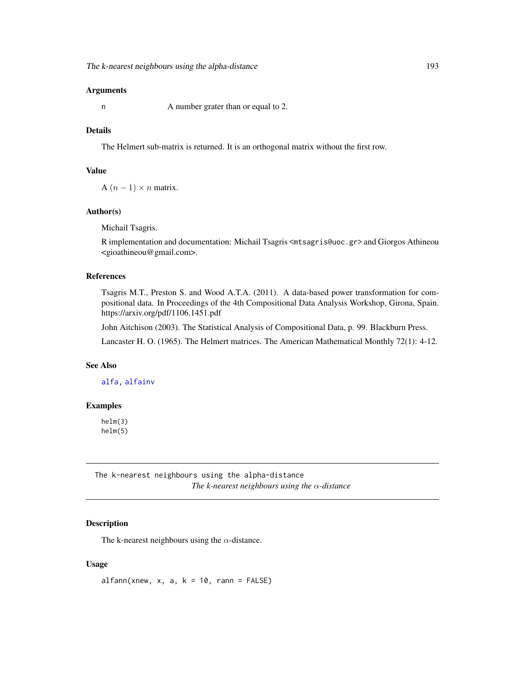#### Arguments

n A number grater than or equal to 2.

### Details

The Helmert sub-matrix is returned. It is an orthogonal matrix without the first row.

### Value

A  $(n-1) \times n$  matrix.

### Author(s)

Michail Tsagris.

R implementation and documentation: Michail Tsagris <mtsagris@uoc.gr> and Giorgos Athineou <gioathineou@gmail.com>.

### References

Tsagris M.T., Preston S. and Wood A.T.A. (2011). A data-based power transformation for compositional data. In Proceedings of the 4th Compositional Data Analysis Workshop, Girona, Spain. https://arxiv.org/pdf/1106.1451.pdf

John Aitchison (2003). The Statistical Analysis of Compositional Data, p. 99. Blackburn Press.

Lancaster H. O. (1965). The Helmert matrices. The American Mathematical Monthly 72(1): 4-12.

### See Also

[alfa,](#page-185-0) [alfainv](#page-99-0)

### Examples

helm(3) helm(5)

The k-nearest neighbours using the alpha-distance *The k-nearest neighbours using the* α*-distance*

### Description

The k-nearest neighbours using the  $\alpha$ -distance.

#### Usage

 $alfann(xnew, x, a, k = 10, rann = FALSE)$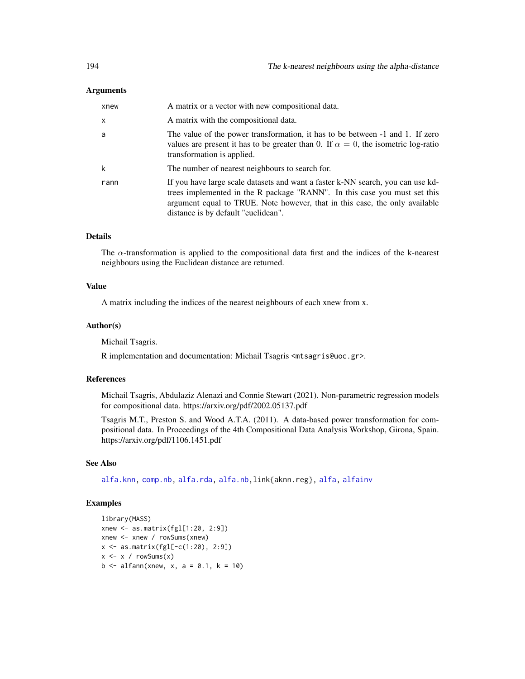#### Arguments

| xnew                      | A matrix or a vector with new compositional data.                                                                                                                                                                                                                                  |
|---------------------------|------------------------------------------------------------------------------------------------------------------------------------------------------------------------------------------------------------------------------------------------------------------------------------|
| $\boldsymbol{\mathsf{x}}$ | A matrix with the compositional data.                                                                                                                                                                                                                                              |
| a                         | The value of the power transformation, it has to be between $-1$ and 1. If zero<br>values are present it has to be greater than 0. If $\alpha = 0$ , the isometric log-ratio<br>transformation is applied.                                                                         |
| k                         | The number of nearest neighbours to search for.                                                                                                                                                                                                                                    |
| rann                      | If you have large scale datasets and want a faster k-NN search, you can use kd-<br>trees implemented in the R package "RANN". In this case you must set this<br>argument equal to TRUE. Note however, that in this case, the only available<br>distance is by default "euclidean". |

### Details

The  $\alpha$ -transformation is applied to the compositional data first and the indices of the k-nearest neighbours using the Euclidean distance are returned.

#### Value

A matrix including the indices of the nearest neighbours of each xnew from x.

#### Author(s)

Michail Tsagris.

R implementation and documentation: Michail Tsagris <mtsagris@uoc.gr>.

#### References

Michail Tsagris, Abdulaziz Alenazi and Connie Stewart (2021). Non-parametric regression models for compositional data. https://arxiv.org/pdf/2002.05137.pdf

Tsagris M.T., Preston S. and Wood A.T.A. (2011). A data-based power transformation for compositional data. In Proceedings of the 4th Compositional Data Analysis Workshop, Girona, Spain. https://arxiv.org/pdf/1106.1451.pdf

#### See Also

[alfa.knn,](#page-194-0) [comp.nb,](#page-138-0) [alfa.rda,](#page-161-0) [alfa.nb,](#page-140-0)link{aknn.reg}, [alfa,](#page-185-0) [alfainv](#page-99-0)

```
library(MASS)
xnew <- as.matrix(fgl[1:20, 2:9])
xnew <- xnew / rowSums(xnew)
x <- as.matrix(fgl[-c(1:20), 2:9])
x \le -x / \text{rowsums}(x)b \le -alfann(xnew, x, a = 0.1, k = 10)
```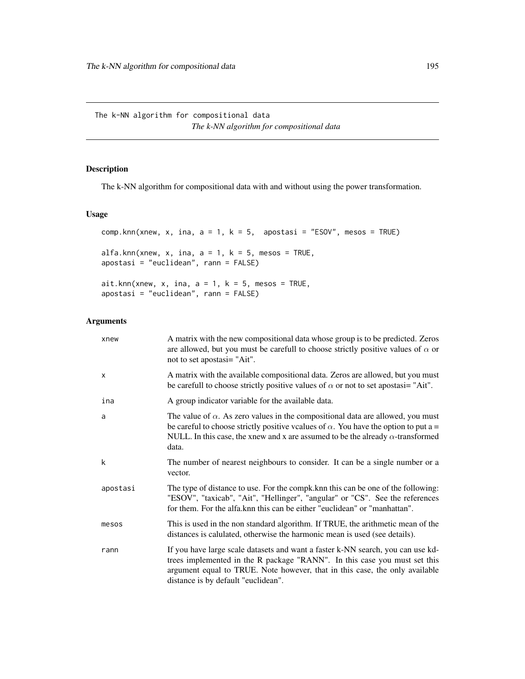The k-NN algorithm for compositional data *The k-NN algorithm for compositional data*

### <span id="page-194-0"></span>Description

The k-NN algorithm for compositional data with and without using the power transformation.

#### Usage

```
comp.knn(xnew, x, ina, a = 1, k = 5, apostasi = "ESOV", mesos = TRUE)
alfa.knn(xnew, x, ina, a = 1, k = 5, mesos = TRUE,
apostasi = "euclidean", rann = FALSE)
ait.knn(xnew, x, ina, a = 1, k = 5, mesos = TRUE,
apostasi = "euclidean", rann = FALSE)
```
### Arguments

| xnew     | A matrix with the new compositional data whose group is to be predicted. Zeros<br>are allowed, but you must be carefull to choose strictly positive values of $\alpha$ or<br>not to set apostasi= "Ait".                                                                                 |
|----------|------------------------------------------------------------------------------------------------------------------------------------------------------------------------------------------------------------------------------------------------------------------------------------------|
| X        | A matrix with the available compositional data. Zeros are allowed, but you must<br>be carefull to choose strictly positive values of $\alpha$ or not to set apostasi= "Ait".                                                                                                             |
| ina      | A group indicator variable for the available data.                                                                                                                                                                                                                                       |
| a        | The value of $\alpha$ . As zero values in the compositional data are allowed, you must<br>be careful to choose strictly positive vcalues of $\alpha$ . You have the option to put a =<br>NULL. In this case, the xnew and x are assumed to be the already $\alpha$ -transformed<br>data. |
| k        | The number of nearest neighbours to consider. It can be a single number or a<br>vector.                                                                                                                                                                                                  |
| apostasi | The type of distance to use. For the compk, knn this can be one of the following:<br>"ESOV", "taxicab", "Ait", "Hellinger", "angular" or "CS". See the references<br>for them. For the alfa.knn this can be either "euclidean" or "manhattan".                                           |
| mesos    | This is used in the non standard algorithm. If TRUE, the arithmetic mean of the<br>distances is calulated, otherwise the harmonic mean is used (see details).                                                                                                                            |
| rann     | If you have large scale datasets and want a faster k-NN search, you can use kd-<br>trees implemented in the R package "RANN". In this case you must set this<br>argument equal to TRUE. Note however, that in this case, the only available<br>distance is by default "euclidean".       |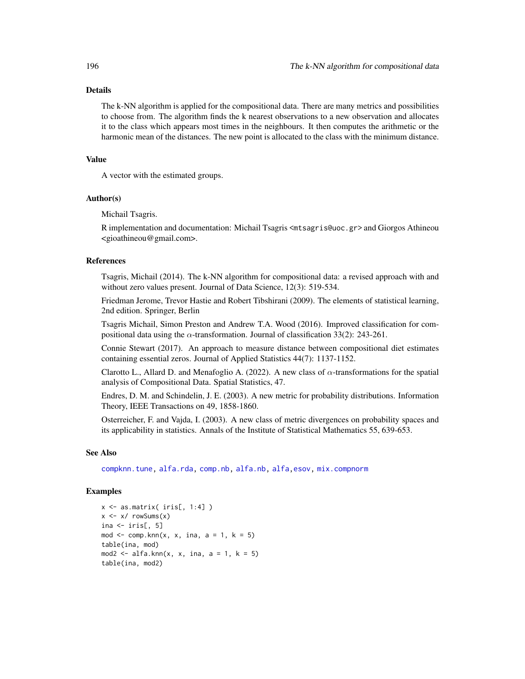#### Details

The k-NN algorithm is applied for the compositional data. There are many metrics and possibilities to choose from. The algorithm finds the k nearest observations to a new observation and allocates it to the class which appears most times in the neighbours. It then computes the arithmetic or the harmonic mean of the distances. The new point is allocated to the class with the minimum distance.

### Value

A vector with the estimated groups.

#### Author(s)

Michail Tsagris.

R implementation and documentation: Michail Tsagris <mtsagris@uoc.gr> and Giorgos Athineou <gioathineou@gmail.com>.

### References

Tsagris, Michail (2014). The k-NN algorithm for compositional data: a revised approach with and without zero values present. Journal of Data Science, 12(3): 519-534.

Friedman Jerome, Trevor Hastie and Robert Tibshirani (2009). The elements of statistical learning, 2nd edition. Springer, Berlin

Tsagris Michail, Simon Preston and Andrew T.A. Wood (2016). Improved classification for compositional data using the  $\alpha$ -transformation. Journal of classification 33(2): 243-261.

Connie Stewart (2017). An approach to measure distance between compositional diet estimates containing essential zeros. Journal of Applied Statistics 44(7): 1137-1152.

Clarotto L., Allard D. and Menafoglio A. (2022). A new class of  $\alpha$ -transformations for the spatial analysis of Compositional Data. Spatial Statistics, 47.

Endres, D. M. and Schindelin, J. E. (2003). A new metric for probability distributions. Information Theory, IEEE Transactions on 49, 1858-1860.

Osterreicher, F. and Vajda, I. (2003). A new class of metric divergences on probability spaces and its applicability in statistics. Annals of the Institute of Statistical Mathematics 55, 639-653.

#### See Also

[compknn.tune,](#page-203-0) [alfa.rda,](#page-161-0) [comp.nb,](#page-138-0) [alfa.nb,](#page-140-0) [alfa,](#page-185-0)[esov,](#page-188-0) [mix.compnorm](#page-83-0)

```
x \leq - as.matrix( iris[, 1:4] )
x \le -x / \text{rowsums}(x)ina \leftarrow iris[, 5]
mod \leq comp.knn(x, x, ina, a = 1, k = 5)table(ina, mod)
mod2 \le alfa.knn(x, x, ina, a = 1, k = 5)
table(ina, mod2)
```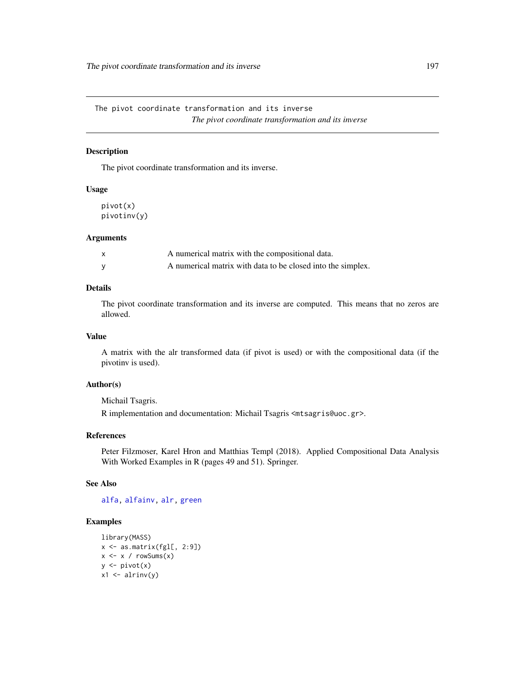### <span id="page-196-0"></span>Description

The pivot coordinate transformation and its inverse.

### Usage

pivot(x) pivotinv(y)

#### Arguments

| A numerical matrix with the compositional data.             |
|-------------------------------------------------------------|
| A numerical matrix with data to be closed into the simplex. |

### Details

The pivot coordinate transformation and its inverse are computed. This means that no zeros are allowed.

### Value

A matrix with the alr transformed data (if pivot is used) or with the compositional data (if the pivotinv is used).

#### Author(s)

Michail Tsagris.

R implementation and documentation: Michail Tsagris <mtsagris@uoc.gr>.

### References

Peter Filzmoser, Karel Hron and Matthias Templ (2018). Applied Compositional Data Analysis With Worked Examples in R (pages 49 and 51). Springer.

### See Also

[alfa,](#page-185-0) [alfainv,](#page-99-0) [alr,](#page-177-0) [green](#page-88-0)

```
library(MASS)
x <- as.matrix(fgl[, 2:9])
x \leftarrow x / rowsums(x)y \leftarrow \text{pivot}(x)x1 \leftarrow \text{alrinv}(y)
```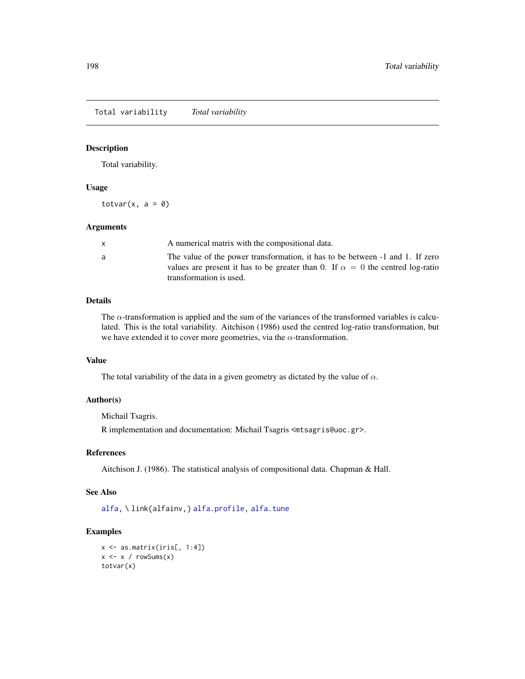Total variability *Total variability*

#### Description

Total variability.

#### Usage

totvar $(x, a = 0)$ 

#### Arguments

|   | A numerical matrix with the compositional data.                                                                                                                                                   |
|---|---------------------------------------------------------------------------------------------------------------------------------------------------------------------------------------------------|
| a | The value of the power transformation, it has to be between -1 and 1. If zero<br>values are present it has to be greater than 0. If $\alpha = 0$ the centred log-ratio<br>transformation is used. |
|   |                                                                                                                                                                                                   |

#### Details

The  $\alpha$ -transformation is applied and the sum of the variances of the transformed variables is calculated. This is the total variability. Aitchison (1986) used the centred log-ratio transformation, but we have extended it to cover more geometries, via the  $\alpha$ -transformation.

### Value

The total variability of the data in a given geometry as dictated by the value of  $\alpha$ .

#### Author(s)

Michail Tsagris.

R implementation and documentation: Michail Tsagris <mtsagris@uoc.gr>.

### References

Aitchison J. (1986). The statistical analysis of compositional data. Chapman & Hall.

### See Also

[alfa,](#page-185-0) \ link{alfainv,} [alfa.profile,](#page-76-0) [alfa.tune](#page-80-0)

```
x \leftarrow as.matrix(iris[, 1:4])x \leftarrow x / rowsums(x)totvar(x)
```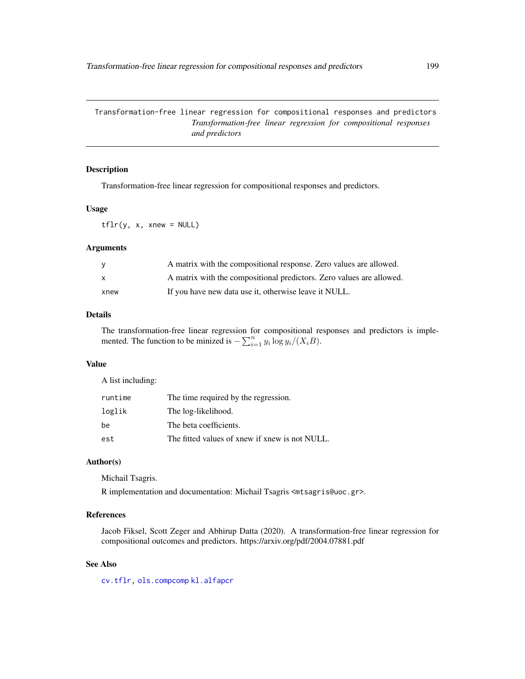Transformation-free linear regression for compositional responses and predictors *Transformation-free linear regression for compositional responses and predictors*

### Description

Transformation-free linear regression for compositional responses and predictors.

### Usage

tflr(y, x, xnew = NULL)

#### Arguments

| - V      | A matrix with the compositional response. Zero values are allowed.   |
|----------|----------------------------------------------------------------------|
| <b>X</b> | A matrix with the compositional predictors. Zero values are allowed. |
| xnew     | If you have new data use it, otherwise leave it NULL.                |

#### Details

The transformation-free linear regression for compositional responses and predictors is implemented. The function to be minized is  $-\sum_{i=1}^{n} y_i \log y_i/(X_i B)$ .

#### Value

A list including:

| runtime | The time required by the regression.           |
|---------|------------------------------------------------|
| loglik  | The log-likelihood.                            |
| be      | The beta coefficients.                         |
| est     | The fitted values of xnew if xnew is not NULL. |

### Author(s)

Michail Tsagris.

R implementation and documentation: Michail Tsagris <mtsagris@uoc.gr>.

## References

Jacob Fiksel, Scott Zeger and Abhirup Datta (2020). A transformation-free linear regression for compositional outcomes and predictors. https://arxiv.org/pdf/2004.07881.pdf

### See Also

[cv.tflr,](#page-42-0) [ols.compcomp](#page-16-0) [kl.alfapcr](#page-65-0)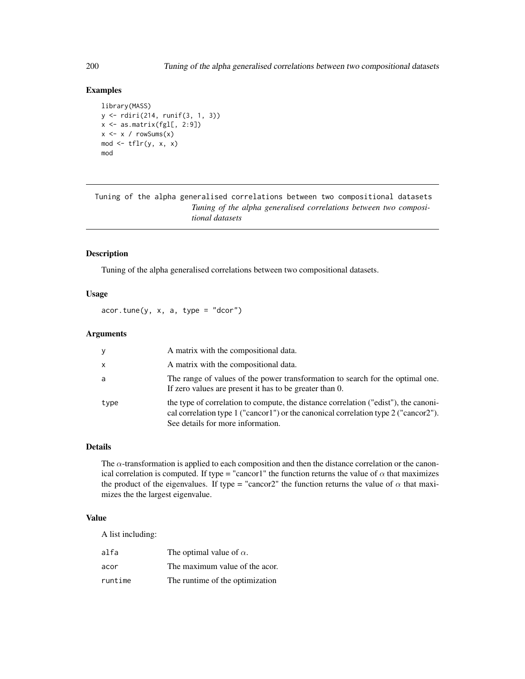### Examples

```
library(MASS)
y <- rdiri(214, runif(3, 1, 3))
x \leftarrow as_matrix(fgl[, 2:9])x \le -x / \text{rowsums}(x)mod \leftarrow tflr(y, x, x)mod
```
Tuning of the alpha generalised correlations between two compositional datasets *Tuning of the alpha generalised correlations between two compositional datasets*

### Description

Tuning of the alpha generalised correlations between two compositional datasets.

#### Usage

 $acor.tune(y, x, a, type = "dcor")$ 

### Arguments

| y    | A matrix with the compositional data.                                                                                                                                                                           |
|------|-----------------------------------------------------------------------------------------------------------------------------------------------------------------------------------------------------------------|
| X    | A matrix with the compositional data.                                                                                                                                                                           |
| a    | The range of values of the power transformation to search for the optimal one.<br>If zero values are present it has to be greater than 0.                                                                       |
| type | the type of correlation to compute, the distance correlation ("edist"), the canoni-<br>cal correlation type 1 ("cancor1") or the canonical correlation type 2 ("cancor2").<br>See details for more information. |

#### Details

The  $\alpha$ -transformation is applied to each composition and then the distance correlation or the canonical correlation is computed. If type = "cancor1" the function returns the value of  $\alpha$  that maximizes the product of the eigenvalues. If type = "cancor2" the function returns the value of  $\alpha$  that maximizes the the largest eigenvalue.

#### Value

A list including:

| alfa    | The optimal value of $\alpha$ . |
|---------|---------------------------------|
| acor    | The maximum value of the acor.  |
| runtime | The runtime of the optimization |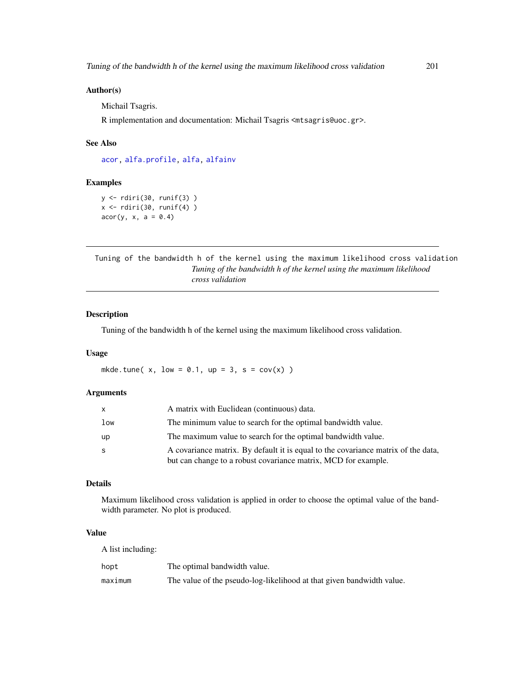#### Author(s)

Michail Tsagris.

R implementation and documentation: Michail Tsagris <mtsagris@uoc.gr>.

### See Also

[acor,](#page-8-0) [alfa.profile,](#page-76-0) [alfa,](#page-185-0) [alfainv](#page-99-0)

#### Examples

y <- rdiri(30, runif(3) )  $x \leftarrow$  rdiri(30, runif(4))  $acor(y, x, a = 0.4)$ 

Tuning of the bandwidth h of the kernel using the maximum likelihood cross validation *Tuning of the bandwidth h of the kernel using the maximum likelihood cross validation*

#### Description

Tuning of the bandwidth h of the kernel using the maximum likelihood cross validation.

### Usage

mkde.tune( $x$ , low = 0.1, up = 3, s = cov( $x$ ))

#### Arguments

|     | A matrix with Euclidean (continuous) data.                                                                                                          |
|-----|-----------------------------------------------------------------------------------------------------------------------------------------------------|
| low | The minimum value to search for the optimal bandwidth value.                                                                                        |
| up  | The maximum value to search for the optimal bandwidth value.                                                                                        |
| s   | A covariance matrix. By default it is equal to the covariance matrix of the data,<br>but can change to a robust covariance matrix, MCD for example. |

#### Details

Maximum likelihood cross validation is applied in order to choose the optimal value of the bandwidth parameter. No plot is produced.

### Value

A list including:

| hopt    | The optimal bandwidth value.                                          |
|---------|-----------------------------------------------------------------------|
| maximum | The value of the pseudo-log-likelihood at that given bandwidth value. |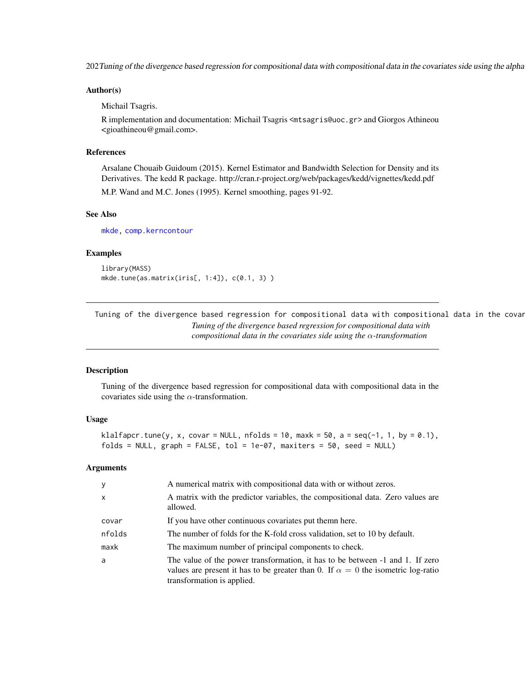202 Tuning of the divergence based regression for compositional data with compositional data in the covariates side using the alpha

#### Author(s)

Michail Tsagris.

R implementation and documentation: Michail Tsagris <mtsagris@uoc.gr> and Giorgos Athineou <gioathineou@gmail.com>.

### References

Arsalane Chouaib Guidoum (2015). Kernel Estimator and Bandwidth Selection for Density and its Derivatives. The kedd R package. http://cran.r-project.org/web/packages/kedd/vignettes/kedd.pdf

M.P. Wand and M.C. Jones (1995). Kernel smoothing, pages 91-92.

#### See Also

[mkde,](#page-128-0) [comp.kerncontour](#page-26-0)

#### Examples

library(MASS) mkde.tune(as.matrix(iris[, 1:4]), c(0.1, 3) )

Tuning of the divergence based regression for compositional data with compositional data in the covar *Tuning of the divergence based regression for compositional data with compositional data in the covariates side using the* α*-transformation*

#### Description

Tuning of the divergence based regression for compositional data with compositional data in the covariates side using the  $\alpha$ -transformation.

#### Usage

```
klalfapcr.tune(y, x, covar = NULL, nfolds = 10, maxk = 50, a = seq(-1, 1, by = 0.1),
folds = NULL, graph = FALSE, tol = 1e-07, maxiters = 50, seed = NULL)
```
#### **Arguments**

| y            | A numerical matrix with compositional data with or without zeros.                                                                                                                                      |
|--------------|--------------------------------------------------------------------------------------------------------------------------------------------------------------------------------------------------------|
| $\mathsf{x}$ | A matrix with the predictor variables, the compositional data. Zero values are<br>allowed.                                                                                                             |
| covar        | If you have other continuous covariates put themn here.                                                                                                                                                |
| nfolds       | The number of folds for the K-fold cross validation, set to 10 by default.                                                                                                                             |
| maxk         | The maximum number of principal components to check.                                                                                                                                                   |
| a            | The value of the power transformation, it has to be between -1 and 1. If zero<br>values are present it has to be greater than 0. If $\alpha = 0$ the isometric log-ratio<br>transformation is applied. |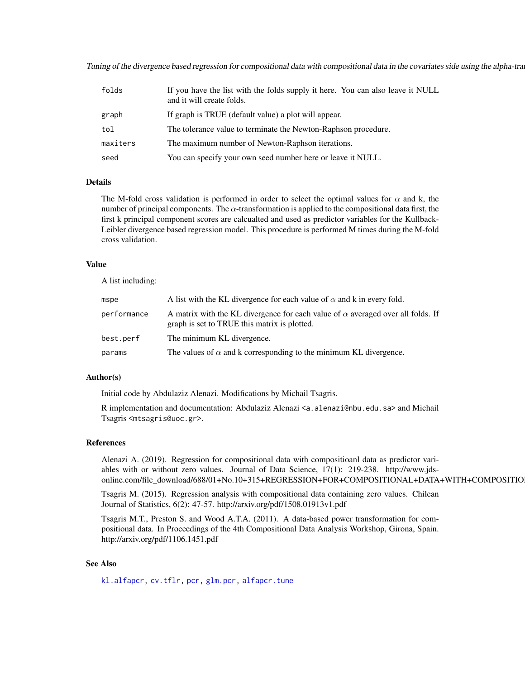Tuning of the divergence based regression for compositional data with compositional data in the covariates side using the alpha-tra

| folds    | If you have the list with the folds supply it here. You can also leave it NULL<br>and it will create folds. |
|----------|-------------------------------------------------------------------------------------------------------------|
| graph    | If graph is TRUE (default value) a plot will appear.                                                        |
| tol      | The tolerance value to terminate the Newton-Raphson procedure.                                              |
| maxiters | The maximum number of Newton-Raphson iterations.                                                            |
| seed     | You can specify your own seed number here or leave it NULL.                                                 |

#### Details

The M-fold cross validation is performed in order to select the optimal values for  $\alpha$  and k, the number of principal components. The  $\alpha$ -transformation is applied to the compositional data first, the first k principal component scores are calcualted and used as predictor variables for the Kullback-Leibler divergence based regression model. This procedure is performed M times during the M-fold cross validation.

#### Value

A list including:

| mspe        | A list with the KL divergence for each value of $\alpha$ and k in every fold.                                                          |
|-------------|----------------------------------------------------------------------------------------------------------------------------------------|
| performance | A matrix with the KL divergence for each value of $\alpha$ averaged over all folds. If<br>graph is set to TRUE this matrix is plotted. |
| best.perf   | The minimum KL divergence.                                                                                                             |
| params      | The values of $\alpha$ and k corresponding to the minimum KL divergence.                                                               |

#### Author(s)

Initial code by Abdulaziz Alenazi. Modifications by Michail Tsagris.

R implementation and documentation: Abdulaziz Alenazi <a.alenazi@nbu.edu.sa> and Michail Tsagris <mtsagris@uoc.gr>.

#### References

Alenazi A. (2019). Regression for compositional data with compositioanl data as predictor variables with or without zero values. Journal of Data Science, 17(1): 219-238. http://www.jdsonline.com/file\_download/688/01+No.10+315+REGRESSION+FOR+COMPOSITIONAL+DATA+WITH+COMPOSITIO

Tsagris M. (2015). Regression analysis with compositional data containing zero values. Chilean Journal of Statistics, 6(2): 47-57. http://arxiv.org/pdf/1508.01913v1.pdf

Tsagris M.T., Preston S. and Wood A.T.A. (2011). A data-based power transformation for compositional data. In Proceedings of the 4th Compositional Data Analysis Workshop, Girona, Spain. http://arxiv.org/pdf/1106.1451.pdf

### See Also

[kl.alfapcr,](#page-65-0) [cv.tflr,](#page-42-0) [pcr,](#page-149-0) [glm.pcr,](#page-149-0) [alfapcr.tune](#page-208-0)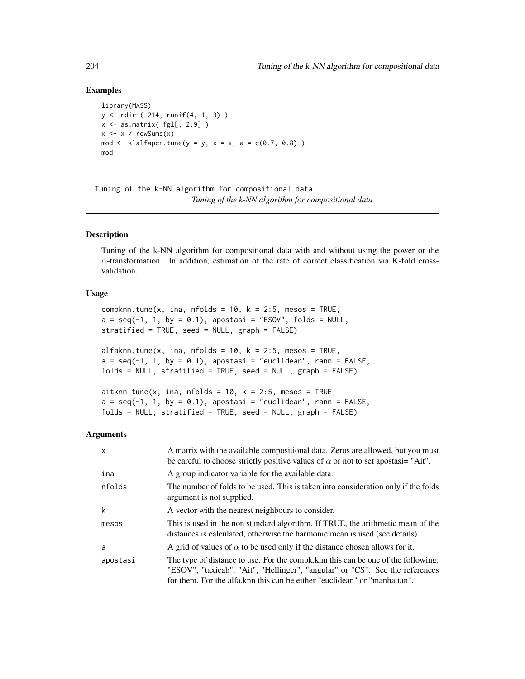#### Examples

```
library(MASS)
y <- rdiri( 214, runif(4, 1, 3) )
x \leftarrow as.matrix(fgl[, 2:9])x \le -x / \text{rowsums}(x)mod \le klalfapcr.tune(y = y, x = x, a = c(0.7, 0.8))
mod
```
Tuning of the k-NN algorithm for compositional data *Tuning of the k-NN algorithm for compositional data*

#### <span id="page-203-0"></span>Description

Tuning of the k-NN algorithm for compositional data with and without using the power or the  $\alpha$ -transformation. In addition, estimation of the rate of correct classification via K-fold crossvalidation.

#### Usage

compknn.tune(x, ina, nfolds = 10,  $k = 2:5$ , mesos = TRUE,  $a = seq(-1, 1, by = 0.1)$ , apostasi = "ESOV", folds = NULL, stratified = TRUE, seed = NULL, graph = FALSE)

alfaknn.tune(x, ina, nfolds = 10,  $k = 2:5$ , mesos = TRUE,  $a = seq(-1, 1, by = 0.1)$ , apostasi = "euclidean", rann = FALSE, folds = NULL, stratified = TRUE, seed = NULL, graph = FALSE)

aitknn.tune(x, ina, nfolds = 10,  $k = 2:5$ , mesos = TRUE,  $a = seq(-1, 1, by = 0.1)$ , apostasi = "euclidean", rann = FALSE, folds = NULL, stratified = TRUE, seed = NULL, graph = FALSE)

#### Arguments

| $\mathsf{x}$ | A matrix with the available compositional data. Zeros are allowed, but you must<br>be careful to choose strictly positive values of $\alpha$ or not to set apostasi= "Ait".                                                                     |
|--------------|-------------------------------------------------------------------------------------------------------------------------------------------------------------------------------------------------------------------------------------------------|
| ina          | A group indicator variable for the available data.                                                                                                                                                                                              |
| nfolds       | The number of folds to be used. This is taken into consideration only if the folds<br>argument is not supplied.                                                                                                                                 |
| k            | A vector with the nearest neighbours to consider.                                                                                                                                                                                               |
| mesos        | This is used in the non standard algorithm. If TRUE, the arithmetic mean of the<br>distances is calculated, otherwise the harmonic mean is used (see details).                                                                                  |
| a            | A grid of values of $\alpha$ to be used only if the distance chosen allows for it.                                                                                                                                                              |
| apostasi     | The type of distance to use. For the compk, knn this can be one of the following:<br>"ESOV", "taxicab", "Ait", "Hellinger", "angular" or "CS". See the references<br>for them. For the alfa. knn this can be either "euclidean" or "manhattan". |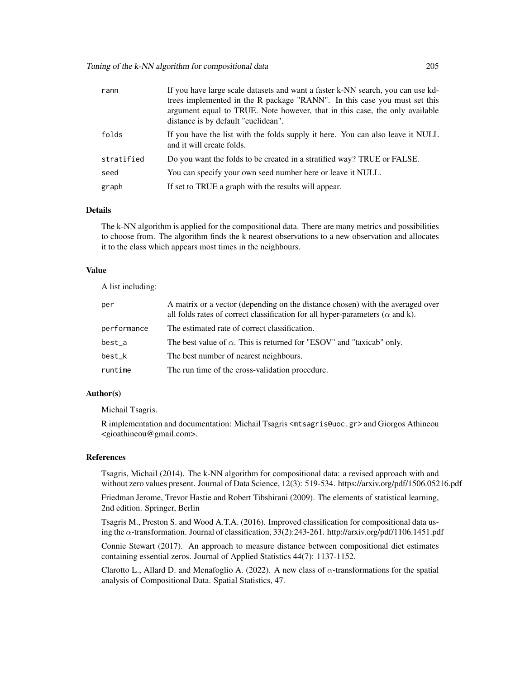| rann       | If you have large scale datasets and want a faster k-NN search, you can use kd-<br>trees implemented in the R package "RANN". In this case you must set this<br>argument equal to TRUE. Note however, that in this case, the only available<br>distance is by default "euclidean". |
|------------|------------------------------------------------------------------------------------------------------------------------------------------------------------------------------------------------------------------------------------------------------------------------------------|
| folds      | If you have the list with the folds supply it here. You can also leave it NULL<br>and it will create folds.                                                                                                                                                                        |
| stratified | Do you want the folds to be created in a stratified way? TRUE or FALSE.                                                                                                                                                                                                            |
| seed       | You can specify your own seed number here or leave it NULL.                                                                                                                                                                                                                        |
| graph      | If set to TRUE a graph with the results will appear.                                                                                                                                                                                                                               |

#### Details

The k-NN algorithm is applied for the compositional data. There are many metrics and possibilities to choose from. The algorithm finds the k nearest observations to a new observation and allocates it to the class which appears most times in the neighbours.

#### Value

A list including:

| per         | A matrix or a vector (depending on the distance chosen) with the averaged over<br>all folds rates of correct classification for all hyper-parameters ( $\alpha$ and k). |
|-------------|-------------------------------------------------------------------------------------------------------------------------------------------------------------------------|
| performance | The estimated rate of correct classification.                                                                                                                           |
| best_a      | The best value of $\alpha$ . This is returned for "ESOV" and "taxicab" only.                                                                                            |
| best_k      | The best number of nearest neighbours.                                                                                                                                  |
| runtime     | The run time of the cross-validation procedure.                                                                                                                         |

#### Author(s)

Michail Tsagris.

R implementation and documentation: Michail Tsagris <mtsagris@uoc.gr> and Giorgos Athineou <gioathineou@gmail.com>.

### References

Tsagris, Michail (2014). The k-NN algorithm for compositional data: a revised approach with and without zero values present. Journal of Data Science, 12(3): 519-534. https://arxiv.org/pdf/1506.05216.pdf

Friedman Jerome, Trevor Hastie and Robert Tibshirani (2009). The elements of statistical learning, 2nd edition. Springer, Berlin

Tsagris M., Preston S. and Wood A.T.A. (2016). Improved classification for compositional data using the α-transformation. Journal of classification, 33(2):243-261. http://arxiv.org/pdf/1106.1451.pdf

Connie Stewart (2017). An approach to measure distance between compositional diet estimates containing essential zeros. Journal of Applied Statistics 44(7): 1137-1152.

Clarotto L., Allard D. and Menafoglio A. (2022). A new class of  $\alpha$ -transformations for the spatial analysis of Compositional Data. Spatial Statistics, 47.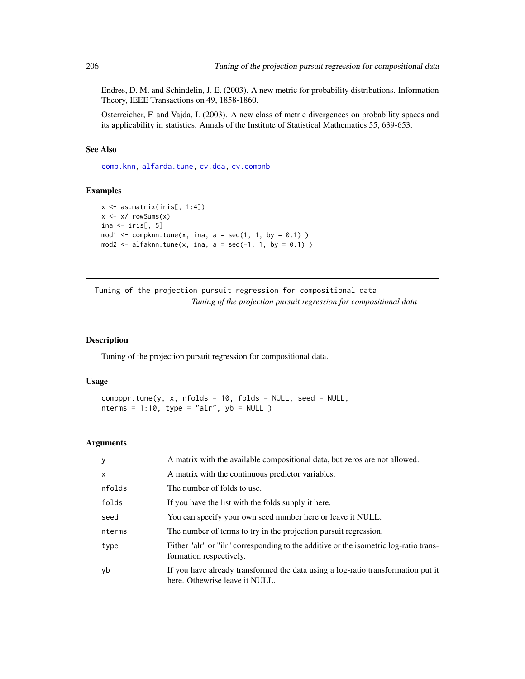Endres, D. M. and Schindelin, J. E. (2003). A new metric for probability distributions. Information Theory, IEEE Transactions on 49, 1858-1860.

Osterreicher, F. and Vajda, I. (2003). A new class of metric divergences on probability spaces and its applicability in statistics. Annals of the Institute of Statistical Mathematics 55, 639-653.

#### See Also

[comp.knn,](#page-194-0) [alfarda.tune,](#page-37-0) [cv.dda,](#page-45-0) [cv.compnb](#page-49-0)

### Examples

```
x <- as.matrix(iris[, 1:4])
x \leftarrow x / \text{rowsums}(x)ina \leftarrow iris[, 5]
mod1 \leq compknn.tune(x, ina, a = seq(1, 1, by = 0.1) )
mod2 \leq alfaknn.tune(x, ina, a = seq(-1, 1, by = 0.1) )
```
Tuning of the projection pursuit regression for compositional data *Tuning of the projection pursuit regression for compositional data*

### <span id="page-205-0"></span>Description

Tuning of the projection pursuit regression for compositional data.

### Usage

```
compppr.tune(y, x, nfollowed to 10, folds = NULL, seed = NULL,nterms = 1:10, type = "alr", yb = NULL )
```
#### Arguments

| y            | A matrix with the available compositional data, but zeros are not allowed.                                         |
|--------------|--------------------------------------------------------------------------------------------------------------------|
| $\mathsf{x}$ | A matrix with the continuous predictor variables.                                                                  |
| nfolds       | The number of folds to use.                                                                                        |
| folds        | If you have the list with the folds supply it here.                                                                |
| seed         | You can specify your own seed number here or leave it NULL.                                                        |
| nterms       | The number of terms to try in the projection pursuit regression.                                                   |
| type         | Either "alr" or "ilr" corresponding to the additive or the isometric log-ratio trans-<br>formation respectively.   |
| yb           | If you have already transformed the data using a log-ratio transformation put it<br>here. Othewrise leave it NULL. |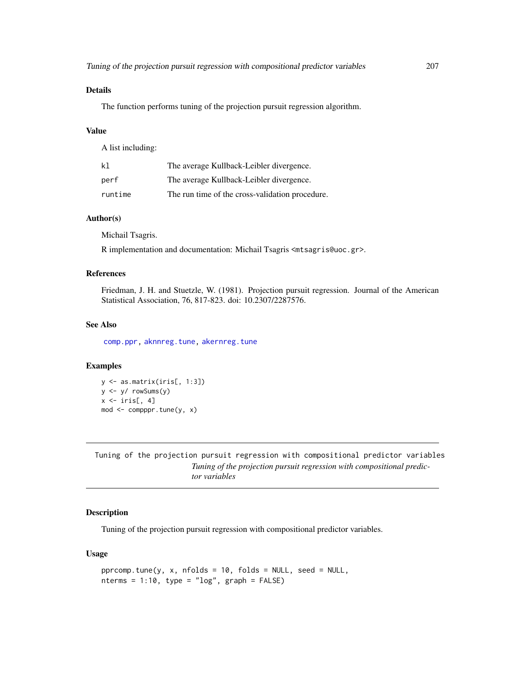### Details

The function performs tuning of the projection pursuit regression algorithm.

#### Value

A list including:

| k1      | The average Kullback-Leibler divergence.        |
|---------|-------------------------------------------------|
| perf    | The average Kullback-Leibler divergence.        |
| runtime | The run time of the cross-validation procedure. |

### Author(s)

Michail Tsagris.

R implementation and documentation: Michail Tsagris <mtsagris@uoc.gr>.

#### References

Friedman, J. H. and Stuetzle, W. (1981). Projection pursuit regression. Journal of the American Statistical Association, 76, 817-823. doi: 10.2307/2287576.

### See Also

[comp.ppr,](#page-153-0) [aknnreg.tune,](#page-33-0) [akernreg.tune](#page-35-0)

### Examples

```
y <- as.matrix(iris[, 1:3])
y <- y/ rowSums(y)
x \leftarrow \text{iris}[, 4]mod \le -comppr.tune(y, x)
```
Tuning of the projection pursuit regression with compositional predictor variables *Tuning of the projection pursuit regression with compositional predictor variables*

### Description

Tuning of the projection pursuit regression with compositional predictor variables.

#### Usage

```
pprcomp.tune(y, x, nfolds = 10, folds = NULL, seed = NULL,
nterms = 1:10, type = "log", graph = FALSE)
```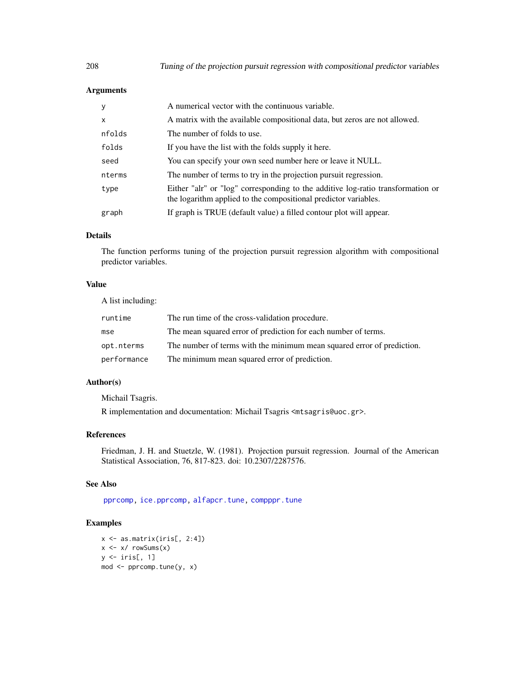### Arguments

| y      | A numerical vector with the continuous variable.                                                                                                   |
|--------|----------------------------------------------------------------------------------------------------------------------------------------------------|
| X      | A matrix with the available compositional data, but zeros are not allowed.                                                                         |
| nfolds | The number of folds to use.                                                                                                                        |
| folds  | If you have the list with the folds supply it here.                                                                                                |
| seed   | You can specify your own seed number here or leave it NULL.                                                                                        |
| nterms | The number of terms to try in the projection pursuit regression.                                                                                   |
| type   | Either "alr" or "log" corresponding to the additive log-ratio transformation or<br>the logarithm applied to the compositional predictor variables. |
| graph  | If graph is TRUE (default value) a filled contour plot will appear.                                                                                |

### Details

The function performs tuning of the projection pursuit regression algorithm with compositional predictor variables.

### Value

A list including:

| runtime     | The run time of the cross-validation procedure.                        |
|-------------|------------------------------------------------------------------------|
| mse         | The mean squared error of prediction for each number of terms.         |
| opt.nterms  | The number of terms with the minimum mean squared error of prediction. |
| performance | The minimum mean squared error of prediction.                          |

### Author(s)

Michail Tsagris.

R implementation and documentation: Michail Tsagris <mtsagris@uoc.gr>.

### References

Friedman, J. H. and Stuetzle, W. (1981). Projection pursuit regression. Journal of the American Statistical Association, 76, 817-823. doi: 10.2307/2287576.

#### See Also

[pprcomp,](#page-154-0) [ice.pprcomp,](#page-96-0) [alfapcr.tune,](#page-208-0) [compppr.tune](#page-205-0)

```
x \leftarrow as.matrix(iris[, 2:4])
x \leftarrow x / \text{rowsums}(x)y \leftarrow \text{iris}[ , 1 ]mod <- pprcomp.tune(y, x)
```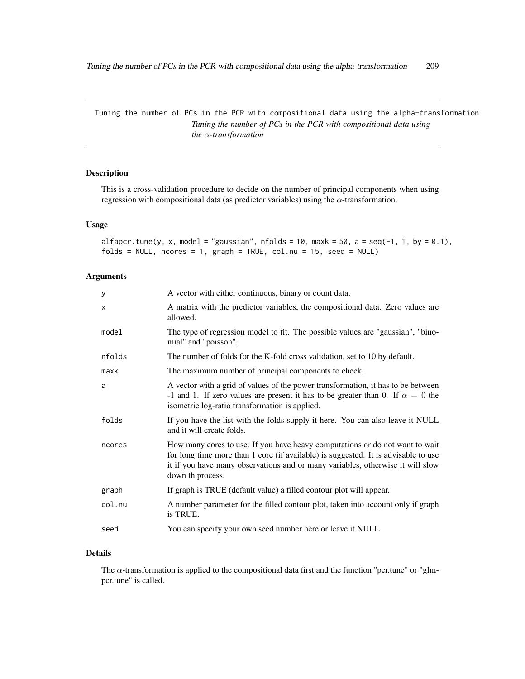Tuning the number of PCs in the PCR with compositional data using the alpha-transformation *Tuning the number of PCs in the PCR with compositional data using the* α*-transformation*

### <span id="page-208-0"></span>Description

This is a cross-validation procedure to decide on the number of principal components when using regression with compositional data (as predictor variables) using the  $\alpha$ -transformation.

### Usage

```
alfapcr.tune(y, x, model = "gaussian", nfolds = 10, maxk = 50, a = seq(-1, 1, by = 0.1),
folds = NULL, ncores = 1, graph = TRUE, col.nu = 15, seed = NULL)
```
### Arguments

| У      | A vector with either continuous, binary or count data.                                                                                                                                                                                                                   |
|--------|--------------------------------------------------------------------------------------------------------------------------------------------------------------------------------------------------------------------------------------------------------------------------|
| X      | A matrix with the predictor variables, the compositional data. Zero values are<br>allowed.                                                                                                                                                                               |
| model  | The type of regression model to fit. The possible values are "gaussian", "bino-<br>mial" and "poisson".                                                                                                                                                                  |
| nfolds | The number of folds for the K-fold cross validation, set to 10 by default.                                                                                                                                                                                               |
| maxk   | The maximum number of principal components to check.                                                                                                                                                                                                                     |
| a      | A vector with a grid of values of the power transformation, it has to be between<br>-1 and 1. If zero values are present it has to be greater than 0. If $\alpha = 0$ the<br>isometric log-ratio transformation is applied.                                              |
| folds  | If you have the list with the folds supply it here. You can also leave it NULL<br>and it will create folds.                                                                                                                                                              |
| ncores | How many cores to use. If you have heavy computations or do not want to wait<br>for long time more than 1 core (if available) is suggested. It is advisable to use<br>it if you have many observations and or many variables, otherwise it will slow<br>down th process. |
| graph  | If graph is TRUE (default value) a filled contour plot will appear.                                                                                                                                                                                                      |
| col.nu | A number parameter for the filled contour plot, taken into account only if graph<br>is TRUE.                                                                                                                                                                             |
| seed   | You can specify your own seed number here or leave it NULL.                                                                                                                                                                                                              |

### Details

The  $\alpha$ -transformation is applied to the compositional data first and the function "pcr.tune" or "glmpcr.tune" is called.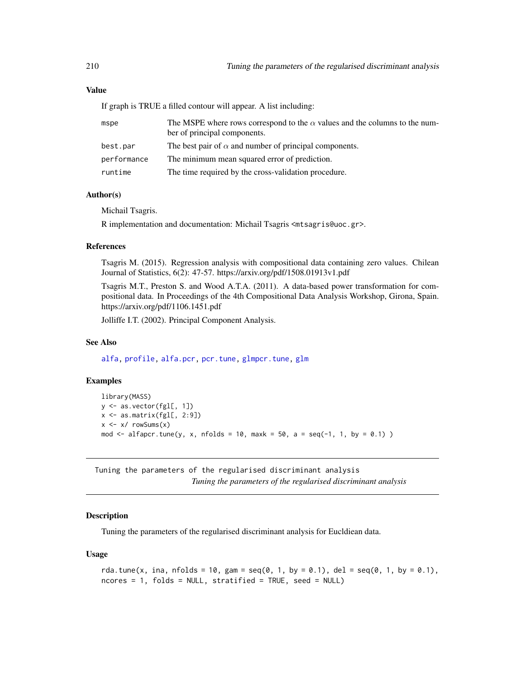#### Value

If graph is TRUE a filled contour will appear. A list including:

| mspe        | The MSPE where rows correspond to the $\alpha$ values and the columns to the num-<br>ber of principal components. |
|-------------|-------------------------------------------------------------------------------------------------------------------|
| best.par    | The best pair of $\alpha$ and number of principal components.                                                     |
| performance | The minimum mean squared error of prediction.                                                                     |
| runtime     | The time required by the cross-validation procedure.                                                              |

#### Author(s)

Michail Tsagris.

R implementation and documentation: Michail Tsagris <mtsagris@uoc.gr>.

#### References

Tsagris M. (2015). Regression analysis with compositional data containing zero values. Chilean Journal of Statistics, 6(2): 47-57. https://arxiv.org/pdf/1508.01913v1.pdf

Tsagris M.T., Preston S. and Wood A.T.A. (2011). A data-based power transformation for compositional data. In Proceedings of the 4th Compositional Data Analysis Workshop, Girona, Spain. https://arxiv.org/pdf/1106.1451.pdf

Jolliffe I.T. (2002). Principal Component Analysis.

#### See Also

[alfa,](#page-185-0) [profile,](#page-0-0) [alfa.pcr,](#page-133-0) [pcr.tune,](#page-211-0) [glmpcr.tune,](#page-211-0) [glm](#page-0-0)

### Examples

```
library(MASS)
y <- as.vector(fgl[, 1])
x \leftarrow as.matrix(fgl[, 2:9])x \leftarrow x / \text{rowsums}(x)mod <- alfapcr.tune(y, x, nfolds = 10, maxk = 50, a = seq(-1, 1, by = 0.1) )
```
Tuning the parameters of the regularised discriminant analysis *Tuning the parameters of the regularised discriminant analysis*

### **Description**

Tuning the parameters of the regularised discriminant analysis for Eucldiean data.

#### Usage

```
rda.tune(x, ina, nfolds = 10, gam = seq(0, 1, by = 0.1), del = seq(0, 1, by = 0.1),
ncores = 1, folds = NULL, stratified = TRUE, seed = NULL)
```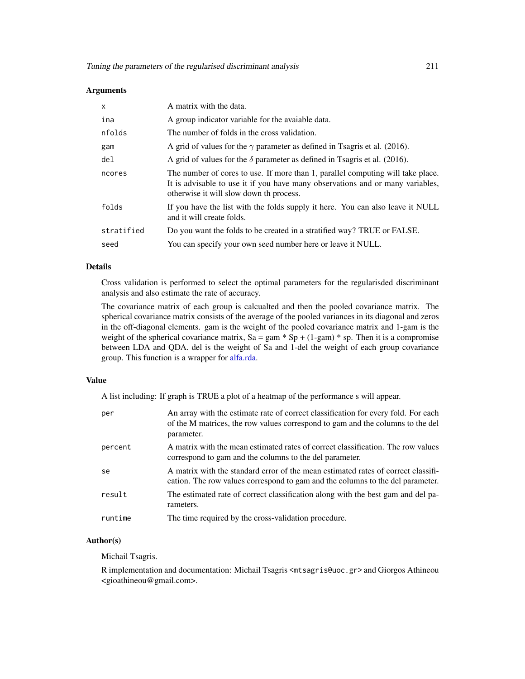#### **Arguments**

| $\mathsf{x}$ | A matrix with the data.                                                                                                                                                                                      |
|--------------|--------------------------------------------------------------------------------------------------------------------------------------------------------------------------------------------------------------|
| ina          | A group indicator variable for the avaiable data.                                                                                                                                                            |
| nfolds       | The number of folds in the cross validation.                                                                                                                                                                 |
| gam          | A grid of values for the $\gamma$ parameter as defined in Tsagris et al. (2016).                                                                                                                             |
| del          | A grid of values for the $\delta$ parameter as defined in Tsagris et al. (2016).                                                                                                                             |
| ncores       | The number of cores to use. If more than 1, parallel computing will take place.<br>It is advisable to use it if you have many observations and or many variables,<br>otherwise it will slow down th process. |
| folds        | If you have the list with the folds supply it here. You can also leave it NULL<br>and it will create folds.                                                                                                  |
| stratified   | Do you want the folds to be created in a stratified way? TRUE or FALSE.                                                                                                                                      |
| seed         | You can specify your own seed number here or leave it NULL.                                                                                                                                                  |

#### Details

Cross validation is performed to select the optimal parameters for the regularisded discriminant analysis and also estimate the rate of accuracy.

The covariance matrix of each group is calcualted and then the pooled covariance matrix. The spherical covariance matrix consists of the average of the pooled variances in its diagonal and zeros in the off-diagonal elements. gam is the weight of the pooled covariance matrix and 1-gam is the weight of the spherical covariance matrix,  $Sa = gam * Sp + (1-gam) * sp$ . Then it is a compromise between LDA and QDA. del is the weight of Sa and 1-del the weight of each group covariance group. This function is a wrapper for [alfa.rda.](#page-161-0)

#### Value

A list including: If graph is TRUE a plot of a heatmap of the performance s will appear.

| per     | An array with the estimate rate of correct classification for every fold. For each<br>of the M matrices, the row values correspond to gam and the columns to the del<br>parameter. |
|---------|------------------------------------------------------------------------------------------------------------------------------------------------------------------------------------|
| percent | A matrix with the mean estimated rates of correct classification. The row values<br>correspond to gam and the columns to the del parameter.                                        |
| se      | A matrix with the standard error of the mean estimated rates of correct classifi-<br>cation. The row values correspond to gam and the columns to the del parameter.                |
| result  | The estimated rate of correct classification along with the best gam and del pa-<br>rameters.                                                                                      |
| runtime | The time required by the cross-validation procedure.                                                                                                                               |

#### Author(s)

Michail Tsagris.

R implementation and documentation: Michail Tsagris <mtsagris@uoc.gr> and Giorgos Athineou <gioathineou@gmail.com>.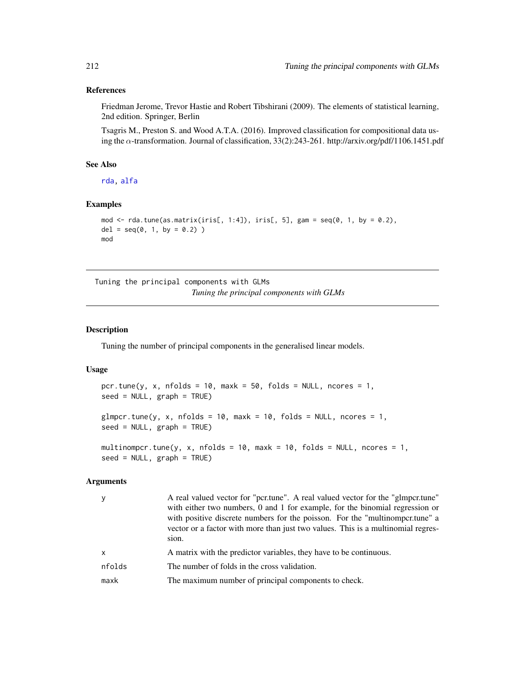#### References

Friedman Jerome, Trevor Hastie and Robert Tibshirani (2009). The elements of statistical learning, 2nd edition. Springer, Berlin

Tsagris M., Preston S. and Wood A.T.A. (2016). Improved classification for compositional data using the α-transformation. Journal of classification, 33(2):243-261. http://arxiv.org/pdf/1106.1451.pdf

### See Also

[rda,](#page-162-0) [alfa](#page-185-0)

### Examples

```
mod \le rda.tune(as.matrix(iris[, 1:4]), iris[, 5], gam = seq(0, 1, by = 0.2),
del = seq(0, 1, by = 0.2))
mod
```
Tuning the principal components with GLMs *Tuning the principal components with GLMs*

### <span id="page-211-0"></span>Description

Tuning the number of principal components in the generalised linear models.

#### Usage

```
pcr.tune(y, x, nfolds = 10, maxk = 50, folds = NULL, ncores = 1,
seed = NULL, graph = TRUE)
glmpcr.tune(y, x, nfolds = 10, maxk = 10, folds = NULL, ncores = 1,
seed = NULL, graph = TRUE)
multinompcr.tune(y, x, nfolds = 10, maxk = 10, folds = NULL, ncores = 1,
```
# Arguments

 $seed = NULL$ ,  $graph = TRUE$ )

| y            | A real valued vector for "pcr.tune". A real valued vector for the "glmpcr.tune"<br>with either two numbers, 0 and 1 for example, for the binomial regression or<br>with positive discrete numbers for the poisson. For the "multinomportune" a<br>vector or a factor with more than just two values. This is a multinomial regres-<br>sion. |
|--------------|---------------------------------------------------------------------------------------------------------------------------------------------------------------------------------------------------------------------------------------------------------------------------------------------------------------------------------------------|
| $\mathsf{x}$ | A matrix with the predictor variables, they have to be continuous.                                                                                                                                                                                                                                                                          |
| nfolds       | The number of folds in the cross validation.                                                                                                                                                                                                                                                                                                |
| maxk         | The maximum number of principal components to check.                                                                                                                                                                                                                                                                                        |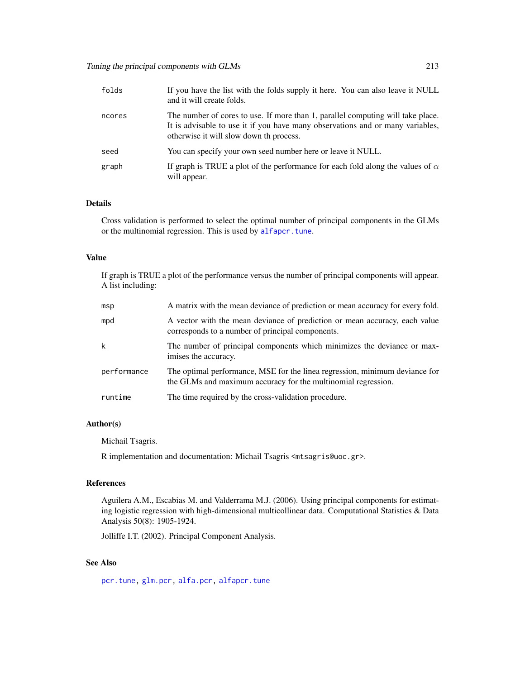| folds  | If you have the list with the folds supply it here. You can also leave it NULL<br>and it will create folds.                                                                                                  |
|--------|--------------------------------------------------------------------------------------------------------------------------------------------------------------------------------------------------------------|
| ncores | The number of cores to use. If more than 1, parallel computing will take place.<br>It is advisable to use it if you have many observations and or many variables,<br>otherwise it will slow down th process. |
| seed   | You can specify your own seed number here or leave it NULL.                                                                                                                                                  |
| graph  | If graph is TRUE a plot of the performance for each fold along the values of $\alpha$<br>will appear.                                                                                                        |

### Details

Cross validation is performed to select the optimal number of principal components in the GLMs or the multinomial regression. This is used by [alfapcr.tune](#page-208-0).

#### Value

If graph is TRUE a plot of the performance versus the number of principal components will appear. A list including:

| msp         | A matrix with the mean deviance of prediction or mean accuracy for every fold.                                                               |
|-------------|----------------------------------------------------------------------------------------------------------------------------------------------|
| mpd         | A vector with the mean deviance of prediction or mean accuracy, each value<br>corresponds to a number of principal components.               |
| k           | The number of principal components which minimizes the deviance or max-<br>imises the accuracy.                                              |
| performance | The optimal performance, MSE for the linea regression, minimum deviance for<br>the GLMs and maximum accuracy for the multinomial regression. |
| runtime     | The time required by the cross-validation procedure.                                                                                         |

### Author(s)

Michail Tsagris.

R implementation and documentation: Michail Tsagris <mtsagris@uoc.gr>.

#### References

Aguilera A.M., Escabias M. and Valderrama M.J. (2006). Using principal components for estimating logistic regression with high-dimensional multicollinear data. Computational Statistics & Data Analysis 50(8): 1905-1924.

Jolliffe I.T. (2002). Principal Component Analysis.

### See Also

[pcr.tune,](#page-211-0) [glm.pcr,](#page-149-0) [alfa.pcr,](#page-133-0) [alfapcr.tune](#page-208-0)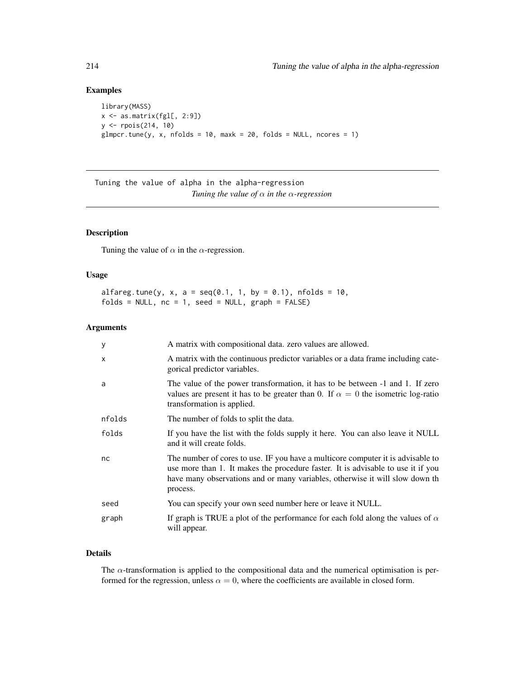### Examples

```
library(MASS)
x <- as.matrix(fgl[, 2:9])
y <- rpois(214, 10)
glmpcr.tune(y, x, nfolds = 10, maxk = 20, folds = NULL, ncores = 1)
```
Tuning the value of alpha in the alpha-regression *Tuning the value of* α *in the* α*-regression*

### Description

Tuning the value of  $\alpha$  in the  $\alpha$ -regression.

### Usage

```
alfareg.tune(y, x, a = seq(0.1, 1, by = 0.1), nfolds = 10,folds = NULL, nc = 1, seed = NULL, graph = FALSE)
```
### Arguments

| У            | A matrix with compositional data. zero values are allowed.                                                                                                                                                                                                      |
|--------------|-----------------------------------------------------------------------------------------------------------------------------------------------------------------------------------------------------------------------------------------------------------------|
| $\mathsf{x}$ | A matrix with the continuous predictor variables or a data frame including cate-<br>gorical predictor variables.                                                                                                                                                |
| a            | The value of the power transformation, it has to be between -1 and 1. If zero<br>values are present it has to be greater than 0. If $\alpha = 0$ the isometric log-ratio<br>transformation is applied.                                                          |
| nfolds       | The number of folds to split the data.                                                                                                                                                                                                                          |
| folds        | If you have the list with the folds supply it here. You can also leave it NULL<br>and it will create folds.                                                                                                                                                     |
| nc           | The number of cores to use. IF you have a multicore computer it is advisable to<br>use more than 1. It makes the procedure faster. It is advisable to use it if you<br>have many observations and or many variables, otherwise it will slow down th<br>process. |
| seed         | You can specify your own seed number here or leave it NULL.                                                                                                                                                                                                     |
| graph        | If graph is TRUE a plot of the performance for each fold along the values of $\alpha$<br>will appear.                                                                                                                                                           |

### Details

The  $\alpha$ -transformation is applied to the compositional data and the numerical optimisation is performed for the regression, unless  $\alpha = 0$ , where the coefficients are available in closed form.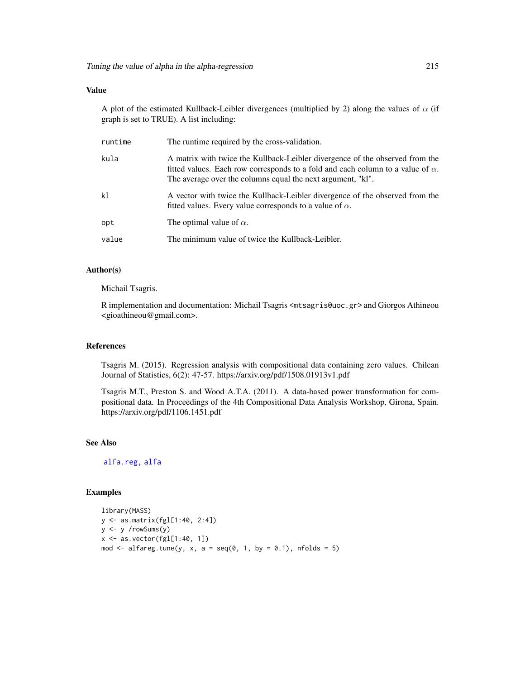### Value

A plot of the estimated Kullback-Leibler divergences (multiplied by 2) along the values of  $\alpha$  (if graph is set to TRUE). A list including:

| runtime | The runtime required by the cross-validation.                                                                                                                                                                                         |
|---------|---------------------------------------------------------------------------------------------------------------------------------------------------------------------------------------------------------------------------------------|
| kula    | A matrix with twice the Kullback-Leibler divergence of the observed from the<br>fitted values. Each row corresponds to a fold and each column to a value of $\alpha$ .<br>The average over the columns equal the next argument, "kl". |
| kl      | A vector with twice the Kullback-Leibler divergence of the observed from the<br>fitted values. Every value corresponds to a value of $\alpha$ .                                                                                       |
| opt     | The optimal value of $\alpha$ .                                                                                                                                                                                                       |
| value   | The minimum value of twice the Kullback-Leibler.                                                                                                                                                                                      |

### Author(s)

Michail Tsagris.

R implementation and documentation: Michail Tsagris <mtsagris@uoc.gr> and Giorgos Athineou <gioathineou@gmail.com>.

#### References

Tsagris M. (2015). Regression analysis with compositional data containing zero values. Chilean Journal of Statistics, 6(2): 47-57. https://arxiv.org/pdf/1508.01913v1.pdf

Tsagris M.T., Preston S. and Wood A.T.A. (2011). A data-based power transformation for compositional data. In Proceedings of the 4th Compositional Data Analysis Workshop, Girona, Spain. https://arxiv.org/pdf/1106.1451.pdf

### See Also

[alfa.reg,](#page-159-0) [alfa](#page-185-0)

```
library(MASS)
y <- as.matrix(fgl[1:40, 2:4])
y <- y /rowSums(y)
x \le - as.vector(fgl[1:40, 1])
mod \le alfareg.tune(y, x, a = seq(0, 1, by = 0.1), nfolds = 5)
```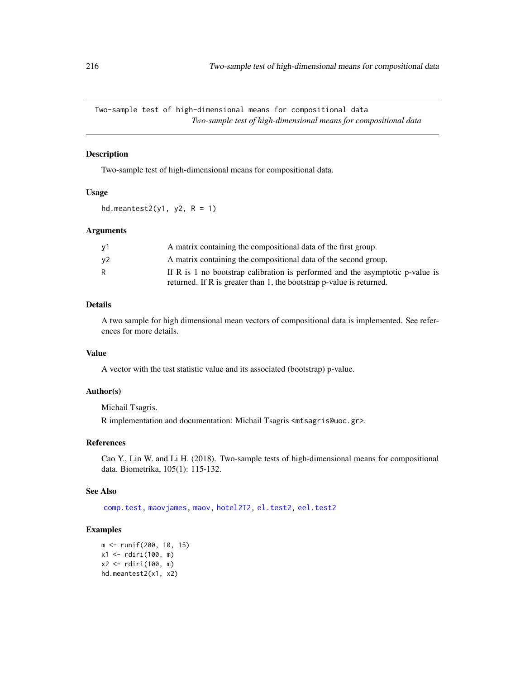Two-sample test of high-dimensional means for compositional data *Two-sample test of high-dimensional means for compositional data*

#### Description

Two-sample test of high-dimensional means for compositional data.

### Usage

hd.meantest2(y1, y2,  $R = 1$ )

### Arguments

| ν1  | A matrix containing the compositional data of the first group.                   |
|-----|----------------------------------------------------------------------------------|
| ν2. | A matrix containing the compositional data of the second group.                  |
|     | If R is 1 no bootstrap calibration is performed and the asymptotic $p$ -value is |
|     | returned. If R is greater than 1, the bootstrap p-value is returned.             |

#### Details

A two sample for high dimensional mean vectors of compositional data is implemented. See references for more details.

### Value

A vector with the test statistic value and its associated (bootstrap) p-value.

#### Author(s)

Michail Tsagris.

R implementation and documentation: Michail Tsagris <mtsagris@uoc.gr>.

### References

Cao Y., Lin W. and Li H. (2018). Two-sample tests of high-dimensional means for compositional data. Biometrika, 105(1): 115-132.

### See Also

[comp.test,](#page-94-0) [maovjames,](#page-127-0) [maov,](#page-126-0) [hotel2T2,](#page-93-0) [el.test2,](#page-69-0) [eel.test2](#page-78-0)

```
m <- runif(200, 10, 15)
x1 <- rdiri(100, m)
x2 <- rdiri(100, m)
hd.meantest2(x1, x2)
```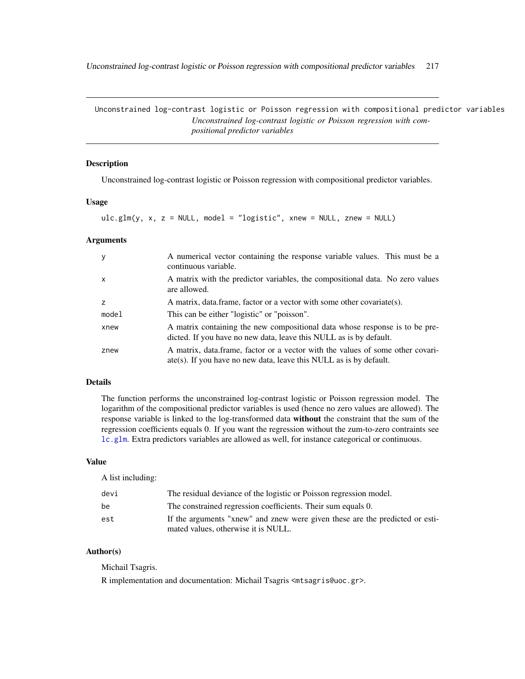<span id="page-216-0"></span>Unconstrained log-contrast logistic or Poisson regression with compositional predictor variables 217

Unconstrained log-contrast logistic or Poisson regression with compositional predictor variables *Unconstrained log-contrast logistic or Poisson regression with compositional predictor variables*

# Description

Unconstrained log-contrast logistic or Poisson regression with compositional predictor variables.

# Usage

```
ulc.glm(y, x, z = NULL, model = "logistic", xnew = NULL, znew = NULL)
```
# Arguments

| y            | A numerical vector containing the response variable values. This must be a<br>continuous variable.                                                             |
|--------------|----------------------------------------------------------------------------------------------------------------------------------------------------------------|
| $\mathsf{x}$ | A matrix with the predictor variables, the compositional data. No zero values<br>are allowed.                                                                  |
| z            | A matrix, data frame, factor or a vector with some other covariate(s).                                                                                         |
| model        | This can be either "logistic" or "poisson".                                                                                                                    |
| xnew         | A matrix containing the new compositional data whose response is to be pre-<br>dicted. If you have no new data, leave this NULL as is by default.              |
| znew         | A matrix, data frame, factor or a vector with the values of some other covari-<br>$\text{ate}(s)$ . If you have no new data, leave this NULL as is by default. |

# Details

The function performs the unconstrained log-contrast logistic or Poisson regression model. The logarithm of the compositional predictor variables is used (hence no zero values are allowed). The response variable is linked to the log-transformed data without the constraint that the sum of the regression coefficients equals 0. If you want the regression without the zum-to-zero contraints see [lc.glm](#page-107-0). Extra predictors variables are allowed as well, for instance categorical or continuous.

#### Value

A list including:

| devi | The residual deviance of the logistic or Poisson regression model.           |
|------|------------------------------------------------------------------------------|
| be   | The constrained regression coefficients. Their sum equals 0.                 |
| est  | If the arguments "xnew" and znew were given these are the predicted or esti- |
|      | mated values, otherwise it is NULL.                                          |

# Author(s)

Michail Tsagris.

R implementation and documentation: Michail Tsagris <mtsagris@uoc.gr>.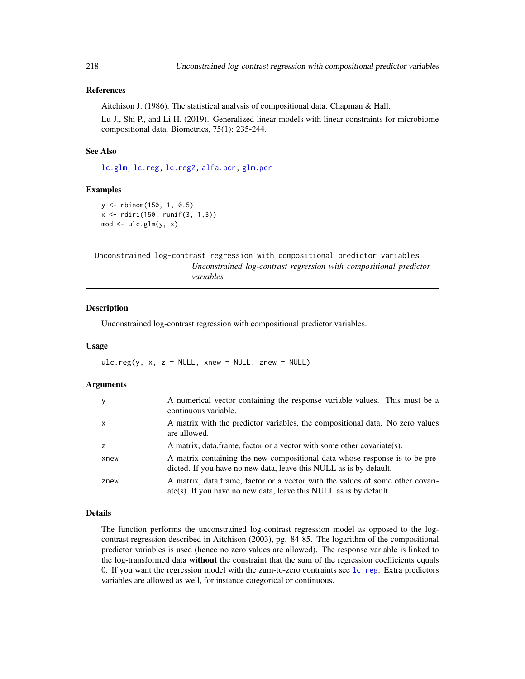# References

Aitchison J. (1986). The statistical analysis of compositional data. Chapman & Hall.

Lu J., Shi P., and Li H. (2019). Generalized linear models with linear constraints for microbiome compositional data. Biometrics, 75(1): 235-244.

# See Also

[lc.glm,](#page-107-0) [lc.reg,](#page-108-0) [lc.reg2,](#page-110-0) [alfa.pcr,](#page-133-0) [glm.pcr](#page-149-0)

#### Examples

```
y <- rbinom(150, 1, 0.5)
x <- rdiri(150, runif(3, 1,3))
mod \leftarrow ulc.glm(y, x)
```
Unconstrained log-contrast regression with compositional predictor variables *Unconstrained log-contrast regression with compositional predictor variables*

#### <span id="page-217-0"></span>Description

Unconstrained log-contrast regression with compositional predictor variables.

#### Usage

ulc.reg(y, x, z = NULL, xnew = NULL, znew = NULL)

# Arguments

| <b>y</b>       | A numerical vector containing the response variable values. This must be a<br>continuous variable.                                                             |
|----------------|----------------------------------------------------------------------------------------------------------------------------------------------------------------|
| $\mathsf{x}$   | A matrix with the predictor variables, the compositional data. No zero values<br>are allowed.                                                                  |
| $\overline{z}$ | A matrix, data frame, factor or a vector with some other covariate(s).                                                                                         |
| xnew           | A matrix containing the new compositional data whose response is to be pre-<br>dicted. If you have no new data, leave this NULL as is by default.              |
| znew           | A matrix, data frame, factor or a vector with the values of some other covari-<br>$\text{ate}(s)$ . If you have no new data, leave this NULL as is by default. |

# Details

The function performs the unconstrained log-contrast regression model as opposed to the logcontrast regression described in Aitchison (2003), pg. 84-85. The logarithm of the compositional predictor variables is used (hence no zero values are allowed). The response variable is linked to the log-transformed data without the constraint that the sum of the regression coefficients equals 0. If you want the regression model with the zum-to-zero contraints see [lc.reg](#page-108-0). Extra predictors variables are allowed as well, for instance categorical or continuous.

<span id="page-217-1"></span>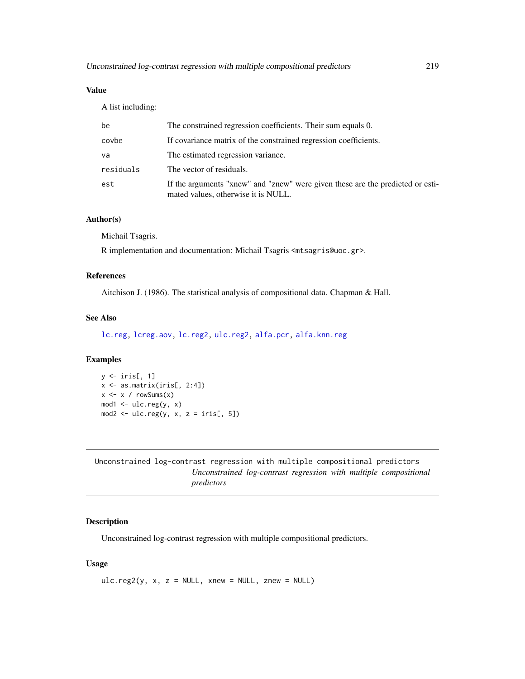# <span id="page-218-1"></span>Value

A list including:

| be        | The constrained regression coefficients. Their sum equals 0.                                                          |
|-----------|-----------------------------------------------------------------------------------------------------------------------|
| covbe     | If covariance matrix of the constrained regression coefficients.                                                      |
| va        | The estimated regression variance.                                                                                    |
| residuals | The vector of residuals.                                                                                              |
| est       | If the arguments "xnew" and "znew" were given these are the predicted or esti-<br>mated values, otherwise it is NULL. |

# Author(s)

Michail Tsagris.

R implementation and documentation: Michail Tsagris <mtsagris@uoc.gr>.

# References

Aitchison J. (1986). The statistical analysis of compositional data. Chapman & Hall.

# See Also

[lc.reg,](#page-108-0) [lcreg.aov,](#page-9-0) [lc.reg2,](#page-110-0) [ulc.reg2,](#page-218-0) [alfa.pcr,](#page-133-0) [alfa.knn.reg](#page-183-0)

### Examples

```
y <- iris[, 1]
x <- as.matrix(iris[, 2:4])
x \leftarrow x / rowsums(x)mod1 <- ulc.reg(y, x)
mod2 \leq ulc.reg(y, x, z = iris[, 5])
```
Unconstrained log-contrast regression with multiple compositional predictors *Unconstrained log-contrast regression with multiple compositional predictors*

# <span id="page-218-0"></span>Description

Unconstrained log-contrast regression with multiple compositional predictors.

# Usage

 $ulc.reg2(y, x, z = NULL, xnew = NULL, znew = NULL)$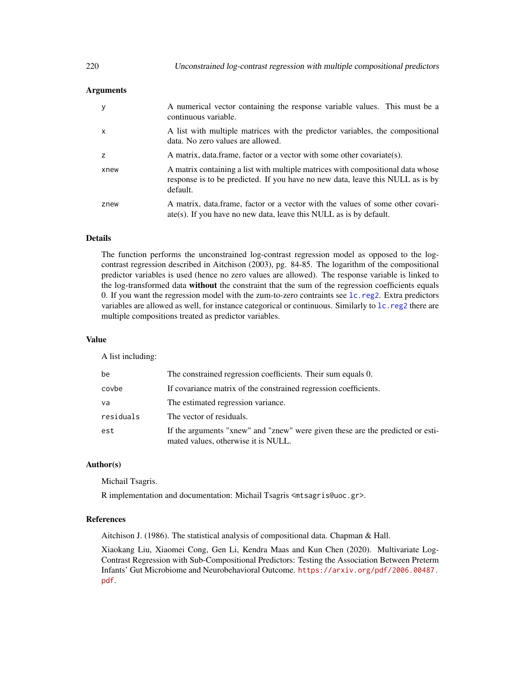# Arguments

| у    | A numerical vector containing the response variable values. This must be a<br>continuous variable.                                                                            |
|------|-------------------------------------------------------------------------------------------------------------------------------------------------------------------------------|
| X    | A list with multiple matrices with the predictor variables, the compositional<br>data. No zero values are allowed.                                                            |
| 7    | A matrix, data frame, factor or a vector with some other covariate(s).                                                                                                        |
| xnew | A matrix containing a list with multiple matrices with compositional data whose<br>response is to be predicted. If you have no new data, leave this NULL as is by<br>default. |
| znew | A matrix, data frame, factor or a vector with the values of some other covari-<br>$\text{ate}(s)$ . If you have no new data, leave this NULL as is by default.                |

# Details

The function performs the unconstrained log-contrast regression model as opposed to the logcontrast regression described in Aitchison (2003), pg. 84-85. The logarithm of the compositional predictor variables is used (hence no zero values are allowed). The response variable is linked to the log-transformed data without the constraint that the sum of the regression coefficients equals 0. If you want the regression model with the zum-to-zero contraints see [lc.reg2](#page-110-0). Extra predictors variables are allowed as well, for instance categorical or continuous. Similarly to [lc.reg2](#page-110-0) there are multiple compositions treated as predictor variables.

# Value

A list including:

| be        | The constrained regression coefficients. Their sum equals 0.                                                          |
|-----------|-----------------------------------------------------------------------------------------------------------------------|
| covbe     | If covariance matrix of the constrained regression coefficients.                                                      |
| va        | The estimated regression variance.                                                                                    |
| residuals | The vector of residuals.                                                                                              |
| est       | If the arguments "xnew" and "znew" were given these are the predicted or esti-<br>mated values, otherwise it is NULL. |

# Author(s)

Michail Tsagris.

R implementation and documentation: Michail Tsagris <mtsagris@uoc.gr>.

### References

Aitchison J. (1986). The statistical analysis of compositional data. Chapman & Hall.

Xiaokang Liu, Xiaomei Cong, Gen Li, Kendra Maas and Kun Chen (2020). Multivariate Log-Contrast Regression with Sub-Compositional Predictors: Testing the Association Between Preterm Infants' Gut Microbiome and Neurobehavioral Outcome. [https://arxiv.org/pdf/2006.00487.](https://arxiv.org/pdf/2006.00487.pdf) [pdf](https://arxiv.org/pdf/2006.00487.pdf).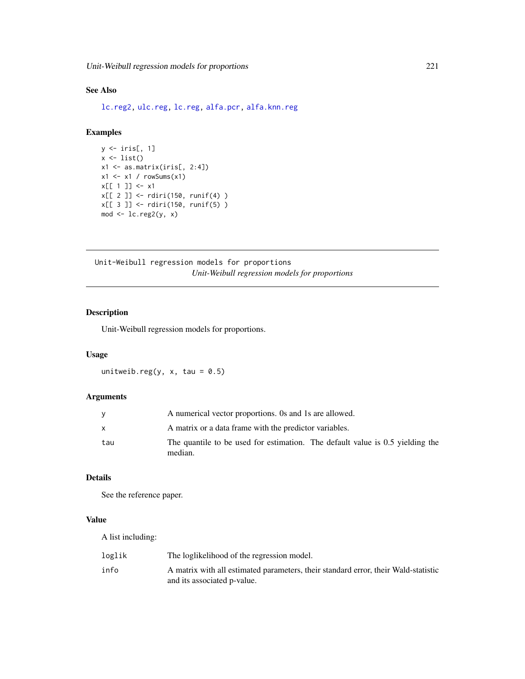# <span id="page-220-0"></span>See Also

[lc.reg2,](#page-110-0) [ulc.reg,](#page-217-0) [lc.reg,](#page-108-0) [alfa.pcr,](#page-133-0) [alfa.knn.reg](#page-183-0)

# Examples

```
y \leftarrow \text{iris}[, 1]x \leftarrow list()x1 \leftarrow as_matrix(iris[, 2:4])x1 \leftarrow x1 / \text{rowsums}(x1)x[[1]] < -x1x[[ 2 ]] <- rdiri(150, runif(4) )
x[[ 3 ]] <- rdiri(150, runif(5) )
mod < -lc.reg2(y, x)
```
Unit-Weibull regression models for proportions *Unit-Weibull regression models for proportions*

# Description

Unit-Weibull regression models for proportions.

# Usage

unitweib.reg(y, x, tau =  $0.5$ )

# Arguments

|     | A numerical vector proportions. Os and 1s are allowed.                                   |
|-----|------------------------------------------------------------------------------------------|
| x   | A matrix or a data frame with the predictor variables.                                   |
| tau | The quantile to be used for estimation. The default value is 0.5 yielding the<br>median. |

# Details

See the reference paper.

### Value

A list including:

| loglik | The loglikelihood of the regression model.                                         |
|--------|------------------------------------------------------------------------------------|
| info   | A matrix with all estimated parameters, their standard error, their Wald-statistic |
|        | and its associated p-value.                                                        |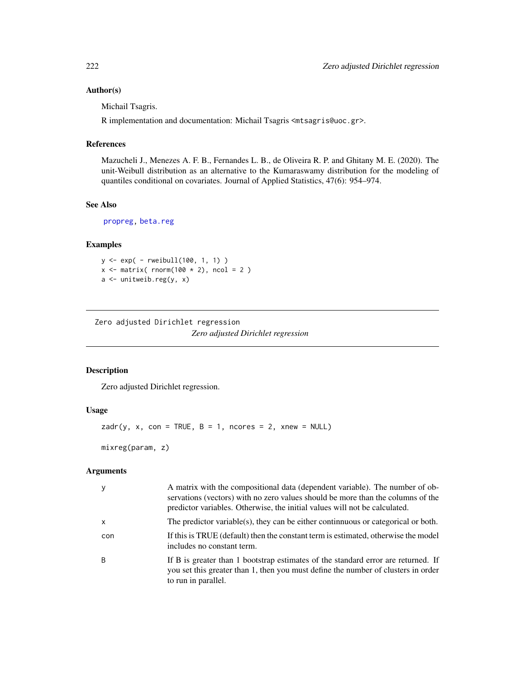# Author(s)

Michail Tsagris.

R implementation and documentation: Michail Tsagris <mtsagris@uoc.gr>.

# References

Mazucheli J., Menezes A. F. B., Fernandes L. B., de Oliveira R. P. and Ghitany M. E. (2020). The unit-Weibull distribution as an alternative to the Kumaraswamy distribution for the modeling of quantiles conditional on covariates. Journal of Applied Statistics, 47(6): 954–974.

# See Also

[propreg,](#page-156-0) [beta.reg](#page-12-0)

# Examples

 $y \leq -exp(-rweibull(100, 1, 1))$  $x \le -$  matrix( rnorm(100  $\star$  2), ncol = 2)  $a \leftarrow$  unitweib.reg(y, x)

Zero adjusted Dirichlet regression

*Zero adjusted Dirichlet regression*

# Description

Zero adjusted Dirichlet regression.

# Usage

 $zadr(y, x, con = TRUE, B = 1, nocres = 2, xnew = NULL)$ 

mixreg(param, z)

# Arguments

| y            | A matrix with the compositional data (dependent variable). The number of ob-<br>servations (vectors) with no zero values should be more than the columns of the<br>predictor variables. Otherwise, the initial values will not be calculated. |
|--------------|-----------------------------------------------------------------------------------------------------------------------------------------------------------------------------------------------------------------------------------------------|
| $\mathsf{x}$ | The predictor variable(s), they can be either continuous or categorical or both.                                                                                                                                                              |
| con          | If this is TRUE (default) then the constant term is estimated, otherwise the model<br>includes no constant term.                                                                                                                              |
| B            | If B is greater than 1 bootstrap estimates of the standard error are returned. If<br>you set this greater than 1, then you must define the number of clusters in order<br>to run in parallel.                                                 |

<span id="page-221-0"></span>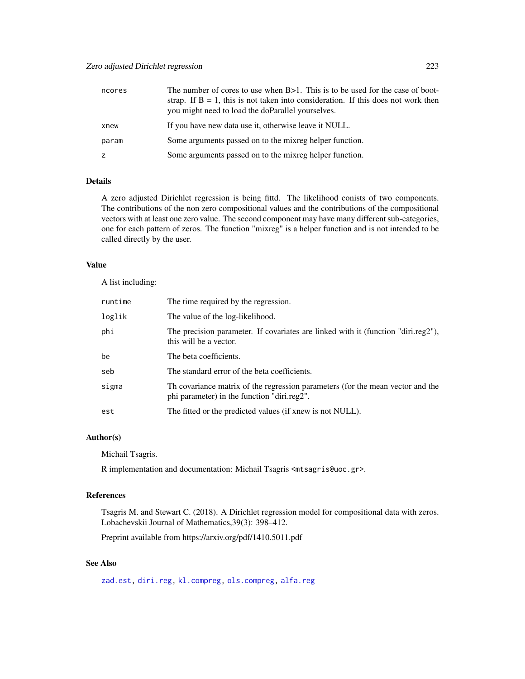# <span id="page-222-0"></span>Zero adjusted Dirichlet regression 223

| ncores | The number of cores to use when B>1. This is to be used for the case of boot-<br>strap. If $B = 1$ , this is not taken into consideration. If this does not work then<br>you might need to load the doParallel yourselves. |
|--------|----------------------------------------------------------------------------------------------------------------------------------------------------------------------------------------------------------------------------|
| xnew   | If you have new data use it, otherwise leave it NULL.                                                                                                                                                                      |
| param  | Some arguments passed on to the mixreg helper function.                                                                                                                                                                    |
| z      | Some arguments passed on to the mixreg helper function.                                                                                                                                                                    |

#### Details

A zero adjusted Dirichlet regression is being fittd. The likelihood conists of two components. The contributions of the non zero compositional values and the contributions of the compositional vectors with at least one zero value. The second component may have many different sub-categories, one for each pattern of zeros. The function "mixreg" is a helper function and is not intended to be called directly by the user.

# Value

A list including:

| runtime | The time required by the regression.                                                                                          |
|---------|-------------------------------------------------------------------------------------------------------------------------------|
| loglik  | The value of the log-likelihood.                                                                                              |
| phi     | The precision parameter. If covariates are linked with it (function "diri.reg2"),<br>this will be a vector.                   |
| be      | The beta coefficients.                                                                                                        |
| seb     | The standard error of the beta coefficients.                                                                                  |
| sigma   | Th covariance matrix of the regression parameters (for the mean vector and the<br>phi parameter) in the function "diri.reg2". |
| est     | The fitted or the predicted values (if xnew is not NULL).                                                                     |

# Author(s)

Michail Tsagris.

R implementation and documentation: Michail Tsagris <mtsagris@uoc.gr>.

# References

Tsagris M. and Stewart C. (2018). A Dirichlet regression model for compositional data with zeros. Lobachevskii Journal of Mathematics,39(3): 398–412.

Preprint available from https://arxiv.org/pdf/1410.5011.pdf

# See Also

[zad.est,](#page-125-0) [diri.reg,](#page-59-0) [kl.compreg,](#page-63-0) [ols.compreg,](#page-141-0) [alfa.reg](#page-159-0)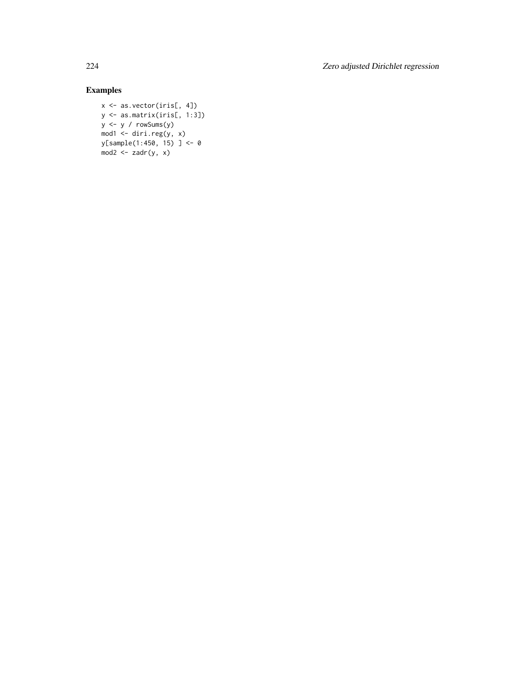224 Zero adjusted Dirichlet regression

# Examples

```
x <- as.vector(iris[, 4])
y \leftarrow \text{as_matrix}(iris[, 1:3])y <- y / rowSums(y)
mod1 <- diri.read(y, x)y[sample(1:450, 15) ] <- 0
mod2 \leq zadr(y, x)
```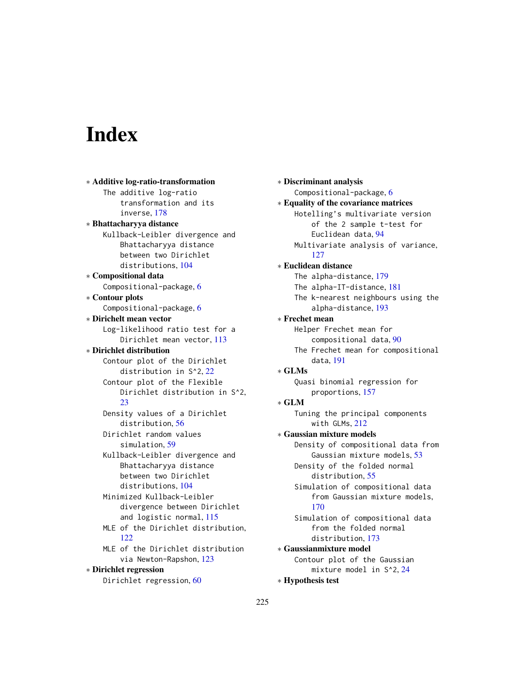# Index

∗ Additive log-ratio-transformation The additive log-ratio transformation and its inverse, [178](#page-177-0) ∗ Bhattacharyya distance Kullback-Leibler divergence and Bhattacharyya distance between two Dirichlet distributions, [104](#page-103-0) ∗ Compositional data Compositional-package, [6](#page-5-0) ∗ Contour plots Compositional-package, [6](#page-5-0) ∗ Dirichelt mean vector Log-likelihood ratio test for a Dirichlet mean vector, [113](#page-112-0) ∗ Dirichlet distribution Contour plot of the Dirichlet distribution in S^2, [22](#page-21-0) Contour plot of the Flexible Dirichlet distribution in S^2, [23](#page-22-0) Density values of a Dirichlet distribution, [56](#page-55-0) Dirichlet random values simulation, [59](#page-58-0) Kullback-Leibler divergence and Bhattacharyya distance between two Dirichlet distributions, [104](#page-103-0) Minimized Kullback-Leibler divergence between Dirichlet and logistic normal, [115](#page-114-0) MLE of the Dirichlet distribution,  $122$ MLE of the Dirichlet distribution via Newton-Rapshon, [123](#page-122-0) ∗ Dirichlet regression Dirichlet regression, [60](#page-59-1)

∗ Discriminant analysis Compositional-package, [6](#page-5-0) ∗ Equality of the covariance matrices Hotelling's multivariate version of the 2 sample t-test for Euclidean data, [94](#page-93-0) Multivariate analysis of variance, [127](#page-126-0) ∗ Euclidean distance The alpha-distance, [179](#page-178-0) The alpha-IT-distance, [181](#page-180-0) The k-nearest neighbours using the alpha-distance, [193](#page-192-0) ∗ Frechet mean Helper Frechet mean for compositional data, [90](#page-89-0) The Frechet mean for compositional data, [191](#page-190-0) ∗ GLMs Quasi binomial regression for proportions, [157](#page-156-1) ∗ GLM Tuning the principal components with GLMs, [212](#page-211-0) ∗ Gaussian mixture models Density of compositional data from Gaussian mixture models, [53](#page-52-0) Density of the folded normal distribution, [55](#page-54-0) Simulation of compositional data from Gaussian mixture models, [170](#page-169-0) Simulation of compositional data from the folded normal distribution, [173](#page-172-0) ∗ Gaussianmixture model Contour plot of the Gaussian mixture model in S^2, [24](#page-23-0) ∗ Hypothesis test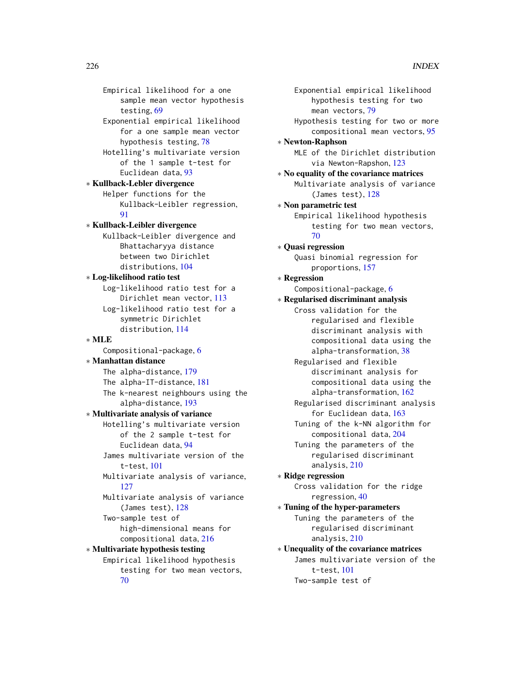Empirical likelihood for a one sample mean vector hypothesis testing, [69](#page-68-0) Exponential empirical likelihood for a one sample mean vector hypothesis testing, [78](#page-77-0) Hotelling's multivariate version of the 1 sample t-test for Euclidean data, [93](#page-92-0) ∗ Kullback-Lebler divergence Helper functions for the Kullback-Leibler regression, [91](#page-90-0) ∗ Kullback-Leibler divergence Kullback-Leibler divergence and Bhattacharyya distance between two Dirichlet distributions, [104](#page-103-0) ∗ Log-likelihood ratio test Log-likelihood ratio test for a Dirichlet mean vector, [113](#page-112-0) Log-likelihood ratio test for a symmetric Dirichlet distribution, [114](#page-113-0) ∗ MLE Compositional-package, [6](#page-5-0) ∗ Manhattan distance The alpha-distance, [179](#page-178-0) The alpha-IT-distance, [181](#page-180-0) The k-nearest neighbours using the alpha-distance, [193](#page-192-0) ∗ Multivariate analysis of variance Hotelling's multivariate version of the 2 sample t-test for Euclidean data, [94](#page-93-0) James multivariate version of the t-test, [101](#page-100-0) Multivariate analysis of variance, [127](#page-126-0) Multivariate analysis of variance (James test), [128](#page-127-0) Two-sample test of high-dimensional means for compositional data, [216](#page-215-0) ∗ Multivariate hypothesis testing Empirical likelihood hypothesis testing for two mean vectors, [70](#page-69-0)

Exponential empirical likelihood hypothesis testing for two mean vectors, [79](#page-78-0) Hypothesis testing for two or more compositional mean vectors, [95](#page-94-0) ∗ Newton-Raphson MLE of the Dirichlet distribution via Newton-Rapshon, [123](#page-122-0) ∗ No equality of the covariance matrices Multivariate analysis of variance (James test), [128](#page-127-0) ∗ Non parametric test Empirical likelihood hypothesis testing for two mean vectors, [70](#page-69-0) ∗ Quasi regression Quasi binomial regression for proportions, [157](#page-156-1) ∗ Regression Compositional-package, [6](#page-5-0) ∗ Regularised discriminant analysis Cross validation for the regularised and flexible discriminant analysis with compositional data using the alpha-transformation, [38](#page-37-0) Regularised and flexible discriminant analysis for compositional data using the alpha-transformation, [162](#page-161-0) Regularised discriminant analysis for Euclidean data, [163](#page-162-0) Tuning of the k-NN algorithm for compositional data, [204](#page-203-0) Tuning the parameters of the regularised discriminant analysis, [210](#page-209-0) ∗ Ridge regression Cross validation for the ridge regression, [40](#page-39-0) ∗ Tuning of the hyper-parameters Tuning the parameters of the regularised discriminant analysis, [210](#page-209-0) ∗ Unequality of the covariance matrices James multivariate version of the t-test, [101](#page-100-0) Two-sample test of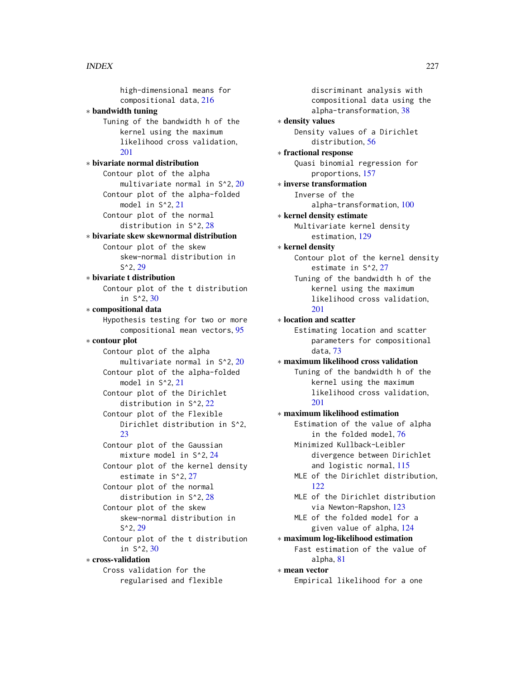high-dimensional means for compositional data, [216](#page-215-0) ∗ bandwidth tuning Tuning of the bandwidth h of the kernel using the maximum likelihood cross validation, [201](#page-200-0) ∗ bivariate normal distribution Contour plot of the alpha multivariate normal in S^2, [20](#page-19-0) Contour plot of the alpha-folded model in S^2, [21](#page-20-0) Contour plot of the normal distribution in S^2, [28](#page-27-0) ∗ bivariate skew skewnormal distribution Contour plot of the skew skew-normal distribution in S^2, [29](#page-28-0) ∗ bivariate t distribution Contour plot of the t distribution in S^2, [30](#page-29-0) ∗ compositional data Hypothesis testing for two or more compositional mean vectors, [95](#page-94-0) ∗ contour plot Contour plot of the alpha multivariate normal in S^2, [20](#page-19-0) Contour plot of the alpha-folded model in S^2, [21](#page-20-0) Contour plot of the Dirichlet distribution in S^2, [22](#page-21-0) Contour plot of the Flexible Dirichlet distribution in S^2,  $23$ Contour plot of the Gaussian mixture model in S^2, [24](#page-23-0) Contour plot of the kernel density estimate in S^2, [27](#page-26-0) Contour plot of the normal distribution in S^2, [28](#page-27-0) Contour plot of the skew skew-normal distribution in S^2, [29](#page-28-0) Contour plot of the t distribution in S^2, [30](#page-29-0) ∗ cross-validation Cross validation for the regularised and flexible

discriminant analysis with compositional data using the alpha-transformation, [38](#page-37-0) ∗ density values Density values of a Dirichlet distribution, [56](#page-55-0) ∗ fractional response Quasi binomial regression for proportions, [157](#page-156-1) ∗ inverse transformation Inverse of the alpha-transformation, [100](#page-99-0) ∗ kernel density estimate Multivariate kernel density estimation, [129](#page-128-0) ∗ kernel density Contour plot of the kernel density estimate in S^2, [27](#page-26-0) Tuning of the bandwidth h of the kernel using the maximum likelihood cross validation, [201](#page-200-0) ∗ location and scatter Estimating location and scatter parameters for compositional data, [73](#page-72-0) ∗ maximum likelihood cross validation Tuning of the bandwidth h of the kernel using the maximum likelihood cross validation, [201](#page-200-0) ∗ maximum likelihood estimation Estimation of the value of alpha in the folded model, [76](#page-75-0) Minimized Kullback-Leibler divergence between Dirichlet and logistic normal, [115](#page-114-0) MLE of the Dirichlet distribution,  $122$ MLE of the Dirichlet distribution via Newton-Rapshon, [123](#page-122-0) MLE of the folded model for a given value of alpha, [124](#page-123-0) ∗ maximum log-likelihood estimation Fast estimation of the value of alpha, [81](#page-80-0) ∗ mean vector Empirical likelihood for a one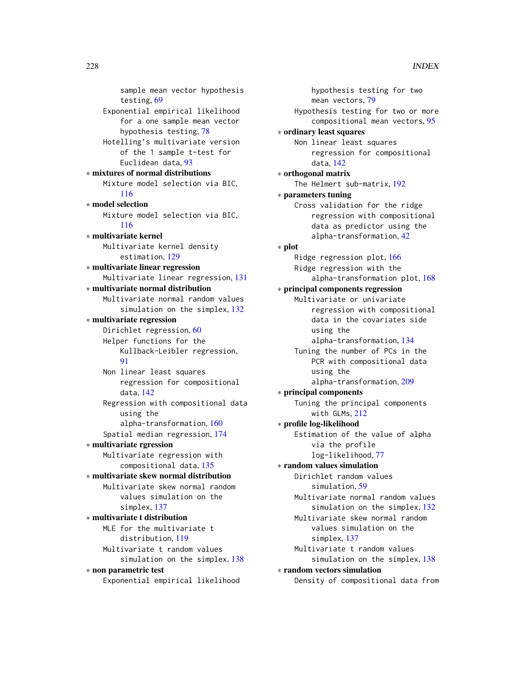```
sample mean vector hypothesis
        testing, 69
    Exponential empirical likelihood
        for a one sample mean vector
        hypothesis testing, 78
    Hotelling's multivariate version
        of the 1 sample t-test for
        Euclidean data, 93
∗ mixtures of normal distributions
    Mixture model selection via BIC,
        116
∗ model selection
    Mixture model selection via BIC,
        116
∗ multivariate kernel
    Multivariate kernel density
        estimation, 129
∗ multivariate linear regression
    Multivariate linear regression, 131
∗ multivariate normal distribution
    Multivariate normal random values
        132
∗ multivariate regression
    Dirichlet regression, 60
    Helper functions for the
        Kullback-Leibler regression,
        Q1
    Non linear least squares
        regression for compositional
        data, 142
    Regression with compositional data
        using the
        alpha-transformation, 160
    Spatial median regression, 174
∗ multivariate rgression
    Multivariate regression with
        compositional data, 135
∗ multivariate skew normal distribution
    Multivariate skew normal random
        values simulation on the
        simplex, 137
∗ multivariate t distribution
   MLE for the multivariate t
        distribution, 119
    Multivariate t random values
        simulation on the simplex, 138
∗ non parametric test
    Exponential empirical likelihood
```

```
hypothesis testing for two
        mean vectors, 79
    Hypothesis testing for two or more
        compositional mean vectors, 95
∗ ordinary least squares
    Non linear least squares
        regression for compositional
        data, 142
∗ orthogonal matrix
    The Helmert sub-matrix, 192
∗ parameters tuning
    Cross validation for the ridge
        regression with compositional
        data as predictor using the
        alpha-transformation, 42
∗ plot
    Ridge regression plot, 166
    Ridge regression with the
        alpha-transformation plot, 168
∗ principal components regression
    Multivariate or univariate
        regression with compositional
        data in the covariates side
        using the
        alpha-transformation, 134
    Tuning the number of PCs in the
        PCR with compositional data
        using the
        alpha-transformation, 209
∗ principal components
    Tuning the principal components
        with GLMs, 212
∗ profile log-likelihood
    Estimation of the value of alpha
        via the profile
        log-likelihood, 77
∗ random values simulation
    Dirichlet random values
        simulation, 59
    Multivariate normal random values
        simulation on the simplex, 132
    Multivariate skew normal random
        values simulation on the
        simplex, 137
    Multivariate t random values
        simulation on the simplex, 138
∗ random vectors simulation
    Density of compositional data from
```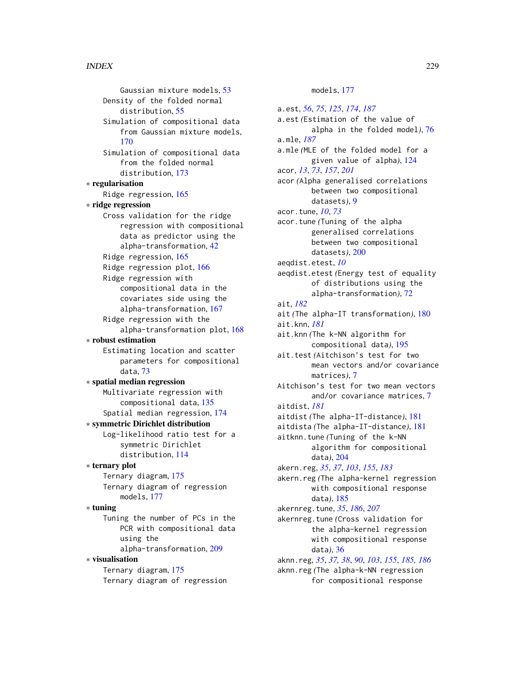Gaussian mixture models, [53](#page-52-0) Density of the folded normal distribution, [55](#page-54-0) Simulation of compositional data from Gaussian mixture models, [170](#page-169-0) Simulation of compositional data from the folded normal distribution, [173](#page-172-0) ∗ regularisation Ridge regression, [165](#page-164-0) ∗ ridge regression Cross validation for the ridge regression with compositional data as predictor using the alpha-transformation, [42](#page-41-0) Ridge regression, [165](#page-164-0) Ridge regression plot, [166](#page-165-0) Ridge regression with compositional data in the covariates side using the alpha-transformation, [167](#page-166-0) Ridge regression with the alpha-transformation plot, [168](#page-167-0) ∗ robust estimation Estimating location and scatter parameters for compositional data, [73](#page-72-0) ∗ spatial median regression Multivariate regression with compositional data, [135](#page-134-0) Spatial median regression, [174](#page-173-0) ∗ symmetric Dirichlet distribution Log-likelihood ratio test for a symmetric Dirichlet distribution, [114](#page-113-0) ∗ ternary plot Ternary diagram, [175](#page-174-0) Ternary diagram of regression models, [177](#page-176-0) ∗ tuning Tuning the number of PCs in the PCR with compositional data using the alpha-transformation, [209](#page-208-0) ∗ visualisation Ternary diagram, [175](#page-174-0) Ternary diagram of regression

# models, [177](#page-176-0)

a.est, *[56](#page-55-0)*, *[75](#page-74-0)*, *[125](#page-124-0)*, *[174](#page-173-0)*, *[187](#page-186-0)* a.est *(*Estimation of the value of alpha in the folded model*)*, [76](#page-75-0) a.mle, *[187](#page-186-0)* a.mle *(*MLE of the folded model for a given value of alpha*)*, [124](#page-123-0) acor, *[13](#page-12-1)*, *[73](#page-72-0)*, *[157](#page-156-1)*, *[201](#page-200-0)* acor *(*Alpha generalised correlations between two compositional datasets*)*, [9](#page-8-0) acor.tune, *[10](#page-9-1)*, *[73](#page-72-0)* acor.tune *(*Tuning of the alpha generalised correlations between two compositional datasets*)*, [200](#page-199-0) aeqdist.etest, *[10](#page-9-1)* aeqdist.etest *(*Energy test of equality of distributions using the alpha-transformation*)*, [72](#page-71-0) ait, *[182](#page-181-0)* ait *(*The alpha-IT transformation*)*, [180](#page-179-0) ait.knn, *[181](#page-180-0)* ait.knn *(*The k-NN algorithm for compositional data*)*, [195](#page-194-0) ait.test *(*Aitchison's test for two mean vectors and/or covariance matrices*)*, [7](#page-6-0) Aitchison's test for two mean vectors and/or covariance matrices, [7](#page-6-0) aitdist, *[181](#page-180-0)* aitdist *(*The alpha-IT-distance*)*, [181](#page-180-0) aitdista *(*The alpha-IT-distance*)*, [181](#page-180-0) aitknn.tune *(*Tuning of the k-NN algorithm for compositional data*)*, [204](#page-203-0) akern.reg, *[35](#page-34-0)*, *[37](#page-36-0)*, *[103](#page-102-0)*, *[155](#page-154-0)*, *[183](#page-182-0)* akern.reg *(*The alpha-kernel regression with compositional response data*)*, [185](#page-184-0) akernreg.tune, *[35](#page-34-0)*, *[186](#page-185-0)*, *[207](#page-206-0)* akernreg.tune *(*Cross validation for the alpha-kernel regression with compositional response data*)*, [36](#page-35-0) aknn.reg, *[35](#page-34-0)*, *[37,](#page-36-0) [38](#page-37-0)*, *[90](#page-89-0)*, *[103](#page-102-0)*, *[155](#page-154-0)*, *[185,](#page-184-0) [186](#page-185-0)* aknn.reg *(*The alpha-k-NN regression for compositional response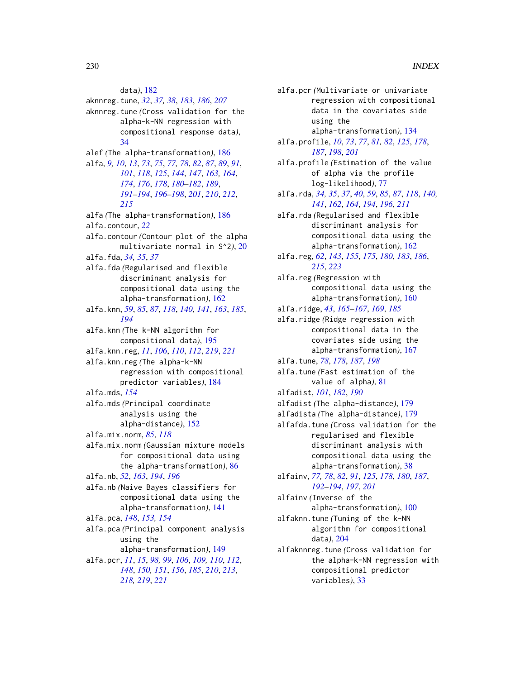data*)*, [182](#page-181-0) aknnreg.tune, *[32](#page-31-0)*, *[37,](#page-36-0) [38](#page-37-0)*, *[183](#page-182-0)*, *[186](#page-185-0)*, *[207](#page-206-0)* aknnreg.tune *(*Cross validation for the alpha-k-NN regression with compositional response data*)*, [34](#page-33-0) alef *(*The alpha-transformation*)*, [186](#page-185-0) alfa, *[9,](#page-8-0) [10](#page-9-1)*, *[13](#page-12-1)*, *[73](#page-72-0)*, *[75](#page-74-0)*, *[77,](#page-76-0) [78](#page-77-0)*, *[82](#page-81-0)*, *[87](#page-86-0)*, *[89](#page-88-0)*, *[91](#page-90-0)*, *[101](#page-100-0)*, *[118](#page-117-0)*, *[125](#page-124-0)*, *[144](#page-143-0)*, *[147](#page-146-0)*, *[163,](#page-162-0) [164](#page-163-0)*, *[174](#page-173-0)*, *[176](#page-175-0)*, *[178](#page-177-0)*, *[180–](#page-179-0)[182](#page-181-0)*, *[189](#page-188-0)*, *[191](#page-190-0)[–194](#page-193-0)*, *[196–](#page-195-0)[198](#page-197-0)*, *[201](#page-200-0)*, *[210](#page-209-0)*, *[212](#page-211-0)*, *[215](#page-214-0)* alfa *(*The alpha-transformation*)*, [186](#page-185-0) alfa.contour, *[22](#page-21-0)* alfa.contour *(*Contour plot of the alpha multivariate normal in S^2*)*, [20](#page-19-0) alfa.fda, *[34,](#page-33-0) [35](#page-34-0)*, *[37](#page-36-0)* alfa.fda *(*Regularised and flexible discriminant analysis for compositional data using the alpha-transformation*)*, [162](#page-161-0) alfa.knn, *[59](#page-58-0)*, *[85](#page-84-0)*, *[87](#page-86-0)*, *[118](#page-117-0)*, *[140,](#page-139-0) [141](#page-140-0)*, *[163](#page-162-0)*, *[185](#page-184-0)*, *[194](#page-193-0)* alfa.knn *(*The k-NN algorithm for compositional data*)*, [195](#page-194-0) alfa.knn.reg, *[11](#page-10-0)*, *[106](#page-105-0)*, *[110](#page-109-0)*, *[112](#page-111-0)*, *[219](#page-218-1)*, *[221](#page-220-0)* alfa.knn.reg *(*The alpha-k-NN regression with compositional predictor variables*)*, [184](#page-183-1) alfa.mds, *[154](#page-153-0)* alfa.mds *(*Principal coordinate analysis using the alpha-distance*)*, [152](#page-151-0) alfa.mix.norm, *[85](#page-84-0)*, *[118](#page-117-0)* alfa.mix.norm *(*Gaussian mixture models for compositional data using the alpha-transformation*)*, [86](#page-85-0) alfa.nb, *[52](#page-51-0)*, *[163](#page-162-0)*, *[194](#page-193-0)*, *[196](#page-195-0)* alfa.nb *(*Naive Bayes classifiers for compositional data using the alpha-transformation*)*, [141](#page-140-0) alfa.pca, *[148](#page-147-0)*, *[153,](#page-152-0) [154](#page-153-0)* alfa.pca *(*Principal component analysis using the alpha-transformation*)*, [149](#page-148-0) alfa.pcr, *[11](#page-10-0)*, *[15](#page-14-0)*, *[98,](#page-97-0) [99](#page-98-0)*, *[106](#page-105-0)*, *[109,](#page-108-1) [110](#page-109-0)*, *[112](#page-111-0)*, *[148](#page-147-0)*, *[150,](#page-149-1) [151](#page-150-0)*, *[156](#page-155-0)*, *[185](#page-184-0)*, *[210](#page-209-0)*, *[213](#page-212-0)*, *[218,](#page-217-1) [219](#page-218-1)*, *[221](#page-220-0)*

alfa.pcr *(*Multivariate or univariate regression with compositional data in the covariates side using the alpha-transformation*)*, [134](#page-133-1) alfa.profile, *[10](#page-9-1)*, *[73](#page-72-0)*, *[77](#page-76-0)*, *[81,](#page-80-0) [82](#page-81-0)*, *[125](#page-124-0)*, *[178](#page-177-0)*, *[187](#page-186-0)*, *[198](#page-197-0)*, *[201](#page-200-0)* alfa.profile *(*Estimation of the value of alpha via the profile log-likelihood*)*, [77](#page-76-0) alfa.rda, *[34,](#page-33-0) [35](#page-34-0)*, *[37](#page-36-0)*, *[40](#page-39-0)*, *[59](#page-58-0)*, *[85](#page-84-0)*, *[87](#page-86-0)*, *[118](#page-117-0)*, *[140,](#page-139-0) [141](#page-140-0)*, *[162](#page-161-0)*, *[164](#page-163-0)*, *[194](#page-193-0)*, *[196](#page-195-0)*, *[211](#page-210-0)* alfa.rda *(*Regularised and flexible discriminant analysis for compositional data using the alpha-transformation*)*, [162](#page-161-0) alfa.reg, *[62](#page-61-0)*, *[143](#page-142-0)*, *[155](#page-154-0)*, *[175](#page-174-0)*, *[180](#page-179-0)*, *[183](#page-182-0)*, *[186](#page-185-0)*, *[215](#page-214-0)*, *[223](#page-222-0)* alfa.reg *(*Regression with compositional data using the alpha-transformation*)*, [160](#page-159-1) alfa.ridge, *[43](#page-42-0)*, *[165](#page-164-0)[–167](#page-166-0)*, *[169](#page-168-0)*, *[185](#page-184-0)* alfa.ridge *(*Ridge regression with compositional data in the covariates side using the alpha-transformation*)*, [167](#page-166-0) alfa.tune, *[78](#page-77-0)*, *[178](#page-177-0)*, *[187](#page-186-0)*, *[198](#page-197-0)* alfa.tune *(*Fast estimation of the value of alpha*)*, [81](#page-80-0) alfadist, *[101](#page-100-0)*, *[182](#page-181-0)*, *[190](#page-189-0)* alfadist *(*The alpha-distance*)*, [179](#page-178-0) alfadista *(*The alpha-distance*)*, [179](#page-178-0) alfafda.tune *(*Cross validation for the regularised and flexible discriminant analysis with compositional data using the alpha-transformation*)*, [38](#page-37-0) alfainv, *[77,](#page-76-0) [78](#page-77-0)*, *[82](#page-81-0)*, *[91](#page-90-0)*, *[125](#page-124-0)*, *[178](#page-177-0)*, *[180](#page-179-0)*, *[187](#page-186-0)*, *[192](#page-191-0)[–194](#page-193-0)*, *[197](#page-196-0)*, *[201](#page-200-0)* alfainv *(*Inverse of the alpha-transformation*)*, [100](#page-99-0) alfaknn.tune *(*Tuning of the k-NN algorithm for compositional data*)*, [204](#page-203-0) alfaknnreg.tune *(*Cross validation for the alpha-k-NN regression with compositional predictor variables*)*, [33](#page-32-0)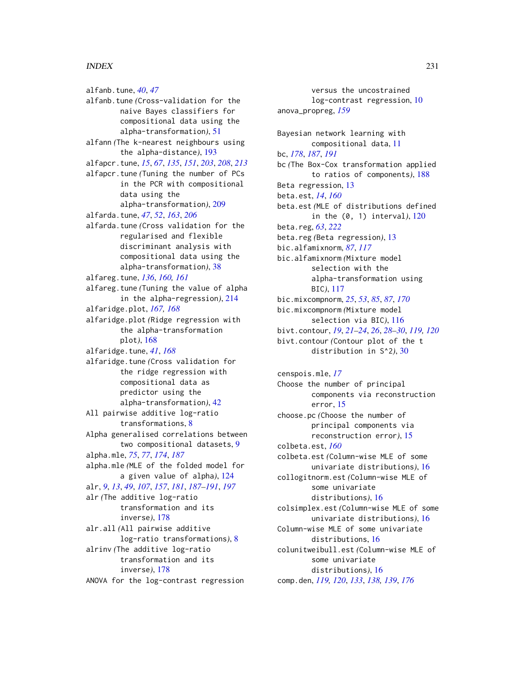# INDEX 231

alfanb.tune, *[40](#page-39-0)*, *[47](#page-46-0)* alfanb.tune *(*Cross-validation for the naive Bayes classifiers for compositional data using the alpha-transformation*)*, [51](#page-50-0) alfann *(*The k-nearest neighbours using the alpha-distance*)*, [193](#page-192-0) alfapcr.tune, *[15](#page-14-0)*, *[67](#page-66-0)*, *[135](#page-134-0)*, *[151](#page-150-0)*, *[203](#page-202-0)*, *[208](#page-207-0)*, *[213](#page-212-0)* alfapcr.tune *(*Tuning the number of PCs in the PCR with compositional data using the alpha-transformation*)*, [209](#page-208-0) alfarda.tune, *[47](#page-46-0)*, *[52](#page-51-0)*, *[163](#page-162-0)*, *[206](#page-205-0)* alfarda.tune *(*Cross validation for the regularised and flexible discriminant analysis with compositional data using the alpha-transformation*)*, [38](#page-37-0) alfareg.tune, *[136](#page-135-0)*, *[160,](#page-159-1) [161](#page-160-0)* alfareg.tune *(*Tuning the value of alpha in the alpha-regression*)*, [214](#page-213-0) alfaridge.plot, *[167,](#page-166-0) [168](#page-167-0)* alfaridge.plot *(*Ridge regression with the alpha-transformation plot*)*, [168](#page-167-0) alfaridge.tune, *[41](#page-40-0)*, *[168](#page-167-0)* alfaridge.tune *(*Cross validation for the ridge regression with compositional data as predictor using the alpha-transformation*)*, [42](#page-41-0) All pairwise additive log-ratio transformations, [8](#page-7-0) Alpha generalised correlations between two compositional datasets, [9](#page-8-0) alpha.mle, *[75](#page-74-0)*, *[77](#page-76-0)*, *[174](#page-173-0)*, *[187](#page-186-0)* alpha.mle *(*MLE of the folded model for a given value of alpha*)*, [124](#page-123-0) alr, *[9](#page-8-0)*, *[13](#page-12-1)*, *[49](#page-48-0)*, *[107](#page-106-0)*, *[157](#page-156-1)*, *[181](#page-180-0)*, *[187–](#page-186-0)[191](#page-190-0)*, *[197](#page-196-0)* alr *(*The additive log-ratio transformation and its inverse*)*, [178](#page-177-0) alr.all *(*All pairwise additive log-ratio transformations*)*, [8](#page-7-0) alrinv *(*The additive log-ratio transformation and its inverse*)*, [178](#page-177-0) ANOVA for the log-contrast regression

versus the uncostrained log-contrast regression, [10](#page-9-1) anova\_propreg, *[159](#page-158-0)* Bayesian network learning with compositional data, [11](#page-10-0) bc, *[178](#page-177-0)*, *[187](#page-186-0)*, *[191](#page-190-0)* bc *(*The Box-Cox transformation applied to ratios of components*)*, [188](#page-187-0) Beta regression, [13](#page-12-1) beta.est, *[14](#page-13-0)*, *[160](#page-159-1)* beta.est *(*MLE of distributions defined in the (0, 1) interval*)*, [120](#page-119-0) beta.reg, *[63](#page-62-0)*, *[222](#page-221-0)* beta.reg *(*Beta regression*)*, [13](#page-12-1) bic.alfamixnorm, *[87](#page-86-0)*, *[117](#page-116-0)* bic.alfamixnorm *(*Mixture model selection with the alpha-transformation using BIC*)*, [117](#page-116-0) bic.mixcompnorm, *[25](#page-24-0)*, *[53](#page-52-0)*, *[85](#page-84-0)*, *[87](#page-86-0)*, *[170](#page-169-0)* bic.mixcompnorm *(*Mixture model selection via BIC*)*, [116](#page-115-0) bivt.contour, *[19](#page-18-0)*, *[21](#page-20-0)[–24](#page-23-0)*, *[26](#page-25-0)*, *[28–](#page-27-0)[30](#page-29-0)*, *[119,](#page-118-0) [120](#page-119-0)* bivt.contour *(*Contour plot of the t distribution in S^2*)*, [30](#page-29-0) censpois.mle, *[17](#page-16-0)* Choose the number of principal components via reconstruction error, [15](#page-14-0) choose.pc *(*Choose the number of principal components via reconstruction error*)*, [15](#page-14-0) colbeta.est, *[160](#page-159-1)* colbeta.est *(*Column-wise MLE of some univariate distributions*)*, [16](#page-15-0)

collogitnorm.est *(*Column-wise MLE of some univariate distributions*)*, [16](#page-15-0) colsimplex.est *(*Column-wise MLE of some univariate distributions*)*, [16](#page-15-0) Column-wise MLE of some univariate distributions, [16](#page-15-0)

colunitweibull.est *(*Column-wise MLE of some univariate distributions*)*, [16](#page-15-0) comp.den, *[119,](#page-118-0) [120](#page-119-0)*, *[133](#page-132-0)*, *[138,](#page-137-0) [139](#page-138-0)*, *[176](#page-175-0)*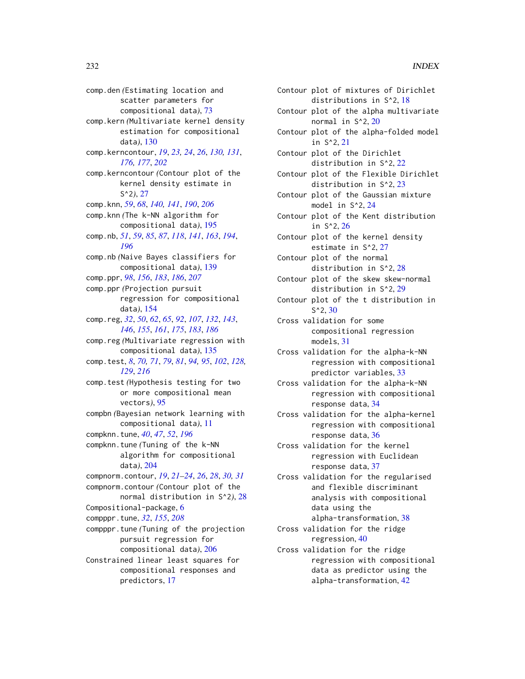comp.den *(*Estimating location and scatter parameters for compositional data*)*, [73](#page-72-0) comp.kern *(*Multivariate kernel density estimation for compositional data*)*, [130](#page-129-0) comp.kerncontour, *[19](#page-18-0)*, *[23,](#page-22-0) [24](#page-23-0)*, *[26](#page-25-0)*, *[130,](#page-129-0) [131](#page-130-0)*, *[176,](#page-175-0) [177](#page-176-0)*, *[202](#page-201-0)* comp.kerncontour *(*Contour plot of the kernel density estimate in S^2*)*, [27](#page-26-0) comp.knn, *[59](#page-58-0)*, *[68](#page-67-0)*, *[140,](#page-139-0) [141](#page-140-0)*, *[190](#page-189-0)*, *[206](#page-205-0)* comp.knn *(*The k-NN algorithm for compositional data*)*, [195](#page-194-0) comp.nb, *[51](#page-50-0)*, *[59](#page-58-0)*, *[85](#page-84-0)*, *[87](#page-86-0)*, *[118](#page-117-0)*, *[141](#page-140-0)*, *[163](#page-162-0)*, *[194](#page-193-0)*, *[196](#page-195-0)* comp.nb *(*Naive Bayes classifiers for compositional data*)*, [139](#page-138-0) comp.ppr, *[98](#page-97-0)*, *[156](#page-155-0)*, *[183](#page-182-0)*, *[186](#page-185-0)*, *[207](#page-206-0)* comp.ppr *(*Projection pursuit regression for compositional data*)*, [154](#page-153-0) comp.reg, *[32](#page-31-0)*, *[50](#page-49-0)*, *[62](#page-61-0)*, *[65](#page-64-0)*, *[92](#page-91-0)*, *[107](#page-106-0)*, *[132](#page-131-0)*, *[143](#page-142-0)*, *[146](#page-145-0)*, *[155](#page-154-0)*, *[161](#page-160-0)*, *[175](#page-174-0)*, *[183](#page-182-0)*, *[186](#page-185-0)* comp.reg *(*Multivariate regression with compositional data*)*, [135](#page-134-0) comp.test, *[8](#page-7-0)*, *[70,](#page-69-0) [71](#page-70-0)*, *[79](#page-78-0)*, *[81](#page-80-0)*, *[94,](#page-93-0) [95](#page-94-0)*, *[102](#page-101-0)*, *[128,](#page-127-0) [129](#page-128-0)*, *[216](#page-215-0)* comp.test *(*Hypothesis testing for two or more compositional mean vectors*)*, [95](#page-94-0) compbn *(*Bayesian network learning with compositional data*)*, [11](#page-10-0) compknn.tune, *[40](#page-39-0)*, *[47](#page-46-0)*, *[52](#page-51-0)*, *[196](#page-195-0)* compknn.tune *(*Tuning of the k-NN algorithm for compositional data*)*, [204](#page-203-0) compnorm.contour, *[19](#page-18-0)*, *[21–](#page-20-0)[24](#page-23-0)*, *[26](#page-25-0)*, *[28](#page-27-0)*, *[30,](#page-29-0) [31](#page-30-0)* compnorm.contour *(*Contour plot of the normal distribution in S^2*)*, [28](#page-27-0) Compositional-package, [6](#page-5-0) compppr.tune, *[32](#page-31-0)*, *[155](#page-154-0)*, *[208](#page-207-0)* compppr.tune *(*Tuning of the projection pursuit regression for compositional data*)*, [206](#page-205-0) Constrained linear least squares for compositional responses and predictors, [17](#page-16-0)

| Contour plot of mixtures of Dirichlet                             |
|-------------------------------------------------------------------|
| distributions in S^2, 18                                          |
| Contour plot of the alpha multivariate                            |
| normal in S <sup>^2</sup> , 20                                    |
| Contour plot of the alpha-folded model<br>in S <sup>^2</sup> , 21 |
| Contour plot of the Dirichlet                                     |
| distribution in $S^2$ , 22                                        |
| Contour plot of the Flexible Dirichlet                            |
| distribution in $S^2$ , 23                                        |
| Contour plot of the Gaussian mixture                              |
| model in S^2, 24                                                  |
| Contour plot of the Kent distribution                             |
| in S <sup>^2</sup> , 26                                           |
| Contour plot of the kernel density                                |
| estimate in S^2, 27                                               |
| Contour plot of the normal                                        |
| distribution in $S^2$ , 28                                        |
| Contour plot of the skew skew-normal                              |
| distribution in S^2, 29                                           |
| Contour plot of the t distribution in                             |
| $S^2$ , 30                                                        |
| Cross validation for some                                         |
| compositional regression                                          |
| models, 31                                                        |
| Cross validation for the alpha-k-NN                               |
| regression with compositional                                     |
| predictor variables, 33                                           |
| Cross validation for the alpha-k-NN                               |
| regression with compositional                                     |
| response data, 34                                                 |
| Cross validation for the alpha-kernel                             |
| regression with compositional                                     |
| response data, 36                                                 |
| Cross validation for the kernel                                   |
| regression with Euclidean                                         |
| response data, 37                                                 |
| Cross validation for the regularised                              |
| and flexible discriminant                                         |
| analysis with compositional                                       |
| data using the                                                    |
| alpha-transformation, 38                                          |
| Cross validation for the ridge                                    |
| regression, 40                                                    |
| Cross validation for the ridge                                    |
| regression with compositional                                     |
| data as predictor using the                                       |
| alpha-transformation, 42                                          |
|                                                                   |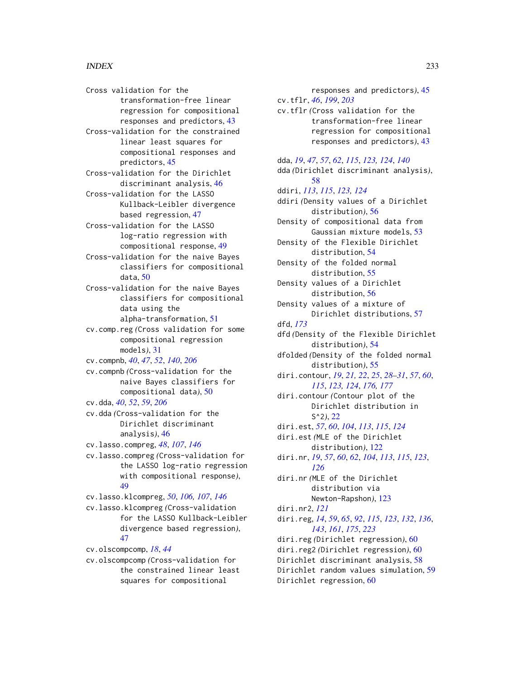Cross validation for the transformation-free linear regression for compositional responses and predictors, [43](#page-42-0) Cross-validation for the constrained

linear least squares for compositional responses and predictors, [45](#page-44-0)

Cross-validation for the Dirichlet discriminant analysis, [46](#page-45-0)

Cross-validation for the LASSO Kullback-Leibler divergence based regression, [47](#page-46-0)

Cross-validation for the LASSO log-ratio regression with compositional response, [49](#page-48-0)

- Cross-validation for the naive Bayes classifiers for compositional data, [50](#page-49-0)
- Cross-validation for the naive Bayes classifiers for compositional data using the alpha-transformation, [51](#page-50-0)

cv.comp.reg *(*Cross validation for some compositional regression models*)*, [31](#page-30-0)

cv.compnb, *[40](#page-39-0)*, *[47](#page-46-0)*, *[52](#page-51-0)*, *[140](#page-139-0)*, *[206](#page-205-0)*

cv.compnb *(*Cross-validation for the naive Bayes classifiers for compositional data*)*, [50](#page-49-0)

cv.dda, *[40](#page-39-0)*, *[52](#page-51-0)*, *[59](#page-58-0)*, *[206](#page-205-0)*

cv.dda *(*Cross-validation for the Dirichlet discriminant analysis*)*, [46](#page-45-0)

cv.lasso.compreg, *[48](#page-47-0)*, *[107](#page-106-0)*, *[146](#page-145-0)*

cv.lasso.compreg *(*Cross-validation for the LASSO log-ratio regression with compositional response*)*, [49](#page-48-0)

cv.lasso.klcompreg, *[50](#page-49-0)*, *[106,](#page-105-0) [107](#page-106-0)*, *[146](#page-145-0)*

cv.lasso.klcompreg *(*Cross-validation for the LASSO Kullback-Leibler divergence based regression*)*, [47](#page-46-0)

cv.olscompcomp, *[18](#page-17-0)*, *[44](#page-43-0)*

cv.olscompcomp *(*Cross-validation for the constrained linear least squares for compositional

responses and predictors*)*, [45](#page-44-0) cv.tflr, *[46](#page-45-0)*, *[199](#page-198-0)*, *[203](#page-202-0)* cv.tflr *(*Cross validation for the transformation-free linear regression for compositional responses and predictors*)*, [43](#page-42-0) dda, *[19](#page-18-0)*, *[47](#page-46-0)*, *[57](#page-56-0)*, *[62](#page-61-0)*, *[115](#page-114-0)*, *[123,](#page-122-0) [124](#page-123-0)*, *[140](#page-139-0)* dda *(*Dirichlet discriminant analysis*)*, [58](#page-57-0) ddiri, *[113](#page-112-0)*, *[115](#page-114-0)*, *[123,](#page-122-0) [124](#page-123-0)* ddiri *(*Density values of a Dirichlet distribution*)*, [56](#page-55-0) Density of compositional data from Gaussian mixture models, [53](#page-52-0) Density of the Flexible Dirichlet distribution, [54](#page-53-0) Density of the folded normal distribution, [55](#page-54-0) Density values of a Dirichlet distribution, [56](#page-55-0) Density values of a mixture of Dirichlet distributions, [57](#page-56-0) dfd, *[173](#page-172-0)* dfd *(*Density of the Flexible Dirichlet distribution*)*, [54](#page-53-0) dfolded *(*Density of the folded normal distribution*)*, [55](#page-54-0) diri.contour, *[19](#page-18-0)*, *[21,](#page-20-0) [22](#page-21-0)*, *[25](#page-24-0)*, *[28](#page-27-0)[–31](#page-30-0)*, *[57](#page-56-0)*, *[60](#page-59-1)*, *[115](#page-114-0)*, *[123,](#page-122-0) [124](#page-123-0)*, *[176,](#page-175-0) [177](#page-176-0)* diri.contour *(*Contour plot of the Dirichlet distribution in S^2*)*, [22](#page-21-0) diri.est, *[57](#page-56-0)*, *[60](#page-59-1)*, *[104](#page-103-0)*, *[113](#page-112-0)*, *[115](#page-114-0)*, *[124](#page-123-0)* diri.est *(*MLE of the Dirichlet distribution*)*, [122](#page-121-0) diri.nr, *[19](#page-18-0)*, *[57](#page-56-0)*, *[60](#page-59-1)*, *[62](#page-61-0)*, *[104](#page-103-0)*, *[113](#page-112-0)*, *[115](#page-114-0)*, *[123](#page-122-0)*, *[126](#page-125-1)* diri.nr *(*MLE of the Dirichlet distribution via Newton-Rapshon*)*, [123](#page-122-0) diri.nr2, *[121](#page-120-0)* diri.reg, *[14](#page-13-0)*, *[59](#page-58-0)*, *[65](#page-64-0)*, *[92](#page-91-0)*, *[115](#page-114-0)*, *[123](#page-122-0)*, *[132](#page-131-0)*, *[136](#page-135-0)*, *[143](#page-142-0)*, *[161](#page-160-0)*, *[175](#page-174-0)*, *[223](#page-222-0)* diri.reg *(*Dirichlet regression*)*, [60](#page-59-1) diri.reg2 *(*Dirichlet regression*)*, [60](#page-59-1) Dirichlet discriminant analysis, [58](#page-57-0)

Dirichlet random values simulation, [59](#page-58-0) Dirichlet regression, [60](#page-59-1)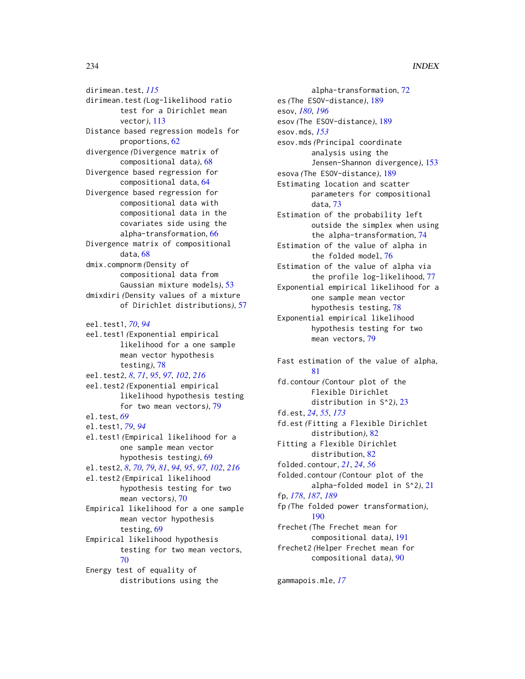dirimean.test, *[115](#page-114-0)* dirimean.test *(*Log-likelihood ratio test for a Dirichlet mean vector*)*, [113](#page-112-0) Distance based regression models for proportions, [62](#page-61-0) divergence *(*Divergence matrix of compositional data*)*, [68](#page-67-0) Divergence based regression for compositional data, [64](#page-63-1) Divergence based regression for compositional data with compositional data in the covariates side using the alpha-transformation, [66](#page-65-0) Divergence matrix of compositional data, [68](#page-67-0) dmix.compnorm *(*Density of compositional data from Gaussian mixture models*)*, [53](#page-52-0) dmixdiri *(*Density values of a mixture of Dirichlet distributions*)*, [57](#page-56-0) eel.test1, *[70](#page-69-0)*, *[94](#page-93-0)* eel.test1 *(*Exponential empirical likelihood for a one sample mean vector hypothesis testing*)*, [78](#page-77-0) eel.test2, *[8](#page-7-0)*, *[71](#page-70-0)*, *[95](#page-94-0)*, *[97](#page-96-0)*, *[102](#page-101-0)*, *[216](#page-215-0)* eel.test2 *(*Exponential empirical likelihood hypothesis testing for two mean vectors*)*, [79](#page-78-0) el.test, *[69](#page-68-0)* el.test1, *[79](#page-78-0)*, *[94](#page-93-0)* el.test1 *(*Empirical likelihood for a one sample mean vector hypothesis testing*)*, [69](#page-68-0) el.test2, *[8](#page-7-0)*, *[70](#page-69-0)*, *[79](#page-78-0)*, *[81](#page-80-0)*, *[94,](#page-93-0) [95](#page-94-0)*, *[97](#page-96-0)*, *[102](#page-101-0)*, *[216](#page-215-0)* el.test2 *(*Empirical likelihood hypothesis testing for two mean vectors*)*, [70](#page-69-0) Empirical likelihood for a one sample mean vector hypothesis testing, [69](#page-68-0) Empirical likelihood hypothesis testing for two mean vectors, [70](#page-69-0)

Energy test of equality of distributions using the

alpha-transformation, [72](#page-71-0) es *(*The ESOV-distance*)*, [189](#page-188-0) esov, *[180](#page-179-0)*, *[196](#page-195-0)* esov *(*The ESOV-distance*)*, [189](#page-188-0) esov.mds, *[153](#page-152-0)* esov.mds *(*Principal coordinate analysis using the Jensen-Shannon divergence*)*, [153](#page-152-0) esova *(*The ESOV-distance*)*, [189](#page-188-0) Estimating location and scatter parameters for compositional data, [73](#page-72-0) Estimation of the probability left outside the simplex when using the alpha-transformation, [74](#page-73-0) Estimation of the value of alpha in the folded model, [76](#page-75-0) Estimation of the value of alpha via the profile log-likelihood, [77](#page-76-0) Exponential empirical likelihood for a one sample mean vector hypothesis testing, [78](#page-77-0) Exponential empirical likelihood hypothesis testing for two mean vectors, [79](#page-78-0) Fast estimation of the value of alpha, [81](#page-80-0) fd.contour *(*Contour plot of the Flexible Dirichlet distribution in S^2*)*, [23](#page-22-0) fd.est, *[24](#page-23-0)*, *[55](#page-54-0)*, *[173](#page-172-0)* fd.est *(*Fitting a Flexible Dirichlet distribution*)*, [82](#page-81-0) Fitting a Flexible Dirichlet distribution, [82](#page-81-0)

folded.contour, *[21](#page-20-0)*, *[24](#page-23-0)*, *[56](#page-55-0)* folded.contour *(*Contour plot of the alpha-folded model in S^2*)*, [21](#page-20-0) fp, *[178](#page-177-0)*, *[187](#page-186-0)*, *[189](#page-188-0)* fp *(*The folded power transformation*)*, [190](#page-189-0) frechet *(*The Frechet mean for compositional data*)*, [191](#page-190-0) frechet2 *(*Helper Frechet mean for compositional data*)*, [90](#page-89-0)

gammapois.mle, *[17](#page-16-0)*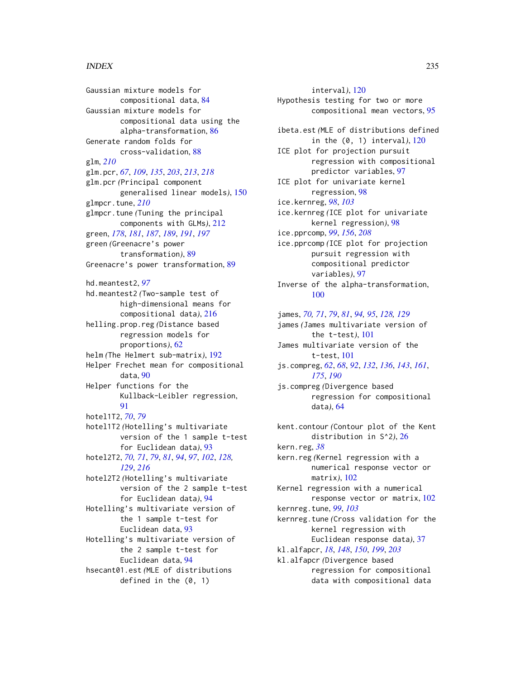### INDEX 235

Gaussian mixture models for compositional data, [84](#page-83-0) Gaussian mixture models for compositional data using the alpha-transformation, [86](#page-85-0) Generate random folds for cross-validation, [88](#page-87-0) glm, *[210](#page-209-0)* glm.pcr, *[67](#page-66-0)*, *[109](#page-108-1)*, *[135](#page-134-0)*, *[203](#page-202-0)*, *[213](#page-212-0)*, *[218](#page-217-1)* glm.pcr *(*Principal component generalised linear models*)*, [150](#page-149-1) glmpcr.tune, *[210](#page-209-0)* glmpcr.tune *(*Tuning the principal components with GLMs*)*, [212](#page-211-0) green, *[178](#page-177-0)*, *[181](#page-180-0)*, *[187](#page-186-0)*, *[189](#page-188-0)*, *[191](#page-190-0)*, *[197](#page-196-0)* green *(*Greenacre's power transformation*)*, [89](#page-88-0) Greenacre's power transformation, [89](#page-88-0) hd.meantest2, *[97](#page-96-0)* hd.meantest2 *(*Two-sample test of high-dimensional means for compositional data*)*, [216](#page-215-0) helling.prop.reg *(*Distance based regression models for proportions*)*, [62](#page-61-0) helm *(*The Helmert sub-matrix*)*, [192](#page-191-0) Helper Frechet mean for compositional data, [90](#page-89-0) Helper functions for the Kullback-Leibler regression, [91](#page-90-0) hotel1T2, *[70](#page-69-0)*, *[79](#page-78-0)* hotel1T2 *(*Hotelling's multivariate version of the 1 sample t-test for Euclidean data*)*, [93](#page-92-0) hotel2T2, *[70,](#page-69-0) [71](#page-70-0)*, *[79](#page-78-0)*, *[81](#page-80-0)*, *[94](#page-93-0)*, *[97](#page-96-0)*, *[102](#page-101-0)*, *[128,](#page-127-0) [129](#page-128-0)*, *[216](#page-215-0)* hotel2T2 *(*Hotelling's multivariate version of the 2 sample t-test for Euclidean data*)*, [94](#page-93-0) Hotelling's multivariate version of the 1 sample t-test for Euclidean data, [93](#page-92-0) Hotelling's multivariate version of the 2 sample t-test for Euclidean data, [94](#page-93-0) hsecant01.est *(*MLE of distributions defined in the (0, 1)

interval*)*, [120](#page-119-0) Hypothesis testing for two or more compositional mean vectors, [95](#page-94-0) ibeta.est *(*MLE of distributions defined in the (0, 1) interval*)*, [120](#page-119-0) ICE plot for projection pursuit regression with compositional predictor variables, [97](#page-96-0) ICE plot for univariate kernel regression, [98](#page-97-0) ice.kernreg, *[98](#page-97-0)*, *[103](#page-102-0)* ice.kernreg *(*ICE plot for univariate kernel regression*)*, [98](#page-97-0) ice.pprcomp, *[99](#page-98-0)*, *[156](#page-155-0)*, *[208](#page-207-0)* ice.pprcomp *(*ICE plot for projection pursuit regression with compositional predictor variables*)*, [97](#page-96-0) Inverse of the alpha-transformation, [100](#page-99-0) james, *[70,](#page-69-0) [71](#page-70-0)*, *[79](#page-78-0)*, *[81](#page-80-0)*, *[94,](#page-93-0) [95](#page-94-0)*, *[128,](#page-127-0) [129](#page-128-0)* james *(*James multivariate version of the t-test*)*, [101](#page-100-0) James multivariate version of the t-test, [101](#page-100-0) js.compreg, *[62](#page-61-0)*, *[68](#page-67-0)*, *[92](#page-91-0)*, *[132](#page-131-0)*, *[136](#page-135-0)*, *[143](#page-142-0)*, *[161](#page-160-0)*, *[175](#page-174-0)*, *[190](#page-189-0)* js.compreg *(*Divergence based regression for compositional data*)*, [64](#page-63-1) kent.contour *(*Contour plot of the Kent distribution in S^2*)*, [26](#page-25-0) kern.reg, *[38](#page-37-0)* kern.reg *(*Kernel regression with a numerical response vector or matrix*)*, [102](#page-101-0) Kernel regression with a numerical response vector or matrix, [102](#page-101-0) kernreg.tune, *[99](#page-98-0)*, *[103](#page-102-0)* kernreg.tune *(*Cross validation for the kernel regression with Euclidean response data*)*, [37](#page-36-0) kl.alfapcr, *[18](#page-17-0)*, *[148](#page-147-0)*, *[150](#page-149-1)*, *[199](#page-198-0)*, *[203](#page-202-0)* kl.alfapcr *(*Divergence based regression for compositional data with compositional data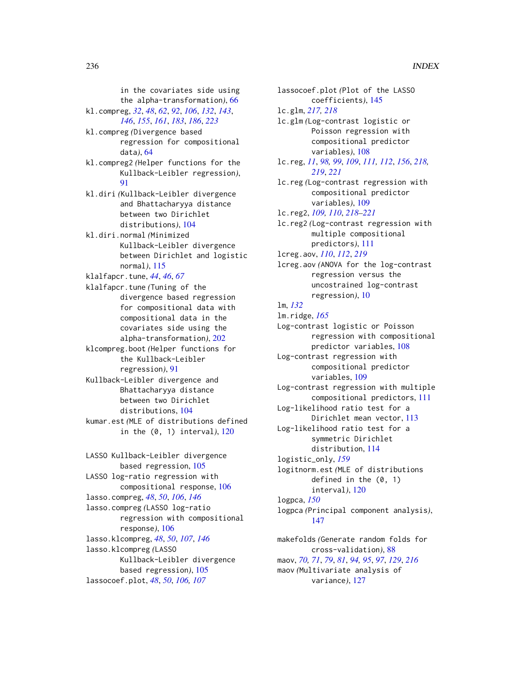in the covariates side using the alpha-transformation*)*, [66](#page-65-0) kl.compreg, *[32](#page-31-0)*, *[48](#page-47-0)*, *[62](#page-61-0)*, *[92](#page-91-0)*, *[106](#page-105-0)*, *[132](#page-131-0)*, *[143](#page-142-0)*, *[146](#page-145-0)*, *[155](#page-154-0)*, *[161](#page-160-0)*, *[183](#page-182-0)*, *[186](#page-185-0)*, *[223](#page-222-0)* kl.compreg *(*Divergence based regression for compositional data*)*, [64](#page-63-1) kl.compreg2 *(*Helper functions for the Kullback-Leibler regression*)*, [91](#page-90-0) kl.diri *(*Kullback-Leibler divergence and Bhattacharyya distance between two Dirichlet distributions*)*, [104](#page-103-0) kl.diri.normal *(*Minimized Kullback-Leibler divergence between Dirichlet and logistic normal*)*, [115](#page-114-0) klalfapcr.tune, *[44](#page-43-0)*, *[46](#page-45-0)*, *[67](#page-66-0)* klalfapcr.tune *(*Tuning of the divergence based regression for compositional data with compositional data in the covariates side using the alpha-transformation*)*, [202](#page-201-0) klcompreg.boot *(*Helper functions for

the Kullback-Leibler regression*)*, [91](#page-90-0) Kullback-Leibler divergence and Bhattacharyya distance between two Dirichlet distributions, [104](#page-103-0)

kumar.est *(*MLE of distributions defined in the (0, 1) interval*)*, [120](#page-119-0)

LASSO Kullback-Leibler divergence based regression, [105](#page-104-0) LASSO log-ratio regression with compositional response, [106](#page-105-0) lasso.compreg, *[48](#page-47-0)*, *[50](#page-49-0)*, *[106](#page-105-0)*, *[146](#page-145-0)* lasso.compreg *(*LASSO log-ratio regression with compositional response*)*, [106](#page-105-0) lasso.klcompreg, *[48](#page-47-0)*, *[50](#page-49-0)*, *[107](#page-106-0)*, *[146](#page-145-0)* lasso.klcompreg *(*LASSO Kullback-Leibler divergence based regression*)*, [105](#page-104-0) lassocoef.plot, *[48](#page-47-0)*, *[50](#page-49-0)*, *[106,](#page-105-0) [107](#page-106-0)*

lassocoef.plot *(*Plot of the LASSO coefficients*)*, [145](#page-144-0) lc.glm, *[217,](#page-216-0) [218](#page-217-1)* lc.glm *(*Log-contrast logistic or Poisson regression with compositional predictor variables*)*, [108](#page-107-1) lc.reg, *[11](#page-10-0)*, *[98,](#page-97-0) [99](#page-98-0)*, *[109](#page-108-1)*, *[111,](#page-110-1) [112](#page-111-0)*, *[156](#page-155-0)*, *[218,](#page-217-1) [219](#page-218-1)*, *[221](#page-220-0)* lc.reg *(*Log-contrast regression with compositional predictor variables*)*, [109](#page-108-1) lc.reg2, *[109,](#page-108-1) [110](#page-109-0)*, *[218](#page-217-1)[–221](#page-220-0)* lc.reg2 *(*Log-contrast regression with multiple compositional predictors*)*, [111](#page-110-1) lcreg.aov, *[110](#page-109-0)*, *[112](#page-111-0)*, *[219](#page-218-1)* lcreg.aov *(*ANOVA for the log-contrast regression versus the uncostrained log-contrast regression*)*, [10](#page-9-1) lm, *[132](#page-131-0)* lm.ridge, *[165](#page-164-0)* Log-contrast logistic or Poisson regression with compositional predictor variables, [108](#page-107-1) Log-contrast regression with compositional predictor variables, [109](#page-108-1) Log-contrast regression with multiple compositional predictors, [111](#page-110-1) Log-likelihood ratio test for a Dirichlet mean vector, [113](#page-112-0) Log-likelihood ratio test for a symmetric Dirichlet distribution, [114](#page-113-0) logistic\_only, *[159](#page-158-0)* logitnorm.est *(*MLE of distributions defined in the (0, 1) interval*)*, [120](#page-119-0) logpca, *[150](#page-149-1)* logpca *(*Principal component analysis*)*, [147](#page-146-0) makefolds *(*Generate random folds for cross-validation*)*, [88](#page-87-0)

maov, *[70,](#page-69-0) [71](#page-70-0)*, *[79](#page-78-0)*, *[81](#page-80-0)*, *[94,](#page-93-0) [95](#page-94-0)*, *[97](#page-96-0)*, *[129](#page-128-0)*, *[216](#page-215-0)* maov *(*Multivariate analysis of variance*)*, [127](#page-126-0)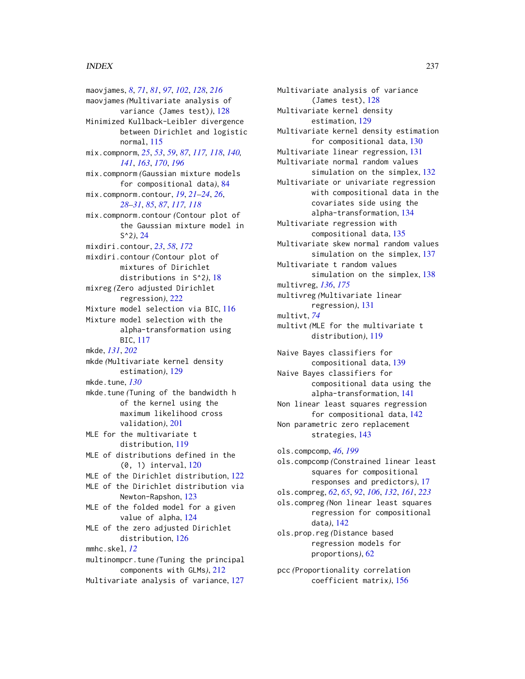### INDEX  $237$

maovjames, *[8](#page-7-0)*, *[71](#page-70-0)*, *[81](#page-80-0)*, *[97](#page-96-0)*, *[102](#page-101-0)*, *[128](#page-127-0)*, *[216](#page-215-0)* maovjames *(*Multivariate analysis of variance (James test)*)*, [128](#page-127-0) Minimized Kullback-Leibler divergence between Dirichlet and logistic normal, [115](#page-114-0) mix.compnorm, *[25](#page-24-0)*, *[53](#page-52-0)*, *[59](#page-58-0)*, *[87](#page-86-0)*, *[117,](#page-116-0) [118](#page-117-0)*, *[140,](#page-139-0) [141](#page-140-0)*, *[163](#page-162-0)*, *[170](#page-169-0)*, *[196](#page-195-0)* mix.compnorm *(*Gaussian mixture models for compositional data*)*, [84](#page-83-0) mix.compnorm.contour, *[19](#page-18-0)*, *[21–](#page-20-0)[24](#page-23-0)*, *[26](#page-25-0)*, *[28](#page-27-0)[–31](#page-30-0)*, *[85](#page-84-0)*, *[87](#page-86-0)*, *[117,](#page-116-0) [118](#page-117-0)* mix.compnorm.contour *(*Contour plot of the Gaussian mixture model in S^2*)*, [24](#page-23-0) mixdiri.contour, *[23](#page-22-0)*, *[58](#page-57-0)*, *[172](#page-171-0)* mixdiri.contour *(*Contour plot of mixtures of Dirichlet distributions in S^2*)*, [18](#page-17-0) mixreg *(*Zero adjusted Dirichlet regression*)*, [222](#page-221-0) Mixture model selection via BIC, [116](#page-115-0) Mixture model selection with the alpha-transformation using BIC, [117](#page-116-0) mkde, *[131](#page-130-0)*, *[202](#page-201-0)* mkde *(*Multivariate kernel density estimation*)*, [129](#page-128-0) mkde.tune, *[130](#page-129-0)* mkde.tune *(*Tuning of the bandwidth h of the kernel using the maximum likelihood cross validation*)*, [201](#page-200-0) MLE for the multivariate t distribution, [119](#page-118-0) MLE of distributions defined in the (0, 1) interval, [120](#page-119-0) MLE of the Dirichlet distribution, [122](#page-121-0) MLE of the Dirichlet distribution via Newton-Rapshon, [123](#page-122-0) MLE of the folded model for a given value of alpha, [124](#page-123-0) MLE of the zero adjusted Dirichlet distribution, [126](#page-125-1) mmhc.skel, *[12](#page-11-0)* multinompcr.tune *(*Tuning the principal components with GLMs*)*, [212](#page-211-0)

Multivariate analysis of variance, [127](#page-126-0)

Multivariate analysis of variance (James test), [128](#page-127-0) Multivariate kernel density estimation, [129](#page-128-0) Multivariate kernel density estimation for compositional data, [130](#page-129-0) Multivariate linear regression, [131](#page-130-0) Multivariate normal random values simulation on the simplex, [132](#page-131-0) Multivariate or univariate regression with compositional data in the covariates side using the alpha-transformation, [134](#page-133-1) Multivariate regression with compositional data, [135](#page-134-0) Multivariate skew normal random values simulation on the simplex, [137](#page-136-0) Multivariate t random values simulation on the simplex, [138](#page-137-0) multivreg, *[136](#page-135-0)*, *[175](#page-174-0)* multivreg *(*Multivariate linear regression*)*, [131](#page-130-0) multivt, *[74](#page-73-0)* multivt *(*MLE for the multivariate t distribution*)*, [119](#page-118-0)

Naive Bayes classifiers for compositional data, [139](#page-138-0) Naive Bayes classifiers for compositional data using the alpha-transformation, [141](#page-140-0) Non linear least squares regression for compositional data, [142](#page-141-1) Non parametric zero replacement strategies, [143](#page-142-0)

ols.compcomp, *[46](#page-45-0)*, *[199](#page-198-0)* ols.compcomp *(*Constrained linear least squares for compositional responses and predictors*)*, [17](#page-16-0) ols.compreg, *[62](#page-61-0)*, *[65](#page-64-0)*, *[92](#page-91-0)*, *[106](#page-105-0)*, *[132](#page-131-0)*, *[161](#page-160-0)*, *[223](#page-222-0)* ols.compreg *(*Non linear least squares regression for compositional data*)*, [142](#page-141-1) ols.prop.reg *(*Distance based regression models for proportions*)*, [62](#page-61-0)

pcc *(*Proportionality correlation coefficient matrix*)*, [156](#page-155-0)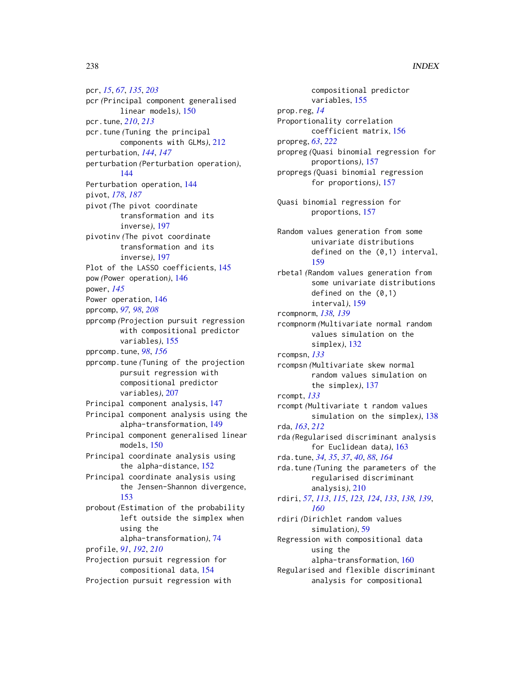pcr, *[15](#page-14-0)*, *[67](#page-66-0)*, *[135](#page-134-0)*, *[203](#page-202-0)* pcr *(*Principal component generalised linear models*)*, [150](#page-149-1) pcr.tune, *[210](#page-209-0)*, *[213](#page-212-0)* pcr.tune *(*Tuning the principal components with GLMs*)*, [212](#page-211-0) perturbation, *[144](#page-143-0)*, *[147](#page-146-0)* perturbation *(*Perturbation operation*)*, [144](#page-143-0) Perturbation operation, [144](#page-143-0) pivot, *[178](#page-177-0)*, *[187](#page-186-0)* pivot *(*The pivot coordinate transformation and its inverse*)*, [197](#page-196-0) pivotinv *(*The pivot coordinate transformation and its inverse*)*, [197](#page-196-0) Plot of the LASSO coefficients, [145](#page-144-0) pow *(*Power operation*)*, [146](#page-145-0) power, *[145](#page-144-0)* Power operation, [146](#page-145-0) pprcomp, *[97,](#page-96-0) [98](#page-97-0)*, *[208](#page-207-0)* pprcomp *(*Projection pursuit regression with compositional predictor variables*)*, [155](#page-154-0) pprcomp.tune, *[98](#page-97-0)*, *[156](#page-155-0)* pprcomp.tune *(*Tuning of the projection pursuit regression with compositional predictor variables*)*, [207](#page-206-0) Principal component analysis, [147](#page-146-0) Principal component analysis using the alpha-transformation, [149](#page-148-0) Principal component generalised linear models, [150](#page-149-1) Principal coordinate analysis using the alpha-distance, [152](#page-151-0) Principal coordinate analysis using the Jensen-Shannon divergence, [153](#page-152-0) probout *(*Estimation of the probability left outside the simplex when using the alpha-transformation*)*, [74](#page-73-0) profile, *[91](#page-90-0)*, *[192](#page-191-0)*, *[210](#page-209-0)* Projection pursuit regression for compositional data, [154](#page-153-0) Projection pursuit regression with

compositional predictor variables, [155](#page-154-0) prop.reg, *[14](#page-13-0)* Proportionality correlation coefficient matrix, [156](#page-155-0) propreg, *[63](#page-62-0)*, *[222](#page-221-0)* propreg *(*Quasi binomial regression for proportions*)*, [157](#page-156-1) propregs *(*Quasi binomial regression for proportions*)*, [157](#page-156-1) Quasi binomial regression for proportions, [157](#page-156-1) Random values generation from some univariate distributions defined on the (0,1) interval, [159](#page-158-0) rbeta1 *(*Random values generation from some univariate distributions defined on the  $(0,1)$ interval*)*, [159](#page-158-0) rcompnorm, *[138,](#page-137-0) [139](#page-138-0)* rcompnorm *(*Multivariate normal random values simulation on the simplex*)*, [132](#page-131-0) rcompsn, *[133](#page-132-0)* rcompsn *(*Multivariate skew normal random values simulation on the simplex*)*, [137](#page-136-0) rcompt, *[133](#page-132-0)* rcompt *(*Multivariate t random values simulation on the simplex*)*, [138](#page-137-0) rda, *[163](#page-162-0)*, *[212](#page-211-0)* rda *(*Regularised discriminant analysis for Euclidean data*)*, [163](#page-162-0) rda.tune, *[34,](#page-33-0) [35](#page-34-0)*, *[37](#page-36-0)*, *[40](#page-39-0)*, *[88](#page-87-0)*, *[164](#page-163-0)* rda.tune *(*Tuning the parameters of the regularised discriminant analysis*)*, [210](#page-209-0) rdiri, *[57](#page-56-0)*, *[113](#page-112-0)*, *[115](#page-114-0)*, *[123,](#page-122-0) [124](#page-123-0)*, *[133](#page-132-0)*, *[138,](#page-137-0) [139](#page-138-0)*, *[160](#page-159-1)* rdiri *(*Dirichlet random values simulation*)*, [59](#page-58-0) Regression with compositional data using the alpha-transformation, [160](#page-159-1) Regularised and flexible discriminant analysis for compositional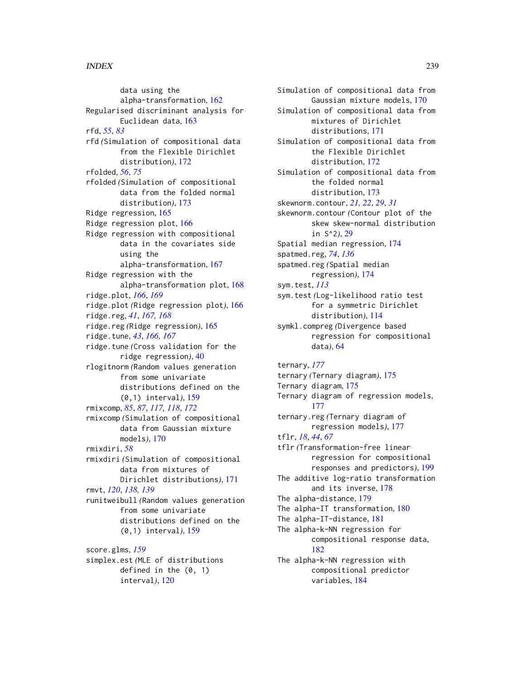data using the alpha-transformation, [162](#page-161-0) Regularised discriminant analysis for Euclidean data, [163](#page-162-0) rfd, *[55](#page-54-0)*, *[83](#page-82-0)* rfd *(*Simulation of compositional data from the Flexible Dirichlet distribution*)*, [172](#page-171-0) rfolded, *[56](#page-55-0)*, *[75](#page-74-0)* rfolded *(*Simulation of compositional data from the folded normal distribution*)*, [173](#page-172-0) Ridge regression, [165](#page-164-0) Ridge regression plot, [166](#page-165-0) Ridge regression with compositional data in the covariates side using the alpha-transformation, [167](#page-166-0) Ridge regression with the alpha-transformation plot, [168](#page-167-0) ridge.plot, *[166](#page-165-0)*, *[169](#page-168-0)* ridge.plot *(*Ridge regression plot*)*, [166](#page-165-0) ridge.reg, *[41](#page-40-0)*, *[167,](#page-166-0) [168](#page-167-0)* ridge.reg *(*Ridge regression*)*, [165](#page-164-0) ridge.tune, *[43](#page-42-0)*, *[166,](#page-165-0) [167](#page-166-0)* ridge.tune *(*Cross validation for the ridge regression*)*, [40](#page-39-0) rlogitnorm *(*Random values generation from some univariate distributions defined on the (0,1) interval*)*, [159](#page-158-0) rmixcomp, *[85](#page-84-0)*, *[87](#page-86-0)*, *[117,](#page-116-0) [118](#page-117-0)*, *[172](#page-171-0)* rmixcomp *(*Simulation of compositional data from Gaussian mixture models*)*, [170](#page-169-0) rmixdiri, *[58](#page-57-0)* rmixdiri *(*Simulation of compositional data from mixtures of Dirichlet distributions*)*, [171](#page-170-0) rmvt, *[120](#page-119-0)*, *[138,](#page-137-0) [139](#page-138-0)* runitweibull *(*Random values generation from some univariate distributions defined on the (0,1) interval*)*, [159](#page-158-0) score.glms, *[159](#page-158-0)* simplex.est *(*MLE of distributions defined in the (0, 1)

interval*)*, [120](#page-119-0)

Simulation of compositional data from Gaussian mixture models, [170](#page-169-0) Simulation of compositional data from mixtures of Dirichlet distributions, [171](#page-170-0) Simulation of compositional data from the Flexible Dirichlet distribution, [172](#page-171-0) Simulation of compositional data from the folded normal distribution, [173](#page-172-0) skewnorm.contour, *[21,](#page-20-0) [22](#page-21-0)*, *[29](#page-28-0)*, *[31](#page-30-0)* skewnorm.contour *(*Contour plot of the skew skew-normal distribution in S^2*)*, [29](#page-28-0) Spatial median regression, [174](#page-173-0) spatmed.reg, *[74](#page-73-0)*, *[136](#page-135-0)* spatmed.reg *(*Spatial median regression*)*, [174](#page-173-0) sym.test, *[113](#page-112-0)* sym.test *(*Log-likelihood ratio test for a symmetric Dirichlet distribution*)*, [114](#page-113-0) symkl.compreg *(*Divergence based regression for compositional data*)*, [64](#page-63-1)

ternary, *[177](#page-176-0)* ternary *(*Ternary diagram*)*, [175](#page-174-0) Ternary diagram, [175](#page-174-0) Ternary diagram of regression models, [177](#page-176-0) ternary.reg *(*Ternary diagram of regression models*)*, [177](#page-176-0) tflr, *[18](#page-17-0)*, *[44](#page-43-0)*, *[67](#page-66-0)* tflr *(*Transformation-free linear regression for compositional responses and predictors*)*, [199](#page-198-0) The additive log-ratio transformation and its inverse, [178](#page-177-0) The alpha-distance, [179](#page-178-0) The alpha-IT transformation, [180](#page-179-0) The alpha-IT-distance, [181](#page-180-0) The alpha-k-NN regression for compositional response data, [182](#page-181-0) The alpha-k-NN regression with compositional predictor variables, [184](#page-183-1)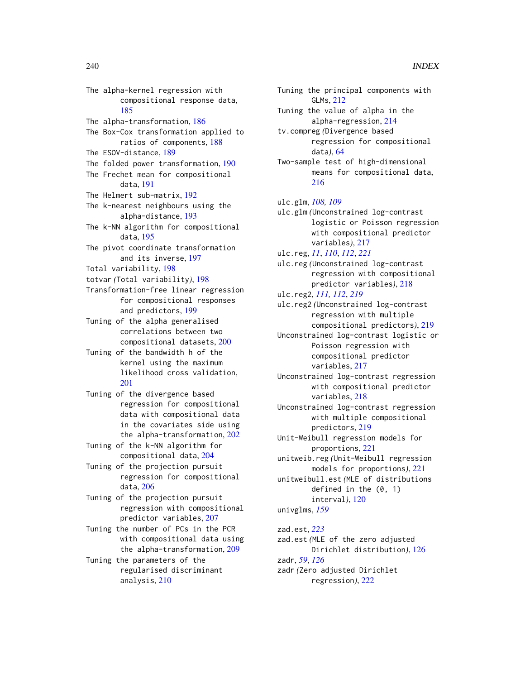The alpha-kernel regression with compositional response data, [185](#page-184-0) The alpha-transformation, [186](#page-185-0) The Box-Cox transformation applied to ratios of components, [188](#page-187-0) The ESOV-distance, [189](#page-188-0) The folded power transformation, [190](#page-189-0) The Frechet mean for compositional data, [191](#page-190-0) The Helmert sub-matrix, [192](#page-191-0) The k-nearest neighbours using the alpha-distance, [193](#page-192-0) The k-NN algorithm for compositional data, [195](#page-194-0) The pivot coordinate transformation and its inverse, [197](#page-196-0) Total variability, [198](#page-197-0) totvar *(*Total variability*)*, [198](#page-197-0) Transformation-free linear regression for compositional responses and predictors, [199](#page-198-0) Tuning of the alpha generalised correlations between two compositional datasets, [200](#page-199-0) Tuning of the bandwidth h of the kernel using the maximum likelihood cross validation, [201](#page-200-0) Tuning of the divergence based regression for compositional data with compositional data in the covariates side using the alpha-transformation, [202](#page-201-0) Tuning of the k-NN algorithm for compositional data, [204](#page-203-0) Tuning of the projection pursuit regression for compositional data, [206](#page-205-0) Tuning of the projection pursuit regression with compositional predictor variables, [207](#page-206-0) Tuning the number of PCs in the PCR with compositional data using the alpha-transformation, [209](#page-208-0) Tuning the parameters of the regularised discriminant analysis, [210](#page-209-0)

Tuning the principal components with GLMs, [212](#page-211-0) Tuning the value of alpha in the alpha-regression, [214](#page-213-0) tv.compreg *(*Divergence based regression for compositional data*)*, [64](#page-63-1) Two-sample test of high-dimensional means for compositional data, [216](#page-215-0) ulc.glm, *[108,](#page-107-1) [109](#page-108-1)* ulc.glm *(*Unconstrained log-contrast logistic or Poisson regression with compositional predictor variables*)*, [217](#page-216-0) ulc.reg, *[11](#page-10-0)*, *[110](#page-109-0)*, *[112](#page-111-0)*, *[221](#page-220-0)* ulc.reg *(*Unconstrained log-contrast regression with compositional predictor variables*)*, [218](#page-217-1) ulc.reg2, *[111,](#page-110-1) [112](#page-111-0)*, *[219](#page-218-1)* ulc.reg2 *(*Unconstrained log-contrast regression with multiple compositional predictors*)*, [219](#page-218-1) Unconstrained log-contrast logistic or Poisson regression with compositional predictor variables, [217](#page-216-0) Unconstrained log-contrast regression with compositional predictor variables, [218](#page-217-1) Unconstrained log-contrast regression with multiple compositional predictors, [219](#page-218-1) Unit-Weibull regression models for proportions, [221](#page-220-0) unitweib.reg *(*Unit-Weibull regression models for proportions*)*, [221](#page-220-0) unitweibull.est *(*MLE of distributions defined in the (0, 1) interval*)*, [120](#page-119-0) univglms, *[159](#page-158-0)*

zad.est, *[223](#page-222-0)* zad.est *(*MLE of the zero adjusted Dirichlet distribution*)*, [126](#page-125-1) zadr, *[59](#page-58-0)*, *[126](#page-125-1)* zadr *(*Zero adjusted Dirichlet regression*)*, [222](#page-221-0)